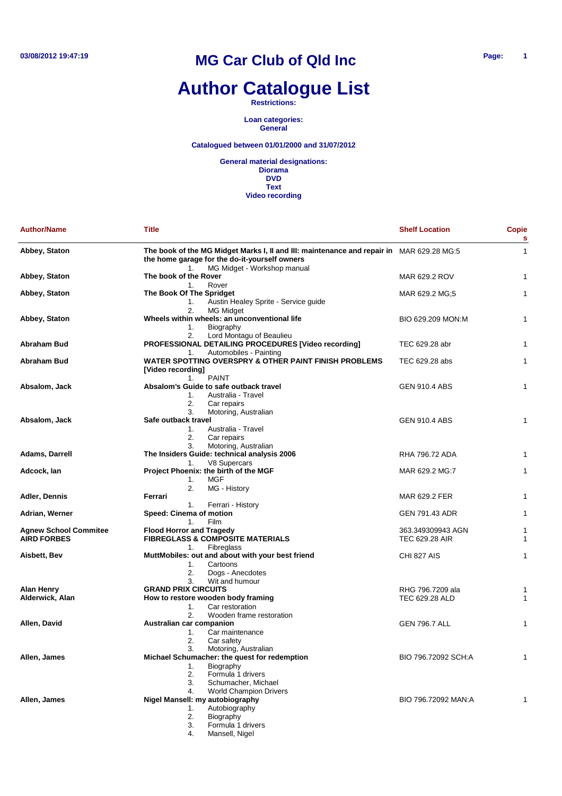# **Author Catalogue List**

**Restrictions:**

**Loan categories: General**

#### **Catalogued between 01/01/2000 and 31/07/2012**

| <b>Author/Name</b>                                 | <b>Title</b>                                                                                                                                                        | <b>Shelf Location</b>                      | <b>Copie</b><br>s |
|----------------------------------------------------|---------------------------------------------------------------------------------------------------------------------------------------------------------------------|--------------------------------------------|-------------------|
| Abbey, Staton                                      | The book of the MG Midget Marks I, II and III: maintenance and repair in MAR 629.28 MG:5<br>the home garage for the do-it-yourself owners                           |                                            | $\mathbf{1}$      |
| Abbey, Staton                                      | MG Midget - Workshop manual<br>1.<br>The book of the Rover<br>Rover<br>1.                                                                                           | MAR 629.2 ROV                              | $\mathbf{1}$      |
| Abbey, Staton                                      | The Book Of The Spridget<br>Austin Healey Sprite - Service guide<br>1.<br>2.                                                                                        | MAR 629.2 MG;5                             | $\mathbf{1}$      |
| Abbey, Staton                                      | MG Midget<br>Wheels within wheels: an unconventional life<br>Biography<br>1.<br>Lord Montagu of Beaulieu<br>2.                                                      | BIO 629.209 MON:M                          | $\mathbf{1}$      |
| <b>Abraham Bud</b>                                 | PROFESSIONAL DETAILING PROCEDURES [Video recording]                                                                                                                 | TEC 629.28 abr                             | $\mathbf{1}$      |
| Abraham Bud                                        | Automobiles - Painting<br>1.<br>WATER SPOTTING OVERSPRY & OTHER PAINT FINISH PROBLEMS<br>[Video recording]<br><b>PAINT</b><br>1.                                    | TEC 629.28 abs                             | $\mathbf{1}$      |
| Absalom, Jack                                      | Absalom's Guide to safe outback travel<br>Australia - Travel<br>1.<br>2.<br>Car repairs                                                                             | <b>GEN 910.4 ABS</b>                       | 1                 |
| Absalom, Jack                                      | 3.<br>Motoring, Australian<br>Safe outback travel<br>Australia - Travel<br>1.<br>2.<br>Car repairs                                                                  | <b>GEN 910.4 ABS</b>                       | 1                 |
| Adams, Darrell                                     | 3.<br>Motoring, Australian<br>The Insiders Guide: technical analysis 2006                                                                                           | RHA 796.72 ADA                             | 1                 |
| Adcock, Ian                                        | V8 Supercars<br>1.<br>Project Phoenix: the birth of the MGF<br><b>MGF</b><br>1.                                                                                     | MAR 629.2 MG:7                             | $\mathbf{1}$      |
| Adler, Dennis                                      | 2.<br>MG - History<br>Ferrari                                                                                                                                       | MAR 629.2 FER                              | 1                 |
| Adrian, Werner                                     | Ferrari - History<br>1.<br>Speed: Cinema of motion<br>Film<br>1.                                                                                                    | GEN 791.43 ADR                             | $\mathbf{1}$      |
| <b>Agnew School Commitee</b><br><b>AIRD FORBES</b> | <b>Flood Horror and Tragedy</b><br><b>FIBREGLASS &amp; COMPOSITE MATERIALS</b><br>Fibreglass<br>1.                                                                  | 363.349309943 AGN<br><b>TEC 629.28 AIR</b> | 1<br>$\mathbf{1}$ |
| Aisbett, Bev                                       | MuttMobiles: out and about with your best friend<br>Cartoons<br>1.<br>2.<br>Dogs - Anecdotes                                                                        | CHI 827 AIS                                | $\mathbf{1}$      |
| Alan Henry<br>Alderwick, Alan                      | Wit and humour<br>3.<br><b>GRAND PRIX CIRCUITS</b><br>How to restore wooden body framing<br>1.<br>Car restoration                                                   | RHG 796.7209 ala<br>TEC 629.28 ALD         | 1<br>$\mathbf{1}$ |
| Allen, David                                       | 2.<br>Wooden frame restoration<br>Australian car companion<br>Car maintenance<br>1.<br>2.<br>Car safety                                                             | <b>GEN 796.7 ALL</b>                       | 1                 |
| Allen, James                                       | Motoring, Australian<br>3.<br>Michael Schumacher: the quest for redemption<br>Biography<br>1.<br>2.<br>Formula 1 drivers<br>Schumacher, Michael<br>3.               | BIO 796.72092 SCH:A                        | 1                 |
| Allen, James                                       | <b>World Champion Drivers</b><br>4.<br>Nigel Mansell: my autobiography<br>Autobiography<br>1.<br>Biography<br>2.<br>Formula 1 drivers<br>3.<br>4.<br>Mansell, Nigel | BIO 796.72092 MAN:A                        | 1                 |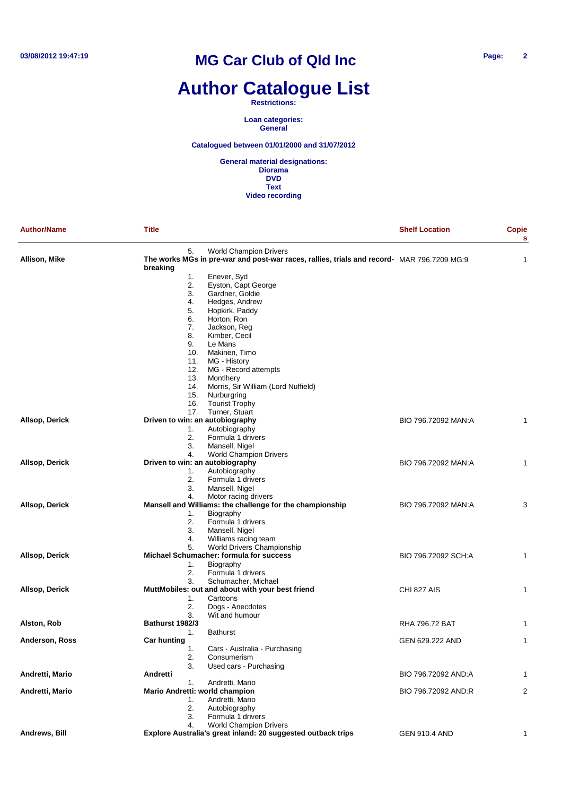# **Author Catalogue List**

#### **Restrictions:**

**Loan categories: General**

#### **Catalogued between 01/01/2000 and 31/07/2012**

| <b>Author/Name</b> | <b>Title</b>                                                                               | <b>Shelf Location</b> | <b>Copie</b><br>s |
|--------------------|--------------------------------------------------------------------------------------------|-----------------------|-------------------|
|                    | 5.<br><b>World Champion Drivers</b>                                                        |                       |                   |
| Allison, Mike      | The works MGs in pre-war and post-war races, rallies, trials and record- MAR 796.7209 MG:9 |                       | 1                 |
|                    | breaking                                                                                   |                       |                   |
|                    | 1.<br>Enever, Syd                                                                          |                       |                   |
|                    | 2.<br>Eyston, Capt George                                                                  |                       |                   |
|                    | 3.<br>Gardner, Goldie                                                                      |                       |                   |
|                    | Hedges, Andrew<br>4.<br>5.                                                                 |                       |                   |
|                    | Hopkirk, Paddy<br>6.<br>Horton, Ron                                                        |                       |                   |
|                    | 7.<br>Jackson, Reg                                                                         |                       |                   |
|                    | 8.<br>Kimber, Cecil                                                                        |                       |                   |
|                    | 9.<br>Le Mans                                                                              |                       |                   |
|                    | Makinen, Timo<br>10.                                                                       |                       |                   |
|                    | MG - History<br>11.                                                                        |                       |                   |
|                    | 12.<br>MG - Record attempts                                                                |                       |                   |
|                    | 13.<br>Montlhery                                                                           |                       |                   |
|                    | 14.<br>Morris, Sir William (Lord Nuffield)                                                 |                       |                   |
|                    | 15.<br>Nurburgring                                                                         |                       |                   |
|                    | <b>Tourist Trophy</b><br>16.                                                               |                       |                   |
|                    | Turner, Stuart<br>17.                                                                      |                       |                   |
| Allsop, Derick     | Driven to win: an autobiography                                                            | BIO 796.72092 MAN:A   | 1                 |
|                    | Autobiography<br>1.                                                                        |                       |                   |
|                    | 2.<br>Formula 1 drivers                                                                    |                       |                   |
|                    | 3.<br>Mansell, Nigel                                                                       |                       |                   |
|                    | 4.<br><b>World Champion Drivers</b>                                                        |                       |                   |
| Allsop, Derick     | Driven to win: an autobiography                                                            | BIO 796.72092 MAN:A   | 1                 |
|                    | 1.<br>Autobiography                                                                        |                       |                   |
|                    | Formula 1 drivers<br>2.                                                                    |                       |                   |
|                    | 3.<br>Mansell, Nigel                                                                       |                       |                   |
|                    | 4.<br>Motor racing drivers                                                                 |                       |                   |
| Allsop, Derick     | Mansell and Williams: the challenge for the championship                                   | BIO 796.72092 MAN:A   | 3                 |
|                    | Biography<br>1.                                                                            |                       |                   |
|                    | 2.<br>Formula 1 drivers                                                                    |                       |                   |
|                    | 3.<br>Mansell, Nigel                                                                       |                       |                   |
|                    | 4.<br>Williams racing team                                                                 |                       |                   |
|                    | 5.<br><b>World Drivers Championship</b>                                                    |                       |                   |
| Allsop, Derick     | Michael Schumacher: formula for success                                                    | BIO 796.72092 SCH:A   | 1                 |
|                    | Biography<br>1.                                                                            |                       |                   |
|                    | 2.<br>Formula 1 drivers                                                                    |                       |                   |
|                    | 3.<br>Schumacher, Michael                                                                  |                       |                   |
| Allsop, Derick     | MuttMobiles: out and about with your best friend                                           | CHI 827 AIS           | 1                 |
|                    | 1.<br>Cartoons                                                                             |                       |                   |
|                    | 2.<br>Dogs - Anecdotes                                                                     |                       |                   |
|                    | Wit and humour<br>3.                                                                       |                       |                   |
| Alston, Rob        | Bathurst 1982/3                                                                            | <b>RHA 796.72 BAT</b> | 1                 |
|                    | <b>Bathurst</b><br>1.                                                                      |                       |                   |
| Anderson, Ross     | <b>Car hunting</b>                                                                         | GEN 629.222 AND       | 1                 |
|                    | Cars - Australia - Purchasing<br>1.                                                        |                       |                   |
|                    | 2.<br>Consumerism                                                                          |                       |                   |
|                    | 3.<br>Used cars - Purchasing                                                               |                       |                   |
| Andretti, Mario    | Andretti                                                                                   | BIO 796.72092 AND:A   | 1                 |
|                    | Andretti, Mario<br>1.                                                                      |                       |                   |
| Andretti, Mario    | Mario Andretti: world champion                                                             | BIO 796.72092 AND:R   | 2                 |
|                    | Andretti, Mario<br>1.                                                                      |                       |                   |
|                    | 2.<br>Autobiography                                                                        |                       |                   |
|                    | Formula 1 drivers<br>3.                                                                    |                       |                   |
|                    | <b>World Champion Drivers</b><br>4.                                                        |                       |                   |
| Andrews, Bill      | Explore Australia's great inland: 20 suggested outback trips                               | <b>GEN 910.4 AND</b>  | 1                 |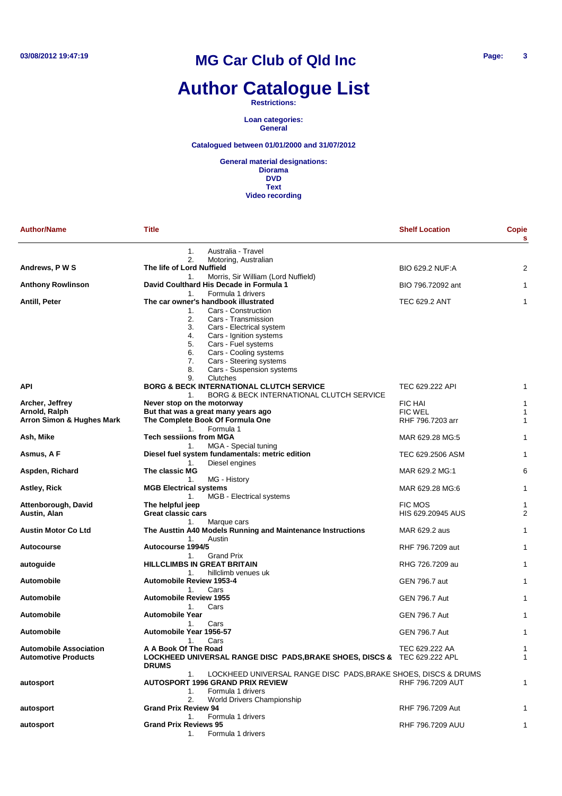# **Author Catalogue List**

**Restrictions:**

**Loan categories: General**

**Catalogued between 01/01/2000 and 31/07/2012**

| <b>Author/Name</b>                                          | Title                                                                                                                                                                            | <b>Shelf Location</b>  | Copie<br>s |
|-------------------------------------------------------------|----------------------------------------------------------------------------------------------------------------------------------------------------------------------------------|------------------------|------------|
|                                                             | 1.<br>Australia - Travel<br>2.<br>Motoring, Australian                                                                                                                           |                        |            |
| Andrews, P W S                                              | The life of Lord Nuffield                                                                                                                                                        | <b>BIO 629.2 NUF:A</b> | 2          |
| <b>Anthony Rowlinson</b>                                    | Morris, Sir William (Lord Nuffield)<br>1.<br>David Coulthard His Decade in Formula 1                                                                                             | BIO 796.72092 ant      | 1          |
| Antill, Peter                                               | Formula 1 drivers<br>1 <sup>1</sup><br>The car owner's handbook illustrated<br>Cars - Construction<br>1.<br>2.<br>Cars - Transmission<br>3.<br>Cars - Electrical system          | <b>TEC 629.2 ANT</b>   | 1          |
|                                                             | 4.<br>Cars - Ignition systems<br>5.<br>Cars - Fuel systems<br>Cars - Cooling systems<br>6.<br>7.<br>Cars - Steering systems<br>8.<br>Cars - Suspension systems<br>9.<br>Clutches |                        |            |
| API                                                         | BORG & BECK INTERNATIONAL CLUTCH SERVICE<br>BORG & BECK INTERNATIONAL CLUTCH SERVICE<br>1.                                                                                       | TEC 629.222 API        | 1          |
| Archer, Jeffrey                                             | Never stop on the motorway                                                                                                                                                       | <b>FIC HAI</b>         |            |
| Arnold, Ralph                                               | But that was a great many years ago                                                                                                                                              | <b>FIC WEL</b>         | 1          |
| Arron Simon & Hughes Mark                                   | The Complete Book Of Formula One<br>Formula 1<br>$1_{-}$                                                                                                                         | RHF 796,7203 arr       | 1          |
| Ash, Mike                                                   | <b>Tech sessiions from MGA</b><br>MGA - Special tuning<br>1.                                                                                                                     | MAR 629.28 MG:5        |            |
| Asmus, A F                                                  | Diesel fuel system fundamentals: metric edition<br>Diesel engines<br>1.                                                                                                          | TEC 629.2506 ASM       | 1          |
| Aspden, Richard                                             | The classic MG<br>MG - History<br>1.                                                                                                                                             | MAR 629.2 MG:1         | 6          |
| Astley, Rick                                                | <b>MGB Electrical systems</b><br>MGB - Electrical systems<br>1.                                                                                                                  | MAR 629.28 MG:6        | 1          |
| Attenborough, David                                         | The helpful jeep                                                                                                                                                                 | <b>FIC MOS</b>         | 1          |
| Austin, Alan                                                | Great classic cars<br>1.<br>Marque cars                                                                                                                                          | HIS 629.20945 AUS      | 2          |
| <b>Austin Motor Co Ltd</b>                                  | The Austtin A40 Models Running and Maintenance Instructions<br>1.<br>Austin                                                                                                      | MAR 629.2 aus          | 1          |
| Autocourse                                                  | Autocourse 1994/5                                                                                                                                                                | RHF 796.7209 aut       | 1          |
| autoguide                                                   | <b>Grand Prix</b><br>1.<br><b>HILLCLIMBS IN GREAT BRITAIN</b><br>hillclimb venues uk<br>1.                                                                                       | RHG 726.7209 au        | 1          |
| <b>Automobile</b>                                           | <b>Automobile Review 1953-4</b><br>1.<br>Cars                                                                                                                                    | <b>GEN 796.7 aut</b>   | 1          |
| Automobile                                                  | <b>Automobile Review 1955</b><br>Cars<br>1.                                                                                                                                      | <b>GEN 796.7 Aut</b>   | 1          |
| Automobile                                                  | <b>Automobile Year</b><br>Cars<br>1.                                                                                                                                             | <b>GEN 796.7 Aut</b>   | 1          |
| <b>Automobile</b>                                           | Automobile Year 1956-57<br>1.<br>Cars                                                                                                                                            | <b>GEN 796.7 Aut</b>   | 1          |
| <b>Automobile Association</b><br><b>Automotive Products</b> | A A Book Of The Road<br>LOCKHEED UNIVERSAL RANGE DISC PADS, BRAKE SHOES, DISCS & TEC 629.222 APL<br><b>DRUMS</b>                                                                 | TEC 629.222 AA         | 1<br>1     |
| autosport                                                   | 1.<br>LOCKHEED UNIVERSAL RANGE DISC PADS, BRAKE SHOES, DISCS & DRUMS<br><b>AUTOSPORT 1996 GRAND PRIX REVIEW</b><br>Formula 1 drivers<br>1.                                       | RHF 796.7209 AUT       | 1          |
| autosport                                                   | 2.<br><b>World Drivers Championship</b><br><b>Grand Prix Review 94</b>                                                                                                           | RHF 796.7209 Aut       |            |
| autosport                                                   | Formula 1 drivers<br>1.<br><b>Grand Prix Reviews 95</b><br>Formula 1 drivers<br>1.                                                                                               | RHF 796.7209 AUU       | 1          |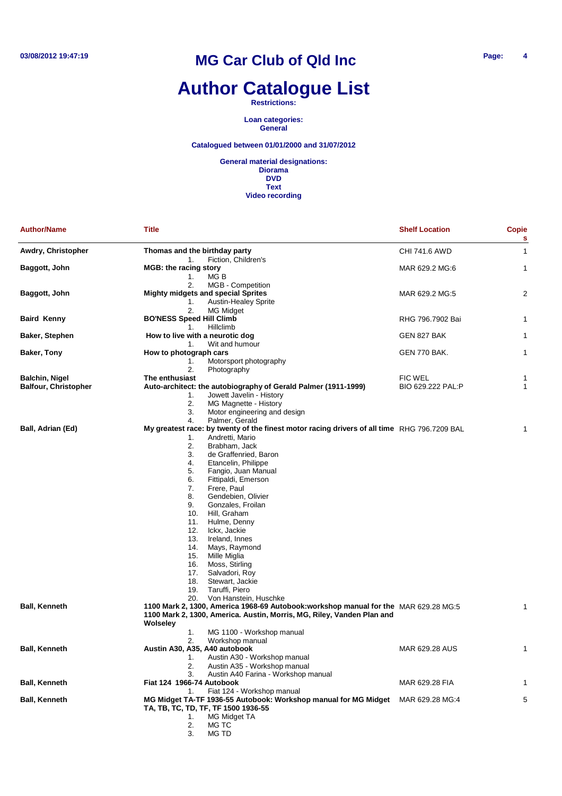## **Author Catalogue List**

**Restrictions:**

**Loan categories: General**

**Catalogued between 01/01/2000 and 31/07/2012**

**General material designations: Diorama DVD Text Video recording**

| <b>Author/Name</b>          | <b>Title</b>                                                                                                                                                                                                                                                                                                                                                                                                                                                                                                                                                                                                                    | <b>Shelf Location</b> | <b>Copie</b><br>s |
|-----------------------------|---------------------------------------------------------------------------------------------------------------------------------------------------------------------------------------------------------------------------------------------------------------------------------------------------------------------------------------------------------------------------------------------------------------------------------------------------------------------------------------------------------------------------------------------------------------------------------------------------------------------------------|-----------------------|-------------------|
| Awdry, Christopher          | Thomas and the birthday party<br>1.<br>Fiction, Children's                                                                                                                                                                                                                                                                                                                                                                                                                                                                                                                                                                      | CHI 741.6 AWD         | 1                 |
| Baggott, John               | <b>MGB: the racing story</b><br>1.<br>MG B                                                                                                                                                                                                                                                                                                                                                                                                                                                                                                                                                                                      | MAR 629.2 MG:6        | 1                 |
| Baggott, John               | 2.<br>MGB - Competition<br><b>Mighty midgets and special Sprites</b><br><b>Austin-Healey Sprite</b><br>1.<br>2.<br>MG Midget                                                                                                                                                                                                                                                                                                                                                                                                                                                                                                    | MAR 629.2 MG:5        | 2                 |
| <b>Baird Kenny</b>          | <b>BO'NESS Speed Hill Climb</b><br>Hillclimb<br>1.                                                                                                                                                                                                                                                                                                                                                                                                                                                                                                                                                                              | RHG 796.7902 Bai      | 1                 |
| Baker, Stephen              | How to live with a neurotic dog<br>Wit and humour<br>1.                                                                                                                                                                                                                                                                                                                                                                                                                                                                                                                                                                         | GEN 827 BAK           | 1                 |
| Baker, Tony                 | How to photograph cars                                                                                                                                                                                                                                                                                                                                                                                                                                                                                                                                                                                                          | GEN 770 BAK.          | 1                 |
|                             | Motorsport photography<br>1.                                                                                                                                                                                                                                                                                                                                                                                                                                                                                                                                                                                                    |                       |                   |
|                             | 2.<br>Photography                                                                                                                                                                                                                                                                                                                                                                                                                                                                                                                                                                                                               |                       |                   |
| Balchin, Nigel              | The enthusiast                                                                                                                                                                                                                                                                                                                                                                                                                                                                                                                                                                                                                  | <b>FIC WEL</b>        | 1                 |
| <b>Balfour, Christopher</b> | Auto-architect: the autobiography of Gerald Palmer (1911-1999)<br>Jowett Javelin - History<br>1.<br>2.<br>MG Magnette - History<br>3.<br>Motor engineering and design                                                                                                                                                                                                                                                                                                                                                                                                                                                           | BIO 629.222 PAL:P     | 1                 |
|                             | 4.<br>Palmer, Gerald                                                                                                                                                                                                                                                                                                                                                                                                                                                                                                                                                                                                            |                       |                   |
| Ball, Adrian (Ed)           | My greatest race: by twenty of the finest motor racing drivers of all time RHG 796.7209 BAL<br>Andretti, Mario<br>1.<br>2.<br>Brabham, Jack<br>3.<br>de Graffenried, Baron<br>4.<br>Etancelin, Philippe<br>5.<br>Fangio, Juan Manual<br>6.<br>Fittipaldi, Emerson<br>7.<br>Frere, Paul<br>8.<br>Gendebien, Olivier<br>9.<br>Gonzales, Froilan<br>10.<br>Hill, Graham<br>11.<br>Hulme, Denny<br>12.<br>Ickx, Jackie<br>13.<br>Ireland, Innes<br>14.<br>Mays, Raymond<br>15.<br>Mille Miglia<br>Moss, Stirling<br>16.<br>17.<br>Salvadori, Roy<br>18.<br>Stewart, Jackie<br>Taruffi, Piero<br>19.<br>20.<br>Von Hanstein, Huschke |                       | 1                 |
| <b>Ball, Kenneth</b>        | 1100 Mark 2, 1300, America 1968-69 Autobook: workshop manual for the MAR 629.28 MG:5<br>1100 Mark 2, 1300, America. Austin, Morris, MG, Riley, Vanden Plan and<br><b>Wolseley</b><br>MG 1100 - Workshop manual<br>1.                                                                                                                                                                                                                                                                                                                                                                                                            |                       | 1                 |
| Ball, Kenneth               | 2.<br>Workshop manual<br>Austin A30, A35, A40 autobook<br>Austin A30 - Workshop manual<br>1.<br>2.<br>Austin A35 - Workshop manual                                                                                                                                                                                                                                                                                                                                                                                                                                                                                              | MAR 629.28 AUS        | $\mathbf{1}$      |
| <b>Ball, Kenneth</b>        | Austin A40 Farina - Workshop manual<br>3.<br>Fiat 124 1966-74 Autobook                                                                                                                                                                                                                                                                                                                                                                                                                                                                                                                                                          | MAR 629.28 FIA        | 1                 |
| <b>Ball, Kenneth</b>        | Fiat 124 - Workshop manual<br>1.<br>MG Midget TA-TF 1936-55 Autobook: Workshop manual for MG Midget<br>TA, TB, TC, TD, TF, TF 1500 1936-55<br>MG Midget TA<br>1.<br>2.<br>MG TC                                                                                                                                                                                                                                                                                                                                                                                                                                                 | MAR 629.28 MG:4       | 5                 |

3. MG TD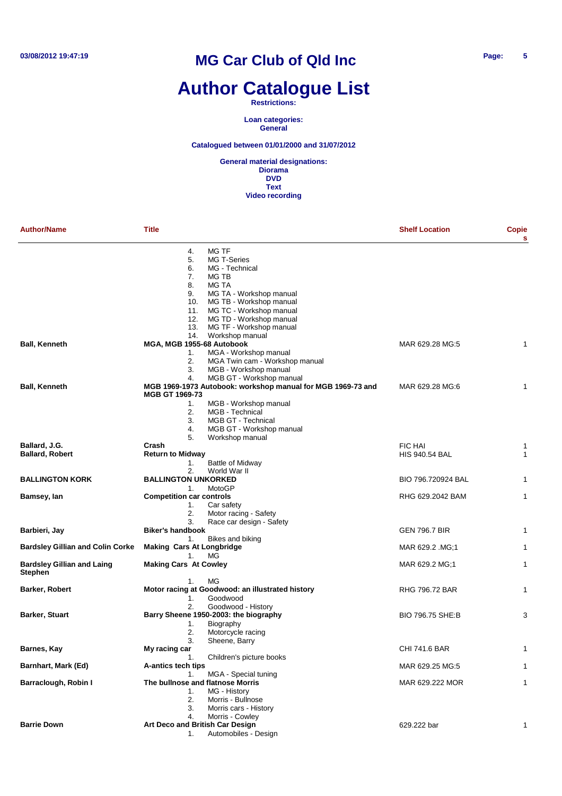# **Author Catalogue List**

#### **Restrictions:**

**Loan categories: General**

**Catalogued between 01/01/2000 and 31/07/2012**

| <b>Author/Name</b>                                  | <b>Title</b>                     |                                                             | <b>Shelf Location</b> | Copie<br>s |
|-----------------------------------------------------|----------------------------------|-------------------------------------------------------------|-----------------------|------------|
|                                                     | 4.                               | MG TF                                                       |                       |            |
|                                                     | 5.                               | MG T-Series                                                 |                       |            |
|                                                     | 6.                               | MG - Technical                                              |                       |            |
|                                                     | 7.                               | MG TB                                                       |                       |            |
|                                                     | 8.                               | <b>MG TA</b>                                                |                       |            |
|                                                     | 9.                               | MG TA - Workshop manual                                     |                       |            |
|                                                     | 10.                              | MG TB - Workshop manual                                     |                       |            |
|                                                     | 11.<br>12.                       | MG TC - Workshop manual<br>MG TD - Workshop manual          |                       |            |
|                                                     | 13.                              | MG TF - Workshop manual                                     |                       |            |
|                                                     | 14.                              | Workshop manual                                             |                       |            |
| <b>Ball, Kenneth</b>                                | MGA, MGB 1955-68 Autobook        |                                                             | MAR 629.28 MG:5       | 1          |
|                                                     | 1.                               | MGA - Workshop manual                                       |                       |            |
|                                                     | 2.                               | MGA Twin cam - Workshop manual                              |                       |            |
|                                                     | 3.                               | MGB - Workshop manual                                       |                       |            |
|                                                     | 4.                               | MGB GT - Workshop manual                                    |                       |            |
| <b>Ball, Kenneth</b>                                | <b>MGB GT 1969-73</b>            | MGB 1969-1973 Autobook: workshop manual for MGB 1969-73 and | MAR 629.28 MG:6       | 1          |
|                                                     | 1.                               | MGB - Workshop manual                                       |                       |            |
|                                                     | 2.                               | MGB - Technical                                             |                       |            |
|                                                     | 3.                               | MGB GT - Technical                                          |                       |            |
|                                                     | 4.                               | MGB GT - Workshop manual                                    |                       |            |
|                                                     | 5.                               | Workshop manual                                             |                       |            |
| Ballard, J.G.                                       | Crash                            |                                                             | <b>FIC HAI</b>        | 1          |
| <b>Ballard, Robert</b>                              | <b>Return to Midway</b>          |                                                             | <b>HIS 940.54 BAL</b> | 1          |
|                                                     | 1.                               | Battle of Midway                                            |                       |            |
| <b>BALLINGTON KORK</b>                              | 2.<br><b>BALLINGTON UNKORKED</b> | World War II                                                | BIO 796.720924 BAL    |            |
|                                                     | 1.                               | MotoGP                                                      |                       | 1          |
| Bamsey, lan                                         | <b>Competition car controls</b>  |                                                             | RHG 629.2042 BAM      | 1          |
|                                                     | 1.                               | Car safety                                                  |                       |            |
|                                                     | 2.                               | Motor racing - Safety                                       |                       |            |
|                                                     | 3.                               | Race car design - Safety                                    |                       |            |
| Barbieri, Jay                                       | <b>Biker's handbook</b>          |                                                             | <b>GEN 796.7 BIR</b>  | 1          |
|                                                     | 1.                               | Bikes and biking                                            |                       |            |
| <b>Bardsley Gillian and Colin Corke</b>             | <b>Making Cars At Longbridge</b> |                                                             | MAR 629.2 MG;1        | 1          |
|                                                     | 1.                               | МG                                                          |                       |            |
| <b>Bardsley Gillian and Laing</b><br><b>Stephen</b> | <b>Making Cars At Cowley</b>     |                                                             | MAR 629.2 MG;1        | 1          |
|                                                     | 1.                               | МG                                                          |                       |            |
| Barker, Robert                                      |                                  | Motor racing at Goodwood: an illustrated history            | <b>RHG 796.72 BAR</b> | 1          |
|                                                     | 1.                               | Goodwood                                                    |                       |            |
|                                                     | 2.                               | Goodwood - History                                          |                       |            |
| Barker, Stuart                                      | 1.                               | Barry Sheene 1950-2003: the biography<br>Biography          | BIO 796.75 SHE:B      | З          |
|                                                     | 2.                               | Motorcycle racing                                           |                       |            |
|                                                     | 3.                               | Sheene, Barry                                               |                       |            |
| Barnes, Kay                                         | My racing car                    |                                                             | CHI 741.6 BAR         |            |
|                                                     | 1.                               | Children's picture books                                    |                       |            |
| Barnhart, Mark (Ed)                                 | A-antics tech tips               |                                                             | MAR 629.25 MG:5       |            |
|                                                     | 1.                               | MGA - Special tuning                                        |                       |            |
| Barraclough, Robin I                                |                                  | The bullnose and flatnose Morris                            | MAR 629.222 MOR       | 1          |
|                                                     | 1.                               | MG - History                                                |                       |            |
|                                                     | 2.                               | Morris - Bullnose                                           |                       |            |
|                                                     | 3.                               | Morris cars - History                                       |                       |            |
|                                                     | 4.                               | Morris - Cowley                                             |                       |            |
| <b>Barrie Down</b>                                  | Art Deco and British Car Design  |                                                             | 629.222 bar           | 1          |
|                                                     | 1.                               | Automobiles - Design                                        |                       |            |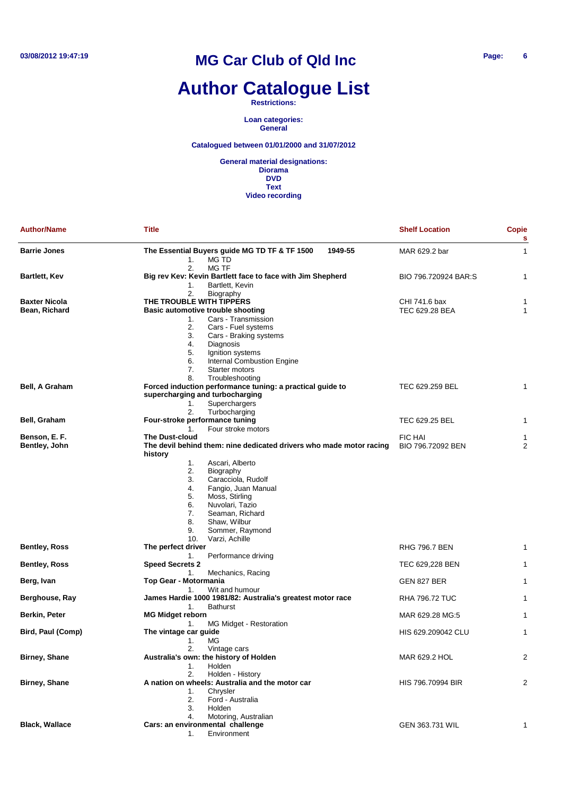# **Author Catalogue List**

**Restrictions:**

**Loan categories: General**

**Catalogued between 01/01/2000 and 31/07/2012**

| <b>Author/Name</b>    | <b>Title</b>                                                                                 | <b>Shelf Location</b>               | <b>Copie</b><br>s |
|-----------------------|----------------------------------------------------------------------------------------------|-------------------------------------|-------------------|
| <b>Barrie Jones</b>   | 1949-55<br>The Essential Buyers guide MG TD TF & TF 1500<br>1.<br>MG TD                      | MAR 629.2 bar                       | $\mathbf{1}$      |
| Bartlett, Kev         | 2.<br><b>MG TF</b><br>Big rev Kev: Kevin Bartlett face to face with Jim Shepherd             | BIO 796.720924 BAR:S                | $\mathbf{1}$      |
|                       | Bartlett, Kevin<br>1.                                                                        |                                     |                   |
|                       | 2.<br>Biography                                                                              |                                     |                   |
| <b>Baxter Nicola</b>  | THE TROUBLE WITH TIPPERS                                                                     | CHI 741.6 bax                       | 1                 |
| Bean, Richard         | Basic automotive trouble shooting                                                            | TEC 629.28 BEA                      | $\mathbf{1}$      |
|                       | Cars - Transmission<br>1.                                                                    |                                     |                   |
|                       | 2.<br>Cars - Fuel systems<br>3.<br>Cars - Braking systems                                    |                                     |                   |
|                       | 4.<br>Diagnosis                                                                              |                                     |                   |
|                       | 5.<br>Ignition systems                                                                       |                                     |                   |
|                       | Internal Combustion Engine<br>6.                                                             |                                     |                   |
|                       | 7.<br>Starter motors                                                                         |                                     |                   |
|                       | 8.<br>Troubleshooting                                                                        |                                     |                   |
| <b>Bell, A Graham</b> | Forced induction performance tuning: a practical guide to<br>supercharging and turbocharging | TEC 629.259 BEL                     | 1                 |
|                       | Superchargers<br>1.                                                                          |                                     |                   |
|                       | Turbocharging<br>2.                                                                          |                                     |                   |
| Bell, Graham          | Four-stroke performance tuning                                                               | TEC 629.25 BEL                      | 1                 |
| Benson, E. F.         | Four stroke motors<br>1.<br><b>The Dust-cloud</b>                                            |                                     |                   |
| Bentley, John         | The devil behind them: nine dedicated drivers who made motor racing                          | <b>FIC HAI</b><br>BIO 796.72092 BEN | 1<br>2            |
|                       | history                                                                                      |                                     |                   |
|                       | 1.<br>Ascari, Alberto                                                                        |                                     |                   |
|                       | 2.<br>Biography                                                                              |                                     |                   |
|                       | 3.<br>Caracciola, Rudolf                                                                     |                                     |                   |
|                       | 4.<br>Fangio, Juan Manual                                                                    |                                     |                   |
|                       | 5.<br>Moss, Stirling                                                                         |                                     |                   |
|                       | 6.<br>Nuvolari, Tazio                                                                        |                                     |                   |
|                       | 7.<br>Seaman, Richard<br>8.<br>Shaw, Wilbur                                                  |                                     |                   |
|                       | Sommer, Raymond<br>9.                                                                        |                                     |                   |
|                       | 10.<br>Varzi, Achille                                                                        |                                     |                   |
| <b>Bentley, Ross</b>  | The perfect driver                                                                           | <b>RHG 796.7 BEN</b>                | 1                 |
|                       | 1.<br>Performance driving                                                                    |                                     |                   |
| Bentley, Ross         | <b>Speed Secrets 2</b>                                                                       | TEC 629,228 BEN                     | 1                 |
|                       | 1.<br>Mechanics, Racing                                                                      |                                     |                   |
| Berg, Ivan            | Top Gear - Motormania                                                                        | GEN 827 BER                         | $\mathbf{1}$      |
| Berghouse, Ray        | 1.<br>Wit and humour<br>James Hardie 1000 1981/82: Australia's greatest motor race           | <b>RHA 796.72 TUC</b>               | $\mathbf 1$       |
|                       | 1.<br><b>Bathurst</b>                                                                        |                                     |                   |
| Berkin, Peter         | <b>MG Midget reborn</b>                                                                      | MAR 629.28 MG:5                     | 1                 |
|                       | 1.<br>MG Midget - Restoration                                                                |                                     |                   |
| Bird, Paul (Comp)     | The vintage car guide                                                                        | HIS 629.209042 CLU                  | 1                 |
|                       | 1.<br>MG                                                                                     |                                     |                   |
|                       | 2.<br>Vintage cars                                                                           |                                     |                   |
| Birney, Shane         | Australia's own: the history of Holden<br>Holden<br>1.                                       | MAR 629.2 HOL                       | $\overline{c}$    |
|                       | Holden - History<br>2.                                                                       |                                     |                   |
| Birney, Shane         | A nation on wheels: Australia and the motor car                                              | HIS 796,70994 BIR                   | 2                 |
|                       | Chrysler<br>1.                                                                               |                                     |                   |
|                       | 2.<br>Ford - Australia                                                                       |                                     |                   |
|                       | 3.<br>Holden                                                                                 |                                     |                   |
|                       | 4.<br>Motoring, Australian                                                                   |                                     |                   |
| <b>Black, Wallace</b> | Cars: an environmental challenge                                                             | GEN 363.731 WIL                     | $\mathbf{1}$      |
|                       | Environment<br>1.                                                                            |                                     |                   |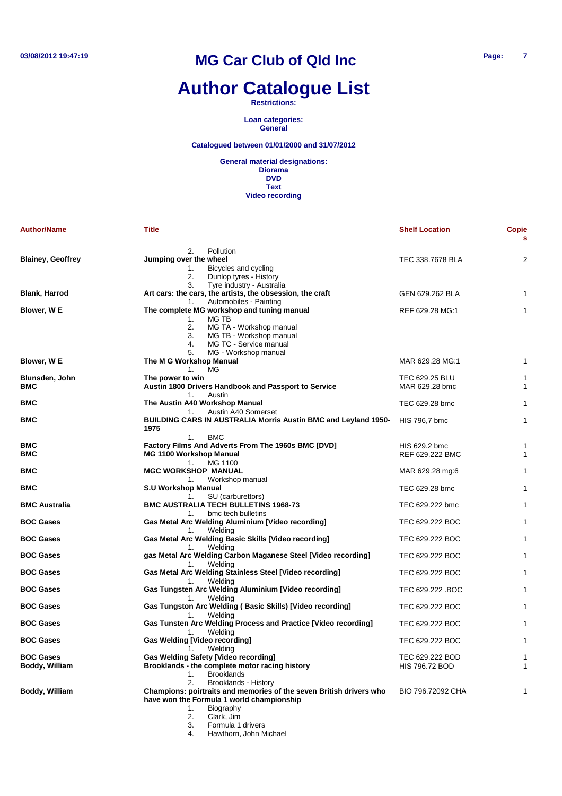## **Author Catalogue List**

**Restrictions:**

**Loan categories: General**

#### **Catalogued between 01/01/2000 and 31/07/2012**

**General material designations: Diorama DVD Text Video recording**

| <b>Author/Name</b>       | Title                                                                                     | <b>Shelf Location</b>            | <b>Copie</b><br>$\mathbf{s}$ |
|--------------------------|-------------------------------------------------------------------------------------------|----------------------------------|------------------------------|
|                          | Pollution<br>2.                                                                           |                                  |                              |
| <b>Blainey, Geoffrey</b> | Jumping over the wheel                                                                    | TEC 338.7678 BLA                 | 2                            |
|                          | 1.<br>Bicycles and cycling                                                                |                                  |                              |
|                          | 2.<br>Dunlop tyres - History                                                              |                                  |                              |
|                          | Tyre industry - Australia<br>3.                                                           |                                  |                              |
| <b>Blank, Harrod</b>     | Art cars: the cars, the artists, the obsession, the craft<br>Automobiles - Painting<br>1. | GEN 629.262 BLA                  | 1                            |
| Blower, W E              | The complete MG workshop and tuning manual                                                | REF 629.28 MG:1                  | 1                            |
|                          | MG TB<br>1.                                                                               |                                  |                              |
|                          | 2.<br>MG TA - Workshop manual                                                             |                                  |                              |
|                          | 3.<br>MG TB - Workshop manual                                                             |                                  |                              |
|                          | 4.<br>MG TC - Service manual                                                              |                                  |                              |
|                          | 5.<br>MG - Workshop manual                                                                |                                  |                              |
| Blower, W E              | The M G Workshop Manual                                                                   | MAR 629.28 MG:1                  | 1                            |
|                          | MG<br>1.                                                                                  |                                  |                              |
| Blunsden, John           | The power to win                                                                          | TEC 629.25 BLU                   | 1                            |
| <b>BMC</b>               | Austin 1800 Drivers Handbook and Passport to Service                                      | MAR 629.28 bmc                   | 1                            |
|                          | Austin<br>1.                                                                              |                                  |                              |
| <b>BMC</b>               | The Austin A40 Workshop Manual                                                            | TEC 629.28 bmc                   | 1                            |
|                          | Austin A40 Somerset<br>1.                                                                 |                                  |                              |
| <b>BMC</b>               | BUILDING CARS IN AUSTRALIA Morris Austin BMC and Leyland 1950-                            | HIS 796,7 bmc                    | 1                            |
|                          | 1975                                                                                      |                                  |                              |
|                          | <b>BMC</b><br>1.                                                                          |                                  |                              |
| <b>BMC</b>               | Factory Films And Adverts From The 1960s BMC [DVD]<br><b>MG 1100 Workshop Manual</b>      | HIS 629.2 bmc<br>REF 629.222 BMC | 1                            |
| <b>BMC</b>               | MG 1100<br>1.                                                                             |                                  | 1                            |
| <b>BMC</b>               | <b>MGC WORKSHOP MANUAL</b>                                                                | MAR 629.28 mg:6                  | 1                            |
|                          | Workshop manual<br>1.                                                                     |                                  |                              |
| <b>BMC</b>               | <b>S.U Workshop Manual</b>                                                                | TEC 629.28 bmc                   | 1                            |
|                          | SU (carburettors)<br>1.                                                                   |                                  |                              |
| <b>BMC Australia</b>     | <b>BMC AUSTRALIA TECH BULLETINS 1968-73</b>                                               | TEC 629.222 bmc                  | 1                            |
|                          | 1.<br>bmc tech bulletins                                                                  |                                  |                              |
| <b>BOC Gases</b>         | <b>Gas Metal Arc Welding Aluminium [Video recording]</b>                                  | TEC 629.222 BOC                  | 1                            |
|                          | Welding<br>1.                                                                             |                                  |                              |
| <b>BOC Gases</b>         | Gas Metal Arc Welding Basic Skills [Video recording]                                      | TEC 629.222 BOC                  | 1                            |
|                          | 1.<br>Welding                                                                             |                                  |                              |
| <b>BOC Gases</b>         | gas Metal Arc Welding Carbon Maganese Steel [Video recording]                             | TEC 629.222 BOC                  | 1                            |
|                          | 1.<br>Welding                                                                             |                                  |                              |
| <b>BOC Gases</b>         | Gas Metal Arc Welding Stainless Steel [Video recording]                                   | TEC 629.222 BOC                  | 1                            |
|                          | 1.<br>Welding                                                                             |                                  |                              |
| <b>BOC Gases</b>         | Gas Tungsten Arc Welding Aluminium [Video recording]                                      | TEC 629.222 .BOC                 | 1                            |
| <b>BOC Gases</b>         | 1.<br>Welding                                                                             | TEC 629.222 BOC                  | 1                            |
|                          | Gas Tungston Arc Welding (Basic Skills) [Video recording]<br>1.<br>Welding                |                                  |                              |
| <b>BOC Gases</b>         | Gas Tunsten Arc Welding Process and Practice [Video recording]                            | TEC 629.222 BOC                  | 1                            |
|                          | 1.<br>Welding                                                                             |                                  |                              |
| <b>BOC Gases</b>         | <b>Gas Welding [Video recording]</b>                                                      | TEC 629.222 BOC                  | 1                            |
|                          | Welding<br>1.                                                                             |                                  |                              |
| <b>BOC Gases</b>         | <b>Gas Welding Safety [Video recording]</b>                                               | TEC 629.222 BOD                  | 1                            |
| Boddy, William           | Brooklands - the complete motor racing history                                            | <b>HIS 796.72 BOD</b>            | 1                            |
|                          | <b>Brooklands</b><br>1.                                                                   |                                  |                              |
|                          | Brooklands - History<br>2.                                                                |                                  |                              |
| Boddy, William           | Champions: poirtraits and memories of the seven British drivers who                       | BIO 796.72092 CHA                | 1                            |
|                          | have won the Formula 1 world championship                                                 |                                  |                              |
|                          | Biography<br>1.                                                                           |                                  |                              |
|                          | Clark, Jim<br>2.                                                                          |                                  |                              |
|                          | 3.<br>Formula 1 drivers                                                                   |                                  |                              |

4. Hawthorn, John Michael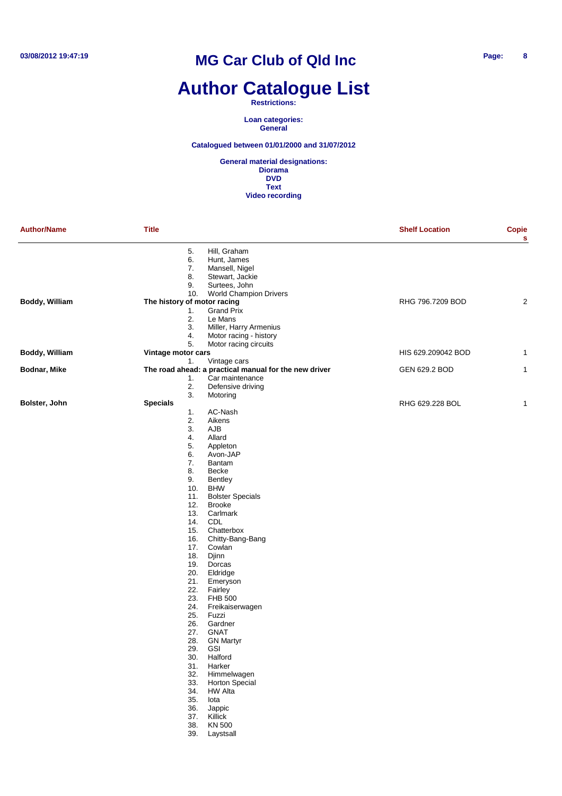## **Author Catalogue List**

**Restrictions:**

**Loan categories: General**

**Catalogued between 01/01/2000 and 31/07/2012**

| 5.<br>Hill, Graham<br>6.<br>Hunt, James<br>7.<br>Mansell, Nigel<br>8.<br>Stewart, Jackie<br>9.<br>Surtees, John<br>10.<br><b>World Champion Drivers</b><br>Boddy, William<br>The history of motor racing<br>RHG 796.7209 BOD | $\mathbf{s}$<br>$\overline{c}$ |
|------------------------------------------------------------------------------------------------------------------------------------------------------------------------------------------------------------------------------|--------------------------------|
|                                                                                                                                                                                                                              |                                |
|                                                                                                                                                                                                                              |                                |
|                                                                                                                                                                                                                              |                                |
|                                                                                                                                                                                                                              |                                |
|                                                                                                                                                                                                                              |                                |
|                                                                                                                                                                                                                              |                                |
|                                                                                                                                                                                                                              |                                |
| <b>Grand Prix</b><br>1.                                                                                                                                                                                                      |                                |
| 2.<br>Le Mans                                                                                                                                                                                                                |                                |
| 3.<br>Miller, Harry Armenius                                                                                                                                                                                                 |                                |
| Motor racing - history<br>4.                                                                                                                                                                                                 |                                |
| 5.<br>Motor racing circuits                                                                                                                                                                                                  |                                |
| Boddy, William<br>Vintage motor cars<br>HIS 629.209042 BOD                                                                                                                                                                   | 1                              |
| 1.<br>Vintage cars                                                                                                                                                                                                           |                                |
| The road ahead: a practical manual for the new driver<br>Bodnar, Mike<br>GEN 629.2 BOD                                                                                                                                       | $\mathbf{1}$                   |
| Car maintenance<br>1.                                                                                                                                                                                                        |                                |
| 2.                                                                                                                                                                                                                           |                                |
| Defensive driving                                                                                                                                                                                                            |                                |
| 3.<br>Motoring                                                                                                                                                                                                               |                                |
| Bolster, John<br><b>Specials</b><br>RHG 629.228 BOL                                                                                                                                                                          | $\mathbf{1}$                   |
| AC-Nash<br>1.                                                                                                                                                                                                                |                                |
| 2.<br>Aikens                                                                                                                                                                                                                 |                                |
| 3.<br>AJB                                                                                                                                                                                                                    |                                |
| 4.<br>Allard                                                                                                                                                                                                                 |                                |
| 5.<br>Appleton                                                                                                                                                                                                               |                                |
| 6.<br>Avon-JAP                                                                                                                                                                                                               |                                |
| 7.<br>Bantam                                                                                                                                                                                                                 |                                |
| 8.<br>Becke                                                                                                                                                                                                                  |                                |
| 9.<br><b>Bentley</b>                                                                                                                                                                                                         |                                |
| 10.<br><b>BHW</b>                                                                                                                                                                                                            |                                |
| 11.<br><b>Bolster Specials</b>                                                                                                                                                                                               |                                |
| 12.<br><b>Brooke</b>                                                                                                                                                                                                         |                                |
| 13.<br>Carlmark                                                                                                                                                                                                              |                                |
| 14.<br>CDL                                                                                                                                                                                                                   |                                |
| 15.<br>Chatterbox                                                                                                                                                                                                            |                                |
| Chitty-Bang-Bang<br>16.                                                                                                                                                                                                      |                                |
| 17.<br>Cowlan                                                                                                                                                                                                                |                                |
| 18.<br>Djinn                                                                                                                                                                                                                 |                                |
| 19.<br>Dorcas                                                                                                                                                                                                                |                                |
| 20.<br>Eldridge                                                                                                                                                                                                              |                                |
| 21.<br>Emeryson                                                                                                                                                                                                              |                                |
| 22.<br>Fairley                                                                                                                                                                                                               |                                |
| 23.<br><b>FHB 500</b>                                                                                                                                                                                                        |                                |
| 24.<br>Freikaiserwagen                                                                                                                                                                                                       |                                |
| 25.<br>Fuzzi                                                                                                                                                                                                                 |                                |
| 26.<br>Gardner                                                                                                                                                                                                               |                                |
| 27.<br>GNAT                                                                                                                                                                                                                  |                                |
| 28.<br><b>GN Martyr</b>                                                                                                                                                                                                      |                                |
| 29.<br><b>GSI</b>                                                                                                                                                                                                            |                                |
| 30. Halford                                                                                                                                                                                                                  |                                |
| 31. Harker                                                                                                                                                                                                                   |                                |
| 32.<br>Himmelwagen                                                                                                                                                                                                           |                                |
| 33.<br><b>Horton Special</b>                                                                                                                                                                                                 |                                |
| <b>HW Alta</b><br>34.                                                                                                                                                                                                        |                                |
| 35.<br>lota                                                                                                                                                                                                                  |                                |
|                                                                                                                                                                                                                              |                                |
| 36.<br>Jappic                                                                                                                                                                                                                |                                |
| 37.<br>Killick                                                                                                                                                                                                               |                                |
| KN 500<br>38.                                                                                                                                                                                                                |                                |
| 39.<br>Laystsall                                                                                                                                                                                                             |                                |
|                                                                                                                                                                                                                              |                                |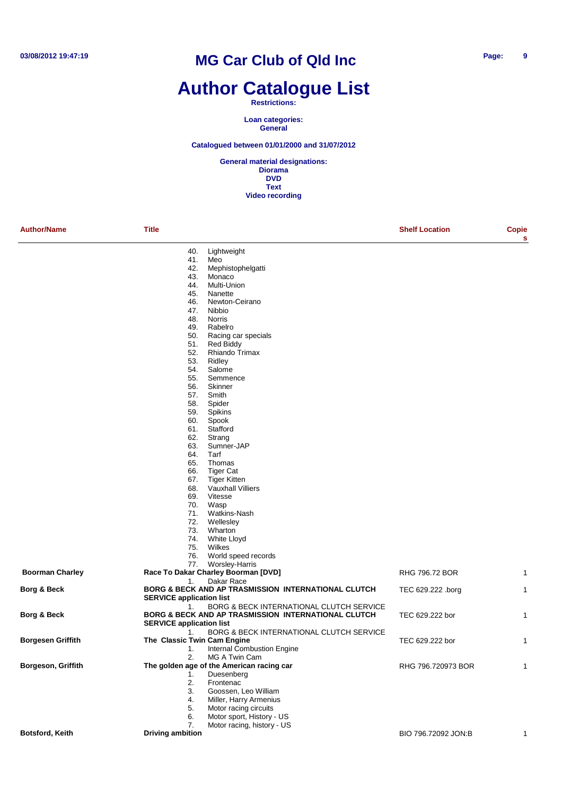### **Author Catalogue List**

**Restrictions:**

**Loan categories: General**

**Catalogued between 01/01/2000 and 31/07/2012**

| <b>Author/Name</b>     | <b>Title</b>                    |                                                     | <b>Shelf Location</b> | Copie<br>s   |
|------------------------|---------------------------------|-----------------------------------------------------|-----------------------|--------------|
|                        | 40.                             | Lightweight                                         |                       |              |
|                        | 41.                             | Meo                                                 |                       |              |
|                        | 42.                             | Mephistophelgatti                                   |                       |              |
|                        | 43.                             | Monaco                                              |                       |              |
|                        | 44.                             | Multi-Union                                         |                       |              |
|                        | 45.                             | Nanette                                             |                       |              |
|                        | 46.                             | Newton-Ceirano                                      |                       |              |
|                        | 47.                             | Nibbio                                              |                       |              |
|                        | 48.                             | Norris                                              |                       |              |
|                        | 49.<br>50.                      | Rabelro<br>Racing car specials                      |                       |              |
|                        | 51.                             | <b>Red Biddy</b>                                    |                       |              |
|                        | 52.                             | Rhiando Trimax                                      |                       |              |
|                        | 53.                             | Ridley                                              |                       |              |
|                        | 54.                             | Salome                                              |                       |              |
|                        | 55.                             | Semmence                                            |                       |              |
|                        | 56.                             | Skinner                                             |                       |              |
|                        | 57.                             | Smith                                               |                       |              |
|                        | 58.                             | Spider                                              |                       |              |
|                        | 59.                             | Spikins                                             |                       |              |
|                        | 60.                             | Spook                                               |                       |              |
|                        | 61.                             | Stafford                                            |                       |              |
|                        | 62.                             | Strang                                              |                       |              |
|                        | 63.<br>64.                      | Sumner-JAP<br>Tarf                                  |                       |              |
|                        | 65.                             | Thomas                                              |                       |              |
|                        | 66.                             | <b>Tiger Cat</b>                                    |                       |              |
|                        | 67.                             | <b>Tiger Kitten</b>                                 |                       |              |
|                        | 68.                             | <b>Vauxhall Villiers</b>                            |                       |              |
|                        | 69.                             | Vitesse                                             |                       |              |
|                        | 70.                             | Wasp                                                |                       |              |
|                        | 71.                             | Watkins-Nash                                        |                       |              |
|                        | 72.                             | Wellesley                                           |                       |              |
|                        | 73.                             | Wharton                                             |                       |              |
|                        | 74.                             | White Lloyd                                         |                       |              |
|                        | 75.                             | Wilkes                                              |                       |              |
|                        | 76.                             | World speed records                                 |                       |              |
|                        | 77.                             | <b>Worsley-Harris</b>                               |                       |              |
| <b>Boorman Charley</b> | 1.                              | Race To Dakar Charley Boorman [DVD]<br>Dakar Race   | RHG 796.72 BOR        | $\mathbf{1}$ |
| Borg & Beck            |                                 | BORG & BECK AND AP TRASMISSION INTERNATIONAL CLUTCH | TEC 629.222 .borg     | 1            |
|                        | <b>SERVICE application list</b> |                                                     |                       |              |
|                        | 1.                              | BORG & BECK INTERNATIONAL CLUTCH SERVICE            |                       |              |
| Borg & Beck            |                                 | BORG & BECK AND AP TRASMISSION INTERNATIONAL CLUTCH | TEC 629.222 bor       | 1            |
|                        | <b>SERVICE application list</b> |                                                     |                       |              |
|                        | 1.                              | BORG & BECK INTERNATIONAL CLUTCH SERVICE            |                       |              |
| Borgesen Griffith      | The Classic Twin Cam Engine     |                                                     | TEC 629.222 bor       | 1            |
|                        | 1.                              | <b>Internal Combustion Engine</b>                   |                       |              |
|                        | 2.                              | MG A Twin Cam                                       |                       |              |
| Borgeson, Griffith     |                                 | The golden age of the American racing car           | RHG 796.720973 BOR    | 1            |
|                        | 1.                              | Duesenberg                                          |                       |              |
|                        | 2.                              | Frontenac                                           |                       |              |
|                        | 3.<br>4.                        | Goossen, Leo William<br>Miller, Harry Armenius      |                       |              |
|                        | 5.                              | Motor racing circuits                               |                       |              |
|                        | 6.                              | Motor sport, History - US                           |                       |              |
|                        | 7.                              | Motor racing, history - US                          |                       |              |
| <b>Botsford, Keith</b> | <b>Driving ambition</b>         |                                                     | BIO 796.72092 JON:B   | 1            |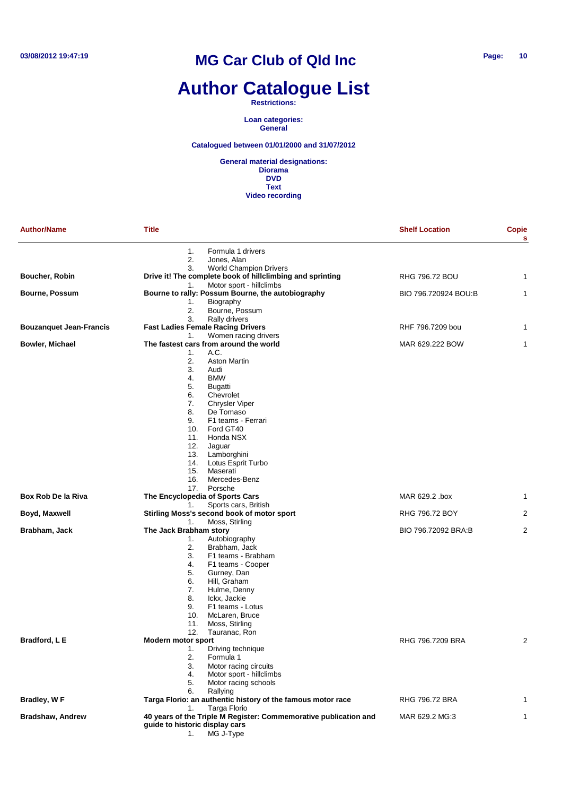# **Author Catalogue List**

**Restrictions:**

**Loan categories: General**

**Catalogued between 01/01/2000 and 31/07/2012**

| <b>Author/Name</b>             | <b>Title</b>                                                                                                                                                                                                                                                                                                                                                                                       | <b>Shelf Location</b> | Copie<br>s     |
|--------------------------------|----------------------------------------------------------------------------------------------------------------------------------------------------------------------------------------------------------------------------------------------------------------------------------------------------------------------------------------------------------------------------------------------------|-----------------------|----------------|
|                                | 1.<br>Formula 1 drivers<br>2.<br>Jones, Alan<br>3.<br><b>World Champion Drivers</b>                                                                                                                                                                                                                                                                                                                |                       |                |
| Boucher, Robin                 | Drive it! The complete book of hillclimbing and sprinting                                                                                                                                                                                                                                                                                                                                          | <b>RHG 796.72 BOU</b> | 1              |
| <b>Bourne, Possum</b>          | Motor sport - hillclimbs<br>1.<br>Bourne to rally: Possum Bourne, the autobiography<br>Biography<br>1.<br>Bourne, Possum<br>2.                                                                                                                                                                                                                                                                     | BIO 796.720924 BOU:B  | 1              |
| <b>Bouzanquet Jean-Francis</b> | 3.<br><b>Rally drivers</b><br><b>Fast Ladies Female Racing Drivers</b><br>Women racing drivers                                                                                                                                                                                                                                                                                                     | RHF 796.7209 bou      | 1              |
| Bowler, Michael                | 1.<br>The fastest cars from around the world<br>A.C.<br>1.<br>2.<br><b>Aston Martin</b><br>3.<br>Audi<br><b>BMW</b><br>4.<br>5.<br>Bugatti<br>6.<br>Chevrolet<br>7.<br><b>Chrysler Viper</b><br>8.<br>De Tomaso<br>9.<br>F1 teams - Ferrari<br>10.<br>Ford GT40<br>Honda NSX<br>11.<br>12.<br>Jaguar<br>Lamborghini<br>13.<br>Lotus Esprit Turbo<br>14.<br>15.<br>Maserati<br>16.<br>Mercedes-Benz | MAR 629.222 BOW       | 1              |
| Box Rob De la Riva             | 17.<br>Porsche<br>The Encyclopedia of Sports Cars                                                                                                                                                                                                                                                                                                                                                  | MAR 629.2 .box        | 1              |
| Boyd, Maxwell                  | Sports cars, British<br>1.<br>Stirling Moss's second book of motor sport<br>Moss, Stirling<br>1.                                                                                                                                                                                                                                                                                                   | RHG 796.72 BOY        | 2              |
| Brabham, Jack                  | The Jack Brabham story<br>Autobiography<br>1.<br>2.<br>Brabham, Jack<br>3.<br>F1 teams - Brabham<br>4.<br>F1 teams - Cooper<br>5.<br>Gurney, Dan<br>6.<br>Hill, Graham<br>7.<br>Hulme, Denny<br>8.<br>Ickx, Jackie<br>9.<br>F1 teams - Lotus<br>McLaren, Bruce<br>10.<br>Moss, Stirling<br>11.<br>Tauranac, Ron<br>12.                                                                             | BIO 796.72092 BRA:B   | 2              |
| Bradford, L E                  | Modern motor sport<br>1.<br>Driving technique<br>2.<br>Formula 1<br>Motor racing circuits<br>3.<br>Motor sport - hillclimbs<br>4.<br>Motor racing schools<br>5.<br>6.<br>Rallying                                                                                                                                                                                                                  | RHG 796.7209 BRA      | $\overline{2}$ |
| Bradley, W F                   | Targa Florio: an authentic history of the famous motor race                                                                                                                                                                                                                                                                                                                                        | RHG 796.72 BRA        |                |
| <b>Bradshaw, Andrew</b>        | <b>Targa Florio</b><br>1.<br>40 years of the Triple M Register: Commemorative publication and<br>guide to historic display cars<br>MG J-Type<br>1.                                                                                                                                                                                                                                                 | MAR 629.2 MG:3        | 1              |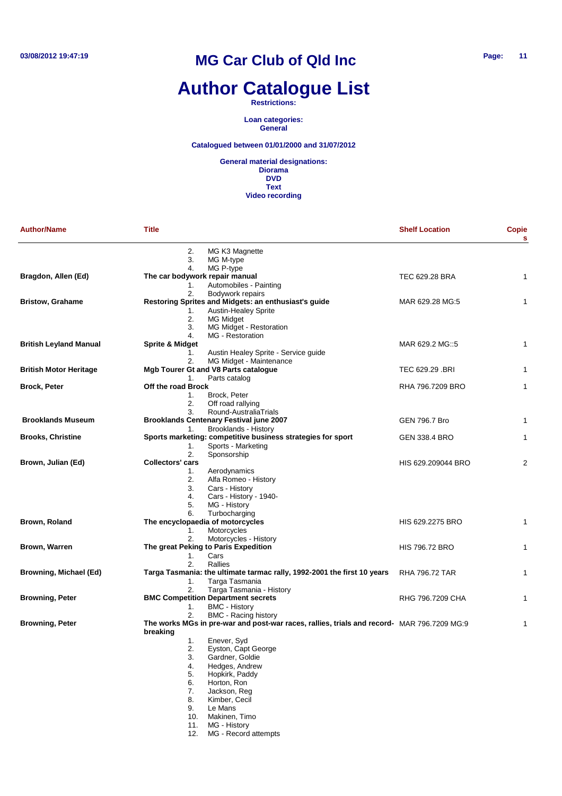# **Author Catalogue List**

**Restrictions:**

**Loan categories: General**

**Catalogued between 01/01/2000 and 31/07/2012**

| <b>Author/Name</b>            | Title                                                                                                                                                                                                                                                                                    | <b>Shelf Location</b> | <b>Copie</b><br>$\mathbf{s}$ |
|-------------------------------|------------------------------------------------------------------------------------------------------------------------------------------------------------------------------------------------------------------------------------------------------------------------------------------|-----------------------|------------------------------|
|                               | 2.<br>MG K3 Magnette<br>3.<br>MG M-type                                                                                                                                                                                                                                                  |                       |                              |
| Bragdon, Allen (Ed)           | MG P-type<br>4.<br>The car bodywork repair manual<br>Automobiles - Painting<br>1.                                                                                                                                                                                                        | TEC 629.28 BRA        | 1                            |
| <b>Bristow, Grahame</b>       | 2.<br>Bodywork repairs<br>Restoring Sprites and Midgets: an enthusiast's guide<br><b>Austin-Healey Sprite</b><br>1.                                                                                                                                                                      | MAR 629.28 MG:5       | 1                            |
|                               | 2.<br>MG Midget<br>3.<br>MG Midget - Restoration<br>MG - Restoration<br>4.                                                                                                                                                                                                               |                       |                              |
| <b>British Leyland Manual</b> | <b>Sprite &amp; Midget</b><br>Austin Healey Sprite - Service guide<br>1.<br>MG Midget - Maintenance<br>2.                                                                                                                                                                                | MAR 629.2 MG::5       | 1                            |
| <b>British Motor Heritage</b> | <b>Mgb Tourer Gt and V8 Parts catalogue</b><br>Parts catalog<br>1.                                                                                                                                                                                                                       | TEC 629.29 .BRI       | 1                            |
| <b>Brock, Peter</b>           | Off the road Brock<br>Brock, Peter<br>1.<br>2.<br>Off road rallying<br>3.<br>Round-AustraliaTrials                                                                                                                                                                                       | RHA 796.7209 BRO      | 1                            |
| <b>Brooklands Museum</b>      | <b>Brooklands Centenary Festival june 2007</b><br><b>Brooklands - History</b><br>1.                                                                                                                                                                                                      | <b>GEN 796.7 Bro</b>  | 1                            |
| <b>Brooks, Christine</b>      | Sports marketing: competitive business strategies for sport<br>Sports - Marketing<br>1.<br>2.<br>Sponsorship                                                                                                                                                                             | GEN 338.4 BRO         | 1                            |
| Brown, Julian (Ed)            | <b>Collectors' cars</b><br>Aerodynamics<br>1.<br>2.<br>Alfa Romeo - History<br>3.<br>Cars - History<br>4.<br>Cars - History - 1940-<br>5.<br>MG - History<br>Turbocharging<br>6.                                                                                                         | HIS 629.209044 BRO    | 2                            |
| Brown, Roland                 | The encyclopaedia of motorcycles<br>Motorcycles<br>1.<br>Motorcycles - History<br>2.                                                                                                                                                                                                     | HIS 629.2275 BRO      | 1                            |
| Brown, Warren                 | The great Peking to Paris Expedition<br>1.<br>Cars<br>2.<br>Rallies                                                                                                                                                                                                                      | <b>HIS 796.72 BRO</b> | $\mathbf{1}$                 |
| Browning, Michael (Ed)        | Targa Tasmania: the ultimate tarmac rally, 1992-2001 the first 10 years<br>Targa Tasmania<br>1.<br>2.<br>Targa Tasmania - History                                                                                                                                                        | RHA 796.72 TAR        | 1                            |
| <b>Browning, Peter</b>        | <b>BMC Competition Department secrets</b><br><b>BMC - History</b><br>1.<br>2.<br><b>BMC - Racing history</b>                                                                                                                                                                             | RHG 796.7209 CHA      | 1                            |
| <b>Browning, Peter</b>        | The works MGs in pre-war and post-war races, rallies, trials and record- MAR 796.7209 MG:9<br>breaking                                                                                                                                                                                   |                       | 1                            |
|                               | 1.<br>Enever, Syd<br>2.<br>Eyston, Capt George<br>3.<br>Gardner, Goldie<br>4.<br>Hedges, Andrew<br>5.<br>Hopkirk, Paddy<br>6.<br>Horton, Ron<br>7.<br>Jackson, Reg<br>8.<br>Kimber, Cecil<br>Le Mans<br>9.<br>Makinen, Timo<br>10.<br>MG - History<br>11.<br>MG - Record attempts<br>12. |                       |                              |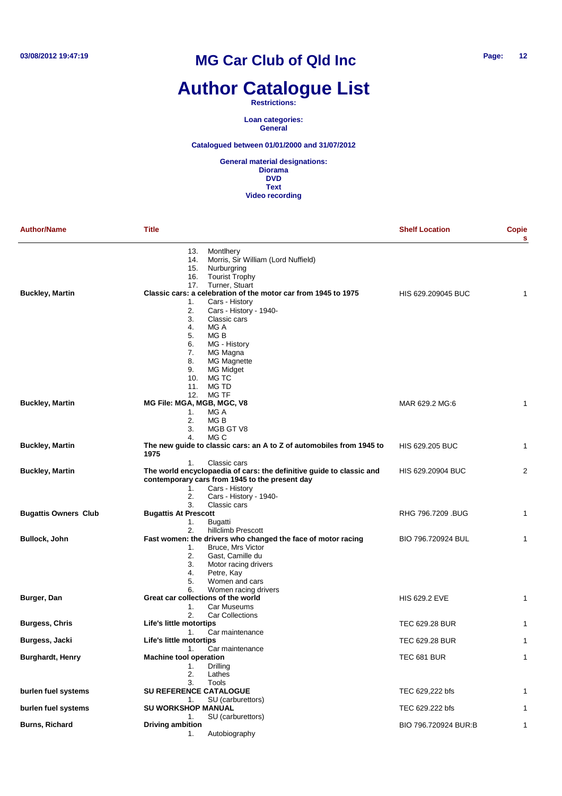# **Author Catalogue List**

#### **Restrictions:**

**Loan categories: General**

#### **Catalogued between 01/01/2000 and 31/07/2012**

| <b>Author/Name</b>          | <b>Title</b>                                                                                                                                                                                                                     | <b>Shelf Location</b>  | <b>Copie</b><br>s |
|-----------------------------|----------------------------------------------------------------------------------------------------------------------------------------------------------------------------------------------------------------------------------|------------------------|-------------------|
|                             | 13.<br>Montlhery<br>Morris, Sir William (Lord Nuffield)<br>14.<br>15.<br>Nurburgring<br><b>Tourist Trophy</b><br>16.                                                                                                             |                        |                   |
| <b>Buckley, Martin</b>      | 17.<br>Turner, Stuart<br>Classic cars: a celebration of the motor car from 1945 to 1975<br>Cars - History<br>1.<br>2.<br>Cars - History - 1940-                                                                                  | HIS 629.209045 BUC     | 1                 |
|                             | 3.<br>Classic cars<br>4.<br>MG A<br>5.<br>MG B<br>6.<br>MG - History<br>7.<br>MG Magna                                                                                                                                           |                        |                   |
|                             | 8.<br>MG Magnette<br>9.<br><b>MG Midget</b><br>10.<br>MG TC<br>11.<br>MG TD<br>12.<br>MG TF                                                                                                                                      |                        |                   |
| <b>Buckley, Martin</b>      | MG File: MGA, MGB, MGC, V8<br>MG A<br>1.<br>2.<br>MG <sub>B</sub><br>3.<br>MGB GT V8<br>MG C<br>4.                                                                                                                               | MAR 629.2 MG:6         | 1                 |
| <b>Buckley, Martin</b>      | The new guide to classic cars: an A to Z of automobiles from 1945 to<br>1975                                                                                                                                                     | <b>HIS 629.205 BUC</b> | 1                 |
| <b>Buckley, Martin</b>      | Classic cars<br>1.<br>The world encyclopaedia of cars: the definitive guide to classic and<br>contemporary cars from 1945 to the present day<br>Cars - History<br>1.<br>2.<br>Cars - History - 1940-                             | HIS 629.20904 BUC      | 2                 |
| <b>Bugattis Owners Club</b> | 3.<br>Classic cars<br><b>Bugattis At Prescott</b><br>1.<br>Bugatti                                                                                                                                                               | RHG 796.7209 .BUG      | 1                 |
|                             | hillclimb Prescott<br>2.                                                                                                                                                                                                         |                        |                   |
| <b>Bullock, John</b>        | Fast women: the drivers who changed the face of motor racing<br><b>Bruce, Mrs Victor</b><br>1.<br>2.<br>Gast, Camille du<br>3.<br>Motor racing drivers<br>4.<br>Petre, Kay<br>5.<br>Women and cars<br>6.<br>Women racing drivers | BIO 796.720924 BUL     | 1                 |
| Burger, Dan                 | Great car collections of the world<br>Car Museums<br>1.<br>2.                                                                                                                                                                    | <b>HIS 629.2 EVE</b>   | 1                 |
| <b>Burgess, Chris</b>       | <b>Car Collections</b><br>Life's little motortips                                                                                                                                                                                | TEC 629.28 BUR         | 1                 |
| Burgess, Jacki              | Car maintenance<br>1.<br>Life's little motortips                                                                                                                                                                                 | <b>TEC 629.28 BUR</b>  | 1                 |
| <b>Burghardt, Henry</b>     | 1.<br>Car maintenance<br><b>Machine tool operation</b><br>1.<br>Drilling<br>2.<br>Lathes<br>Tools                                                                                                                                | TEC 681 BUR            | 1                 |
| burlen fuel systems         | 3.<br><b>SU REFERENCE CATALOGUE</b>                                                                                                                                                                                              | TEC 629,222 bfs        |                   |
| burlen fuel systems         | SU (carburettors)<br>1.<br><b>SU WORKSHOP MANUAL</b>                                                                                                                                                                             | TEC 629.222 bfs        |                   |
| <b>Burns, Richard</b>       | SU (carburettors)<br>1.<br><b>Driving ambition</b><br>Autobiography<br>1.                                                                                                                                                        | BIO 796.720924 BUR:B   | 1                 |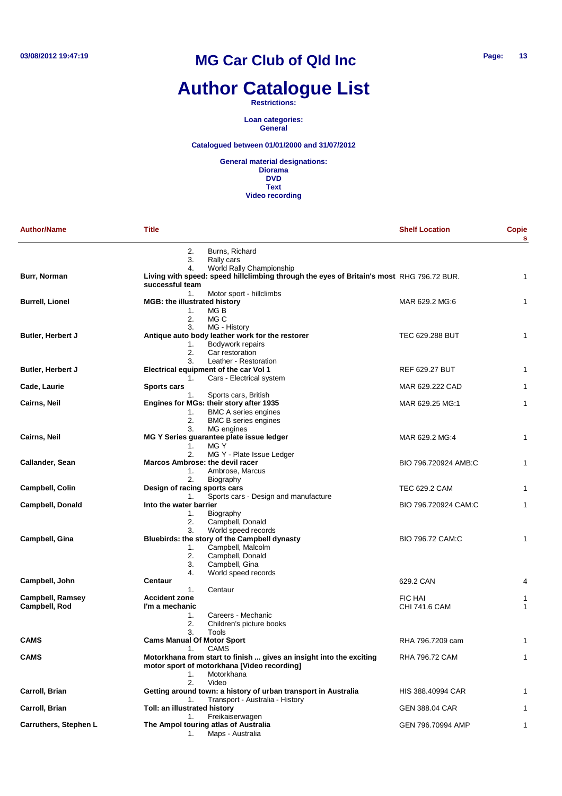# **Author Catalogue List**

#### **Restrictions:**

**Loan categories: General**

#### **Catalogued between 01/01/2000 and 31/07/2012**

| <b>Author/Name</b>                       | <b>Title</b>                                                                                                                                                | <b>Shelf Location</b>           | <b>Copie</b><br>s |
|------------------------------------------|-------------------------------------------------------------------------------------------------------------------------------------------------------------|---------------------------------|-------------------|
|                                          | 2.<br>Burns, Richard<br>3.<br>Rally cars                                                                                                                    |                                 |                   |
| Burr, Norman                             | World Rally Championship<br>4.<br>Living with speed: speed hillclimbing through the eyes of Britain's most RHG 796.72 BUR.<br>successful team               |                                 | $\mathbf{1}$      |
| <b>Burrell, Lionel</b>                   | 1.<br>Motor sport - hillclimbs<br><b>MGB: the illustrated history</b><br>1.<br>MG B<br>2.<br>MG C                                                           | MAR 629.2 MG:6                  | 1                 |
| Butler, Herbert J                        | 3.<br>MG - History<br>Antique auto body leather work for the restorer<br>Bodywork repairs<br>1.<br>2.<br>Car restoration                                    | TEC 629.288 BUT                 | 1                 |
| Butler, Herbert J                        | Leather - Restoration<br>3.<br>Electrical equipment of the car Vol 1                                                                                        | <b>REF 629.27 BUT</b>           | 1                 |
| Cade, Laurie                             | Cars - Electrical system<br>1.<br><b>Sports cars</b><br>Sports cars, British<br>1.                                                                          | MAR 629.222 CAD                 | 1                 |
| <b>Cairns, Neil</b>                      | Engines for MGs: their story after 1935<br>1.<br><b>BMC A series engines</b><br>2.<br><b>BMC B series engines</b>                                           | MAR 629.25 MG:1                 | 1                 |
| <b>Cairns, Neil</b>                      | 3.<br>MG engines<br>MG Y Series guarantee plate issue ledger<br>MG Y<br>1.                                                                                  | MAR 629.2 MG:4                  | 1                 |
| Callander, Sean                          | 2.<br>MG Y - Plate Issue Ledger<br>Marcos Ambrose: the devil racer<br>Ambrose, Marcus<br>1.                                                                 | BIO 796.720924 AMB:C            | 1                 |
| <b>Campbell, Colin</b>                   | 2.<br>Biography<br>Design of racing sports cars<br>Sports cars - Design and manufacture<br>1.                                                               | TEC 629.2 CAM                   | 1                 |
| Campbell, Donald                         | Into the water barrier<br>Biography<br>1.<br>Campbell, Donald<br>2.                                                                                         | BIO 796.720924 CAM:C            | 1                 |
| Campbell, Gina                           | 3.<br>World speed records<br>Bluebirds: the story of the Campbell dynasty<br>Campbell, Malcolm<br>1.<br>2.<br>Campbell, Donald<br>3.<br>Campbell, Gina      | BIO 796.72 CAM:C                | 1                 |
| Campbell, John                           | World speed records<br>4.<br>Centaur<br>Centaur<br>1.                                                                                                       | 629.2 CAN                       | 4                 |
| <b>Campbell, Ramsey</b><br>Campbell, Rod | <b>Accident zone</b><br>I'm a mechanic<br>Careers - Mechanic<br>1.<br>2.<br>Children's picture books                                                        | <b>FIC HAI</b><br>CHI 741.6 CAM | 1<br>$\mathbf{1}$ |
| <b>CAMS</b>                              | 3.<br>Tools<br><b>Cams Manual Of Motor Sport</b><br>CAMS                                                                                                    | RHA 796.7209 cam                | 1                 |
| <b>CAMS</b>                              | 1.<br>Motorkhana from start to finish  gives an insight into the exciting<br>motor sport of motorkhana [Video recording]<br>1.<br>Motorkhana<br>2.<br>Video | RHA 796.72 CAM                  | 1                 |
| Carroll, Brian                           | Getting around town: a history of urban transport in Australia<br>Transport - Australia - History<br>1.                                                     | HIS 388.40994 CAR               | 1                 |
| Carroll, Brian                           | Toll: an illustrated history<br>Freikaiserwagen<br>1.                                                                                                       | <b>GEN 388.04 CAR</b>           | 1                 |
| Carruthers, Stephen L                    | The Ampol touring atlas of Australia<br>Maps - Australia<br>1.                                                                                              | GEN 796.70994 AMP               | 1                 |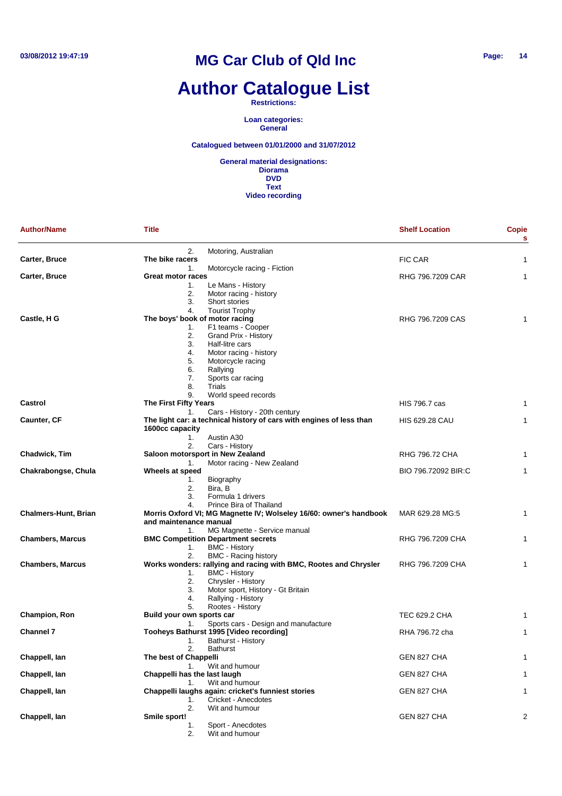# **Author Catalogue List**

**Restrictions:**

**Loan categories: General**

#### **Catalogued between 01/01/2000 and 31/07/2012**

| <b>Author/Name</b>          | <b>Title</b>                                                         | <b>Shelf Location</b> | Copie<br>s |
|-----------------------------|----------------------------------------------------------------------|-----------------------|------------|
|                             | 2.<br>Motoring, Australian                                           |                       |            |
| Carter, Bruce               | The bike racers                                                      | FIC CAR               | 1          |
|                             | 1.<br>Motorcycle racing - Fiction                                    |                       |            |
| Carter, Bruce               | <b>Great motor races</b>                                             | RHG 796.7209 CAR      | 1          |
|                             | 1.<br>Le Mans - History                                              |                       |            |
|                             | 2.<br>Motor racing - history                                         |                       |            |
|                             | 3.<br>Short stories                                                  |                       |            |
|                             | 4.<br><b>Tourist Trophy</b>                                          |                       |            |
| Castle, H G                 | The boys' book of motor racing<br>F1 teams - Cooper<br>1.            | RHG 796.7209 CAS      | 1          |
|                             | 2.<br>Grand Prix - History                                           |                       |            |
|                             | 3.<br>Half-litre cars                                                |                       |            |
|                             | 4.<br>Motor racing - history                                         |                       |            |
|                             | 5.<br>Motorcycle racing                                              |                       |            |
|                             | 6.<br>Rallying                                                       |                       |            |
|                             | 7.<br>Sports car racing                                              |                       |            |
|                             | 8.<br>Trials                                                         |                       |            |
|                             | 9.<br>World speed records                                            |                       |            |
| Castrol                     | The First Fifty Years                                                | HIS 796.7 cas         | 1          |
|                             | Cars - History - 20th century<br>1.                                  |                       |            |
| Caunter, CF                 | The light car: a technical history of cars with engines of less than | <b>HIS 629.28 CAU</b> | 1          |
|                             | 1600cc capacity                                                      |                       |            |
|                             | Austin A30<br>1.                                                     |                       |            |
|                             | 2.<br>Cars - History                                                 |                       |            |
| Chadwick, Tim               | Saloon motorsport in New Zealand                                     | RHG 796.72 CHA        | 1          |
|                             | Motor racing - New Zealand<br>1.                                     |                       |            |
| Chakrabongse, Chula         | Wheels at speed                                                      | BIO 796.72092 BIR:C   | 1          |
|                             | Biography<br>1.<br>2.<br>Bira, B                                     |                       |            |
|                             | Formula 1 drivers<br>3.                                              |                       |            |
|                             | 4.<br>Prince Bira of Thailand                                        |                       |            |
| <b>Chalmers-Hunt, Brian</b> | Morris Oxford VI; MG Magnette IV; Wolseley 16/60: owner's handbook   | MAR 629.28 MG:5       | 1          |
|                             | and maintenance manual                                               |                       |            |
|                             | MG Magnette - Service manual<br>1.                                   |                       |            |
| <b>Chambers, Marcus</b>     | <b>BMC Competition Department secrets</b>                            | RHG 796.7209 CHA      | 1          |
|                             | <b>BMC - History</b><br>1.                                           |                       |            |
|                             | 2.<br><b>BMC - Racing history</b>                                    |                       |            |
| <b>Chambers, Marcus</b>     | Works wonders: rallying and racing with BMC, Rootes and Chrysler     | RHG 796.7209 CHA      | 1          |
|                             | <b>BMC - History</b><br>1.                                           |                       |            |
|                             | 2.<br>Chrysler - History                                             |                       |            |
|                             | Motor sport, History - Gt Britain<br>3.                              |                       |            |
|                             | Rallying - History<br>4.                                             |                       |            |
|                             | Rootes - History<br>5.                                               |                       |            |
| <b>Champion, Ron</b>        | Build your own sports car                                            | TEC 629.2 CHA         | 1          |
|                             | Sports cars - Design and manufacture<br>1.                           |                       |            |
| <b>Channel 7</b>            | Tooheys Bathurst 1995 [Video recording]<br>Bathurst - History<br>1.  | RHA 796.72 cha        | 1          |
|                             | 2.<br>Bathurst                                                       |                       |            |
| Chappell, lan               | The best of Chappelli                                                | GEN 827 CHA           | 1          |
|                             | 1.<br>Wit and humour                                                 |                       |            |
| Chappell, lan               | Chappelli has the last laugh                                         | GEN 827 CHA           | 1          |
|                             | Wit and humour<br>1.                                                 |                       |            |
| Chappell, lan               | Chappelli laughs again: cricket's funniest stories                   | GEN 827 CHA           | 1          |
|                             | Cricket - Anecdotes<br>1.                                            |                       |            |
|                             | 2.<br>Wit and humour                                                 |                       |            |
| Chappell, lan               | Smile sport!                                                         | GEN 827 CHA           | 2          |
|                             | Sport - Anecdotes<br>1.                                              |                       |            |
|                             | Wit and humour<br>2.                                                 |                       |            |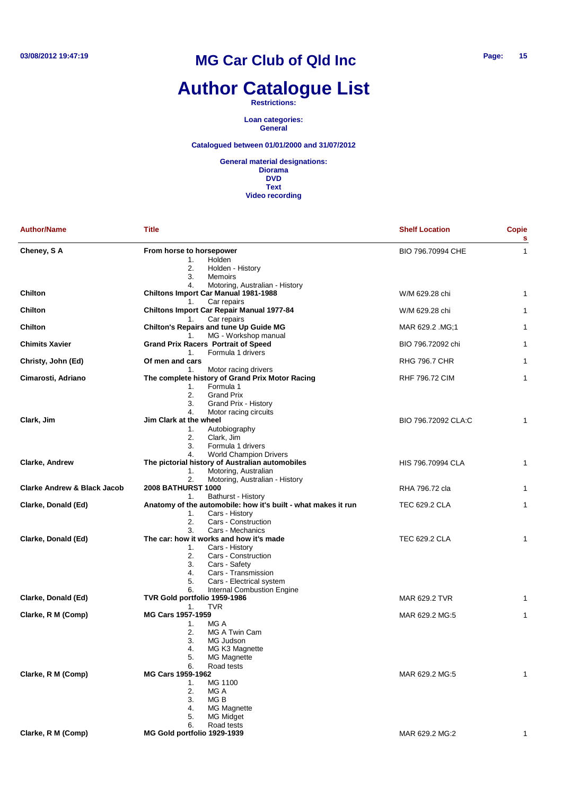# **Author Catalogue List**

**Restrictions:**

**Loan categories: General**

#### **Catalogued between 01/01/2000 and 31/07/2012**

| <b>Author/Name</b>                     | <b>Title</b>                                                            | <b>Shelf Location</b> | Copie<br>s   |
|----------------------------------------|-------------------------------------------------------------------------|-----------------------|--------------|
| Cheney, SA                             | From horse to horsepower                                                | BIO 796.70994 CHE     | $\mathbf{1}$ |
|                                        | Holden<br>1.                                                            |                       |              |
|                                        | 2.<br>Holden - History                                                  |                       |              |
|                                        | 3.<br>Memoirs                                                           |                       |              |
|                                        | Motoring, Australian - History<br>4.                                    |                       |              |
| <b>Chilton</b>                         | <b>Chiltons Import Car Manual 1981-1988</b>                             | W/M 629.28 chi        | 1            |
|                                        | Car repairs<br>1.                                                       |                       |              |
| <b>Chilton</b>                         | <b>Chiltons Import Car Repair Manual 1977-84</b><br>Car repairs<br>1.   | W/M 629.28 chi        | 1            |
| <b>Chilton</b>                         | Chilton's Repairs and tune Up Guide MG                                  | MAR 629.2 .MG;1       | 1            |
|                                        | MG - Workshop manual<br>1.                                              |                       |              |
| <b>Chimits Xavier</b>                  | <b>Grand Prix Racers Portrait of Speed</b>                              | BIO 796.72092 chi     | 1            |
|                                        | Formula 1 drivers<br>1.                                                 |                       |              |
| Christy, John (Ed)                     | Of men and cars                                                         | <b>RHG 796.7 CHR</b>  | 1            |
|                                        | Motor racing drivers<br>1.                                              |                       |              |
| Cimarosti, Adriano                     | The complete history of Grand Prix Motor Racing                         | <b>RHF 796.72 CIM</b> | 1            |
|                                        | Formula 1<br>1.                                                         |                       |              |
|                                        | 2.<br><b>Grand Prix</b>                                                 |                       |              |
|                                        | Grand Prix - History<br>3.                                              |                       |              |
|                                        | 4.<br>Motor racing circuits                                             |                       |              |
| Clark, Jim                             | Jim Clark at the wheel                                                  | BIO 796.72092 CLA:C   | 1            |
|                                        | 1.<br>Autobiography                                                     |                       |              |
|                                        | 2.<br>Clark, Jim<br>Formula 1 drivers<br>3.                             |                       |              |
|                                        | <b>World Champion Drivers</b><br>4.                                     |                       |              |
| <b>Clarke, Andrew</b>                  | The pictorial history of Australian automobiles                         | HIS 796.70994 CLA     | $\mathbf{1}$ |
|                                        | Motoring, Australian<br>1.                                              |                       |              |
|                                        | 2.<br>Motoring, Australian - History                                    |                       |              |
| <b>Clarke Andrew &amp; Black Jacob</b> | <b>2008 BATHURST 1000</b>                                               | RHA 796.72 cla        | $\mathbf{1}$ |
|                                        | Bathurst - History<br>1.                                                |                       |              |
| Clarke, Donald (Ed)                    | Anatomy of the automobile: how it's built - what makes it run           | <b>TEC 629.2 CLA</b>  | 1            |
|                                        | 1.<br>Cars - History                                                    |                       |              |
|                                        | 2.<br>Cars - Construction                                               |                       |              |
|                                        | 3.<br>Cars - Mechanics                                                  |                       |              |
| Clarke, Donald (Ed)                    | The car: how it works and how it's made                                 | TEC 629.2 CLA         | 1            |
|                                        | Cars - History<br>1.                                                    |                       |              |
|                                        | 2.<br>Cars - Construction                                               |                       |              |
|                                        | 3.<br>Cars - Safety                                                     |                       |              |
|                                        | 4.<br>Cars - Transmission                                               |                       |              |
|                                        | 5.<br>Cars - Electrical system                                          |                       |              |
| Clarke, Donald (Ed)                    | 6.<br><b>Internal Combustion Engine</b><br>TVR Gold portfolio 1959-1986 | MAR 629.2 TVR         | 1            |
|                                        | <b>TVR</b><br>1.                                                        |                       |              |
| Clarke, R M (Comp)                     | MG Cars 1957-1959                                                       | MAR 629.2 MG:5        | 1            |
|                                        | MG A<br>1.                                                              |                       |              |
|                                        | 2.<br>MG A Twin Cam                                                     |                       |              |
|                                        | 3.<br>MG Judson                                                         |                       |              |
|                                        | 4.<br>MG K3 Magnette                                                    |                       |              |
|                                        | 5.<br><b>MG Magnette</b>                                                |                       |              |
|                                        | Road tests<br>6.                                                        |                       |              |
| Clarke, R M (Comp)                     | MG Cars 1959-1962                                                       | MAR 629.2 MG:5        | 1            |
|                                        | MG 1100<br>1.                                                           |                       |              |
|                                        | 2.<br>MG A                                                              |                       |              |
|                                        | 3.<br>MG B                                                              |                       |              |
|                                        | 4.<br><b>MG Magnette</b>                                                |                       |              |
|                                        | <b>MG Midget</b><br>5.                                                  |                       |              |
| Clarke, R M (Comp)                     | 6.<br>Road tests                                                        | MAR 629.2 MG:2        | 1            |
|                                        | MG Gold portfolio 1929-1939                                             |                       |              |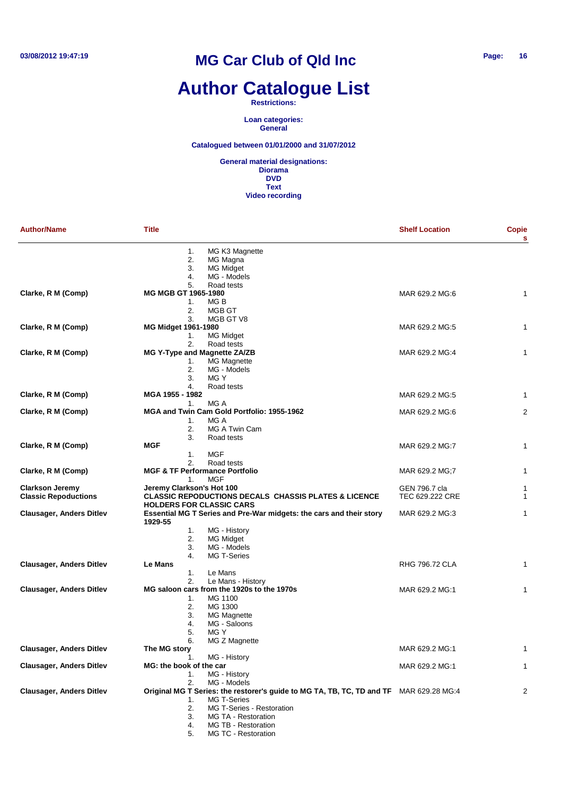# **Author Catalogue List**

**Restrictions:**

**Loan categories: General**

**Catalogued between 01/01/2000 and 31/07/2012**

| <b>Author/Name</b>              | <b>Title</b>                                    |                                                                                        | <b>Shelf Location</b> | Copie<br>s     |
|---------------------------------|-------------------------------------------------|----------------------------------------------------------------------------------------|-----------------------|----------------|
|                                 | 1.<br>2.                                        | MG K3 Magnette<br>MG Magna                                                             |                       |                |
|                                 | 3.                                              | <b>MG Midget</b>                                                                       |                       |                |
|                                 | 4.                                              | MG - Models                                                                            |                       |                |
|                                 | 5.                                              | Road tests                                                                             |                       |                |
| Clarke, R M (Comp)              | <b>MG MGB GT 1965-1980</b><br>1.                | MG B                                                                                   | MAR 629.2 MG:6        | 1              |
|                                 | 2.                                              | MGB GT                                                                                 |                       |                |
|                                 | 3.                                              | MGB GT V8                                                                              |                       |                |
| Clarke, R M (Comp)              | MG Midget 1961-1980                             |                                                                                        | MAR 629.2 MG:5        | 1              |
|                                 | 1.                                              | MG Midget                                                                              |                       |                |
|                                 | 2.                                              | Road tests                                                                             |                       |                |
| Clarke, R M (Comp)              | MG Y-Type and Magnette ZA/ZB                    |                                                                                        | MAR 629.2 MG:4        | 1              |
|                                 | 1.                                              | MG Magnette                                                                            |                       |                |
|                                 | 2.<br>3.                                        | MG - Models<br>MG Y                                                                    |                       |                |
|                                 | 4.                                              | Road tests                                                                             |                       |                |
| Clarke, R M (Comp)              | MGA 1955 - 1982                                 |                                                                                        | MAR 629.2 MG:5        | 1              |
|                                 | 1.                                              | MG A                                                                                   |                       |                |
| Clarke, R M (Comp)              |                                                 | MGA and Twin Cam Gold Portfolio: 1955-1962                                             | MAR 629.2 MG:6        | $\overline{2}$ |
|                                 | 1.                                              | MG A                                                                                   |                       |                |
|                                 | 2.                                              | MG A Twin Cam                                                                          |                       |                |
|                                 | 3.                                              | Road tests                                                                             |                       |                |
| Clarke, R M (Comp)              | MGF                                             |                                                                                        | MAR 629.2 MG:7        | $\mathbf{1}$   |
|                                 | 1.                                              | <b>MGF</b>                                                                             |                       |                |
| Clarke, R M (Comp)              | 2.<br><b>MGF &amp; TF Performance Portfolio</b> | Road tests                                                                             | MAR 629.2 MG;7        | $\mathbf{1}$   |
|                                 | 1.                                              | <b>MGF</b>                                                                             |                       |                |
| <b>Clarkson Jeremy</b>          | Jeremy Clarkson's Hot 100                       |                                                                                        | GEN 796.7 cla         | 1              |
| <b>Classic Repoductions</b>     |                                                 | <b>CLASSIC REPODUCTIONS DECALS CHASSIS PLATES &amp; LICENCE</b>                        | TEC 629.222 CRE       | $\mathbf{1}$   |
|                                 | <b>HOLDERS FOR CLASSIC CARS</b>                 |                                                                                        |                       |                |
| Clausager, Anders Ditlev        | 1929-55                                         | Essential MG T Series and Pre-War midgets: the cars and their story                    | MAR 629.2 MG:3        | $\mathbf{1}$   |
|                                 | 1.                                              | MG - History                                                                           |                       |                |
|                                 | 2.                                              | MG Midget                                                                              |                       |                |
|                                 | 3.                                              | MG - Models                                                                            |                       |                |
|                                 | 4.                                              | MG T-Series                                                                            |                       |                |
| <b>Clausager, Anders Ditlev</b> | Le Mans                                         |                                                                                        | RHG 796.72 CLA        | 1              |
|                                 | 1.<br>2.                                        | Le Mans<br>Le Mans - History                                                           |                       |                |
| <b>Clausager, Anders Ditlev</b> |                                                 | MG saloon cars from the 1920s to the 1970s                                             | MAR 629.2 MG:1        | $\mathbf{1}$   |
|                                 | 1.                                              | MG 1100                                                                                |                       |                |
|                                 | 2.                                              | MG 1300                                                                                |                       |                |
|                                 | 3.                                              | <b>MG Magnette</b>                                                                     |                       |                |
|                                 | 4.                                              | MG - Saloons                                                                           |                       |                |
|                                 | 5.                                              | MG Y                                                                                   |                       |                |
|                                 | 6.                                              | MG Z Magnette                                                                          |                       |                |
| <b>Clausager, Anders Ditlev</b> | The MG story                                    |                                                                                        | MAR 629.2 MG:1        | $\mathbf{1}$   |
|                                 | 1.                                              | MG - History                                                                           |                       |                |
| <b>Clausager, Anders Ditlev</b> | MG: the book of the car                         |                                                                                        | MAR 629.2 MG:1        | 1              |
|                                 | 1.<br>2.                                        | MG - History<br>MG - Models                                                            |                       |                |
| <b>Clausager, Anders Ditlev</b> |                                                 | Original MG T Series: the restorer's guide to MG TA, TB, TC, TD and TF MAR 629.28 MG:4 |                       | 2              |
|                                 | 1.                                              | <b>MG T-Series</b>                                                                     |                       |                |
|                                 | 2.                                              | MG T-Series - Restoration                                                              |                       |                |
|                                 | 3.                                              | MG TA - Restoration                                                                    |                       |                |
|                                 | 4.                                              | MG TB - Restoration                                                                    |                       |                |
|                                 | 5.                                              | MG TC - Restoration                                                                    |                       |                |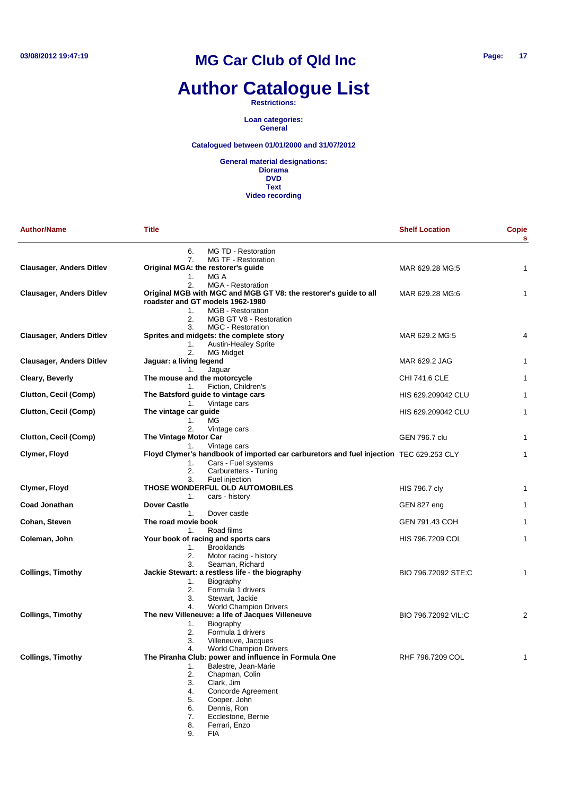# **Author Catalogue List**

**Restrictions:**

**Loan categories: General**

**Catalogued between 01/01/2000 and 31/07/2012**

**General material designations: Diorama DVD Text Video recording**

| <b>Author/Name</b>              | <b>Title</b>                                                                                                                                                                                                                                             | <b>Shelf Location</b> | Copie<br>s     |
|---------------------------------|----------------------------------------------------------------------------------------------------------------------------------------------------------------------------------------------------------------------------------------------------------|-----------------------|----------------|
|                                 | 6.<br>MG TD - Restoration                                                                                                                                                                                                                                |                       |                |
| <b>Clausager, Anders Ditlev</b> | MG TF - Restoration<br>7.<br>Original MGA: the restorer's guide<br>Mg a<br>1.                                                                                                                                                                            | MAR 629.28 MG:5       | 1              |
| <b>Clausager, Anders Ditlev</b> | 2.<br><b>MGA - Restoration</b><br>Original MGB with MGC and MGB GT V8: the restorer's guide to all<br>roadster and GT models 1962-1980<br>MGB - Restoration<br>$1_{-}$                                                                                   | MAR 629.28 MG:6       | 1              |
| <b>Clausager, Anders Ditlev</b> | 2.<br>MGB GT V8 - Restoration<br><b>MGC - Restoration</b><br>3.<br>Sprites and midgets: the complete story<br><b>Austin-Healey Sprite</b><br>1.                                                                                                          | MAR 629.2 MG:5        | 4              |
| <b>Clausager, Anders Ditlev</b> | 2.<br>MG Midget<br>Jaguar: a living legend                                                                                                                                                                                                               | MAR 629.2 JAG         | 1              |
| <b>Cleary, Beverly</b>          | Jaguar<br>1.<br>The mouse and the motorcycle                                                                                                                                                                                                             | CHI 741.6 CLE         | 1              |
| Clutton, Cecil (Comp)           | Fiction, Children's<br>1.<br>The Batsford guide to vintage cars                                                                                                                                                                                          | HIS 629.209042 CLU    | 1              |
| Clutton, Cecil (Comp)           | Vintage cars<br>1.<br>The vintage car guide                                                                                                                                                                                                              | HIS 629.209042 CLU    | 1              |
|                                 | ΜG<br>1.<br>2.<br>Vintage cars                                                                                                                                                                                                                           |                       |                |
| Clutton, Cecil (Comp)           | The Vintage Motor Car                                                                                                                                                                                                                                    | GEN 796.7 clu         | 1              |
| Clymer, Floyd                   | Vintage cars<br>1.<br>Floyd Clymer's handbook of imported car carburetors and fuel injection TEC 629.253 CLY<br>Cars - Fuel systems<br>1.                                                                                                                |                       | 1              |
|                                 | 2.<br>Carburetters - Tuning                                                                                                                                                                                                                              |                       |                |
| Clymer, Floyd                   | Fuel injection<br>3.<br>THOSE WONDERFUL OLD AUTOMOBILES                                                                                                                                                                                                  | <b>HIS 796.7 cly</b>  | 1              |
| <b>Coad Jonathan</b>            | cars - history<br>1.<br><b>Dover Castle</b>                                                                                                                                                                                                              | GEN 827 eng           | 1              |
| Cohan, Steven                   | Dover castle<br>1.<br>The road movie book                                                                                                                                                                                                                | GEN 791.43 COH        | 1              |
|                                 | Road films<br>1.                                                                                                                                                                                                                                         |                       |                |
| Coleman, John                   | Your book of racing and sports cars<br>1.<br><b>Brooklands</b><br>2.<br>Motor racing - history                                                                                                                                                           | HIS 796.7209 COL      | 1              |
| <b>Collings, Timothy</b>        | Seaman, Richard<br>3.<br>Jackie Stewart: a restless life - the biography<br>Biography<br>1.<br>2.<br>Formula 1 drivers<br>Stewart, Jackie<br>3.                                                                                                          | BIO 796.72092 STE:C   | 1              |
| <b>Collings, Timothy</b>        | <b>World Champion Drivers</b><br>4.<br>The new Villeneuve: a life of Jacques Villeneuve<br>Biography<br>1.                                                                                                                                               | BIO 796.72092 VIL:C   | $\overline{2}$ |
|                                 | 2.<br>Formula 1 drivers<br>3.<br>Villeneuve, Jacques<br><b>World Champion Drivers</b><br>4.                                                                                                                                                              |                       |                |
| <b>Collings, Timothy</b>        | The Piranha Club: power and influence in Formula One<br>Balestre, Jean-Marie<br>1.<br>2.<br>Chapman, Colin<br>3.<br>Clark, Jim<br>4.<br>Concorde Agreement<br>5.<br>Cooper, John<br>Dennis, Ron<br>6.<br>7.<br>Ecclestone, Bernie<br>8.<br>Ferrari, Enzo | RHF 796.7209 COL      | 1              |

9. FIA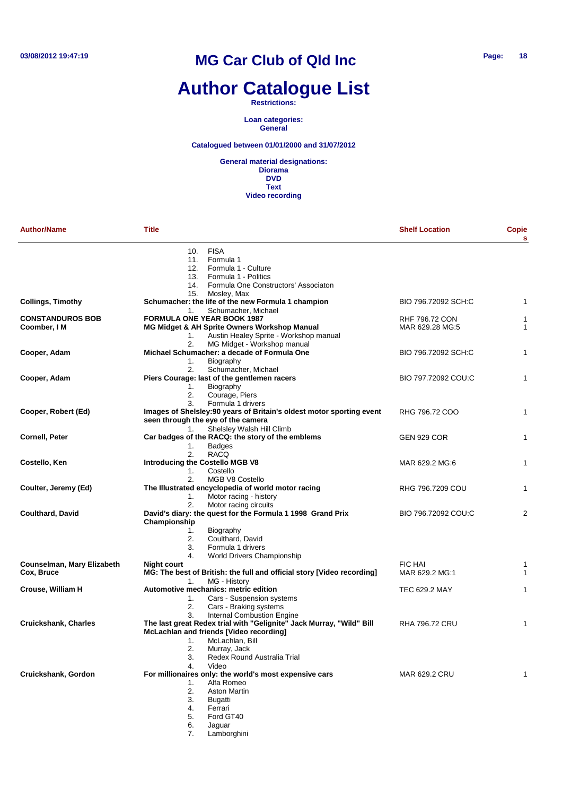# **Author Catalogue List**

#### **Restrictions:**

**Loan categories: General**

#### **Catalogued between 01/01/2000 and 31/07/2012**

**General material designations: Diorama DVD Text Video recording**

| <b>Author/Name</b>          | <b>Title</b>                                                           | <b>Shelf Location</b> | <b>Copie</b><br>s |
|-----------------------------|------------------------------------------------------------------------|-----------------------|-------------------|
|                             | 10. FISA                                                               |                       |                   |
|                             | 11. Formula 1                                                          |                       |                   |
|                             | 12. Formula 1 - Culture                                                |                       |                   |
|                             | 13. Formula 1 - Politics                                               |                       |                   |
|                             | 14. Formula One Constructors' Associaton                               |                       |                   |
|                             | 15.<br>Mosley, Max                                                     |                       |                   |
| <b>Collings, Timothy</b>    | Schumacher: the life of the new Formula 1 champion                     | BIO 796.72092 SCH:C   | 1                 |
|                             | Schumacher, Michael<br>1.                                              |                       |                   |
| <b>CONSTANDUROS BOB</b>     | <b>FORMULA ONE YEAR BOOK 1987</b>                                      | <b>RHF 796.72 CON</b> | 1                 |
| Coomber, I M                | MG Midget & AH Sprite Owners Workshop Manual                           | MAR 629.28 MG:5       | 1                 |
|                             | Austin Healey Sprite - Workshop manual<br>1.                           |                       |                   |
|                             | 2.<br>MG Midget - Workshop manual                                      |                       |                   |
| Cooper, Adam                | Michael Schumacher: a decade of Formula One                            | BIO 796.72092 SCH:C   | 1                 |
|                             | Biography<br>1.                                                        |                       |                   |
|                             | Schumacher, Michael<br>2.                                              |                       |                   |
| Cooper, Adam                | Piers Courage: last of the gentlemen racers                            | BIO 797.72092 COU:C   | 1                 |
|                             | Biography<br>1.                                                        |                       |                   |
|                             | 2.<br>Courage, Piers                                                   |                       |                   |
|                             | 3.<br>Formula 1 drivers                                                |                       |                   |
| Cooper, Robert (Ed)         | Images of Shelsley: 90 years of Britain's oldest motor sporting event  | RHG 796.72 COO        | $\mathbf{1}$      |
|                             | seen through the eye of the camera                                     |                       |                   |
|                             | Shelsley Walsh Hill Climb<br>1.                                        |                       |                   |
| <b>Cornell, Peter</b>       | Car badges of the RACQ: the story of the emblems                       | <b>GEN 929 COR</b>    | 1                 |
|                             | <b>Badges</b><br>1.                                                    |                       |                   |
|                             | 2.<br><b>RACQ</b>                                                      |                       |                   |
| Costello, Ken               | <b>Introducing the Costello MGB V8</b>                                 | MAR 629.2 MG:6        | 1                 |
|                             | Costello<br>1.                                                         |                       |                   |
|                             |                                                                        |                       |                   |
|                             | 2.<br>MGB V8 Costello                                                  |                       |                   |
| Coulter, Jeremy (Ed)        | The Illustrated encyclopedia of world motor racing                     | RHG 796.7209 COU      | 1                 |
|                             | Motor racing - history<br>1.                                           |                       |                   |
|                             | 2.<br>Motor racing circuits                                            |                       |                   |
| <b>Coulthard, David</b>     | David's diary: the quest for the Formula 1 1998 Grand Prix             | BIO 796.72092 COU:C   | $\overline{2}$    |
|                             | Championship                                                           |                       |                   |
|                             | 1.<br>Biography                                                        |                       |                   |
|                             | Coulthard, David<br>2.                                                 |                       |                   |
|                             | 3.<br>Formula 1 drivers                                                |                       |                   |
|                             | 4.<br><b>World Drivers Championship</b>                                |                       |                   |
| Counselman, Mary Elizabeth  | <b>Night court</b>                                                     | <b>FIC HAI</b>        | 1                 |
| Cox, Bruce                  | MG: The best of British: the full and official story [Video recording] | MAR 629.2 MG:1        | $\mathbf{1}$      |
|                             | MG - History<br>1.                                                     |                       |                   |
| Crouse, William H           | Automotive mechanics: metric edition                                   | TEC 629.2 MAY         | 1                 |
|                             | Cars - Suspension systems<br>1.                                        |                       |                   |
|                             | Cars - Braking systems<br>2.                                           |                       |                   |
|                             | <b>Internal Combustion Engine</b><br>3.                                |                       |                   |
| <b>Cruickshank, Charles</b> | The last great Redex trial with "Gelignite" Jack Murray, "Wild" Bill   | <b>RHA 796.72 CRU</b> | 1                 |
|                             | McLachlan and friends [Video recording]                                |                       |                   |
|                             | McLachlan, Bill<br>1.                                                  |                       |                   |
|                             | 2.<br>Murray, Jack                                                     |                       |                   |
|                             | Redex Round Australia Trial<br>3.                                      |                       |                   |
|                             | Video<br>4.                                                            |                       |                   |
| Cruickshank, Gordon         | For millionaires only: the world's most expensive cars                 | MAR 629.2 CRU         | 1                 |
|                             | Alfa Romeo<br>1.                                                       |                       |                   |
|                             | <b>Aston Martin</b><br>2.                                              |                       |                   |
|                             | 3.<br>Bugatti                                                          |                       |                   |
|                             | Ferrari<br>4.                                                          |                       |                   |
|                             | Ford GT40<br>5.                                                        |                       |                   |
|                             | 6.<br>Jaguar                                                           |                       |                   |
|                             |                                                                        |                       |                   |

7. Lamborghini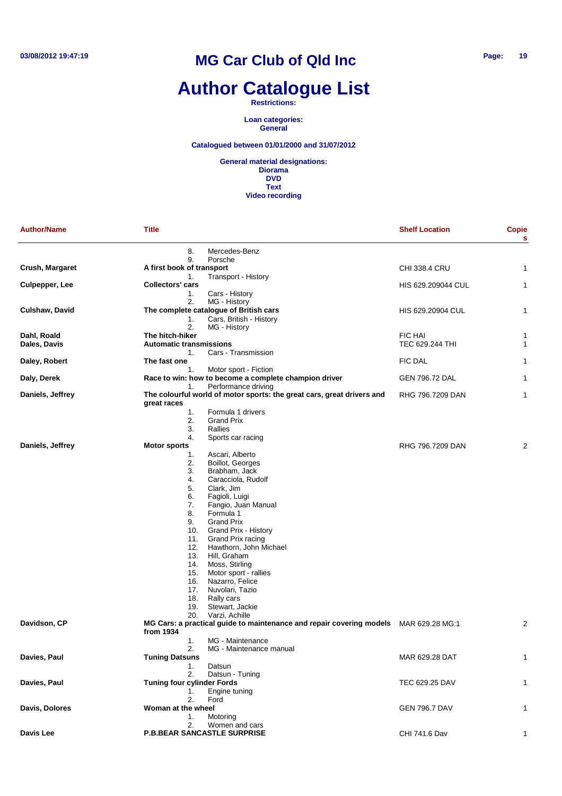# **Author Catalogue List**

**Restrictions:**

**Loan categories: General**

**Catalogued between 01/01/2000 and 31/07/2012**

| <b>Author/Name</b> | <b>Title</b>                                                                          | <b>Shelf Location</b>                                                                | Copie<br>s     |
|--------------------|---------------------------------------------------------------------------------------|--------------------------------------------------------------------------------------|----------------|
|                    | 8.<br>Mercedes-Benz<br>9.<br>Porsche                                                  |                                                                                      |                |
| Crush, Margaret    | A first book of transport                                                             | <b>CHI 338.4 CRU</b>                                                                 | 1              |
|                    | 1.<br>Transport - History                                                             |                                                                                      |                |
| Culpepper, Lee     | <b>Collectors' cars</b>                                                               | HIS 629.209044 CUL                                                                   | $\mathbf{1}$   |
|                    | 1.<br>Cars - History<br>2.<br>MG - History                                            |                                                                                      |                |
| Culshaw, David     | The complete catalogue of British cars                                                | HIS 629.20904 CUL                                                                    | 1              |
|                    | Cars, British - History<br>1.                                                         |                                                                                      |                |
|                    | 2.<br>MG - History                                                                    |                                                                                      |                |
| Dahl, Roald        | The hitch-hiker                                                                       | <b>FIC HAI</b>                                                                       | 1              |
| Dales, Davis       | <b>Automatic transmissions</b>                                                        | TEC 629.244 THI                                                                      | $\mathbf{1}$   |
|                    | Cars - Transmission<br>1.<br>The fast one                                             |                                                                                      |                |
| Daley, Robert      | Motor sport - Fiction<br>1.                                                           | <b>FIC DAL</b>                                                                       | 1              |
| Daly, Derek        | Race to win: how to become a complete champion driver                                 | GEN 796.72 DAL                                                                       | 1              |
|                    | Performance driving<br>1.                                                             |                                                                                      |                |
| Daniels, Jeffrey   | The colourful world of motor sports: the great cars, great drivers and<br>great races | RHG 796.7209 DAN                                                                     | 1              |
|                    | Formula 1 drivers<br>1.                                                               |                                                                                      |                |
|                    | 2.<br><b>Grand Prix</b>                                                               |                                                                                      |                |
|                    | 3.<br>Rallies                                                                         |                                                                                      |                |
|                    | 4.<br>Sports car racing                                                               | RHG 796.7209 DAN                                                                     | 2              |
| Daniels, Jeffrey   | <b>Motor sports</b><br>Ascari, Alberto<br>1.                                          |                                                                                      |                |
|                    | 2.<br>Boillot, Georges                                                                |                                                                                      |                |
|                    | 3.<br>Brabham, Jack                                                                   |                                                                                      |                |
|                    | 4.<br>Caracciola, Rudolf                                                              |                                                                                      |                |
|                    | 5.<br>Clark, Jim                                                                      |                                                                                      |                |
|                    | 6.<br>Fagioli, Luigi                                                                  |                                                                                      |                |
|                    | Fangio, Juan Manual<br>7.                                                             |                                                                                      |                |
|                    | 8.<br>Formula 1<br><b>Grand Prix</b><br>9.                                            |                                                                                      |                |
|                    | 10.<br>Grand Prix - History                                                           |                                                                                      |                |
|                    | 11.<br>Grand Prix racing                                                              |                                                                                      |                |
|                    | 12.<br>Hawthorn, John Michael                                                         |                                                                                      |                |
|                    | Hill, Graham<br>13.                                                                   |                                                                                      |                |
|                    | Moss, Stirling<br>14.                                                                 |                                                                                      |                |
|                    | Motor sport - rallies<br>15.<br>Nazarro, Felice<br>16.                                |                                                                                      |                |
|                    | Nuvolari, Tazio<br>17.                                                                |                                                                                      |                |
|                    | 18.<br>Rally cars                                                                     |                                                                                      |                |
|                    | Stewart, Jackie<br>19.                                                                |                                                                                      |                |
|                    | Varzi, Achille<br>20.                                                                 |                                                                                      |                |
| Davidson, CP       | from 1934                                                                             | MG Cars: a practical guide to maintenance and repair covering models MAR 629.28 MG:1 | $\overline{2}$ |
|                    | 1.<br>MG - Maintenance                                                                |                                                                                      |                |
|                    | 2.<br>MG - Maintenance manual                                                         |                                                                                      |                |
| Davies, Paul       | <b>Tuning Datsuns</b><br>1.<br>Datsun                                                 | MAR 629.28 DAT                                                                       | $\mathbf{1}$   |
|                    | 2.<br>Datsun - Tuning                                                                 |                                                                                      |                |
| Davies, Paul       | <b>Tuning four cylinder Fords</b>                                                     | TEC 629.25 DAV                                                                       | $\mathbf{1}$   |
|                    | 1.<br>Engine tuning                                                                   |                                                                                      |                |
|                    | 2.<br>Ford                                                                            |                                                                                      |                |
| Davis, Dolores     | Woman at the wheel                                                                    | GEN 796.7 DAV                                                                        | 1              |
|                    | 1.<br>Motoring<br>2.<br>Women and cars                                                |                                                                                      |                |
| Davis Lee          | <b>P.B.BEAR SANCASTLE SURPRISE</b>                                                    | CHI 741.6 Dav                                                                        | 1              |
|                    |                                                                                       |                                                                                      |                |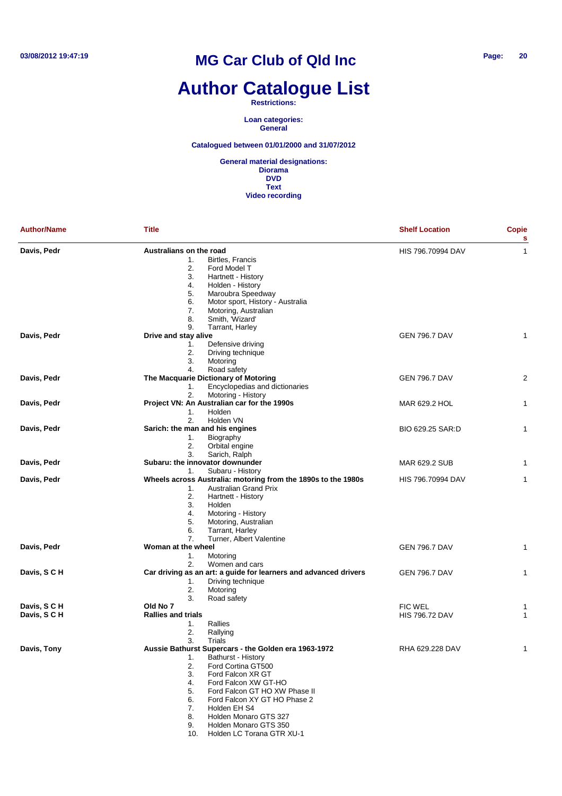# **Author Catalogue List**

**Restrictions:**

**Loan categories: General**

#### **Catalogued between 01/01/2000 and 31/07/2012**

| <b>Author/Name</b>           | <b>Title</b>                                                                                                                                                                                                                                                                                                                                                                         | <b>Shelf Location</b>                   | <b>Copie</b><br>s |
|------------------------------|--------------------------------------------------------------------------------------------------------------------------------------------------------------------------------------------------------------------------------------------------------------------------------------------------------------------------------------------------------------------------------------|-----------------------------------------|-------------------|
| Davis, Pedr                  | Australians on the road<br>1.<br><b>Birtles, Francis</b><br>2.<br>Ford Model T<br>3.<br>Hartnett - History<br>4.<br>Holden - History<br>5.<br>Maroubra Speedway<br>Motor sport, History - Australia<br>6.<br>7.<br>Motoring, Australian<br>8.<br>Smith, 'Wizard'                                                                                                                     | HIS 796.70994 DAV                       | 1                 |
| Davis, Pedr                  | 9.<br>Tarrant, Harley<br>Drive and stay alive<br>Defensive driving<br>1.<br>2.<br>Driving technique<br>3.<br>Motoring<br>Road safety<br>4.                                                                                                                                                                                                                                           | <b>GEN 796.7 DAV</b>                    | 1                 |
| Davis, Pedr                  | The Macquarie Dictionary of Motoring<br>Encyclopedias and dictionaries<br>1.<br>2.<br>Motoring - History                                                                                                                                                                                                                                                                             | <b>GEN 796.7 DAV</b>                    | 2                 |
| Davis, Pedr                  | Project VN: An Australian car for the 1990s<br>Holden<br>1.<br>2.<br>Holden VN                                                                                                                                                                                                                                                                                                       | MAR 629.2 HOL                           | 1                 |
| Davis, Pedr                  | Sarich: the man and his engines<br>Biography<br>1.<br>2.<br>Orbital engine<br>3.<br>Sarich, Ralph                                                                                                                                                                                                                                                                                    | BIO 629.25 SAR:D                        | 1                 |
| Davis, Pedr                  | Subaru: the innovator downunder                                                                                                                                                                                                                                                                                                                                                      | MAR 629.2 SUB                           | 1                 |
| Davis, Pedr                  | Subaru - History<br>1.<br>Wheels across Australia: motoring from the 1890s to the 1980s<br><b>Australian Grand Prix</b><br>1.<br>2.<br>Hartnett - History<br>3.<br>Holden<br>4.<br>Motoring - History<br>Motoring, Australian<br>5.<br>6.<br>Tarrant, Harley<br>Turner, Albert Valentine<br>7.                                                                                       | HIS 796.70994 DAV                       | 1                 |
| Davis, Pedr                  | Woman at the wheel<br>Motoring<br>1.<br>2.<br>Women and cars                                                                                                                                                                                                                                                                                                                         | <b>GEN 796.7 DAV</b>                    | 1                 |
| Davis, S C H                 | Car driving as an art: a guide for learners and advanced drivers<br>Driving technique<br>1.<br>2.<br>Motoring<br>3.<br>Road safety                                                                                                                                                                                                                                                   | <b>GEN 796.7 DAV</b>                    | 1                 |
| Davis, S C H<br>Davis, S C H | Old No 7<br><b>Rallies and trials</b><br>Rallies<br>1.<br>2.<br>Rallying<br>3.                                                                                                                                                                                                                                                                                                       | <b>FIC WEL</b><br><b>HIS 796.72 DAV</b> | 1<br>1            |
| Davis, Tony                  | Trials<br>Aussie Bathurst Supercars - the Golden era 1963-1972<br>Bathurst - History<br>1.<br>Ford Cortina GT500<br>2.<br>Ford Falcon XR GT<br>3.<br>Ford Falcon XW GT-HO<br>4.<br>Ford Falcon GT HO XW Phase II<br>5.<br>Ford Falcon XY GT HO Phase 2<br>6.<br>Holden EH S4<br>7.<br>8.<br>Holden Monaro GTS 327<br>Holden Monaro GTS 350<br>9.<br>Holden LC Torana GTR XU-1<br>10. | RHA 629.228 DAV                         | 1                 |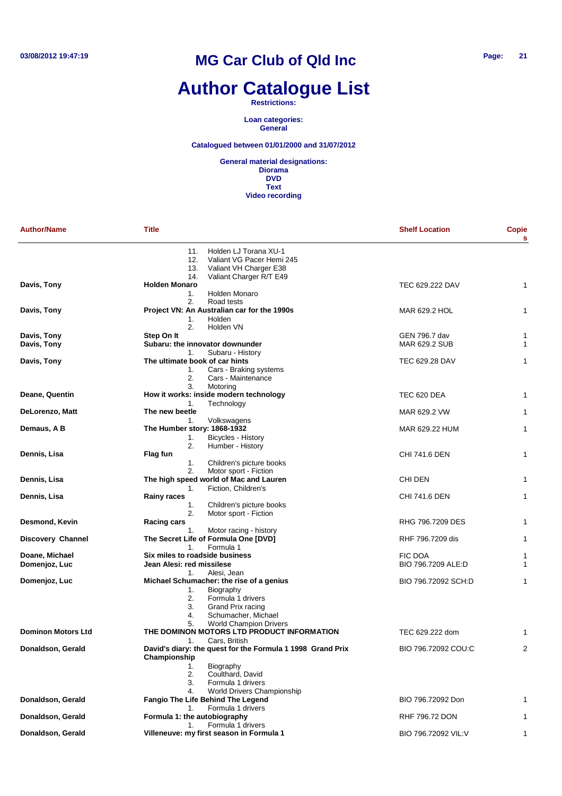# **Author Catalogue List**

#### **Restrictions:**

**Loan categories: General**

#### **Catalogued between 01/01/2000 and 31/07/2012**

| <b>Author/Name</b>        | <b>Title</b>                                                                                      | <b>Shelf Location</b> | <b>Copie</b><br>s |
|---------------------------|---------------------------------------------------------------------------------------------------|-----------------------|-------------------|
|                           | 11.<br>Holden LJ Torana XU-1<br>12.<br>Valiant VG Pacer Hemi 245<br>Valiant VH Charger E38<br>13. |                       |                   |
|                           | Valiant Charger R/T E49<br>14.                                                                    |                       |                   |
| Davis, Tony               | <b>Holden Monaro</b>                                                                              | TEC 629.222 DAV       | 1                 |
|                           | Holden Monaro<br>1.                                                                               |                       |                   |
|                           | 2.<br>Road tests                                                                                  |                       |                   |
| Davis, Tony               | Project VN: An Australian car for the 1990s<br>Holden<br>1.                                       | MAR 629.2 HOL         | $\mathbf{1}$      |
|                           | 2.<br>Holden VN                                                                                   |                       |                   |
| Davis, Tony               | Step On It                                                                                        | GEN 796.7 dav         | 1                 |
| Davis, Tony               | Subaru: the innovator downunder                                                                   | MAR 629.2 SUB         | $\mathbf{1}$      |
|                           | 1.<br>Subaru - History                                                                            |                       |                   |
| Davis, Tony               | The ultimate book of car hints                                                                    | TEC 629.28 DAV        | 1                 |
|                           | Cars - Braking systems<br>1.<br>2.<br>Cars - Maintenance                                          |                       |                   |
|                           | 3.<br>Motoring                                                                                    |                       |                   |
| Deane, Quentin            | How it works: inside modern technology<br>1.<br>Technology                                        | TEC 620 DEA           | 1                 |
| DeLorenzo, Matt           | The new beetle                                                                                    | MAR 629.2 VW          | 1                 |
|                           | 1.<br>Volkswagens                                                                                 |                       |                   |
| Demaus, A B               | The Humber story: 1868-1932                                                                       | MAR 629.22 HUM        | $\mathbf{1}$      |
|                           | Bicycles - History<br>1.                                                                          |                       |                   |
|                           | 2.<br>Humber - History                                                                            |                       |                   |
| Dennis, Lisa              | Flag fun                                                                                          | CHI 741.6 DEN         | 1                 |
|                           | 1.<br>Children's picture books<br>Motor sport - Fiction<br>2.                                     |                       |                   |
| Dennis, Lisa              | The high speed world of Mac and Lauren                                                            | CHI DEN               | 1                 |
|                           | Fiction, Children's<br>1.                                                                         |                       |                   |
| Dennis, Lisa              | <b>Rainy races</b>                                                                                | CHI 741.6 DEN         | 1                 |
|                           | Children's picture books<br>1.                                                                    |                       |                   |
|                           | 2.<br>Motor sport - Fiction                                                                       |                       |                   |
| Desmond, Kevin            | Racing cars                                                                                       | RHG 796.7209 DES      | 1                 |
| <b>Discovery Channel</b>  | Motor racing - history<br>1.<br>The Secret Life of Formula One [DVD]                              |                       | $\mathbf{1}$      |
|                           | $\mathbf{1}$ .<br>Formula 1                                                                       | RHF 796.7209 dis      |                   |
| Doane, Michael            | Six miles to roadside business                                                                    | <b>FIC DOA</b>        | 1                 |
| Domenjoz, Luc             | Jean Alesi: red missilese                                                                         | BIO 796.7209 ALE:D    | 1                 |
|                           | 1.<br>Alesi, Jean                                                                                 |                       |                   |
| Domenjoz, Luc             | Michael Schumacher: the rise of a genius                                                          | BIO 796.72092 SCH:D   | 1                 |
|                           | 1.<br>Biography                                                                                   |                       |                   |
|                           | 2.<br>Formula 1 drivers                                                                           |                       |                   |
|                           | 3.<br>Grand Prix racing<br>4.<br>Schumacher, Michael                                              |                       |                   |
|                           | <b>World Champion Drivers</b><br>5.                                                               |                       |                   |
| <b>Dominon Motors Ltd</b> | THE DOMINON MOTORS LTD PRODUCT INFORMATION                                                        | TEC 629.222 dom       | 1                 |
|                           | Cars, British<br>1.                                                                               |                       |                   |
| Donaldson, Gerald         | David's diary: the quest for the Formula 1 1998 Grand Prix<br>Championship                        | BIO 796.72092 COU:C   | $\overline{c}$    |
|                           | Biography<br>1.                                                                                   |                       |                   |
|                           | 2.<br>Coulthard, David                                                                            |                       |                   |
|                           | 3.<br>Formula 1 drivers                                                                           |                       |                   |
| Donaldson, Gerald         | World Drivers Championship<br>4.<br>Fangio The Life Behind The Legend                             | BIO 796.72092 Don     | 1                 |
|                           | Formula 1 drivers<br>1.                                                                           |                       |                   |
| Donaldson, Gerald         | Formula 1: the autobiography                                                                      | RHF 796.72 DON        | $\mathbf{1}$      |
|                           | Formula 1 drivers<br>1.                                                                           |                       |                   |
| Donaldson, Gerald         | Villeneuve: my first season in Formula 1                                                          | BIO 796.72092 VIL:V   | $\mathbf{1}$      |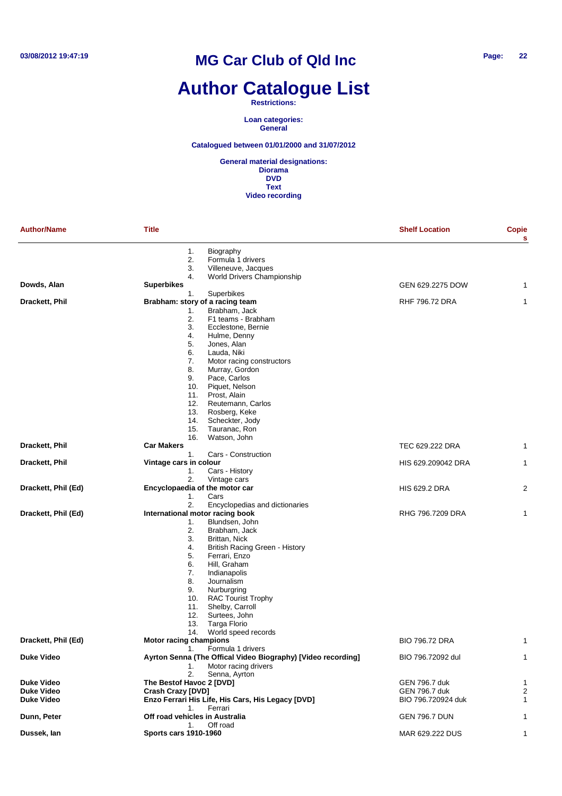# **Author Catalogue List**

#### **Restrictions:**

**Loan categories: General**

#### **Catalogued between 01/01/2000 and 31/07/2012**

| <b>Author/Name</b>  | <b>Title</b>                                                                                                                                                                                                                                                                                                                                                                                                                           | <b>Shelf Location</b> | Copie<br>s     |
|---------------------|----------------------------------------------------------------------------------------------------------------------------------------------------------------------------------------------------------------------------------------------------------------------------------------------------------------------------------------------------------------------------------------------------------------------------------------|-----------------------|----------------|
|                     | 1.<br>Biography<br>2.<br>Formula 1 drivers<br>3.<br>Villeneuve, Jacques                                                                                                                                                                                                                                                                                                                                                                |                       |                |
|                     | 4.<br><b>World Drivers Championship</b>                                                                                                                                                                                                                                                                                                                                                                                                |                       |                |
| Dowds, Alan         | <b>Superbikes</b>                                                                                                                                                                                                                                                                                                                                                                                                                      | GEN 629.2275 DOW      | 1              |
|                     | Superbikes<br>1.                                                                                                                                                                                                                                                                                                                                                                                                                       |                       |                |
| Drackett, Phil      | Brabham: story of a racing team<br>Brabham, Jack<br>1.<br>2.<br>F1 teams - Brabham<br>3.<br>Ecclestone, Bernie<br>Hulme, Denny<br>4.<br>5.<br>Jones, Alan<br>6.<br>Lauda, Niki<br>7.<br>Motor racing constructors<br>8.<br>Murray, Gordon<br>9.<br>Pace, Carlos<br>10.<br>Piquet, Nelson<br>11.<br>Prost, Alain<br>12.<br>Reutemann, Carlos                                                                                            | <b>RHF 796.72 DRA</b> | 1              |
|                     | 13.<br>Rosberg, Keke<br>14.<br>Scheckter, Jody<br>15.<br>Tauranac, Ron<br>16.<br>Watson, John                                                                                                                                                                                                                                                                                                                                          |                       |                |
| Drackett, Phil      | <b>Car Makers</b><br>Cars - Construction<br>1.                                                                                                                                                                                                                                                                                                                                                                                         | TEC 629.222 DRA       | 1              |
| Drackett, Phil      | Vintage cars in colour<br>Cars - History<br>1.<br>2.<br>Vintage cars                                                                                                                                                                                                                                                                                                                                                                   | HIS 629.209042 DRA    | 1              |
| Drackett, Phil (Ed) | Encyclopaedia of the motor car<br>Cars<br>1.<br>2.                                                                                                                                                                                                                                                                                                                                                                                     | <b>HIS 629.2 DRA</b>  | 2              |
| Drackett, Phil (Ed) | Encyclopedias and dictionaries<br>International motor racing book<br>Blundsen, John<br>1.<br>2.<br>Brabham, Jack<br>3.<br>Brittan, Nick<br>4.<br>British Racing Green - History<br>5.<br>Ferrari, Enzo<br>Hill, Graham<br>6.<br>7.<br>Indianapolis<br>8.<br>Journalism<br>9.<br>Nurburgring<br><b>RAC Tourist Trophy</b><br>10.<br>Shelby, Carroll<br>11.<br>12.<br>Surtees, John<br>Targa Florio<br>13.<br>World speed records<br>14. | RHG 796.7209 DRA      | 1              |
| Drackett, Phil (Ed) | <b>Motor racing champions</b><br>1.<br>Formula 1 drivers                                                                                                                                                                                                                                                                                                                                                                               | <b>BIO 796.72 DRA</b> | 1              |
| <b>Duke Video</b>   | Ayrton Senna (The Offical Video Biography) [Video recording]<br>Motor racing drivers<br>1.<br>2.<br>Senna, Ayrton                                                                                                                                                                                                                                                                                                                      | BIO 796.72092 dul     | $\mathbf{1}$   |
| <b>Duke Video</b>   | The Bestof Havoc 2 [DVD]                                                                                                                                                                                                                                                                                                                                                                                                               | GEN 796.7 duk         | 1              |
| <b>Duke Video</b>   | <b>Crash Crazy [DVD]</b>                                                                                                                                                                                                                                                                                                                                                                                                               | GEN 796.7 duk         | $\overline{c}$ |
| <b>Duke Video</b>   | Enzo Ferrari His Life, His Cars, His Legacy [DVD]<br>Ferrari<br>1.                                                                                                                                                                                                                                                                                                                                                                     | BIO 796.720924 duk    | 1              |
| Dunn, Peter         | Off road vehicles in Australia<br>1.<br>Off road                                                                                                                                                                                                                                                                                                                                                                                       | <b>GEN 796.7 DUN</b>  | 1              |
| Dussek, lan         | <b>Sports cars 1910-1960</b>                                                                                                                                                                                                                                                                                                                                                                                                           | MAR 629.222 DUS       | 1              |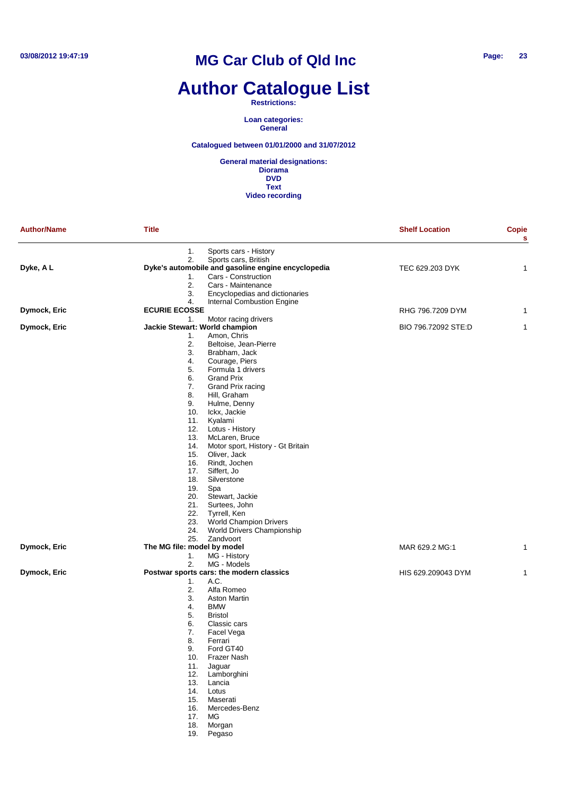# **Author Catalogue List**

**Restrictions:**

**Loan categories: General**

**Catalogued between 01/01/2000 and 31/07/2012**

| <b>Author/Name</b> | <b>Title</b>                   |                                                                           | <b>Shelf Location</b> | <b>Copie</b><br>s |
|--------------------|--------------------------------|---------------------------------------------------------------------------|-----------------------|-------------------|
|                    | 1.                             | Sports cars - History                                                     |                       |                   |
|                    | 2.                             | Sports cars, British                                                      |                       |                   |
| Dyke, AL           |                                | Dyke's automobile and gasoline engine encyclopedia<br>Cars - Construction | TEC 629.203 DYK       | 1                 |
|                    | 1.<br>2.                       | Cars - Maintenance                                                        |                       |                   |
|                    | 3.                             | Encyclopedias and dictionaries                                            |                       |                   |
|                    | 4.                             | Internal Combustion Engine                                                |                       |                   |
| Dymock, Eric       | <b>ECURIE ECOSSE</b>           |                                                                           | RHG 796.7209 DYM      | 1                 |
|                    | 1.                             | Motor racing drivers                                                      |                       |                   |
| Dymock, Eric       | Jackie Stewart: World champion |                                                                           | BIO 796.72092 STE:D   | 1                 |
|                    | 1.                             | Amon, Chris                                                               |                       |                   |
|                    | 2.                             | Beltoise, Jean-Pierre                                                     |                       |                   |
|                    | 3.                             | Brabham, Jack                                                             |                       |                   |
|                    | 4.                             | Courage, Piers                                                            |                       |                   |
|                    | 5.                             | Formula 1 drivers                                                         |                       |                   |
|                    | 6.                             | <b>Grand Prix</b>                                                         |                       |                   |
|                    | 7.                             | Grand Prix racing                                                         |                       |                   |
|                    | 8.                             | Hill, Graham                                                              |                       |                   |
|                    | 9.                             | Hulme, Denny                                                              |                       |                   |
|                    | 10.                            | Ickx, Jackie                                                              |                       |                   |
|                    | 11.                            | Kyalami                                                                   |                       |                   |
|                    | 12.                            | Lotus - History                                                           |                       |                   |
|                    | 13.                            | McLaren, Bruce                                                            |                       |                   |
|                    | 14.                            | Motor sport, History - Gt Britain                                         |                       |                   |
|                    | 15.                            | Oliver, Jack                                                              |                       |                   |
|                    | 16.                            | Rindt, Jochen                                                             |                       |                   |
|                    | 17.                            | Siffert, Jo                                                               |                       |                   |
|                    | 18.                            | Silverstone                                                               |                       |                   |
|                    | 19.                            | Spa                                                                       |                       |                   |
|                    | 20.                            | Stewart, Jackie                                                           |                       |                   |
|                    | 21.<br>22.                     | Surtees, John<br>Tyrrell, Ken                                             |                       |                   |
|                    | 23.                            | World Champion Drivers                                                    |                       |                   |
|                    | 24.                            | World Drivers Championship                                                |                       |                   |
|                    | 25.                            | Zandvoort                                                                 |                       |                   |
| Dymock, Eric       | The MG file: model by model    |                                                                           | MAR 629.2 MG:1        | 1                 |
|                    | 1.                             | MG - History                                                              |                       |                   |
|                    | 2.                             | MG - Models                                                               |                       |                   |
| Dymock, Eric       |                                | Postwar sports cars: the modern classics                                  | HIS 629.209043 DYM    | 1                 |
|                    | 1.                             | A.C.                                                                      |                       |                   |
|                    | 2.                             | Alfa Romeo                                                                |                       |                   |
|                    | 3.                             | Aston Martin                                                              |                       |                   |
|                    | 4.                             | <b>BMW</b>                                                                |                       |                   |
|                    | 5.                             | <b>Bristol</b>                                                            |                       |                   |
|                    | 6.                             | Classic cars                                                              |                       |                   |
|                    | 7.                             | Facel Vega                                                                |                       |                   |
|                    | 8.                             | Ferrari                                                                   |                       |                   |
|                    | 9.                             | Ford GT40                                                                 |                       |                   |
|                    | 10.                            | Frazer Nash                                                               |                       |                   |
|                    | 11.                            | Jaguar                                                                    |                       |                   |
|                    | 12.                            | Lamborghini                                                               |                       |                   |
|                    | 13.                            | Lancia                                                                    |                       |                   |
|                    | 14.                            | Lotus                                                                     |                       |                   |
|                    | 15.                            | Maserati                                                                  |                       |                   |
|                    | 16.                            | Mercedes-Benz                                                             |                       |                   |
|                    | 17.                            | MG                                                                        |                       |                   |
|                    | 18.                            | Morgan                                                                    |                       |                   |
|                    | 19.                            | Pegaso                                                                    |                       |                   |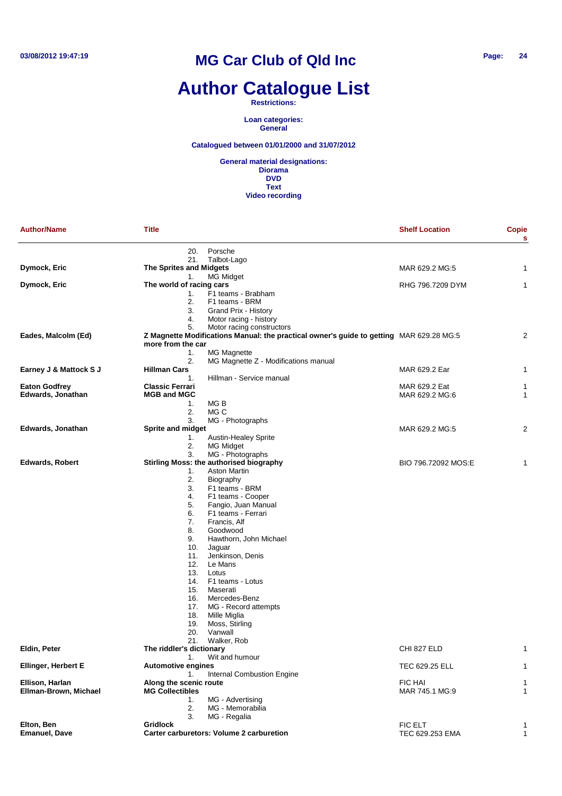# **Author Catalogue List**

**Restrictions:**

**Loan categories: General**

**Catalogued between 01/01/2000 and 31/07/2012**

| <b>Author/Name</b>         | <b>Title</b>                    |                                                                                         | <b>Shelf Location</b> | Copie<br>s     |
|----------------------------|---------------------------------|-----------------------------------------------------------------------------------------|-----------------------|----------------|
|                            | 20.                             | Porsche                                                                                 |                       |                |
|                            | 21.                             | Talbot-Lago                                                                             |                       |                |
| Dymock, Eric               | <b>The Sprites and Midgets</b>  |                                                                                         | MAR 629.2 MG:5        | 1              |
|                            | 1.                              | MG Midget                                                                               |                       |                |
| Dymock, Eric               | The world of racing cars        |                                                                                         | RHG 796.7209 DYM      | 1              |
|                            | 1.                              | F1 teams - Brabham                                                                      |                       |                |
|                            | 2.<br>3.                        | F1 teams - BRM                                                                          |                       |                |
|                            | 4.                              | Grand Prix - History<br>Motor racing - history                                          |                       |                |
|                            | 5.                              | Motor racing constructors                                                               |                       |                |
| Eades, Malcolm (Ed)        |                                 | Z Magnette Modifications Manual: the practical owner's guide to getting MAR 629.28 MG:5 |                       | $\overline{2}$ |
|                            | more from the car               |                                                                                         |                       |                |
|                            | 1.                              | <b>MG Magnette</b>                                                                      |                       |                |
|                            | 2.                              | MG Magnette Z - Modifications manual                                                    |                       |                |
| Earney J & Mattock S J     | <b>Hillman Cars</b>             |                                                                                         | MAR 629.2 Ear         | 1              |
|                            | 1.                              | Hillman - Service manual                                                                |                       |                |
| <b>Eaton Godfrey</b>       | <b>Classic Ferrari</b>          |                                                                                         | MAR 629.2 Eat         | 1              |
| Edwards, Jonathan          | <b>MGB and MGC</b>              |                                                                                         | MAR 629.2 MG:6        | 1              |
|                            | 1.                              | MG B                                                                                    |                       |                |
|                            | 2.<br>3.                        | MG C<br>MG - Photographs                                                                |                       |                |
| Edwards, Jonathan          | <b>Sprite and midget</b>        |                                                                                         | MAR 629.2 MG:5        | 2              |
|                            | 1.                              | Austin-Healey Sprite                                                                    |                       |                |
|                            | 2.                              | <b>MG Midget</b>                                                                        |                       |                |
|                            | 3.                              | MG - Photographs                                                                        |                       |                |
| <b>Edwards, Robert</b>     |                                 | Stirling Moss: the authorised biography                                                 | BIO 796.72092 MOS:E   | 1              |
|                            | 1.                              | <b>Aston Martin</b>                                                                     |                       |                |
|                            | 2.                              | Biography                                                                               |                       |                |
|                            | 3.                              | F1 teams - BRM                                                                          |                       |                |
|                            | 4.                              | F1 teams - Cooper                                                                       |                       |                |
|                            | 5.                              | Fangio, Juan Manual                                                                     |                       |                |
|                            | 6.                              | F1 teams - Ferrari                                                                      |                       |                |
|                            | 7.<br>8.                        | Francis, Alf<br>Goodwood                                                                |                       |                |
|                            | 9.                              | Hawthorn, John Michael                                                                  |                       |                |
|                            | 10.                             | Jaguar                                                                                  |                       |                |
|                            | 11.                             | Jenkinson, Denis                                                                        |                       |                |
|                            | 12.                             | Le Mans                                                                                 |                       |                |
|                            | 13.                             | Lotus                                                                                   |                       |                |
|                            | 14.                             | F1 teams - Lotus                                                                        |                       |                |
|                            | 15.                             | Maserati                                                                                |                       |                |
|                            | 16.                             | Mercedes-Benz                                                                           |                       |                |
|                            | 17.                             | MG - Record attempts                                                                    |                       |                |
|                            | 18.                             | Mille Miglia                                                                            |                       |                |
|                            | 19.                             | Moss, Stirling                                                                          |                       |                |
|                            | 20.                             | Vanwall                                                                                 |                       |                |
| Eldin, Peter               | 21.<br>The riddler's dictionary | Walker, Rob                                                                             | CHI 827 ELD           | 1              |
|                            | 1.                              | Wit and humour                                                                          |                       |                |
| <b>Ellinger, Herbert E</b> | <b>Automotive engines</b>       |                                                                                         | TEC 629.25 ELL        | 1              |
|                            | 1.                              | <b>Internal Combustion Engine</b>                                                       |                       |                |
| Ellison, Harlan            | Along the scenic route          |                                                                                         | <b>FIC HAI</b>        | 1              |
| Ellman-Brown, Michael      | <b>MG Collectibles</b>          |                                                                                         | MAR 745.1 MG:9        | 1              |
|                            | 1.                              | MG - Advertising                                                                        |                       |                |
|                            | 2.                              | MG - Memorabilia                                                                        |                       |                |
|                            | 3.                              | MG - Regalia                                                                            |                       |                |
| Elton, Ben                 | <b>Gridlock</b>                 |                                                                                         | FIC ELT               | 1              |
| <b>Emanuel, Dave</b>       |                                 | Carter carburetors: Volume 2 carburetion                                                | TEC 629.253 EMA       | $\mathbf{1}$   |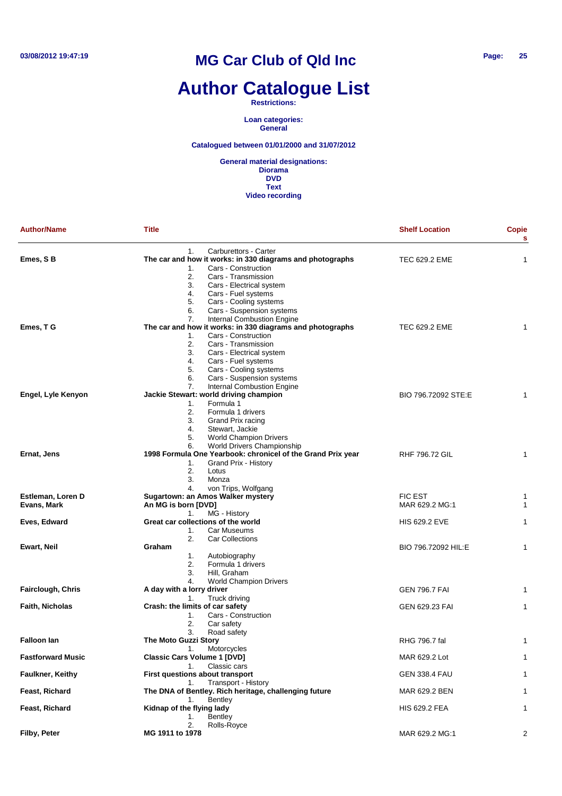# **Author Catalogue List**

**Restrictions:**

**Loan categories: General**

**Catalogued between 01/01/2000 and 31/07/2012**

| <b>Author/Name</b>       | Title                                                                                    | <b>Shelf Location</b> | Copie<br>s |
|--------------------------|------------------------------------------------------------------------------------------|-----------------------|------------|
| Emes, S B                | Carburettors - Carter<br>1.<br>The car and how it works: in 330 diagrams and photographs | <b>TEC 629.2 EME</b>  | 1          |
|                          | Cars - Construction<br>1.                                                                |                       |            |
|                          | 2.<br>Cars - Transmission                                                                |                       |            |
|                          | 3.<br>Cars - Electrical system                                                           |                       |            |
|                          | 4.<br>Cars - Fuel systems                                                                |                       |            |
|                          | 5.<br>Cars - Cooling systems<br>Cars - Suspension systems<br>6.                          |                       |            |
|                          | Internal Combustion Engine<br>7.                                                         |                       |            |
| Emes, T G                | The car and how it works: in 330 diagrams and photographs                                | <b>TEC 629.2 EME</b>  |            |
|                          | Cars - Construction<br>1.                                                                |                       |            |
|                          | 2.<br>Cars - Transmission                                                                |                       |            |
|                          | 3.<br>Cars - Electrical system                                                           |                       |            |
|                          | 4.<br>Cars - Fuel systems                                                                |                       |            |
|                          | Cars - Cooling systems<br>5.                                                             |                       |            |
|                          | 6.<br>Cars - Suspension systems                                                          |                       |            |
|                          | <b>Internal Combustion Engine</b><br>7.                                                  |                       |            |
| Engel, Lyle Kenyon       | Jackie Stewart: world driving champion                                                   | BIO 796.72092 STE:E   |            |
|                          | Formula 1<br>1.                                                                          |                       |            |
|                          | 2.<br>Formula 1 drivers                                                                  |                       |            |
|                          | 3.<br>Grand Prix racing                                                                  |                       |            |
|                          | 4.<br>Stewart, Jackie                                                                    |                       |            |
|                          | <b>World Champion Drivers</b><br>5.                                                      |                       |            |
|                          | World Drivers Championship<br>6.                                                         |                       |            |
| Ernat, Jens              | 1998 Formula One Yearbook: chronicel of the Grand Prix year                              | <b>RHF 796.72 GIL</b> | 1          |
|                          | Grand Prix - History<br>1.                                                               |                       |            |
|                          | 2.<br>Lotus                                                                              |                       |            |
|                          | 3.<br>Monza                                                                              |                       |            |
|                          | von Trips, Wolfgang<br>4.                                                                |                       |            |
| Estleman, Loren D        | Sugartown: an Amos Walker mystery<br>An MG is born [DVD]                                 | <b>FIC EST</b>        | 1          |
| Evans, Mark              |                                                                                          | MAR 629.2 MG:1        | 1          |
| Eves, Edward             | MG - History<br>1.<br>Great car collections of the world                                 | <b>HIS 629.2 EVE</b>  | 1          |
|                          | 1.<br>Car Museums                                                                        |                       |            |
|                          | 2.<br><b>Car Collections</b>                                                             |                       |            |
| Ewart, Neil              | Graham                                                                                   | BIO 796.72092 HIL:E   | 1          |
|                          | 1.<br>Autobiography                                                                      |                       |            |
|                          | 2.<br>Formula 1 drivers                                                                  |                       |            |
|                          | 3.<br>Hill, Graham                                                                       |                       |            |
|                          | 4.<br><b>World Champion Drivers</b>                                                      |                       |            |
| Fairclough, Chris        | A day with a lorry driver                                                                | <b>GEN 796.7 FAI</b>  | 1          |
|                          | Truck driving<br>1.                                                                      |                       |            |
| <b>Faith, Nicholas</b>   | Crash: the limits of car safety                                                          | GEN 629.23 FAI        | 1          |
|                          | Cars - Construction<br>1.                                                                |                       |            |
|                          | 2.<br>Car safety                                                                         |                       |            |
|                          | 3.<br>Road safety                                                                        |                       |            |
| <b>Falloon lan</b>       | The Moto Guzzi Story                                                                     | RHG 796.7 fal         | 1          |
|                          | 1.<br>Motorcycles                                                                        |                       |            |
| <b>Fastforward Music</b> | <b>Classic Cars Volume 1 [DVD]</b>                                                       | MAR 629.2 Lot         | 1          |
|                          | Classic cars<br>1.                                                                       |                       |            |
| Faulkner, Keithy         | First questions about transport                                                          | <b>GEN 338.4 FAU</b>  | 1          |
|                          | <b>Transport - History</b><br>1.                                                         |                       |            |
| Feast, Richard           | The DNA of Bentley. Rich heritage, challenging future                                    | MAR 629.2 BEN         | 1          |
|                          | <b>Bentley</b><br>1.                                                                     |                       |            |
| Feast, Richard           | Kidnap of the flying lady                                                                | <b>HIS 629.2 FEA</b>  | 1          |
|                          | <b>Bentley</b><br>1.                                                                     |                       |            |
|                          | 2.<br>Rolls-Royce                                                                        |                       |            |
| Filby, Peter             | MG 1911 to 1978                                                                          | MAR 629.2 MG:1        | 2          |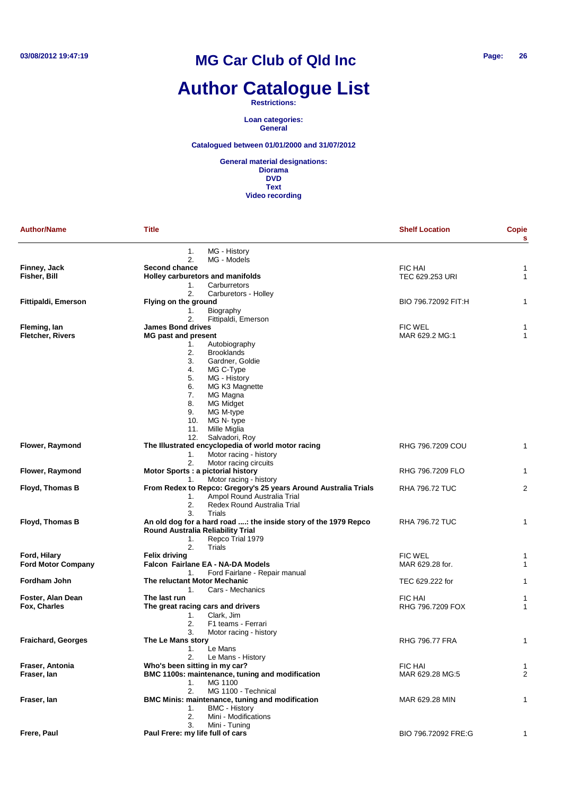# **Author Catalogue List**

**Restrictions:**

**Loan categories: General**

**Catalogued between 01/01/2000 and 31/07/2012**

| MG - History<br>1.<br>2.<br>MG - Models<br>Finney, Jack<br>Second chance<br>FIC HAI<br>1<br>Fisher, Bill<br>Holley carburetors and manifolds<br>TEC 629.253 URI<br>$\mathbf{1}$<br>1.<br>Carburretors<br>2.<br>Carburetors - Holley<br>Flying on the ground<br>BIO 796.72092 FIT:H<br>Fittipaldi, Emerson<br>1<br>Biography<br>1.<br>2.<br>Fittipaldi, Emerson<br><b>James Bond drives</b><br><b>FIC WEL</b><br>Fleming, lan<br>1<br><b>Fletcher, Rivers</b><br><b>MG past and present</b><br>MAR 629.2 MG:1<br>1<br>Autobiography<br>1.<br>2.<br><b>Brooklands</b><br>3.<br>Gardner, Goldie<br>4.<br>MG C-Type<br>5.<br>MG - History<br>MG K3 Magnette<br>6.<br>7.<br>MG Magna<br>8.<br><b>MG Midget</b><br>9.<br>MG M-type<br>MG N-type<br>10.<br>Mille Miglia<br>11.<br>Salvadori, Roy<br>12.<br>The Illustrated encyclopedia of world motor racing<br>Flower, Raymond<br>RHG 796.7209 COU<br>$\mathbf{1}$<br>Motor racing - history<br>1.<br>2.<br>Motor racing circuits<br><b>Flower, Raymond</b><br>Motor Sports : a pictorial history<br>RHG 796.7209 FLO<br>1<br>Motor racing - history<br>1.<br>From Redex to Repco: Gregory's 25 years Around Australia Trials<br>Floyd, Thomas B<br>$\overline{2}$<br><b>RHA 796.72 TUC</b><br>Ampol Round Australia Trial<br>1.<br>2.<br>Redex Round Australia Trial<br>Trials<br>3.<br>Floyd, Thomas B<br>An old dog for a hard road : the inside story of the 1979 Repco<br><b>RHA 796.72 TUC</b><br>$\mathbf{1}$<br>Round Australia Reliability Trial<br>Repco Trial 1979<br>1.<br>Trials<br>2.<br>Ford, Hilary<br><b>Felix driving</b><br><b>FIC WEL</b><br>1<br><b>Ford Motor Company</b><br>Falcon Fairlane EA - NA-DA Models<br>MAR 629.28 for.<br>$\mathbf{1}$<br>Ford Fairlane - Repair manual<br>1.<br>Fordham John<br>The reluctant Motor Mechanic<br>TEC 629.222 for<br>$\mathbf{1}$<br>Cars - Mechanics<br>1.<br><b>FIC HAI</b><br>Foster, Alan Dean<br>The last run<br>1<br>Fox, Charles<br>The great racing cars and drivers<br>RHG 796.7209 FOX<br>1<br>Clark, Jim<br>1.<br>2.<br>F1 teams - Ferrari<br>3.<br>Motor racing - history<br>The Le Mans story<br><b>Fraichard, Georges</b><br><b>RHG 796.77 FRA</b><br>1<br>1.<br>Le Mans<br>2.<br>Le Mans - History<br>Fraser, Antonia<br>Who's been sitting in my car?<br><b>FIC HAI</b><br>1<br>$\overline{2}$<br>Fraser, lan<br>BMC 1100s: maintenance, tuning and modification<br>MAR 629.28 MG:5<br>MG 1100<br>1.<br>2.<br>MG 1100 - Technical<br>Fraser, lan<br>BMC Minis: maintenance, tuning and modification<br>MAR 629.28 MIN<br>$\mathbf{1}$<br><b>BMC - History</b><br>1.<br>2.<br>Mini - Modifications<br>Mini - Tuning<br>3.<br>Frere, Paul<br>Paul Frere: my life full of cars<br>BIO 796.72092 FRE:G<br>1 | <b>Author/Name</b> | <b>Title</b> | <b>Shelf Location</b> | Copie<br>s |
|------------------------------------------------------------------------------------------------------------------------------------------------------------------------------------------------------------------------------------------------------------------------------------------------------------------------------------------------------------------------------------------------------------------------------------------------------------------------------------------------------------------------------------------------------------------------------------------------------------------------------------------------------------------------------------------------------------------------------------------------------------------------------------------------------------------------------------------------------------------------------------------------------------------------------------------------------------------------------------------------------------------------------------------------------------------------------------------------------------------------------------------------------------------------------------------------------------------------------------------------------------------------------------------------------------------------------------------------------------------------------------------------------------------------------------------------------------------------------------------------------------------------------------------------------------------------------------------------------------------------------------------------------------------------------------------------------------------------------------------------------------------------------------------------------------------------------------------------------------------------------------------------------------------------------------------------------------------------------------------------------------------------------------------------------------------------------------------------------------------------------------------------------------------------------------------------------------------------------------------------------------------------------------------------------------------------------------------------------------------------------------------------------------------------------------------------------------------------------------------------------------------------------------------------------------------------------------------------------------------------------------------------------------------------------------------------------------------------------------|--------------------|--------------|-----------------------|------------|
|                                                                                                                                                                                                                                                                                                                                                                                                                                                                                                                                                                                                                                                                                                                                                                                                                                                                                                                                                                                                                                                                                                                                                                                                                                                                                                                                                                                                                                                                                                                                                                                                                                                                                                                                                                                                                                                                                                                                                                                                                                                                                                                                                                                                                                                                                                                                                                                                                                                                                                                                                                                                                                                                                                                                    |                    |              |                       |            |
|                                                                                                                                                                                                                                                                                                                                                                                                                                                                                                                                                                                                                                                                                                                                                                                                                                                                                                                                                                                                                                                                                                                                                                                                                                                                                                                                                                                                                                                                                                                                                                                                                                                                                                                                                                                                                                                                                                                                                                                                                                                                                                                                                                                                                                                                                                                                                                                                                                                                                                                                                                                                                                                                                                                                    |                    |              |                       |            |
|                                                                                                                                                                                                                                                                                                                                                                                                                                                                                                                                                                                                                                                                                                                                                                                                                                                                                                                                                                                                                                                                                                                                                                                                                                                                                                                                                                                                                                                                                                                                                                                                                                                                                                                                                                                                                                                                                                                                                                                                                                                                                                                                                                                                                                                                                                                                                                                                                                                                                                                                                                                                                                                                                                                                    |                    |              |                       |            |
|                                                                                                                                                                                                                                                                                                                                                                                                                                                                                                                                                                                                                                                                                                                                                                                                                                                                                                                                                                                                                                                                                                                                                                                                                                                                                                                                                                                                                                                                                                                                                                                                                                                                                                                                                                                                                                                                                                                                                                                                                                                                                                                                                                                                                                                                                                                                                                                                                                                                                                                                                                                                                                                                                                                                    |                    |              |                       |            |
|                                                                                                                                                                                                                                                                                                                                                                                                                                                                                                                                                                                                                                                                                                                                                                                                                                                                                                                                                                                                                                                                                                                                                                                                                                                                                                                                                                                                                                                                                                                                                                                                                                                                                                                                                                                                                                                                                                                                                                                                                                                                                                                                                                                                                                                                                                                                                                                                                                                                                                                                                                                                                                                                                                                                    |                    |              |                       |            |
|                                                                                                                                                                                                                                                                                                                                                                                                                                                                                                                                                                                                                                                                                                                                                                                                                                                                                                                                                                                                                                                                                                                                                                                                                                                                                                                                                                                                                                                                                                                                                                                                                                                                                                                                                                                                                                                                                                                                                                                                                                                                                                                                                                                                                                                                                                                                                                                                                                                                                                                                                                                                                                                                                                                                    |                    |              |                       |            |
|                                                                                                                                                                                                                                                                                                                                                                                                                                                                                                                                                                                                                                                                                                                                                                                                                                                                                                                                                                                                                                                                                                                                                                                                                                                                                                                                                                                                                                                                                                                                                                                                                                                                                                                                                                                                                                                                                                                                                                                                                                                                                                                                                                                                                                                                                                                                                                                                                                                                                                                                                                                                                                                                                                                                    |                    |              |                       |            |
|                                                                                                                                                                                                                                                                                                                                                                                                                                                                                                                                                                                                                                                                                                                                                                                                                                                                                                                                                                                                                                                                                                                                                                                                                                                                                                                                                                                                                                                                                                                                                                                                                                                                                                                                                                                                                                                                                                                                                                                                                                                                                                                                                                                                                                                                                                                                                                                                                                                                                                                                                                                                                                                                                                                                    |                    |              |                       |            |
|                                                                                                                                                                                                                                                                                                                                                                                                                                                                                                                                                                                                                                                                                                                                                                                                                                                                                                                                                                                                                                                                                                                                                                                                                                                                                                                                                                                                                                                                                                                                                                                                                                                                                                                                                                                                                                                                                                                                                                                                                                                                                                                                                                                                                                                                                                                                                                                                                                                                                                                                                                                                                                                                                                                                    |                    |              |                       |            |
|                                                                                                                                                                                                                                                                                                                                                                                                                                                                                                                                                                                                                                                                                                                                                                                                                                                                                                                                                                                                                                                                                                                                                                                                                                                                                                                                                                                                                                                                                                                                                                                                                                                                                                                                                                                                                                                                                                                                                                                                                                                                                                                                                                                                                                                                                                                                                                                                                                                                                                                                                                                                                                                                                                                                    |                    |              |                       |            |
|                                                                                                                                                                                                                                                                                                                                                                                                                                                                                                                                                                                                                                                                                                                                                                                                                                                                                                                                                                                                                                                                                                                                                                                                                                                                                                                                                                                                                                                                                                                                                                                                                                                                                                                                                                                                                                                                                                                                                                                                                                                                                                                                                                                                                                                                                                                                                                                                                                                                                                                                                                                                                                                                                                                                    |                    |              |                       |            |
|                                                                                                                                                                                                                                                                                                                                                                                                                                                                                                                                                                                                                                                                                                                                                                                                                                                                                                                                                                                                                                                                                                                                                                                                                                                                                                                                                                                                                                                                                                                                                                                                                                                                                                                                                                                                                                                                                                                                                                                                                                                                                                                                                                                                                                                                                                                                                                                                                                                                                                                                                                                                                                                                                                                                    |                    |              |                       |            |
|                                                                                                                                                                                                                                                                                                                                                                                                                                                                                                                                                                                                                                                                                                                                                                                                                                                                                                                                                                                                                                                                                                                                                                                                                                                                                                                                                                                                                                                                                                                                                                                                                                                                                                                                                                                                                                                                                                                                                                                                                                                                                                                                                                                                                                                                                                                                                                                                                                                                                                                                                                                                                                                                                                                                    |                    |              |                       |            |
|                                                                                                                                                                                                                                                                                                                                                                                                                                                                                                                                                                                                                                                                                                                                                                                                                                                                                                                                                                                                                                                                                                                                                                                                                                                                                                                                                                                                                                                                                                                                                                                                                                                                                                                                                                                                                                                                                                                                                                                                                                                                                                                                                                                                                                                                                                                                                                                                                                                                                                                                                                                                                                                                                                                                    |                    |              |                       |            |
|                                                                                                                                                                                                                                                                                                                                                                                                                                                                                                                                                                                                                                                                                                                                                                                                                                                                                                                                                                                                                                                                                                                                                                                                                                                                                                                                                                                                                                                                                                                                                                                                                                                                                                                                                                                                                                                                                                                                                                                                                                                                                                                                                                                                                                                                                                                                                                                                                                                                                                                                                                                                                                                                                                                                    |                    |              |                       |            |
|                                                                                                                                                                                                                                                                                                                                                                                                                                                                                                                                                                                                                                                                                                                                                                                                                                                                                                                                                                                                                                                                                                                                                                                                                                                                                                                                                                                                                                                                                                                                                                                                                                                                                                                                                                                                                                                                                                                                                                                                                                                                                                                                                                                                                                                                                                                                                                                                                                                                                                                                                                                                                                                                                                                                    |                    |              |                       |            |
|                                                                                                                                                                                                                                                                                                                                                                                                                                                                                                                                                                                                                                                                                                                                                                                                                                                                                                                                                                                                                                                                                                                                                                                                                                                                                                                                                                                                                                                                                                                                                                                                                                                                                                                                                                                                                                                                                                                                                                                                                                                                                                                                                                                                                                                                                                                                                                                                                                                                                                                                                                                                                                                                                                                                    |                    |              |                       |            |
|                                                                                                                                                                                                                                                                                                                                                                                                                                                                                                                                                                                                                                                                                                                                                                                                                                                                                                                                                                                                                                                                                                                                                                                                                                                                                                                                                                                                                                                                                                                                                                                                                                                                                                                                                                                                                                                                                                                                                                                                                                                                                                                                                                                                                                                                                                                                                                                                                                                                                                                                                                                                                                                                                                                                    |                    |              |                       |            |
|                                                                                                                                                                                                                                                                                                                                                                                                                                                                                                                                                                                                                                                                                                                                                                                                                                                                                                                                                                                                                                                                                                                                                                                                                                                                                                                                                                                                                                                                                                                                                                                                                                                                                                                                                                                                                                                                                                                                                                                                                                                                                                                                                                                                                                                                                                                                                                                                                                                                                                                                                                                                                                                                                                                                    |                    |              |                       |            |
|                                                                                                                                                                                                                                                                                                                                                                                                                                                                                                                                                                                                                                                                                                                                                                                                                                                                                                                                                                                                                                                                                                                                                                                                                                                                                                                                                                                                                                                                                                                                                                                                                                                                                                                                                                                                                                                                                                                                                                                                                                                                                                                                                                                                                                                                                                                                                                                                                                                                                                                                                                                                                                                                                                                                    |                    |              |                       |            |
|                                                                                                                                                                                                                                                                                                                                                                                                                                                                                                                                                                                                                                                                                                                                                                                                                                                                                                                                                                                                                                                                                                                                                                                                                                                                                                                                                                                                                                                                                                                                                                                                                                                                                                                                                                                                                                                                                                                                                                                                                                                                                                                                                                                                                                                                                                                                                                                                                                                                                                                                                                                                                                                                                                                                    |                    |              |                       |            |
|                                                                                                                                                                                                                                                                                                                                                                                                                                                                                                                                                                                                                                                                                                                                                                                                                                                                                                                                                                                                                                                                                                                                                                                                                                                                                                                                                                                                                                                                                                                                                                                                                                                                                                                                                                                                                                                                                                                                                                                                                                                                                                                                                                                                                                                                                                                                                                                                                                                                                                                                                                                                                                                                                                                                    |                    |              |                       |            |
|                                                                                                                                                                                                                                                                                                                                                                                                                                                                                                                                                                                                                                                                                                                                                                                                                                                                                                                                                                                                                                                                                                                                                                                                                                                                                                                                                                                                                                                                                                                                                                                                                                                                                                                                                                                                                                                                                                                                                                                                                                                                                                                                                                                                                                                                                                                                                                                                                                                                                                                                                                                                                                                                                                                                    |                    |              |                       |            |
|                                                                                                                                                                                                                                                                                                                                                                                                                                                                                                                                                                                                                                                                                                                                                                                                                                                                                                                                                                                                                                                                                                                                                                                                                                                                                                                                                                                                                                                                                                                                                                                                                                                                                                                                                                                                                                                                                                                                                                                                                                                                                                                                                                                                                                                                                                                                                                                                                                                                                                                                                                                                                                                                                                                                    |                    |              |                       |            |
|                                                                                                                                                                                                                                                                                                                                                                                                                                                                                                                                                                                                                                                                                                                                                                                                                                                                                                                                                                                                                                                                                                                                                                                                                                                                                                                                                                                                                                                                                                                                                                                                                                                                                                                                                                                                                                                                                                                                                                                                                                                                                                                                                                                                                                                                                                                                                                                                                                                                                                                                                                                                                                                                                                                                    |                    |              |                       |            |
|                                                                                                                                                                                                                                                                                                                                                                                                                                                                                                                                                                                                                                                                                                                                                                                                                                                                                                                                                                                                                                                                                                                                                                                                                                                                                                                                                                                                                                                                                                                                                                                                                                                                                                                                                                                                                                                                                                                                                                                                                                                                                                                                                                                                                                                                                                                                                                                                                                                                                                                                                                                                                                                                                                                                    |                    |              |                       |            |
|                                                                                                                                                                                                                                                                                                                                                                                                                                                                                                                                                                                                                                                                                                                                                                                                                                                                                                                                                                                                                                                                                                                                                                                                                                                                                                                                                                                                                                                                                                                                                                                                                                                                                                                                                                                                                                                                                                                                                                                                                                                                                                                                                                                                                                                                                                                                                                                                                                                                                                                                                                                                                                                                                                                                    |                    |              |                       |            |
|                                                                                                                                                                                                                                                                                                                                                                                                                                                                                                                                                                                                                                                                                                                                                                                                                                                                                                                                                                                                                                                                                                                                                                                                                                                                                                                                                                                                                                                                                                                                                                                                                                                                                                                                                                                                                                                                                                                                                                                                                                                                                                                                                                                                                                                                                                                                                                                                                                                                                                                                                                                                                                                                                                                                    |                    |              |                       |            |
|                                                                                                                                                                                                                                                                                                                                                                                                                                                                                                                                                                                                                                                                                                                                                                                                                                                                                                                                                                                                                                                                                                                                                                                                                                                                                                                                                                                                                                                                                                                                                                                                                                                                                                                                                                                                                                                                                                                                                                                                                                                                                                                                                                                                                                                                                                                                                                                                                                                                                                                                                                                                                                                                                                                                    |                    |              |                       |            |
|                                                                                                                                                                                                                                                                                                                                                                                                                                                                                                                                                                                                                                                                                                                                                                                                                                                                                                                                                                                                                                                                                                                                                                                                                                                                                                                                                                                                                                                                                                                                                                                                                                                                                                                                                                                                                                                                                                                                                                                                                                                                                                                                                                                                                                                                                                                                                                                                                                                                                                                                                                                                                                                                                                                                    |                    |              |                       |            |
|                                                                                                                                                                                                                                                                                                                                                                                                                                                                                                                                                                                                                                                                                                                                                                                                                                                                                                                                                                                                                                                                                                                                                                                                                                                                                                                                                                                                                                                                                                                                                                                                                                                                                                                                                                                                                                                                                                                                                                                                                                                                                                                                                                                                                                                                                                                                                                                                                                                                                                                                                                                                                                                                                                                                    |                    |              |                       |            |
|                                                                                                                                                                                                                                                                                                                                                                                                                                                                                                                                                                                                                                                                                                                                                                                                                                                                                                                                                                                                                                                                                                                                                                                                                                                                                                                                                                                                                                                                                                                                                                                                                                                                                                                                                                                                                                                                                                                                                                                                                                                                                                                                                                                                                                                                                                                                                                                                                                                                                                                                                                                                                                                                                                                                    |                    |              |                       |            |
|                                                                                                                                                                                                                                                                                                                                                                                                                                                                                                                                                                                                                                                                                                                                                                                                                                                                                                                                                                                                                                                                                                                                                                                                                                                                                                                                                                                                                                                                                                                                                                                                                                                                                                                                                                                                                                                                                                                                                                                                                                                                                                                                                                                                                                                                                                                                                                                                                                                                                                                                                                                                                                                                                                                                    |                    |              |                       |            |
|                                                                                                                                                                                                                                                                                                                                                                                                                                                                                                                                                                                                                                                                                                                                                                                                                                                                                                                                                                                                                                                                                                                                                                                                                                                                                                                                                                                                                                                                                                                                                                                                                                                                                                                                                                                                                                                                                                                                                                                                                                                                                                                                                                                                                                                                                                                                                                                                                                                                                                                                                                                                                                                                                                                                    |                    |              |                       |            |
|                                                                                                                                                                                                                                                                                                                                                                                                                                                                                                                                                                                                                                                                                                                                                                                                                                                                                                                                                                                                                                                                                                                                                                                                                                                                                                                                                                                                                                                                                                                                                                                                                                                                                                                                                                                                                                                                                                                                                                                                                                                                                                                                                                                                                                                                                                                                                                                                                                                                                                                                                                                                                                                                                                                                    |                    |              |                       |            |
|                                                                                                                                                                                                                                                                                                                                                                                                                                                                                                                                                                                                                                                                                                                                                                                                                                                                                                                                                                                                                                                                                                                                                                                                                                                                                                                                                                                                                                                                                                                                                                                                                                                                                                                                                                                                                                                                                                                                                                                                                                                                                                                                                                                                                                                                                                                                                                                                                                                                                                                                                                                                                                                                                                                                    |                    |              |                       |            |
|                                                                                                                                                                                                                                                                                                                                                                                                                                                                                                                                                                                                                                                                                                                                                                                                                                                                                                                                                                                                                                                                                                                                                                                                                                                                                                                                                                                                                                                                                                                                                                                                                                                                                                                                                                                                                                                                                                                                                                                                                                                                                                                                                                                                                                                                                                                                                                                                                                                                                                                                                                                                                                                                                                                                    |                    |              |                       |            |
|                                                                                                                                                                                                                                                                                                                                                                                                                                                                                                                                                                                                                                                                                                                                                                                                                                                                                                                                                                                                                                                                                                                                                                                                                                                                                                                                                                                                                                                                                                                                                                                                                                                                                                                                                                                                                                                                                                                                                                                                                                                                                                                                                                                                                                                                                                                                                                                                                                                                                                                                                                                                                                                                                                                                    |                    |              |                       |            |
|                                                                                                                                                                                                                                                                                                                                                                                                                                                                                                                                                                                                                                                                                                                                                                                                                                                                                                                                                                                                                                                                                                                                                                                                                                                                                                                                                                                                                                                                                                                                                                                                                                                                                                                                                                                                                                                                                                                                                                                                                                                                                                                                                                                                                                                                                                                                                                                                                                                                                                                                                                                                                                                                                                                                    |                    |              |                       |            |
|                                                                                                                                                                                                                                                                                                                                                                                                                                                                                                                                                                                                                                                                                                                                                                                                                                                                                                                                                                                                                                                                                                                                                                                                                                                                                                                                                                                                                                                                                                                                                                                                                                                                                                                                                                                                                                                                                                                                                                                                                                                                                                                                                                                                                                                                                                                                                                                                                                                                                                                                                                                                                                                                                                                                    |                    |              |                       |            |
|                                                                                                                                                                                                                                                                                                                                                                                                                                                                                                                                                                                                                                                                                                                                                                                                                                                                                                                                                                                                                                                                                                                                                                                                                                                                                                                                                                                                                                                                                                                                                                                                                                                                                                                                                                                                                                                                                                                                                                                                                                                                                                                                                                                                                                                                                                                                                                                                                                                                                                                                                                                                                                                                                                                                    |                    |              |                       |            |
|                                                                                                                                                                                                                                                                                                                                                                                                                                                                                                                                                                                                                                                                                                                                                                                                                                                                                                                                                                                                                                                                                                                                                                                                                                                                                                                                                                                                                                                                                                                                                                                                                                                                                                                                                                                                                                                                                                                                                                                                                                                                                                                                                                                                                                                                                                                                                                                                                                                                                                                                                                                                                                                                                                                                    |                    |              |                       |            |
|                                                                                                                                                                                                                                                                                                                                                                                                                                                                                                                                                                                                                                                                                                                                                                                                                                                                                                                                                                                                                                                                                                                                                                                                                                                                                                                                                                                                                                                                                                                                                                                                                                                                                                                                                                                                                                                                                                                                                                                                                                                                                                                                                                                                                                                                                                                                                                                                                                                                                                                                                                                                                                                                                                                                    |                    |              |                       |            |
|                                                                                                                                                                                                                                                                                                                                                                                                                                                                                                                                                                                                                                                                                                                                                                                                                                                                                                                                                                                                                                                                                                                                                                                                                                                                                                                                                                                                                                                                                                                                                                                                                                                                                                                                                                                                                                                                                                                                                                                                                                                                                                                                                                                                                                                                                                                                                                                                                                                                                                                                                                                                                                                                                                                                    |                    |              |                       |            |
|                                                                                                                                                                                                                                                                                                                                                                                                                                                                                                                                                                                                                                                                                                                                                                                                                                                                                                                                                                                                                                                                                                                                                                                                                                                                                                                                                                                                                                                                                                                                                                                                                                                                                                                                                                                                                                                                                                                                                                                                                                                                                                                                                                                                                                                                                                                                                                                                                                                                                                                                                                                                                                                                                                                                    |                    |              |                       |            |
|                                                                                                                                                                                                                                                                                                                                                                                                                                                                                                                                                                                                                                                                                                                                                                                                                                                                                                                                                                                                                                                                                                                                                                                                                                                                                                                                                                                                                                                                                                                                                                                                                                                                                                                                                                                                                                                                                                                                                                                                                                                                                                                                                                                                                                                                                                                                                                                                                                                                                                                                                                                                                                                                                                                                    |                    |              |                       |            |
|                                                                                                                                                                                                                                                                                                                                                                                                                                                                                                                                                                                                                                                                                                                                                                                                                                                                                                                                                                                                                                                                                                                                                                                                                                                                                                                                                                                                                                                                                                                                                                                                                                                                                                                                                                                                                                                                                                                                                                                                                                                                                                                                                                                                                                                                                                                                                                                                                                                                                                                                                                                                                                                                                                                                    |                    |              |                       |            |
|                                                                                                                                                                                                                                                                                                                                                                                                                                                                                                                                                                                                                                                                                                                                                                                                                                                                                                                                                                                                                                                                                                                                                                                                                                                                                                                                                                                                                                                                                                                                                                                                                                                                                                                                                                                                                                                                                                                                                                                                                                                                                                                                                                                                                                                                                                                                                                                                                                                                                                                                                                                                                                                                                                                                    |                    |              |                       |            |
|                                                                                                                                                                                                                                                                                                                                                                                                                                                                                                                                                                                                                                                                                                                                                                                                                                                                                                                                                                                                                                                                                                                                                                                                                                                                                                                                                                                                                                                                                                                                                                                                                                                                                                                                                                                                                                                                                                                                                                                                                                                                                                                                                                                                                                                                                                                                                                                                                                                                                                                                                                                                                                                                                                                                    |                    |              |                       |            |
|                                                                                                                                                                                                                                                                                                                                                                                                                                                                                                                                                                                                                                                                                                                                                                                                                                                                                                                                                                                                                                                                                                                                                                                                                                                                                                                                                                                                                                                                                                                                                                                                                                                                                                                                                                                                                                                                                                                                                                                                                                                                                                                                                                                                                                                                                                                                                                                                                                                                                                                                                                                                                                                                                                                                    |                    |              |                       |            |
|                                                                                                                                                                                                                                                                                                                                                                                                                                                                                                                                                                                                                                                                                                                                                                                                                                                                                                                                                                                                                                                                                                                                                                                                                                                                                                                                                                                                                                                                                                                                                                                                                                                                                                                                                                                                                                                                                                                                                                                                                                                                                                                                                                                                                                                                                                                                                                                                                                                                                                                                                                                                                                                                                                                                    |                    |              |                       |            |
|                                                                                                                                                                                                                                                                                                                                                                                                                                                                                                                                                                                                                                                                                                                                                                                                                                                                                                                                                                                                                                                                                                                                                                                                                                                                                                                                                                                                                                                                                                                                                                                                                                                                                                                                                                                                                                                                                                                                                                                                                                                                                                                                                                                                                                                                                                                                                                                                                                                                                                                                                                                                                                                                                                                                    |                    |              |                       |            |
|                                                                                                                                                                                                                                                                                                                                                                                                                                                                                                                                                                                                                                                                                                                                                                                                                                                                                                                                                                                                                                                                                                                                                                                                                                                                                                                                                                                                                                                                                                                                                                                                                                                                                                                                                                                                                                                                                                                                                                                                                                                                                                                                                                                                                                                                                                                                                                                                                                                                                                                                                                                                                                                                                                                                    |                    |              |                       |            |
|                                                                                                                                                                                                                                                                                                                                                                                                                                                                                                                                                                                                                                                                                                                                                                                                                                                                                                                                                                                                                                                                                                                                                                                                                                                                                                                                                                                                                                                                                                                                                                                                                                                                                                                                                                                                                                                                                                                                                                                                                                                                                                                                                                                                                                                                                                                                                                                                                                                                                                                                                                                                                                                                                                                                    |                    |              |                       |            |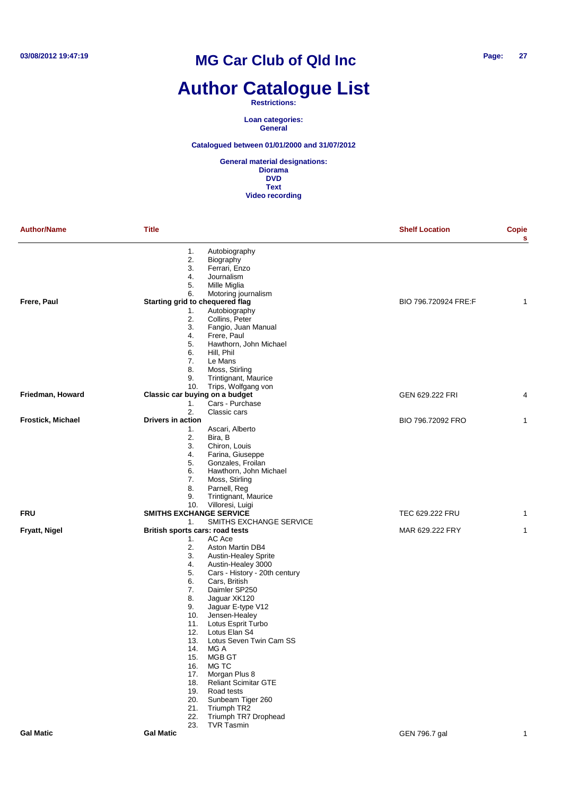# **Author Catalogue List**

**Restrictions:**

**Loan categories: General**

**Catalogued between 01/01/2000 and 31/07/2012**

| <b>Author/Name</b> | <b>Title</b>                          |                                 | <b>Shelf Location</b> | <b>Copie</b><br>s |
|--------------------|---------------------------------------|---------------------------------|-----------------------|-------------------|
|                    | 1.                                    | Autobiography                   |                       |                   |
|                    | 2.                                    | Biography                       |                       |                   |
|                    | 3.                                    | Ferrari, Enzo                   |                       |                   |
|                    | 4.                                    | Journalism                      |                       |                   |
|                    | 5.                                    | Mille Miglia                    |                       |                   |
|                    | 6.                                    | Motoring journalism             |                       |                   |
| Frere, Paul        | Starting grid to chequered flag       |                                 | BIO 796.720924 FRE:F  | 1                 |
|                    | 1.<br>2.                              | Autobiography<br>Collins, Peter |                       |                   |
|                    | 3.                                    | Fangio, Juan Manual             |                       |                   |
|                    | 4.                                    | Frere, Paul                     |                       |                   |
|                    | 5.                                    | Hawthorn, John Michael          |                       |                   |
|                    | 6.                                    | Hill, Phil                      |                       |                   |
|                    | 7.                                    | Le Mans                         |                       |                   |
|                    | 8.                                    | Moss, Stirling                  |                       |                   |
|                    | 9.                                    | Trintignant, Maurice            |                       |                   |
|                    | 10.                                   | Trips, Wolfgang von             |                       |                   |
| Friedman, Howard   | Classic car buying on a budget        |                                 | GEN 629.222 FRI       | 4                 |
|                    | 1.                                    | Cars - Purchase                 |                       |                   |
|                    | 2.                                    | Classic cars                    |                       |                   |
| Frostick, Michael  | Drivers in action                     |                                 | BIO 796.72092 FRO     | 1                 |
|                    | 1.                                    | Ascari, Alberto                 |                       |                   |
|                    | 2.                                    | Bira, B                         |                       |                   |
|                    | 3.                                    | Chiron, Louis                   |                       |                   |
|                    | 4.                                    | Farina, Giuseppe                |                       |                   |
|                    | 5.                                    | Gonzales, Froilan               |                       |                   |
|                    | 6.                                    | Hawthorn, John Michael          |                       |                   |
|                    | 7.                                    | Moss, Stirling                  |                       |                   |
|                    | 8.                                    | Parnell, Reg                    |                       |                   |
|                    | 9.                                    | Trintignant, Maurice            |                       |                   |
| <b>FRU</b>         | 10.<br><b>SMITHS EXCHANGE SERVICE</b> | Villoresi, Luigi                | TEC 629.222 FRU       | 1                 |
|                    | 1.                                    | SMITHS EXCHANGE SERVICE         |                       |                   |
| Fryatt, Nigel      | British sports cars: road tests       |                                 | MAR 629.222 FRY       | 1                 |
|                    | 1.                                    | AC Ace                          |                       |                   |
|                    | 2.                                    | Aston Martin DB4                |                       |                   |
|                    | 3.                                    | <b>Austin-Healey Sprite</b>     |                       |                   |
|                    | 4.                                    | Austin-Healey 3000              |                       |                   |
|                    | 5.                                    | Cars - History - 20th century   |                       |                   |
|                    | 6.                                    | Cars, British                   |                       |                   |
|                    | 7.                                    | Daimler SP250                   |                       |                   |
|                    | 8.                                    | Jaguar XK120                    |                       |                   |
|                    | 9.                                    | Jaguar E-type V12               |                       |                   |
|                    | 10.                                   | Jensen-Healey                   |                       |                   |
|                    | 11.                                   | Lotus Esprit Turbo              |                       |                   |
|                    | 12.                                   | Lotus Elan S4                   |                       |                   |
|                    | 13.                                   | Lotus Seven Twin Cam SS         |                       |                   |
|                    | 14. MG A                              |                                 |                       |                   |
|                    | 15.                                   | MGB GT<br>MG TC                 |                       |                   |
|                    | 16.<br>17.                            | Morgan Plus 8                   |                       |                   |
|                    | 18.                                   | <b>Reliant Scimitar GTE</b>     |                       |                   |
|                    | 19.                                   | Road tests                      |                       |                   |
|                    | 20.                                   | Sunbeam Tiger 260               |                       |                   |
|                    | 21.                                   | Triumph TR2                     |                       |                   |
|                    | 22.                                   | Triumph TR7 Drophead            |                       |                   |
|                    | 23.                                   | TVR Tasmin                      |                       |                   |
| <b>Gal Matic</b>   | <b>Gal Matic</b>                      |                                 | GEN 796.7 gal         | 1                 |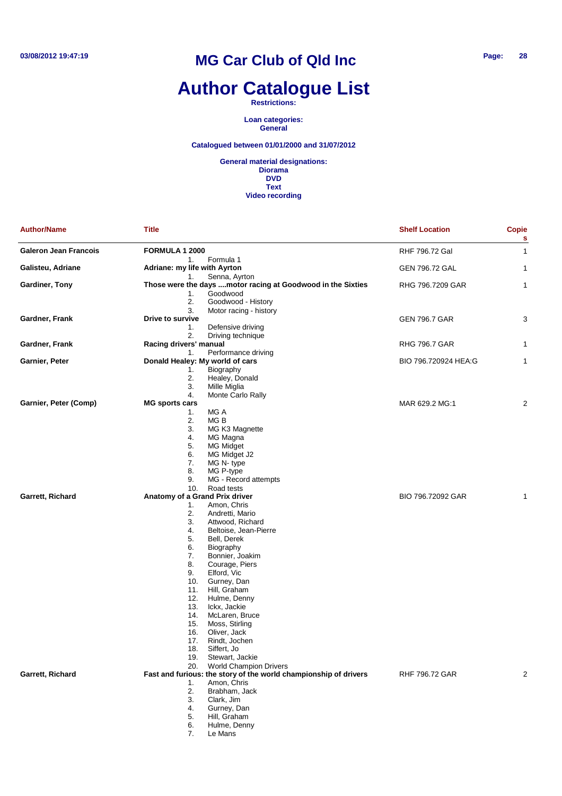# **Author Catalogue List**

**Restrictions:**

**Loan categories: General**

#### **Catalogued between 01/01/2000 and 31/07/2012**

**General material designations: Diorama DVD Text Video recording**

| <b>Author/Name</b>           | Title                           |                                                                         | <b>Shelf Location</b> | <b>Copie</b><br>s |
|------------------------------|---------------------------------|-------------------------------------------------------------------------|-----------------------|-------------------|
| <b>Galeron Jean Francois</b> | FORMULA 1 2000                  |                                                                         | RHF 796.72 Gal        | 1                 |
|                              | 1.                              | Formula 1                                                               |                       |                   |
| Galisteu, Adriane            | Adriane: my life with Ayrton    |                                                                         | <b>GEN 796.72 GAL</b> | 1                 |
| Gardiner, Tony               | 1.                              | Senna, Ayrton                                                           | RHG 796.7209 GAR      |                   |
|                              | 1.                              | Those were the days motor racing at Goodwood in the Sixties<br>Goodwood |                       | 1                 |
|                              | 2.                              | Goodwood - History                                                      |                       |                   |
|                              | 3.                              | Motor racing - history                                                  |                       |                   |
| Gardner, Frank               | Drive to survive                |                                                                         | <b>GEN 796.7 GAR</b>  | 3                 |
|                              | 1.                              | Defensive driving                                                       |                       |                   |
|                              | 2.                              | Driving technique                                                       |                       |                   |
| Gardner, Frank               | Racing drivers' manual          |                                                                         | <b>RHG 796.7 GAR</b>  | 1                 |
|                              | 1.                              | Performance driving                                                     |                       |                   |
| Garnier, Peter               | Donald Healey: My world of cars |                                                                         | BIO 796.720924 HEA:G  | 1                 |
|                              | 1.                              | Biography                                                               |                       |                   |
|                              | 2.                              | Healey, Donald                                                          |                       |                   |
|                              | 3.                              | Mille Miglia                                                            |                       |                   |
|                              | 4.                              | Monte Carlo Rally                                                       |                       |                   |
| Garnier, Peter (Comp)        | <b>MG sports cars</b>           |                                                                         | MAR 629.2 MG:1        | 2                 |
|                              | 1.                              | MG A                                                                    |                       |                   |
|                              | 2.                              | MG B                                                                    |                       |                   |
|                              | 3.                              | MG K3 Magnette                                                          |                       |                   |
|                              | 4.                              | MG Magna                                                                |                       |                   |
|                              | 5.                              | <b>MG Midget</b>                                                        |                       |                   |
|                              | 6.                              | MG Midget J2                                                            |                       |                   |
|                              | 7.                              | MG N-type                                                               |                       |                   |
|                              | 8.                              | MG P-type                                                               |                       |                   |
|                              | 9.                              | MG - Record attempts                                                    |                       |                   |
|                              | 10.                             | Road tests                                                              |                       |                   |
| Garrett, Richard             | Anatomy of a Grand Prix driver  |                                                                         | BIO 796.72092 GAR     | 1                 |
|                              | 1.                              | Amon, Chris                                                             |                       |                   |
|                              | 2.                              | Andretti, Mario                                                         |                       |                   |
|                              | 3.                              | Attwood, Richard                                                        |                       |                   |
|                              | 4.                              | Beltoise, Jean-Pierre                                                   |                       |                   |
|                              | 5.                              | Bell, Derek                                                             |                       |                   |
|                              | 6.                              | Biography                                                               |                       |                   |
|                              | 7.                              | Bonnier, Joakim                                                         |                       |                   |
|                              | 8.                              | Courage, Piers                                                          |                       |                   |
|                              | 9.                              | Elford, Vic                                                             |                       |                   |
|                              | 10.                             | Gurney, Dan                                                             |                       |                   |
|                              | 11.                             | Hill, Graham                                                            |                       |                   |
|                              | 12.                             | Hulme, Denny                                                            |                       |                   |
|                              | 13.                             | Ickx, Jackie                                                            |                       |                   |
|                              | 14.                             | McLaren, Bruce                                                          |                       |                   |
|                              | 15.                             | Moss, Stirling                                                          |                       |                   |
|                              | 16.                             | Oliver, Jack                                                            |                       |                   |
|                              | 17.                             | Rindt, Jochen                                                           |                       |                   |
|                              | 18.<br>19.                      | Siffert, Jo<br>Stewart, Jackie                                          |                       |                   |
|                              | 20.                             | <b>World Champion Drivers</b>                                           |                       |                   |
| Garrett, Richard             |                                 | Fast and furious: the story of the world championship of drivers        | <b>RHF 796.72 GAR</b> | 2                 |
|                              | 1.                              | Amon, Chris                                                             |                       |                   |
|                              | 2.                              | Brabham, Jack                                                           |                       |                   |
|                              | 3.                              | Clark, Jim                                                              |                       |                   |
|                              | 4.                              | Gurney, Dan                                                             |                       |                   |
|                              | 5.                              | Hill, Graham                                                            |                       |                   |
|                              | 6.                              | Hulme, Denny                                                            |                       |                   |
|                              |                                 |                                                                         |                       |                   |

7. Le Mans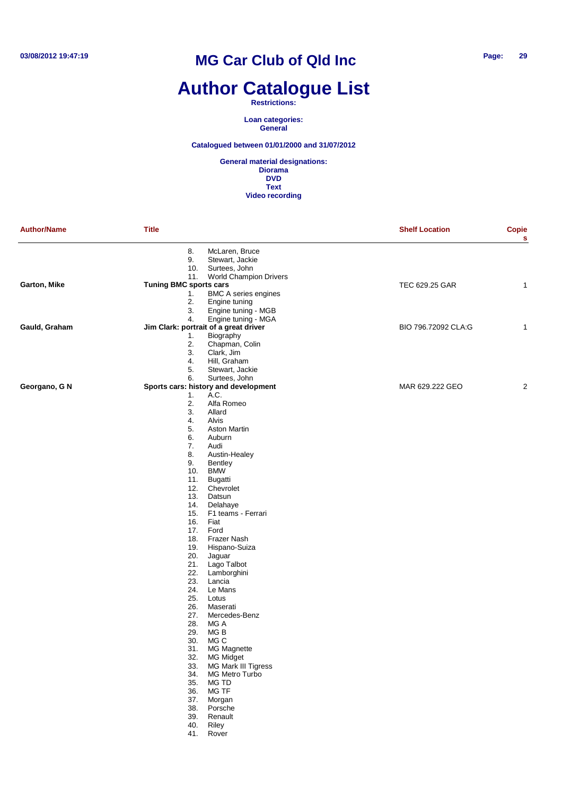# **Author Catalogue List**

**Restrictions:**

**Loan categories: General**

**Catalogued between 01/01/2000 and 31/07/2012**

| <b>Author/Name</b> | <b>Title</b>                  |                                            | <b>Shelf Location</b> | <b>Copie</b><br>s |
|--------------------|-------------------------------|--------------------------------------------|-----------------------|-------------------|
|                    | 8.                            | McLaren, Bruce                             |                       |                   |
|                    | 9.                            | Stewart, Jackie                            |                       |                   |
|                    | 10.                           | Surtees, John                              |                       |                   |
|                    | 11.                           | <b>World Champion Drivers</b>              |                       |                   |
| Garton, Mike       | <b>Tuning BMC sports cars</b> |                                            | TEC 629.25 GAR        | 1                 |
|                    | 1.                            | <b>BMC A series engines</b>                |                       |                   |
|                    | 2.                            | Engine tuning                              |                       |                   |
|                    | 3.<br>4.                      | Engine tuning - MGB<br>Engine tuning - MGA |                       |                   |
| Gauld, Graham      |                               | Jim Clark: portrait of a great driver      | BIO 796.72092 CLA:G   | 1                 |
|                    | 1.                            | Biography                                  |                       |                   |
|                    | 2.                            | Chapman, Colin                             |                       |                   |
|                    | 3.                            | Clark, Jim                                 |                       |                   |
|                    | 4.                            | Hill, Graham                               |                       |                   |
|                    | 5.                            | Stewart, Jackie                            |                       |                   |
|                    | 6.                            | Surtees, John                              |                       |                   |
| Georgano, G N      |                               | Sports cars: history and development       | MAR 629.222 GEO       | 2                 |
|                    | 1.<br>2.                      | A.C.<br>Alfa Romeo                         |                       |                   |
|                    | 3.                            | Allard                                     |                       |                   |
|                    | 4.                            | Alvis                                      |                       |                   |
|                    | 5.                            | <b>Aston Martin</b>                        |                       |                   |
|                    | 6.                            | Auburn                                     |                       |                   |
|                    | 7.                            | Audi                                       |                       |                   |
|                    | 8.                            | Austin-Healey                              |                       |                   |
|                    | 9.                            | Bentley                                    |                       |                   |
|                    | 10.                           | <b>BMW</b>                                 |                       |                   |
|                    | 11.                           | Bugatti                                    |                       |                   |
|                    | 12.<br>13.                    | Chevrolet<br>Datsun                        |                       |                   |
|                    | 14.                           | Delahaye                                   |                       |                   |
|                    | 15.                           | F1 teams - Ferrari                         |                       |                   |
|                    | 16.                           | Fiat                                       |                       |                   |
|                    | 17.                           | Ford                                       |                       |                   |
|                    | 18.                           | Frazer Nash                                |                       |                   |
|                    | 19.                           | Hispano-Suiza                              |                       |                   |
|                    | 20.                           | Jaguar                                     |                       |                   |
|                    | 21.<br>22.                    | Lago Talbot<br>Lamborghini                 |                       |                   |
|                    | 23.                           | Lancia                                     |                       |                   |
|                    | 24.                           | Le Mans                                    |                       |                   |
|                    | 25.                           | Lotus                                      |                       |                   |
|                    | 26.                           | Maserati                                   |                       |                   |
|                    | 27.                           | Mercedes-Benz                              |                       |                   |
|                    | 28.                           | MG A                                       |                       |                   |
|                    | 29.                           | MG B                                       |                       |                   |
|                    | 30.                           | MG C                                       |                       |                   |
|                    |                               | 31. MG Magnette                            |                       |                   |
|                    | 32.<br>33.                    | <b>MG Midget</b><br>MG Mark III Tigress    |                       |                   |
|                    | 34.                           | MG Metro Turbo                             |                       |                   |
|                    | 35.                           | MG TD                                      |                       |                   |
|                    | 36.                           | MG TF                                      |                       |                   |
|                    | 37.                           | Morgan                                     |                       |                   |
|                    | 38.                           | Porsche                                    |                       |                   |
|                    | 39.                           | Renault                                    |                       |                   |
|                    | 40.                           | Riley                                      |                       |                   |
|                    | 41.                           | Rover                                      |                       |                   |
|                    |                               |                                            |                       |                   |
|                    |                               |                                            |                       |                   |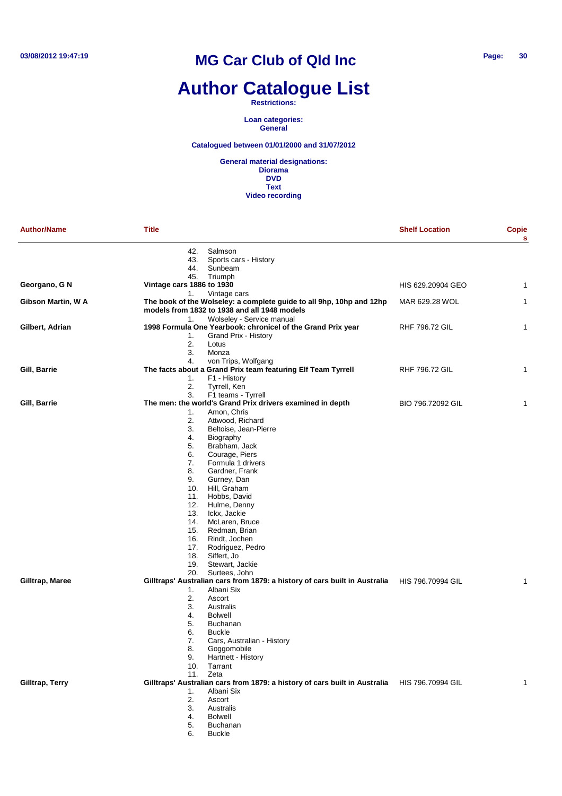# **Author Catalogue List**

**Restrictions:**

**Loan categories: General**

**Catalogued between 01/01/2000 and 31/07/2012**

**General material designations: Diorama DVD Text Video recording**

| <b>Author/Name</b> | <b>Title</b>              |                                                                                              | <b>Shelf Location</b> | <b>Copie</b><br>s |
|--------------------|---------------------------|----------------------------------------------------------------------------------------------|-----------------------|-------------------|
|                    | 42.                       | Salmson                                                                                      |                       |                   |
|                    | 43.                       | Sports cars - History                                                                        |                       |                   |
|                    | 44.                       | Sunbeam                                                                                      |                       |                   |
|                    | 45.                       | Triumph                                                                                      |                       |                   |
| Georgano, G N      | Vintage cars 1886 to 1930 |                                                                                              | HIS 629.20904 GEO     | 1                 |
| Gibson Martin, W A | 1.                        | Vintage cars<br>The book of the Wolseley: a complete guide to all 9hp, 10hp and 12hp         | MAR 629.28 WOL        | 1                 |
|                    |                           | models from 1832 to 1938 and all 1948 models                                                 |                       |                   |
|                    | 1.                        | Wolseley - Service manual                                                                    |                       |                   |
| Gilbert, Adrian    |                           | 1998 Formula One Yearbook: chronicel of the Grand Prix year                                  | <b>RHF 796.72 GIL</b> | 1                 |
|                    | 1.                        | Grand Prix - History                                                                         |                       |                   |
|                    | 2.                        | Lotus                                                                                        |                       |                   |
|                    | 3.                        | Monza                                                                                        |                       |                   |
|                    | 4.                        | von Trips, Wolfgang                                                                          |                       |                   |
| Gill, Barrie       |                           | The facts about a Grand Prix team featuring Elf Team Tyrrell                                 | <b>RHF 796.72 GIL</b> | $\mathbf{1}$      |
|                    | 1.                        | F1 - History                                                                                 |                       |                   |
|                    | 2.                        | Tyrrell, Ken                                                                                 |                       |                   |
|                    | 3.                        | F1 teams - Tyrrell                                                                           |                       |                   |
| Gill, Barrie       |                           | The men: the world's Grand Prix drivers examined in depth                                    | BIO 796.72092 GIL     | 1                 |
|                    | 1.                        | Amon, Chris                                                                                  |                       |                   |
|                    | 2.                        | Attwood, Richard                                                                             |                       |                   |
|                    | 3.                        | Beltoise, Jean-Pierre                                                                        |                       |                   |
|                    | 4.                        | Biography                                                                                    |                       |                   |
|                    | 5.                        | Brabham, Jack                                                                                |                       |                   |
|                    | 6.                        | Courage, Piers                                                                               |                       |                   |
|                    | 7.                        | Formula 1 drivers                                                                            |                       |                   |
|                    | 8.                        | Gardner, Frank                                                                               |                       |                   |
|                    | 9.                        | Gurney, Dan                                                                                  |                       |                   |
|                    | 10.                       | Hill, Graham                                                                                 |                       |                   |
|                    | 11.                       | Hobbs, David                                                                                 |                       |                   |
|                    | 12.<br>13.                | Hulme, Denny                                                                                 |                       |                   |
|                    | 14.                       | Ickx, Jackie<br>McLaren, Bruce                                                               |                       |                   |
|                    | 15.                       | Redman, Brian                                                                                |                       |                   |
|                    | 16.                       | Rindt, Jochen                                                                                |                       |                   |
|                    | 17.                       | Rodriguez, Pedro                                                                             |                       |                   |
|                    | 18.                       | Siffert, Jo                                                                                  |                       |                   |
|                    | 19.                       | Stewart, Jackie                                                                              |                       |                   |
|                    | 20.                       | Surtees, John                                                                                |                       |                   |
| Gilltrap, Maree    |                           | Gilltraps' Australian cars from 1879: a history of cars built in Australia                   | HIS 796.70994 GIL     | 1                 |
|                    | 1.                        | Albani Six                                                                                   |                       |                   |
|                    | 2.                        | Ascort                                                                                       |                       |                   |
|                    | 3.                        | Australis                                                                                    |                       |                   |
|                    | 4.                        | <b>Bolwell</b>                                                                               |                       |                   |
|                    | 5.                        | <b>Buchanan</b>                                                                              |                       |                   |
|                    | 6.                        | <b>Buckle</b>                                                                                |                       |                   |
|                    | 7.                        | Cars, Australian - History                                                                   |                       |                   |
|                    | 8.                        | Goggomobile                                                                                  |                       |                   |
|                    | 9.                        | Hartnett - History                                                                           |                       |                   |
|                    | 10.                       | Tarrant                                                                                      |                       |                   |
|                    | 11.                       | Zeta                                                                                         |                       |                   |
| Gilltrap, Terry    |                           | Gilltraps' Australian cars from 1879: a history of cars built in Australia HIS 796.70994 GIL |                       | 1                 |
|                    | 1.                        | Albani Six                                                                                   |                       |                   |
|                    | 2.                        | Ascort                                                                                       |                       |                   |
|                    | 3.                        | Australis                                                                                    |                       |                   |
|                    | 4.                        | <b>Bolwell</b>                                                                               |                       |                   |
|                    | 5.                        | Buchanan                                                                                     |                       |                   |

6. Buckle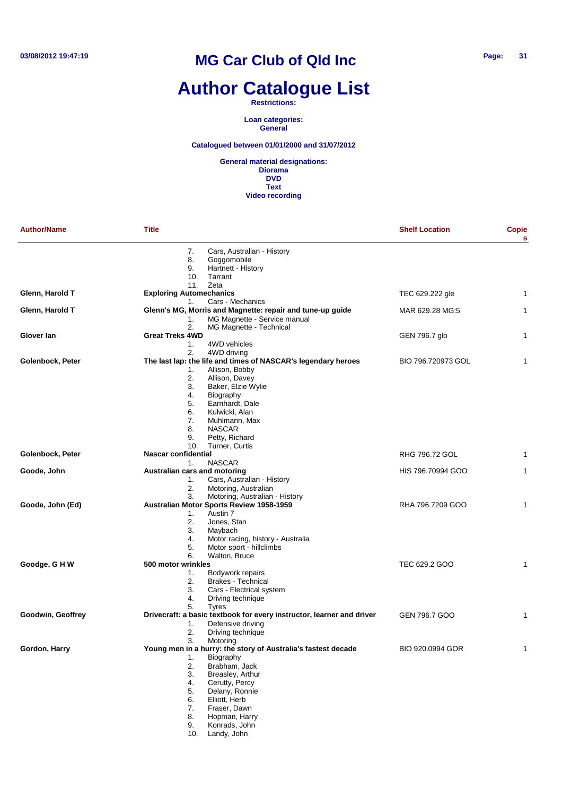# **Author Catalogue List**

#### **Restrictions:**

**Loan categories: General**

#### **Catalogued between 01/01/2000 and 31/07/2012**

| <b>Author/Name</b> | <b>Title</b>                                                                                                                                                                                                                                                                                                         | <b>Shelf Location</b> | Copie |
|--------------------|----------------------------------------------------------------------------------------------------------------------------------------------------------------------------------------------------------------------------------------------------------------------------------------------------------------------|-----------------------|-------|
|                    | 7.<br>Cars, Australian - History<br>Goggomobile<br>8.<br>9.<br>Hartnett - History<br>Tarrant<br>10.                                                                                                                                                                                                                  |                       |       |
| Glenn, Harold T    | 11.<br>Zeta<br><b>Exploring Automechanics</b>                                                                                                                                                                                                                                                                        | TEC 629.222 gle       | 1     |
| Glenn, Harold T    | Cars - Mechanics<br>1.<br>Glenn's MG, Morris and Magnette: repair and tune-up guide<br>MG Magnette - Service manual<br>1.                                                                                                                                                                                            | MAR 629.28 MG:5       | 1     |
| Glover lan         | 2.<br>MG Magnette - Technical<br><b>Great Treks 4WD</b><br>1.<br>4WD vehicles                                                                                                                                                                                                                                        | GEN 796.7 glo         | 1     |
| Golenbock, Peter   | 2.<br>4WD driving<br>The last lap: the life and times of NASCAR's legendary heroes<br>Allison, Bobby<br>1.<br>2.<br>Allison, Davey<br>3.<br>Baker, Elzie Wylie<br>4.<br>Biography<br>Earnhardt, Dale<br>5.<br>6.<br>Kulwicki, Alan<br>7.<br>Muhlmann, Max<br><b>NASCAR</b><br>8.<br>Petty, Richard<br>9.             | BIO 796.720973 GOL    | 1     |
| Golenbock, Peter   | 10.<br>Turner, Curtis<br>Nascar confidential                                                                                                                                                                                                                                                                         | RHG 796.72 GOL        | 1     |
| Goode, John        | <b>NASCAR</b><br>1.<br>Australian cars and motoring<br>1.<br>Cars, Australian - History<br>2.<br>Motoring, Australian                                                                                                                                                                                                | HIS 796.70994 GOO     | 1     |
| Goode, John (Ed)   | 3.<br>Motoring, Australian - History<br>Australian Motor Sports Review 1958-1959<br>Austin 7<br>1.<br>2.<br>Jones, Stan<br>3.<br>Maybach<br>4.<br>Motor racing, history - Australia<br>5.<br>Motor sport - hillclimbs<br>6.                                                                                          | RHA 796.7209 GOO      |       |
| Goodge, G H W      | Walton, Bruce<br>500 motor wrinkles<br>Bodywork repairs<br>1.<br>2.<br><b>Brakes - Technical</b><br>3.<br>Cars - Electrical system<br>Driving technique<br>4.<br>5.<br><b>Tyres</b>                                                                                                                                  | TEC 629.2 GOO         | 1     |
| Goodwin, Geoffrey  | Drivecraft: a basic textbook for every instructor, learner and driver<br>Defensive driving<br>1.<br>2.<br>Driving technique                                                                                                                                                                                          | GEN 796.7 GOO         | 1     |
| Gordon, Harry      | 3.<br>Motoring<br>Young men in a hurry: the story of Australia's fastest decade<br>1.<br>Biography<br>2.<br>Brabham, Jack<br>3.<br>Breasley, Arthur<br>4.<br>Cerutty, Percy<br>5.<br>Delany, Ronnie<br>Elliott, Herb<br>6.<br>Fraser, Dawn<br>7.<br>8.<br>Hopman, Harry<br>Konrads, John<br>9.<br>Landy, John<br>10. | BIO 920.0994 GOR      | 1     |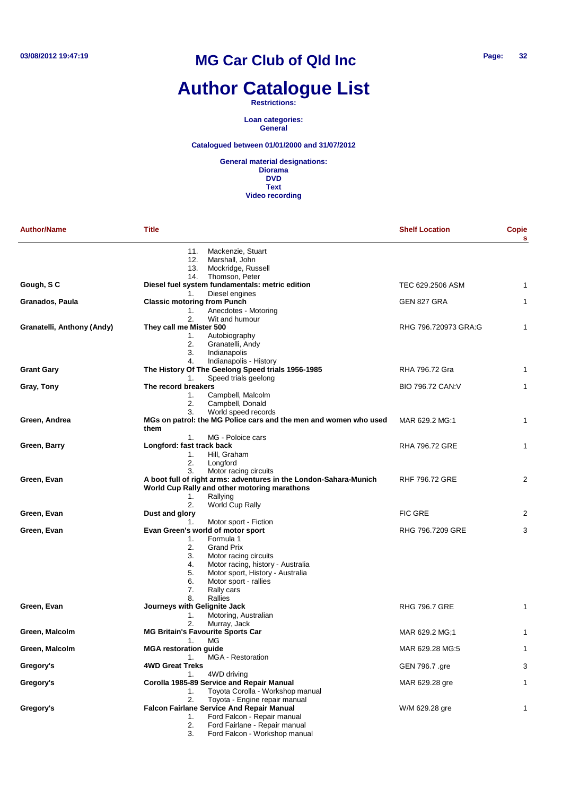# **Author Catalogue List**

#### **Restrictions:**

**Loan categories: General**

#### **Catalogued between 01/01/2000 and 31/07/2012**

| <b>Author/Name</b>         | <b>Title</b>                                                                             | <b>Shelf Location</b> | Copie<br>s |
|----------------------------|------------------------------------------------------------------------------------------|-----------------------|------------|
|                            | Mackenzie, Stuart<br>11.<br>Marshall, John<br>12.<br>13.<br>Mockridge, Russell           |                       |            |
| Gough, SC                  | Thomson, Peter<br>14.<br>Diesel fuel system fundamentals: metric edition                 | TEC 629.2506 ASM      | 1          |
|                            | Diesel engines<br>1.                                                                     | GEN 827 GRA           | 1          |
| Granados, Paula            | <b>Classic motoring from Punch</b><br>Anecdotes - Motoring<br>1.<br>2.<br>Wit and humour |                       |            |
| Granatelli, Anthony (Andy) | They call me Mister 500                                                                  | RHG 796.720973 GRA:G  | 1          |
|                            | Autobiography<br>1.                                                                      |                       |            |
|                            | 2.<br>Granatelli, Andy                                                                   |                       |            |
|                            | 3.<br>Indianapolis                                                                       |                       |            |
|                            | Indianapolis - History<br>4.                                                             |                       |            |
| <b>Grant Gary</b>          | The History Of The Geelong Speed trials 1956-1985                                        | RHA 796.72 Gra        | 1          |
|                            | Speed trials geelong<br>1.<br>The record breakers                                        | BIO 796.72 CAN: V     | 1          |
| Gray, Tony                 | Campbell, Malcolm<br>1.                                                                  |                       |            |
|                            | Campbell, Donald<br>2.                                                                   |                       |            |
|                            | World speed records<br>3.                                                                |                       |            |
| Green, Andrea              | MGs on patrol: the MG Police cars and the men and women who used                         | MAR 629.2 MG:1        | 1          |
|                            | them                                                                                     |                       |            |
|                            | MG - Poloice cars<br>1.                                                                  |                       |            |
| Green, Barry               | Longford: fast track back                                                                | <b>RHA 796.72 GRE</b> | 1          |
|                            | Hill, Graham<br>1.                                                                       |                       |            |
|                            | 2.<br>Longford<br>3.<br>Motor racing circuits                                            |                       |            |
| Green, Evan                | A boot full of right arms: adventures in the London-Sahara-Munich                        | <b>RHF 796.72 GRE</b> | 2          |
|                            | World Cup Rally and other motoring marathons                                             |                       |            |
|                            | Rallying<br>1.                                                                           |                       |            |
|                            | 2.<br>World Cup Rally                                                                    |                       |            |
| Green, Evan                | Dust and glory                                                                           | <b>FIC GRE</b>        | 2          |
|                            | Motor sport - Fiction<br>1.                                                              |                       |            |
| Green, Evan                | Evan Green's world of motor sport                                                        | RHG 796.7209 GRE      | 3          |
|                            | Formula 1<br>1.                                                                          |                       |            |
|                            | <b>Grand Prix</b><br>2.<br>3.<br>Motor racing circuits                                   |                       |            |
|                            | 4.<br>Motor racing, history - Australia                                                  |                       |            |
|                            | 5.<br>Motor sport, History - Australia                                                   |                       |            |
|                            | 6.<br>Motor sport - rallies                                                              |                       |            |
|                            | 7.<br>Rally cars                                                                         |                       |            |
|                            | Rallies<br>8.                                                                            |                       |            |
| Green, Evan                | Journeys with Gelignite Jack                                                             | <b>RHG 796.7 GRE</b>  | 1          |
|                            | Motoring, Australian<br>1.                                                               |                       |            |
| Green, Malcolm             | 2.<br>Murray, Jack<br><b>MG Britain's Favourite Sports Car</b>                           | MAR 629.2 MG:1        | 1          |
|                            | MG<br>1.                                                                                 |                       |            |
| Green, Malcolm             | <b>MGA restoration guide</b>                                                             | MAR 629.28 MG:5       | 1          |
|                            | 1.<br><b>MGA</b> - Restoration                                                           |                       |            |
| Gregory's                  | <b>4WD Great Treks</b>                                                                   | GEN 796.7 .gre        | 3          |
|                            | 1.<br>4WD driving                                                                        |                       |            |
| Gregory's                  | Corolla 1985-89 Service and Repair Manual                                                | MAR 629.28 gre        | 1          |
|                            | Toyota Corolla - Workshop manual<br>1.                                                   |                       |            |
|                            | 2.<br>Toyota - Engine repair manual                                                      |                       |            |
| Gregory's                  | <b>Falcon Fairlane Service And Repair Manual</b><br>Ford Falcon - Repair manual<br>1.    | W/M 629.28 gre        | 1          |
|                            | Ford Fairlane - Repair manual<br>2.                                                      |                       |            |
|                            | 3.<br>Ford Falcon - Workshop manual                                                      |                       |            |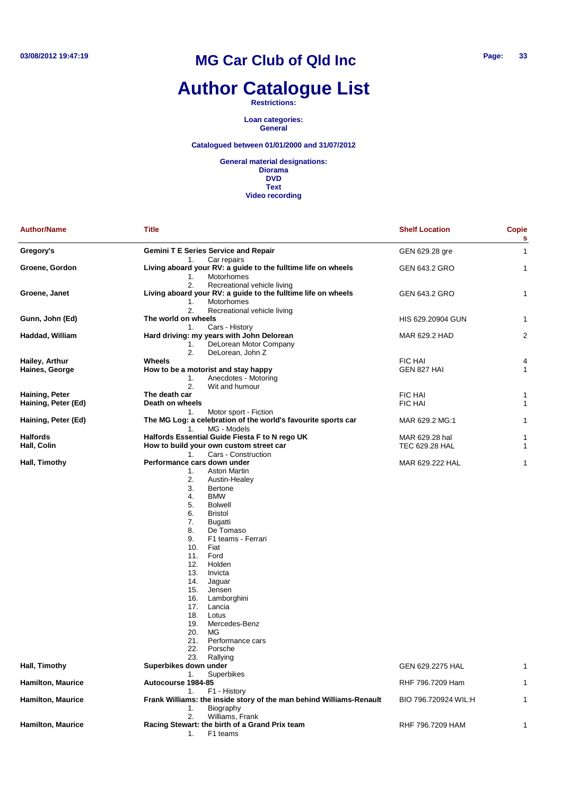# **Author Catalogue List**

**Restrictions:**

**Loan categories: General**

#### **Catalogued between 01/01/2000 and 31/07/2012**

| <b>Author/Name</b>                    | Title                                                                                                                                                                                                                                                                                                                                                                                                                                             | <b>Shelf Location</b>            | <b>Copie</b><br>s |
|---------------------------------------|---------------------------------------------------------------------------------------------------------------------------------------------------------------------------------------------------------------------------------------------------------------------------------------------------------------------------------------------------------------------------------------------------------------------------------------------------|----------------------------------|-------------------|
| Gregory's                             | <b>Gemini T E Series Service and Repair</b><br>Car repairs<br>1.                                                                                                                                                                                                                                                                                                                                                                                  | GEN 629.28 gre                   | 1                 |
| Groene, Gordon                        | Living aboard your RV: a guide to the fulltime life on wheels<br>Motorhomes<br>1.<br>2.<br>Recreational vehicle living                                                                                                                                                                                                                                                                                                                            | GEN 643.2 GRO                    | 1                 |
| Groene, Janet                         | Living aboard your RV: a guide to the fulltime life on wheels<br>1.<br>Motorhomes<br>2.<br>Recreational vehicle living                                                                                                                                                                                                                                                                                                                            | GEN 643.2 GRO                    | 1                 |
| Gunn, John (Ed)                       | The world on wheels<br>Cars - History<br>1.                                                                                                                                                                                                                                                                                                                                                                                                       | HIS 629.20904 GUN                | 1                 |
| Haddad, William                       | Hard driving: my years with John Delorean<br>1.<br>DeLorean Motor Company<br>2.<br>DeLorean, John Z                                                                                                                                                                                                                                                                                                                                               | MAR 629.2 HAD                    | $\overline{c}$    |
| Hailey, Arthur                        | Wheels                                                                                                                                                                                                                                                                                                                                                                                                                                            | <b>FIC HAI</b>                   | 4                 |
| Haines, George                        | How to be a motorist and stay happy<br>Anecdotes - Motoring<br>1.<br>2.<br>Wit and humour                                                                                                                                                                                                                                                                                                                                                         | GEN 827 HAI                      | 1                 |
|                                       | The death car                                                                                                                                                                                                                                                                                                                                                                                                                                     |                                  |                   |
| Haining, Peter<br>Haining, Peter (Ed) | Death on wheels                                                                                                                                                                                                                                                                                                                                                                                                                                   | <b>FIC HAI</b><br><b>FIC HAI</b> | 1<br>1            |
|                                       | Motor sport - Fiction<br>1.                                                                                                                                                                                                                                                                                                                                                                                                                       |                                  |                   |
| Haining, Peter (Ed)                   | The MG Log: a celebration of the world's favourite sports car<br>MG - Models<br>1.                                                                                                                                                                                                                                                                                                                                                                | MAR 629.2 MG:1                   | 1                 |
| <b>Halfords</b>                       | Halfords Essential Guide Fiesta F to N rego UK                                                                                                                                                                                                                                                                                                                                                                                                    | MAR 629.28 hal                   | 1                 |
| Hall, Colin                           | How to build your own custom street car<br>Cars - Construction<br>1.                                                                                                                                                                                                                                                                                                                                                                              | TEC 629.28 HAL                   | 1                 |
| Hall, Timothy                         | Performance cars down under                                                                                                                                                                                                                                                                                                                                                                                                                       | MAR 629.222 HAL                  | 1                 |
|                                       | 1.<br><b>Aston Martin</b><br>2.<br>Austin-Healey<br>3.<br>Bertone<br><b>BMW</b><br>4.<br>5.<br><b>Bolwell</b><br>6.<br><b>Bristol</b><br>7.<br>Bugatti<br>8.<br>De Tomaso<br>9.<br>F1 teams - Ferrari<br>10.<br>Fiat<br>11.<br>Ford<br>12.<br>Holden<br>13.<br>Invicta<br>14.<br>Jaguar<br>15.<br>Jensen<br>16.<br>Lamborghini<br>17.<br>Lancia<br>18.<br>Lotus<br>19.<br>Mercedes-Benz<br>20.<br>MG<br>21.<br>Performance cars<br>22.<br>Porsche |                                  |                   |
| Hall, Timothy                         | 23.<br>Rallying<br>Superbikes down under                                                                                                                                                                                                                                                                                                                                                                                                          | GEN 629.2275 HAL                 |                   |
| <b>Hamilton, Maurice</b>              | <b>Superbikes</b><br>1.<br>Autocourse 1984-85                                                                                                                                                                                                                                                                                                                                                                                                     | RHF 796.7209 Ham                 | 1                 |
|                                       | 1.<br>F1 - History                                                                                                                                                                                                                                                                                                                                                                                                                                |                                  |                   |
| <b>Hamilton, Maurice</b>              | Frank Williams: the inside story of the man behind Williams-Renault<br>1.<br>Biography                                                                                                                                                                                                                                                                                                                                                            | BIO 796.720924 WIL:H             | 1                 |
|                                       |                                                                                                                                                                                                                                                                                                                                                                                                                                                   |                                  |                   |
| <b>Hamilton, Maurice</b>              | Williams, Frank<br>2.<br>Racing Stewart: the birth of a Grand Prix team<br>F1 teams<br>1.                                                                                                                                                                                                                                                                                                                                                         | RHF 796.7209 HAM                 | 1                 |
|                                       |                                                                                                                                                                                                                                                                                                                                                                                                                                                   |                                  |                   |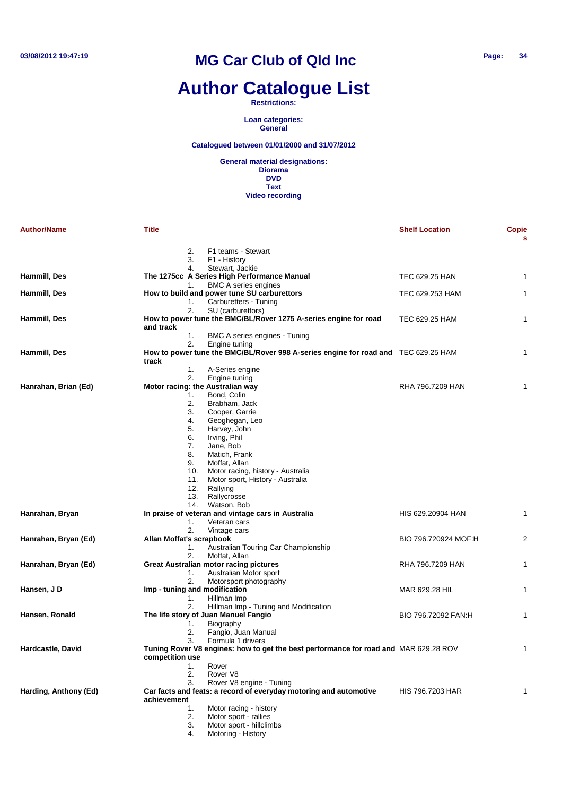# **Author Catalogue List**

#### **Restrictions:**

**Loan categories: General**

#### **Catalogued between 01/01/2000 and 31/07/2012**

| <b>Author/Name</b>    | Title                                                                                                              | <b>Shelf Location</b> | <b>Copie</b><br>s |
|-----------------------|--------------------------------------------------------------------------------------------------------------------|-----------------------|-------------------|
|                       | 2.<br>F1 teams - Stewart<br>3.<br>F1 - History                                                                     |                       |                   |
| Hammill, Des          | Stewart, Jackie<br>4.<br>The 1275cc A Series High Performance Manual                                               | TEC 629.25 HAN        | 1                 |
| Hammill, Des          | <b>BMC A series engines</b><br>1.<br>How to build and power tune SU carburettors                                   | TEC 629.253 HAM       | 1                 |
|                       | Carburetters - Tuning<br>1.<br>2.<br>SU (carburettors)                                                             |                       |                   |
| Hammill, Des          | How to power tune the BMC/BL/Rover 1275 A-series engine for road<br>and track                                      | TEC 629.25 HAM        | 1                 |
|                       | 1.<br>BMC A series engines - Tuning                                                                                |                       |                   |
| Hammill, Des          | 2.<br>Engine tuning<br>How to power tune the BMC/BL/Rover 998 A-series engine for road and TEC 629.25 HAM<br>track |                       | 1                 |
|                       | 1.<br>A-Series engine<br>2.<br>Engine tuning                                                                       |                       |                   |
| Hanrahan, Brian (Ed)  | Motor racing: the Australian way                                                                                   | RHA 796.7209 HAN      |                   |
|                       | Bond, Colin<br>1.                                                                                                  |                       |                   |
|                       | 2.<br>Brabham, Jack                                                                                                |                       |                   |
|                       | 3.<br>Cooper, Garrie                                                                                               |                       |                   |
|                       | 4.<br>Geoghegan, Leo<br>5.<br>Harvey, John                                                                         |                       |                   |
|                       | 6.<br>Irving, Phil                                                                                                 |                       |                   |
|                       | 7.<br>Jane, Bob                                                                                                    |                       |                   |
|                       | 8.<br>Matich, Frank                                                                                                |                       |                   |
|                       | 9.<br>Moffat, Allan                                                                                                |                       |                   |
|                       | 10.<br>Motor racing, history - Australia                                                                           |                       |                   |
|                       | 11.<br>Motor sport, History - Australia                                                                            |                       |                   |
|                       | 12.<br>Rallying                                                                                                    |                       |                   |
|                       | 13.<br>Rallycrosse<br>14.                                                                                          |                       |                   |
| Hanrahan, Bryan       | Watson, Bob<br>In praise of veteran and vintage cars in Australia                                                  | HIS 629.20904 HAN     | 1                 |
|                       | 1.<br>Veteran cars                                                                                                 |                       |                   |
|                       | 2.<br>Vintage cars                                                                                                 |                       |                   |
| Hanrahan, Bryan (Ed)  | Allan Moffat's scrapbook                                                                                           | BIO 796.720924 MOF:H  | 2                 |
|                       | Australian Touring Car Championship<br>1.                                                                          |                       |                   |
|                       | 2.<br>Moffat, Allan                                                                                                |                       |                   |
| Hanrahan, Bryan (Ed)  | <b>Great Australian motor racing pictures</b>                                                                      | RHA 796.7209 HAN      | 1                 |
|                       | 1.<br>Australian Motor sport                                                                                       |                       |                   |
| Hansen, J D           | 2.<br>Motorsport photography<br>Imp - tuning and modification                                                      | MAR 629.28 HIL        | 1                 |
|                       | Hillman Imp<br>1.                                                                                                  |                       |                   |
|                       | 2.<br>Hillman Imp - Tuning and Modification                                                                        |                       |                   |
| Hansen, Ronald        | The life story of Juan Manuel Fangio                                                                               | BIO 796.72092 FAN:H   | 1                 |
|                       | Biography<br>1.                                                                                                    |                       |                   |
|                       | Fangio, Juan Manual<br>2.                                                                                          |                       |                   |
|                       | 3.<br>Formula 1 drivers                                                                                            |                       |                   |
| Hardcastle, David     | Tuning Rover V8 engines: how to get the best performance for road and MAR 629.28 ROV<br>competition use            |                       |                   |
|                       | Rover<br>1.                                                                                                        |                       |                   |
|                       | 2.<br>Rover <sub>V8</sub>                                                                                          |                       |                   |
|                       | 3.<br>Rover V8 engine - Tuning                                                                                     |                       |                   |
| Harding, Anthony (Ed) | Car facts and feats: a record of everyday motoring and automotive<br>achievement                                   | HIS 796.7203 HAR      | 1                 |
|                       | 1.<br>Motor racing - history                                                                                       |                       |                   |
|                       | 2.<br>Motor sport - rallies                                                                                        |                       |                   |
|                       | Motor sport - hillclimbs<br>3.<br>Motoring - History<br>4.                                                         |                       |                   |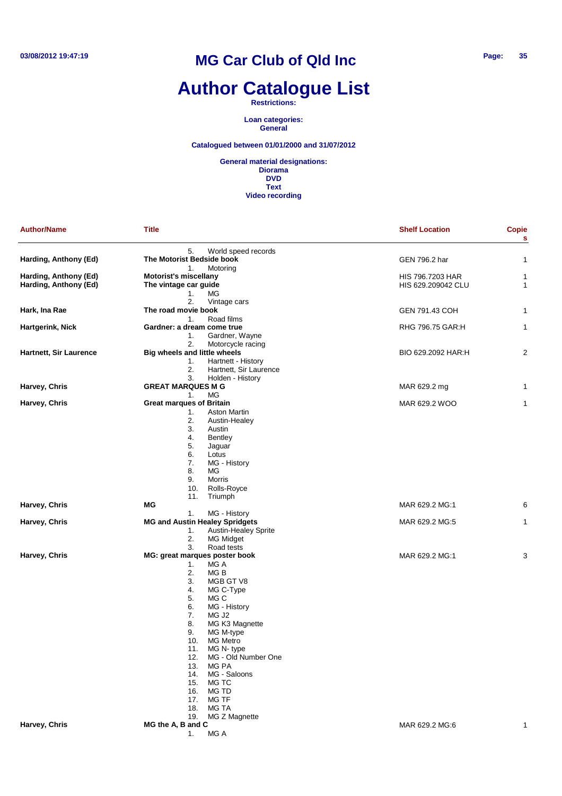# **Author Catalogue List**

**Restrictions:**

**Loan categories: General**

#### **Catalogued between 01/01/2000 and 31/07/2012**

| <b>Author/Name</b>     | <b>Title</b>                                            | <b>Shelf Location</b> | <b>Copie</b><br>s |
|------------------------|---------------------------------------------------------|-----------------------|-------------------|
|                        | 5.<br>World speed records                               |                       |                   |
| Harding, Anthony (Ed)  | The Motorist Bedside book<br>Motoring<br>1.             | GEN 796.2 har         | 1                 |
| Harding, Anthony (Ed)  | <b>Motorist's miscellany</b>                            | HIS 796.7203 HAR      | 1                 |
| Harding, Anthony (Ed)  | The vintage car guide                                   | HIS 629.209042 CLU    | 1                 |
|                        | МG<br>1.                                                |                       |                   |
|                        | 2.<br>Vintage cars                                      |                       |                   |
| Hark, Ina Rae          | The road movie book                                     | GEN 791.43 COH        | 1                 |
|                        | Road films<br>1.                                        |                       |                   |
| Hartgerink, Nick       | Gardner: a dream come true                              | RHG 796.75 GAR:H      | 1                 |
|                        | Gardner, Wayne<br>1.                                    |                       |                   |
| Hartnett, Sir Laurence | 2.<br>Motorcycle racing<br>Big wheels and little wheels | BIO 629.2092 HAR:H    | 2                 |
|                        | Hartnett - History<br>1.                                |                       |                   |
|                        | 2.<br>Hartnett, Sir Laurence                            |                       |                   |
|                        | 3.<br>Holden - History                                  |                       |                   |
| Harvey, Chris          | <b>GREAT MARQUES M G</b>                                | MAR 629.2 mg          | 1                 |
|                        | MG<br>1.                                                |                       |                   |
| Harvey, Chris          | <b>Great marques of Britain</b>                         | MAR 629.2 WOO         | 1                 |
|                        | Aston Martin<br>1.                                      |                       |                   |
|                        | 2.<br>Austin-Healey                                     |                       |                   |
|                        | 3.<br>Austin                                            |                       |                   |
|                        | 4.<br>Bentley                                           |                       |                   |
|                        | 5.<br>Jaguar                                            |                       |                   |
|                        | 6.<br>Lotus                                             |                       |                   |
|                        | 7.<br>MG - History                                      |                       |                   |
|                        | 8.<br>МG                                                |                       |                   |
|                        | 9.<br><b>Morris</b>                                     |                       |                   |
|                        | 10.<br>Rolls-Royce<br>11.<br>Triumph                    |                       |                   |
| Harvey, Chris          | МG                                                      | MAR 629.2 MG:1        | 6                 |
|                        | MG - History<br>1.                                      |                       |                   |
| Harvey, Chris          | <b>MG and Austin Healey Spridgets</b>                   | MAR 629.2 MG:5        | 1                 |
|                        | 1.<br><b>Austin-Healey Sprite</b>                       |                       |                   |
|                        | 2.<br>MG Midget                                         |                       |                   |
|                        | 3.<br>Road tests                                        |                       |                   |
| Harvey, Chris          | MG: great marques poster book                           | MAR 629.2 MG:1        | 3                 |
|                        | MG A<br>1.                                              |                       |                   |
|                        | 2.<br>MG B                                              |                       |                   |
|                        | 3.<br>MGB GT V8                                         |                       |                   |
|                        | 4.<br>MG C-Type                                         |                       |                   |
|                        | 5.<br>MG C                                              |                       |                   |
|                        | 6.<br>MG - History                                      |                       |                   |
|                        | 7.<br>MG J <sub>2</sub><br>8.                           |                       |                   |
|                        | MG K3 Magnette<br>9.<br>MG M-type                       |                       |                   |
|                        | 10.<br>MG Metro                                         |                       |                   |
|                        | MG N-type<br>11.                                        |                       |                   |
|                        | MG - Old Number One<br>12.                              |                       |                   |
|                        | 13.<br>MG PA                                            |                       |                   |
|                        | MG - Saloons<br>14.                                     |                       |                   |
|                        | 15.<br>MG TC                                            |                       |                   |
|                        | 16.<br>MG TD                                            |                       |                   |
|                        | 17.<br>MG TF                                            |                       |                   |
|                        | 18.<br>MG TA                                            |                       |                   |
|                        | MG Z Magnette<br>19.                                    |                       |                   |
| Harvey, Chris          | MG the A, B and C                                       | MAR 629.2 MG:6        | 1                 |
|                        | MG A<br>1.                                              |                       |                   |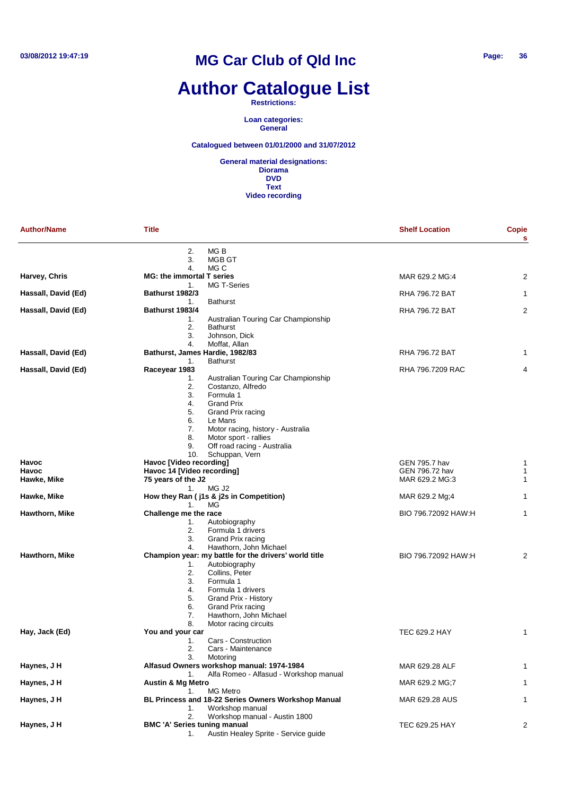# **Author Catalogue List**

**Restrictions:**

**Loan categories: General**

#### **Catalogued between 01/01/2000 and 31/07/2012**

| <b>Author/Name</b>  | <b>Title</b>                                           | <b>Shelf Location</b>                                                                                  | Copie<br>s     |
|---------------------|--------------------------------------------------------|--------------------------------------------------------------------------------------------------------|----------------|
|                     | 2.<br>MG B<br>3.<br>MGB GT                             |                                                                                                        |                |
|                     | MG C<br>4.                                             |                                                                                                        |                |
| Harvey, Chris       | <b>MG: the immortal T series</b>                       | MAR 629.2 MG:4                                                                                         | 2              |
|                     | 1.                                                     | MG T-Series                                                                                            |                |
| Hassall, David (Ed) | <b>Bathurst 1982/3</b>                                 | RHA 796.72 BAT                                                                                         |                |
|                     | <b>Bathurst</b><br>1.                                  |                                                                                                        |                |
| Hassall, David (Ed) | Bathurst 1983/4<br>1.                                  | RHA 796.72 BAT<br>Australian Touring Car Championship                                                  | $\overline{2}$ |
|                     | 2.<br><b>Bathurst</b>                                  |                                                                                                        |                |
|                     | 3.                                                     | Johnson, Dick                                                                                          |                |
|                     | 4.                                                     | Moffat, Allan                                                                                          |                |
| Hassall, David (Ed) | Bathurst, James Hardie, 1982/83                        | RHA 796.72 BAT                                                                                         | 1              |
|                     | <b>Bathurst</b><br>1.                                  |                                                                                                        |                |
| Hassall, David (Ed) | Raceyear 1983<br>1.                                    | RHA 796.7209 RAC<br>Australian Touring Car Championship                                                | 4              |
|                     | 2.                                                     | Costanzo, Alfredo                                                                                      |                |
|                     | 3.                                                     | Formula 1                                                                                              |                |
|                     | 4.                                                     | <b>Grand Prix</b>                                                                                      |                |
|                     | 5.                                                     | Grand Prix racing                                                                                      |                |
|                     | Le Mans<br>6.                                          |                                                                                                        |                |
|                     | 7.<br>8.                                               | Motor racing, history - Australia<br>Motor sport - rallies                                             |                |
|                     | 9.                                                     | Off road racing - Australia                                                                            |                |
|                     | 10.                                                    | Schuppan, Vern                                                                                         |                |
| <b>Havoc</b>        | Havoc [Video recording]                                | GEN 795.7 hav                                                                                          | 1              |
| <b>Havoc</b>        | Havoc 14 [Video recording]                             | GEN 796.72 hav                                                                                         | 1              |
| Hawke, Mike         | 75 years of the J2                                     | MAR 629.2 MG:3                                                                                         | 1              |
| Hawke, Mike         | MG J2<br>1.<br>How they Ran (j1s & j2s in Competition) | MAR 629.2 Mg;4                                                                                         |                |
|                     | <b>MG</b><br>1.                                        |                                                                                                        |                |
| Hawthorn, Mike      | Challenge me the race                                  | BIO 796.72092 HAW:H                                                                                    | 1              |
|                     | 1.                                                     | Autobiography                                                                                          |                |
|                     | 2.                                                     | Formula 1 drivers                                                                                      |                |
|                     | 3.                                                     | Grand Prix racing                                                                                      |                |
| Hawthorn, Mike      | 4.                                                     | Hawthorn, John Michael<br>Champion year: my battle for the drivers' world title<br>BIO 796.72092 HAW:H | 2              |
|                     | 1.                                                     | Autobiography                                                                                          |                |
|                     | 2.                                                     | Collins, Peter                                                                                         |                |
|                     | 3.                                                     | Formula 1                                                                                              |                |
|                     | 4.                                                     | Formula 1 drivers                                                                                      |                |
|                     | 5.                                                     | Grand Prix - History<br>Grand Prix racing                                                              |                |
|                     | 6.<br>7.                                               | Hawthorn, John Michael                                                                                 |                |
|                     | 8.                                                     | Motor racing circuits                                                                                  |                |
| Hay, Jack (Ed)      | You and your car                                       | <b>TEC 629.2 HAY</b>                                                                                   | 1              |
|                     | 1.                                                     | Cars - Construction                                                                                    |                |
|                     | 2.                                                     | Cars - Maintenance                                                                                     |                |
| Haynes, J H         | 3.<br>Motoring                                         | Alfasud Owners workshop manual: 1974-1984<br>MAR 629.28 ALF                                            | 1              |
|                     | 1.                                                     | Alfa Romeo - Alfasud - Workshop manual                                                                 |                |
| Haynes, J H         | <b>Austin &amp; Mg Metro</b>                           | MAR 629.2 MG;7                                                                                         |                |
|                     | 1.                                                     | <b>MG Metro</b>                                                                                        |                |
| Haynes, J H         |                                                        | BL Princess and 18-22 Series Owners Workshop Manual<br>MAR 629.28 AUS                                  | 1              |
|                     | 1.                                                     | Workshop manual                                                                                        |                |
|                     | 2.                                                     | Workshop manual - Austin 1800                                                                          |                |
| Haynes, J H         | <b>BMC 'A' Series tuning manual</b><br>1.              | TEC 629.25 HAY<br>Austin Healey Sprite - Service guide                                                 | 2              |
|                     |                                                        |                                                                                                        |                |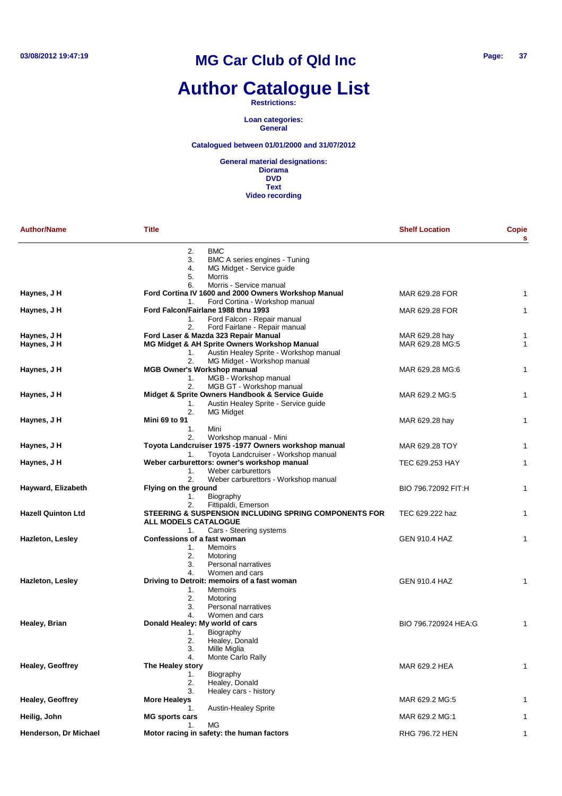### **Author Catalogue List**

#### **Restrictions:**

**Loan categories: General**

#### **Catalogued between 01/01/2000 and 31/07/2012**

| <b>Author/Name</b>        | <b>Title</b>                                                                                                                  | <b>Shelf Location</b> | <b>Copie</b><br>s |
|---------------------------|-------------------------------------------------------------------------------------------------------------------------------|-----------------------|-------------------|
|                           | <b>BMC</b><br>2.<br>3.<br>BMC A series engines - Tuning                                                                       |                       |                   |
|                           | 4.<br>MG Midget - Service guide                                                                                               |                       |                   |
|                           | 5.<br><b>Morris</b>                                                                                                           |                       |                   |
| Haynes, J H               | Morris - Service manual<br>6.<br>Ford Cortina IV 1600 and 2000 Owners Workshop Manual<br>Ford Cortina - Workshop manual<br>1. | MAR 629.28 FOR        | 1                 |
| Haynes, J H               | Ford Falcon/Fairlane 1988 thru 1993                                                                                           | MAR 629.28 FOR        | 1                 |
|                           | Ford Falcon - Repair manual<br>1.                                                                                             |                       |                   |
|                           | Ford Fairlane - Repair manual<br>2.                                                                                           |                       |                   |
| Haynes, J H               | Ford Laser & Mazda 323 Repair Manual                                                                                          | MAR 629.28 hay        | 1                 |
| Haynes, J H               | MG Midget & AH Sprite Owners Workshop Manual                                                                                  | MAR 629.28 MG:5       | 1                 |
|                           | Austin Healey Sprite - Workshop manual<br>1.                                                                                  |                       |                   |
| Haynes, J H               | 2.<br>MG Midget - Workshop manual<br><b>MGB Owner's Workshop manual</b>                                                       |                       | 1                 |
|                           | MGB - Workshop manual<br>1.                                                                                                   | MAR 629.28 MG:6       |                   |
|                           | 2.<br>MGB GT - Workshop manual                                                                                                |                       |                   |
| Haynes, J H               | Midget & Sprite Owners Handbook & Service Guide                                                                               | MAR 629.2 MG:5        | 1                 |
|                           | Austin Healey Sprite - Service guide<br>1.                                                                                    |                       |                   |
|                           | 2.<br>MG Midget                                                                                                               |                       |                   |
| Haynes, J H               | Mini 69 to 91                                                                                                                 | MAR 629.28 hay        | 1                 |
|                           | 1.<br>Mini                                                                                                                    |                       |                   |
|                           | Workshop manual - Mini<br>2.                                                                                                  |                       |                   |
| Haynes, J H               | Toyota Landcruiser 1975 -1977 Owners workshop manual                                                                          | MAR 629.28 TOY        | 1                 |
|                           | Toyota Landcruiser - Workshop manual<br>1.                                                                                    |                       |                   |
| Haynes, J H               | Weber carburettors: owner's workshop manual                                                                                   | TEC 629.253 HAY       | 1                 |
|                           | Weber carburettors<br>1.                                                                                                      |                       |                   |
| Hayward, Elizabeth        | 2.<br>Weber carburettors - Workshop manual<br>Flying on the ground                                                            | BIO 796.72092 FIT:H   | 1                 |
|                           | Biography<br>1.                                                                                                               |                       |                   |
|                           | Fittipaldi, Emerson<br>2.                                                                                                     |                       |                   |
| <b>Hazell Quinton Ltd</b> | <b>STEERING &amp; SUSPENSION INCLUDING SPRING COMPONENTS FOR</b>                                                              | TEC 629.222 haz       | 1                 |
|                           | ALL MODELS CATALOGUE                                                                                                          |                       |                   |
|                           | Cars - Steering systems<br>1.                                                                                                 |                       |                   |
| <b>Hazleton, Lesley</b>   | Confessions of a fast woman                                                                                                   | <b>GEN 910.4 HAZ</b>  | 1                 |
|                           | 1.<br><b>Memoirs</b>                                                                                                          |                       |                   |
|                           | 2.<br>Motoring                                                                                                                |                       |                   |
|                           | Personal narratives<br>3.                                                                                                     |                       |                   |
|                           | 4.<br>Women and cars                                                                                                          |                       |                   |
| <b>Hazleton, Lesley</b>   | Driving to Detroit: memoirs of a fast woman                                                                                   | <b>GEN 910.4 HAZ</b>  | 1                 |
|                           | <b>Memoirs</b><br>1.<br>2.                                                                                                    |                       |                   |
|                           | Motoring<br>Personal narratives<br>3.                                                                                         |                       |                   |
|                           | Women and cars<br>4.                                                                                                          |                       |                   |
| Healey, Brian             | Donald Healey: My world of cars                                                                                               | BIO 796.720924 HEA:G  | 1                 |
|                           | Biography<br>1.                                                                                                               |                       |                   |
|                           | 2.<br>Healey, Donald                                                                                                          |                       |                   |
|                           | 3.<br>Mille Miglia                                                                                                            |                       |                   |
|                           | 4.<br>Monte Carlo Rally                                                                                                       |                       |                   |
| <b>Healey, Geoffrey</b>   | The Healey story                                                                                                              | MAR 629.2 HEA         | 1                 |
|                           | Biography<br>1.                                                                                                               |                       |                   |
|                           | 2.<br>Healey, Donald                                                                                                          |                       |                   |
|                           | 3.<br>Healey cars - history                                                                                                   |                       |                   |
| <b>Healey, Geoffrey</b>   | <b>More Healeys</b>                                                                                                           | MAR 629.2 MG:5        | 1                 |
| Heilig, John              | <b>Austin-Healey Sprite</b><br>1.<br><b>MG sports cars</b>                                                                    | MAR 629.2 MG:1        | 1                 |
|                           | MG<br>1.                                                                                                                      |                       |                   |
| Henderson, Dr Michael     | Motor racing in safety: the human factors                                                                                     | RHG 796.72 HEN        | $\mathbf{1}$      |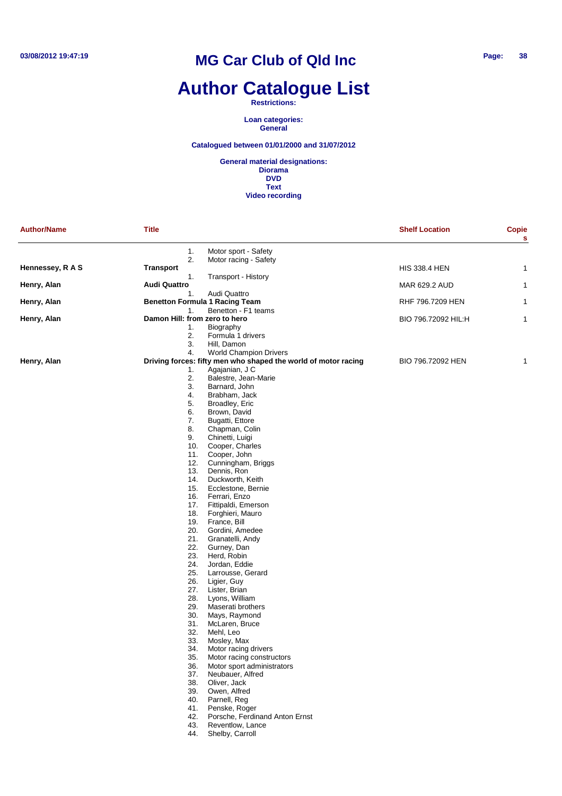## **Author Catalogue List**

**Restrictions:**

**Loan categories: General**

**Catalogued between 01/01/2000 and 31/07/2012**

| <b>Author/Name</b> | <b>Title</b>                  |                                                                | <b>Shelf Location</b> | <b>Copie</b><br>S |
|--------------------|-------------------------------|----------------------------------------------------------------|-----------------------|-------------------|
|                    | 1.                            | Motor sport - Safety                                           |                       |                   |
| Hennessey, R A S   | 2.<br><b>Transport</b>        | Motor racing - Safety                                          | <b>HIS 338.4 HEN</b>  | 1                 |
|                    | 1.                            | Transport - History                                            |                       |                   |
| Henry, Alan        | <b>Audi Quattro</b><br>1.     | Audi Quattro                                                   | MAR 629.2 AUD         | 1                 |
| Henry, Alan        | 1.                            | <b>Benetton Formula 1 Racing Team</b><br>Benetton - F1 teams   | RHF 796.7209 HEN      | 1                 |
| Henry, Alan        | Damon Hill: from zero to hero |                                                                | BIO 796.72092 HIL:H   | 1                 |
|                    | 1.                            | Biography                                                      |                       |                   |
|                    | 2.<br>3.                      | Formula 1 drivers                                              |                       |                   |
|                    | 4.                            | Hill, Damon<br><b>World Champion Drivers</b>                   |                       |                   |
| Henry, Alan        |                               | Driving forces: fifty men who shaped the world of motor racing | BIO 796.72092 HEN     | 1                 |
|                    | 1.                            | Agajanian, J C                                                 |                       |                   |
|                    | 2.                            | Balestre, Jean-Marie                                           |                       |                   |
|                    | 3.                            | Barnard, John                                                  |                       |                   |
|                    | 4.<br>5.                      | Brabham, Jack<br>Broadley, Eric                                |                       |                   |
|                    | 6.                            | Brown, David                                                   |                       |                   |
|                    | 7.                            | Bugatti, Ettore                                                |                       |                   |
|                    | 8.                            | Chapman, Colin                                                 |                       |                   |
|                    | 9.                            | Chinetti, Luigi                                                |                       |                   |
|                    | 10.<br>11.                    | Cooper, Charles<br>Cooper, John                                |                       |                   |
|                    | 12.                           | Cunningham, Briggs                                             |                       |                   |
|                    | 13.                           | Dennis, Ron                                                    |                       |                   |
|                    | 14.                           | Duckworth, Keith                                               |                       |                   |
|                    | 15.                           | Ecclestone, Bernie                                             |                       |                   |
|                    | 16.                           | Ferrari, Enzo                                                  |                       |                   |
|                    | 17.<br>18.                    | Fittipaldi, Emerson<br>Forghieri, Mauro                        |                       |                   |
|                    | 19.                           | France, Bill                                                   |                       |                   |
|                    | 20.                           | Gordini, Amedee                                                |                       |                   |
|                    | 21.                           | Granatelli, Andy                                               |                       |                   |
|                    | 22.                           | Gurney, Dan                                                    |                       |                   |
|                    | 23.                           | Herd, Robin                                                    |                       |                   |
|                    | 24.<br>25.                    | Jordan, Eddie<br>Larrousse, Gerard                             |                       |                   |
|                    | 26.                           | Ligier, Guy                                                    |                       |                   |
|                    | 27.                           | Lister, Brian                                                  |                       |                   |
|                    | 28.                           | Lyons, William                                                 |                       |                   |
|                    | 29.                           | Maserati brothers                                              |                       |                   |
|                    | 30.<br>31.                    | Mays, Raymond<br>McLaren, Bruce                                |                       |                   |
|                    | 32.                           | Mehl, Leo                                                      |                       |                   |
|                    | 33.                           | Mosley, Max                                                    |                       |                   |
|                    | 34.                           | Motor racing drivers                                           |                       |                   |
|                    | 35.                           | Motor racing constructors                                      |                       |                   |
|                    | 36.                           | Motor sport administrators                                     |                       |                   |
|                    | 37.<br>38.                    | Neubauer, Alfred<br>Oliver, Jack                               |                       |                   |
|                    | 39.                           | Owen, Alfred                                                   |                       |                   |
|                    | 40.                           | Parnell, Reg                                                   |                       |                   |
|                    | 41.                           | Penske, Roger                                                  |                       |                   |
|                    | 42.                           | Porsche, Ferdinand Anton Ernst                                 |                       |                   |
|                    | 43.<br>44.                    | Reventlow, Lance<br>Shelby, Carroll                            |                       |                   |
|                    |                               |                                                                |                       |                   |
|                    |                               |                                                                |                       |                   |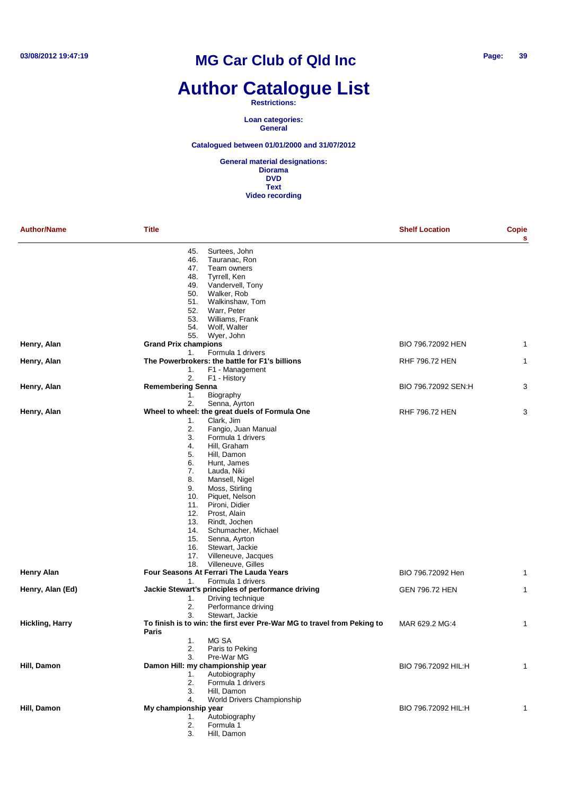## **Author Catalogue List**

#### **Restrictions:**

**Loan categories: General**

### **Catalogued between 01/01/2000 and 31/07/2012**

| <b>Author/Name</b>     | Title                                                                            | <b>Shelf Location</b> | Copie<br>s |
|------------------------|----------------------------------------------------------------------------------|-----------------------|------------|
|                        | 45.<br>Surtees, John                                                             |                       |            |
|                        | 46.<br>Tauranac, Ron                                                             |                       |            |
|                        | 47.<br>Team owners                                                               |                       |            |
|                        | 48.<br>Tyrrell, Ken                                                              |                       |            |
|                        | 49.<br>Vandervell, Tony<br>Walker, Rob                                           |                       |            |
|                        | 50.<br>51.<br>Walkinshaw, Tom                                                    |                       |            |
|                        | Warr, Peter<br>52.                                                               |                       |            |
|                        | 53.<br>Williams, Frank                                                           |                       |            |
|                        | Wolf, Walter<br>54.                                                              |                       |            |
|                        | 55.<br>Wyer, John                                                                |                       |            |
| Henry, Alan            | <b>Grand Prix champions</b>                                                      | BIO 796.72092 HEN     | 1          |
|                        | Formula 1 drivers<br>1.                                                          |                       |            |
| Henry, Alan            | The Powerbrokers: the battle for F1's billions                                   | RHF 796.72 HEN        | 1          |
|                        | F1 - Management<br>1.                                                            |                       |            |
|                        | 2.<br>F1 - History                                                               |                       |            |
| Henry, Alan            | <b>Remembering Senna</b>                                                         | BIO 796.72092 SEN:H   | 3          |
|                        | Biography<br>1.                                                                  |                       |            |
|                        | 2.<br>Senna, Ayrton                                                              |                       |            |
| Henry, Alan            | Wheel to wheel: the great duels of Formula One<br>Clark, Jim                     | <b>RHF 796.72 HEN</b> | 3          |
|                        | 1.<br>2.<br>Fangio, Juan Manual                                                  |                       |            |
|                        | 3.<br>Formula 1 drivers                                                          |                       |            |
|                        | Hill, Graham<br>4.                                                               |                       |            |
|                        | 5.<br>Hill, Damon                                                                |                       |            |
|                        | 6.<br>Hunt, James                                                                |                       |            |
|                        | 7.<br>Lauda, Niki                                                                |                       |            |
|                        | 8.<br>Mansell, Nigel                                                             |                       |            |
|                        | 9.<br>Moss, Stirling                                                             |                       |            |
|                        | 10.<br>Piquet, Nelson                                                            |                       |            |
|                        | Pironi, Didier<br>11.                                                            |                       |            |
|                        | Prost, Alain<br>12.                                                              |                       |            |
|                        | Rindt, Jochen<br>13.                                                             |                       |            |
|                        | 14.<br>Schumacher, Michael                                                       |                       |            |
|                        | 15.<br>Senna, Ayrton<br>Stewart, Jackie<br>16.                                   |                       |            |
|                        | 17.<br>Villeneuve, Jacques                                                       |                       |            |
|                        | Villeneuve, Gilles<br>18.                                                        |                       |            |
| <b>Henry Alan</b>      | Four Seasons At Ferrari The Lauda Years                                          | BIO 796.72092 Hen     | 1          |
|                        | Formula 1 drivers<br>1.                                                          |                       |            |
| Henry, Alan (Ed)       | Jackie Stewart's principles of performance driving                               | <b>GEN 796.72 HEN</b> | 1          |
|                        | Driving technique<br>1.                                                          |                       |            |
|                        | 2.<br>Performance driving                                                        |                       |            |
|                        | 3.<br>Stewart, Jackie                                                            |                       |            |
| <b>Hickling, Harry</b> | To finish is to win: the first ever Pre-War MG to travel from Peking to<br>Paris | MAR 629.2 MG:4        | 1          |
|                        | MG SA<br>1.                                                                      |                       |            |
|                        | 2.<br>Paris to Peking                                                            |                       |            |
|                        | 3.<br>Pre-War MG                                                                 |                       |            |
| Hill, Damon            | Damon Hill: my championship year                                                 | BIO 796.72092 HIL:H   | 1          |
|                        | Autobiography<br>1.                                                              |                       |            |
|                        | Formula 1 drivers<br>2.<br>3.                                                    |                       |            |
|                        | Hill, Damon<br>World Drivers Championship<br>4.                                  |                       |            |
| Hill, Damon            | My championship year                                                             | BIO 796.72092 HIL:H   |            |
|                        | Autobiography<br>1.                                                              |                       |            |
|                        | Formula 1<br>2.                                                                  |                       |            |
|                        | 3.<br>Hill, Damon                                                                |                       |            |
|                        |                                                                                  |                       |            |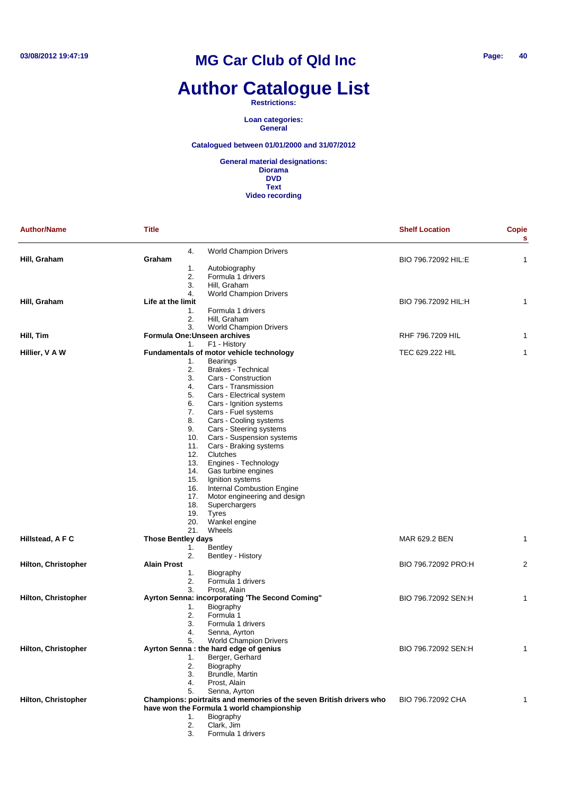## **Author Catalogue List**

**Restrictions:**

**Loan categories: General**

### **Catalogued between 01/01/2000 and 31/07/2012**

| <b>Author/Name</b>         | <b>Title</b>                 |                                                                     | <b>Shelf Location</b> | Copie<br>s     |
|----------------------------|------------------------------|---------------------------------------------------------------------|-----------------------|----------------|
|                            | 4.                           | <b>World Champion Drivers</b>                                       |                       |                |
| Hill, Graham               | Graham                       |                                                                     | BIO 796.72092 HIL:E   | 1              |
|                            | 1.                           | Autobiography                                                       |                       |                |
|                            | 2.                           | Formula 1 drivers                                                   |                       |                |
|                            | 3.                           | Hill, Graham                                                        |                       |                |
|                            | 4.                           | <b>World Champion Drivers</b>                                       |                       |                |
| Hill, Graham               | Life at the limit            |                                                                     | BIO 796.72092 HIL:H   | 1              |
|                            | 1.                           | Formula 1 drivers                                                   |                       |                |
|                            | 2.                           | Hill, Graham                                                        |                       |                |
|                            | 3.                           | <b>World Champion Drivers</b>                                       |                       |                |
| Hill, Tim                  | Formula One: Unseen archives |                                                                     | RHF 796.7209 HIL      | 1              |
|                            | 1.                           | F1 - History                                                        |                       |                |
| Hillier, V A W             |                              | Fundamentals of motor vehicle technology                            | TEC 629.222 HIL       | 1              |
|                            | 1.                           | <b>Bearings</b>                                                     |                       |                |
|                            | 2.                           | <b>Brakes - Technical</b>                                           |                       |                |
|                            | 3.                           | Cars - Construction                                                 |                       |                |
|                            | 4.                           | Cars - Transmission                                                 |                       |                |
|                            | 5.                           | Cars - Electrical system                                            |                       |                |
|                            | 6.                           | Cars - Ignition systems                                             |                       |                |
|                            | 7.                           | Cars - Fuel systems                                                 |                       |                |
|                            | 8.                           | Cars - Cooling systems                                              |                       |                |
|                            | 9.                           | Cars - Steering systems                                             |                       |                |
|                            | 10.                          | Cars - Suspension systems                                           |                       |                |
|                            | 11.                          | Cars - Braking systems                                              |                       |                |
|                            | 12.                          | Clutches                                                            |                       |                |
|                            | 13.                          | Engines - Technology                                                |                       |                |
|                            | 14.                          | Gas turbine engines                                                 |                       |                |
|                            | 15.                          | Ignition systems                                                    |                       |                |
|                            | 16.                          | <b>Internal Combustion Engine</b>                                   |                       |                |
|                            | 17.                          | Motor engineering and design                                        |                       |                |
|                            | 18.                          | Superchargers                                                       |                       |                |
|                            | 19.                          | <b>Tyres</b>                                                        |                       |                |
|                            | 20.                          | Wankel engine                                                       |                       |                |
|                            | 21.                          | Wheels                                                              |                       |                |
| Hillstead, A F C           | <b>Those Bentley days</b>    |                                                                     | MAR 629.2 BEN         | 1              |
|                            | 1.                           | Bentley                                                             |                       |                |
|                            | 2.                           | Bentley - History                                                   |                       |                |
| Hilton, Christopher        | <b>Alain Prost</b>           |                                                                     | BIO 796.72092 PRO:H   | $\overline{2}$ |
|                            | 1.                           | Biography                                                           |                       |                |
|                            | 2.                           | Formula 1 drivers                                                   |                       |                |
|                            | 3.                           | Prost, Alain                                                        |                       |                |
| <b>Hilton, Christopher</b> |                              | Ayrton Senna: incorporating 'The Second Coming"                     | BIO 796.72092 SEN:H   | 1              |
|                            | 1.                           | Biography                                                           |                       |                |
|                            | 2.                           | Formula 1                                                           |                       |                |
|                            | 3.                           | Formula 1 drivers                                                   |                       |                |
|                            | 4.                           | Senna, Ayrton                                                       |                       |                |
|                            | 5.                           | <b>World Champion Drivers</b>                                       |                       |                |
| Hilton, Christopher        |                              | Ayrton Senna : the hard edge of genius                              | BIO 796.72092 SEN:H   | 1              |
|                            | 1.                           | Berger, Gerhard                                                     |                       |                |
|                            | 2.                           | Biography                                                           |                       |                |
|                            | 3.                           | Brundle, Martin                                                     |                       |                |
|                            | 4.                           | Prost, Alain                                                        |                       |                |
|                            | 5.                           | Senna, Ayrton                                                       |                       |                |
|                            |                              | Champions: poirtraits and memories of the seven British drivers who | BIO 796.72092 CHA     |                |
| <b>Hilton, Christopher</b> |                              | have won the Formula 1 world championship                           |                       | 1              |
|                            |                              |                                                                     |                       |                |
|                            | 1.                           | Biography                                                           |                       |                |
|                            | 2.                           | Clark, Jim                                                          |                       |                |
|                            | 3.                           | Formula 1 drivers                                                   |                       |                |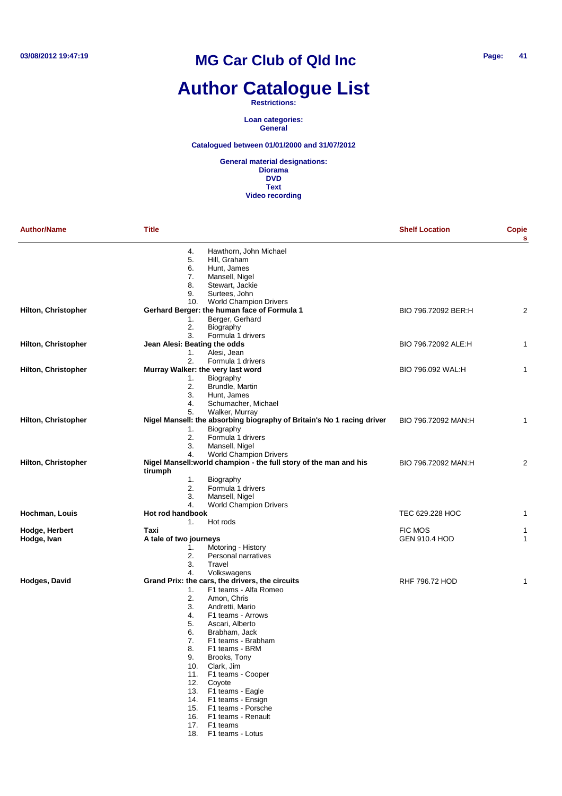## **Author Catalogue List**

**Restrictions:**

**Loan categories: General**

**Catalogued between 01/01/2000 and 31/07/2012**

| <b>Author/Name</b>         | <b>Title</b>                                                                 | <b>Shelf Location</b> | <b>Copie</b><br>s |
|----------------------------|------------------------------------------------------------------------------|-----------------------|-------------------|
|                            | 4.<br>Hawthorn, John Michael                                                 |                       |                   |
|                            | 5.<br>Hill, Graham                                                           |                       |                   |
|                            | 6.<br>Hunt, James<br>7.<br>Mansell, Nigel                                    |                       |                   |
|                            | 8.<br>Stewart, Jackie                                                        |                       |                   |
|                            | 9.<br>Surtees, John                                                          |                       |                   |
|                            | <b>World Champion Drivers</b><br>10.                                         |                       |                   |
| <b>Hilton, Christopher</b> | Gerhard Berger: the human face of Formula 1                                  | BIO 796.72092 BER:H   | 2                 |
|                            | 1.<br>Berger, Gerhard                                                        |                       |                   |
|                            | 2.<br>Biography                                                              |                       |                   |
|                            | 3.<br>Formula 1 drivers                                                      |                       |                   |
| Hilton, Christopher        | Jean Alesi: Beating the odds                                                 | BIO 796.72092 ALE:H   | 1                 |
|                            | 1.<br>Alesi, Jean                                                            |                       |                   |
|                            | 2.<br>Formula 1 drivers                                                      |                       |                   |
| <b>Hilton, Christopher</b> | Murray Walker: the very last word<br>Biography                               | BIO 796.092 WAL:H     | 1                 |
|                            | 1.<br>2.<br>Brundle, Martin                                                  |                       |                   |
|                            | 3.<br>Hunt, James                                                            |                       |                   |
|                            | 4.<br>Schumacher, Michael                                                    |                       |                   |
|                            | 5.<br>Walker, Murray                                                         |                       |                   |
| <b>Hilton, Christopher</b> | Nigel Mansell: the absorbing biography of Britain's No 1 racing driver       | BIO 796.72092 MAN:H   | 1                 |
|                            | Biography<br>1.                                                              |                       |                   |
|                            | 2.<br>Formula 1 drivers                                                      |                       |                   |
|                            | 3.<br>Mansell, Nigel                                                         |                       |                   |
|                            | 4.<br><b>World Champion Drivers</b>                                          |                       |                   |
| <b>Hilton, Christopher</b> | Nigel Mansell: world champion - the full story of the man and his<br>tirumph | BIO 796.72092 MAN:H   | 2                 |
|                            | 1.<br>Biography                                                              |                       |                   |
|                            | 2.<br>Formula 1 drivers                                                      |                       |                   |
|                            | 3.<br>Mansell, Nigel                                                         |                       |                   |
|                            | 4.<br><b>World Champion Drivers</b>                                          |                       |                   |
| Hochman, Louis             | Hot rod handbook                                                             | TEC 629.228 HOC       | 1                 |
| Hodge, Herbert             | Hot rods<br>1.<br>Taxi                                                       | <b>FIC MOS</b>        | 1                 |
| Hodge, Ivan                | A tale of two journeys                                                       | <b>GEN 910.4 HOD</b>  | 1                 |
|                            | Motoring - History<br>1.                                                     |                       |                   |
|                            | 2.<br>Personal narratives                                                    |                       |                   |
|                            | 3.<br>Travel                                                                 |                       |                   |
|                            | 4.<br>Volkswagens                                                            |                       |                   |
| Hodges, David              | Grand Prix: the cars, the drivers, the circuits                              | RHF 796.72 HOD        | 1                 |
|                            | F1 teams - Alfa Romeo<br>1.                                                  |                       |                   |
|                            | 2.<br>Amon, Chris                                                            |                       |                   |
|                            | 3.<br>Andretti, Mario                                                        |                       |                   |
|                            | 4.<br>F1 teams - Arrows                                                      |                       |                   |
|                            | 5.<br>Ascari, Alberto                                                        |                       |                   |
|                            | 6.<br>Brabham, Jack                                                          |                       |                   |
|                            | 7.<br>F1 teams - Brabham                                                     |                       |                   |
|                            | F1 teams - BRM<br>8.                                                         |                       |                   |
|                            | 9.<br>Brooks, Tony<br>Clark, Jim<br>10.                                      |                       |                   |
|                            | 11.<br>F1 teams - Cooper                                                     |                       |                   |
|                            | 12.<br>Coyote                                                                |                       |                   |
|                            | 13. F1 teams - Eagle                                                         |                       |                   |
|                            | 14.<br>F1 teams - Ensign                                                     |                       |                   |
|                            | 15. F1 teams - Porsche                                                       |                       |                   |
|                            | 16. F1 teams - Renault                                                       |                       |                   |
|                            | 17. F1 teams                                                                 |                       |                   |
|                            | F1 teams - Lotus<br>18.                                                      |                       |                   |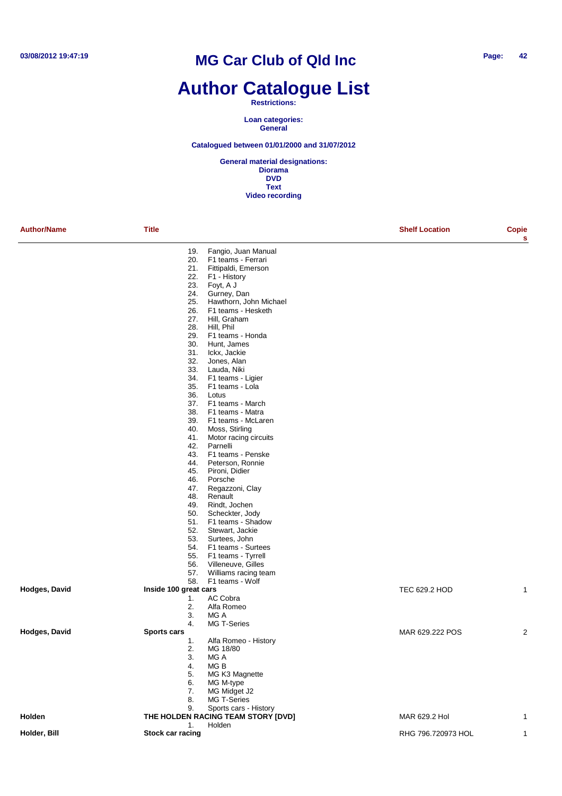### **Author Catalogue List**

#### **Restrictions:**

**Loan categories: General**

### **Catalogued between 01/01/2000 and 31/07/2012**

| <b>Author/Name</b> | <b>Title</b>          |                                              | <b>Shelf Location</b> | Copie<br>s |
|--------------------|-----------------------|----------------------------------------------|-----------------------|------------|
|                    | 19.                   | Fangio, Juan Manual                          |                       |            |
|                    | 20.                   | F1 teams - Ferrari                           |                       |            |
|                    | 21.                   | Fittipaldi, Emerson                          |                       |            |
|                    | 22.                   | F1 - History                                 |                       |            |
|                    | 23.                   | Foyt, A J                                    |                       |            |
|                    | 24.<br>25.            | Gurney, Dan                                  |                       |            |
|                    | 26.                   | Hawthorn, John Michael<br>F1 teams - Hesketh |                       |            |
|                    | 27.                   | Hill, Graham                                 |                       |            |
|                    | 28.                   | Hill, Phil                                   |                       |            |
|                    | 29.                   | F1 teams - Honda                             |                       |            |
|                    | 30.                   | Hunt, James                                  |                       |            |
|                    | 31.                   | Ickx, Jackie                                 |                       |            |
|                    | 32.                   | Jones, Alan                                  |                       |            |
|                    | 33.                   | Lauda, Niki                                  |                       |            |
|                    | 34.                   | F1 teams - Ligier                            |                       |            |
|                    | 35.                   | F1 teams - Lola                              |                       |            |
|                    | 36.                   | Lotus                                        |                       |            |
|                    | 37.                   | F1 teams - March                             |                       |            |
|                    | 38.                   | F1 teams - Matra                             |                       |            |
|                    | 39.<br>40.            | F1 teams - McLaren<br>Moss, Stirling         |                       |            |
|                    | 41.                   | Motor racing circuits                        |                       |            |
|                    | 42.                   | Parnelli                                     |                       |            |
|                    | 43.                   | F1 teams - Penske                            |                       |            |
|                    | 44.                   | Peterson, Ronnie                             |                       |            |
|                    | 45.                   | Pironi, Didier                               |                       |            |
|                    | 46.                   | Porsche                                      |                       |            |
|                    | 47.                   | Regazzoni, Clay                              |                       |            |
|                    | 48.                   | Renault                                      |                       |            |
|                    | 49.                   | Rindt, Jochen                                |                       |            |
|                    | 50.                   | Scheckter, Jody                              |                       |            |
|                    | 51.                   | F1 teams - Shadow                            |                       |            |
|                    | 52.                   | Stewart, Jackie                              |                       |            |
|                    | 53.<br>54.            | Surtees, John<br>F1 teams - Surtees          |                       |            |
|                    | 55.                   | F1 teams - Tyrrell                           |                       |            |
|                    | 56.                   | Villeneuve, Gilles                           |                       |            |
|                    | 57.                   | Williams racing team                         |                       |            |
|                    | 58.                   | F1 teams - Wolf                              |                       |            |
| Hodges, David      | Inside 100 great cars |                                              | TEC 629.2 HOD         | 1          |
|                    | 1.                    | AC Cobra                                     |                       |            |
|                    | 2.                    | Alfa Romeo                                   |                       |            |
|                    | 3.                    | MG A                                         |                       |            |
|                    | 4.                    | MG T-Series                                  |                       |            |
| Hodges, David      | <b>Sports cars</b>    |                                              | MAR 629.222 POS       | 2          |
|                    | 1.                    | Alfa Romeo - History                         |                       |            |
|                    | 2.                    | MG 18/80                                     |                       |            |
|                    | 3.                    | MG A                                         |                       |            |
|                    | 4.                    | MGB<br>MG K3 Magnette                        |                       |            |
|                    | 5.<br>6.              | MG M-type                                    |                       |            |
|                    | 7.                    | MG Midget J2                                 |                       |            |
|                    | 8.                    | MG T-Series                                  |                       |            |
|                    | 9.                    | Sports cars - History                        |                       |            |
| Holden             |                       | THE HOLDEN RACING TEAM STORY [DVD]           | MAR 629.2 Hol         | 1          |
|                    | 1.                    | Holden                                       |                       |            |
| Holder, Bill       | Stock car racing      |                                              | RHG 796.720973 HOL    | 1          |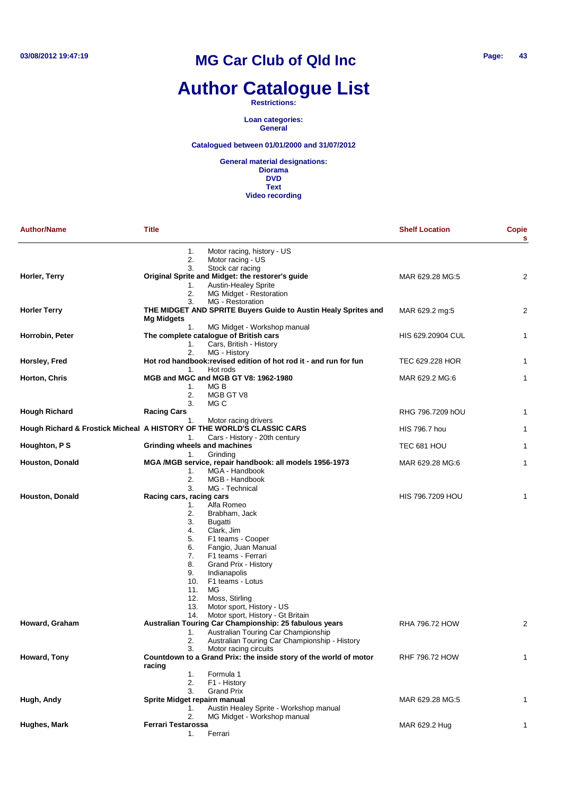# **Author Catalogue List**

#### **Restrictions:**

**Loan categories: General**

### **Catalogued between 01/01/2000 and 31/07/2012**

| <b>Author/Name</b>                                                     | <b>Title</b>                                                                                                      |                                                                                                                                                                                                                                                                              | <b>Shelf Location</b> | <b>Copie</b><br>s |
|------------------------------------------------------------------------|-------------------------------------------------------------------------------------------------------------------|------------------------------------------------------------------------------------------------------------------------------------------------------------------------------------------------------------------------------------------------------------------------------|-----------------------|-------------------|
|                                                                        | 1.<br>2.<br>3.                                                                                                    | Motor racing, history - US<br>Motor racing - US<br>Stock car racing                                                                                                                                                                                                          |                       |                   |
| Horler, Terry                                                          | 1.<br>2.<br>3.                                                                                                    | Original Sprite and Midget: the restorer's guide<br>Austin-Healey Sprite<br>MG Midget - Restoration<br>MG - Restoration                                                                                                                                                      | MAR 629.28 MG:5       | $\overline{2}$    |
| <b>Horler Terry</b>                                                    | <b>Mg Midgets</b>                                                                                                 | THE MIDGET AND SPRITE Buyers Guide to Austin Healy Sprites and                                                                                                                                                                                                               | MAR 629.2 mg:5        | $\overline{2}$    |
| Horrobin, Peter                                                        | 1.<br>1.                                                                                                          | MG Midget - Workshop manual<br>The complete catalogue of British cars<br>Cars, British - History                                                                                                                                                                             | HIS 629.20904 CUL     | $\mathbf{1}$      |
| Horsley, Fred                                                          | 2.<br>1.                                                                                                          | MG - History<br>Hot rod handbook: revised edition of hot rod it - and run for fun<br>Hot rods                                                                                                                                                                                | TEC 629.228 HOR       | $\mathbf{1}$      |
| Horton, Chris                                                          | 1.<br>2.<br>3.                                                                                                    | MGB and MGC and MGB GT V8: 1962-1980<br>MG B<br>MGB GT V8<br>MG C                                                                                                                                                                                                            | MAR 629.2 MG:6        | $\mathbf{1}$      |
| <b>Hough Richard</b>                                                   | <b>Racing Cars</b><br>1.                                                                                          | Motor racing drivers                                                                                                                                                                                                                                                         | RHG 796.7209 hOU      | 1                 |
| Hough Richard & Frostick Micheal A HISTORY OF THE WORLD'S CLASSIC CARS | 1.                                                                                                                | Cars - History - 20th century                                                                                                                                                                                                                                                | HIS 796.7 hou         | 1                 |
| Houghton, P S                                                          | Grinding wheels and machines<br>1.                                                                                | Grinding                                                                                                                                                                                                                                                                     | TEC 681 HOU           | $\mathbf{1}$      |
| Houston, Donald                                                        | 1.<br>2.<br>3.                                                                                                    | MGA /MGB service, repair handbook: all models 1956-1973<br>MGA - Handbook<br>MGB - Handbook<br>MG - Technical                                                                                                                                                                | MAR 629.28 MG:6       | 1                 |
| <b>Houston, Donald</b>                                                 | Racing cars, racing cars<br>1.<br>2.<br>3.<br>4.<br>5.<br>6.<br>7.<br>8.<br>9.<br>10.<br>11.<br>12.<br>13.<br>14. | Alfa Romeo<br>Brabham, Jack<br>Bugatti<br>Clark, Jim<br>F1 teams - Cooper<br>Fangio, Juan Manual<br>F1 teams - Ferrari<br>Grand Prix - History<br>Indianapolis<br>F1 teams - Lotus<br>MG<br>Moss, Stirling<br>Motor sport, History - US<br>Motor sport, History - Gt Britain | HIS 796.7209 HOU      | 1                 |
| Howard, Graham                                                         | 1.<br>2.                                                                                                          | Australian Touring Car Championship: 25 fabulous years<br>Australian Touring Car Championship<br>Australian Touring Car Championship - History<br>Motor racing circuits                                                                                                      | RHA 796.72 HOW        | $\overline{2}$    |
| Howard, Tony                                                           | 3.<br>racing<br>1.<br>2.                                                                                          | Countdown to a Grand Prix: the inside story of the world of motor<br>Formula 1<br>F1 - History                                                                                                                                                                               | <b>RHF 796.72 HOW</b> | 1                 |
| Hugh, Andy                                                             | 3.<br>Sprite Midget repairn manual<br>1.                                                                          | <b>Grand Prix</b><br>Austin Healey Sprite - Workshop manual                                                                                                                                                                                                                  | MAR 629.28 MG:5       | 1                 |
| Hughes, Mark                                                           | 2.<br><b>Ferrari Testarossa</b><br>1.                                                                             | MG Midget - Workshop manual<br>Ferrari                                                                                                                                                                                                                                       | MAR 629.2 Hug         | 1                 |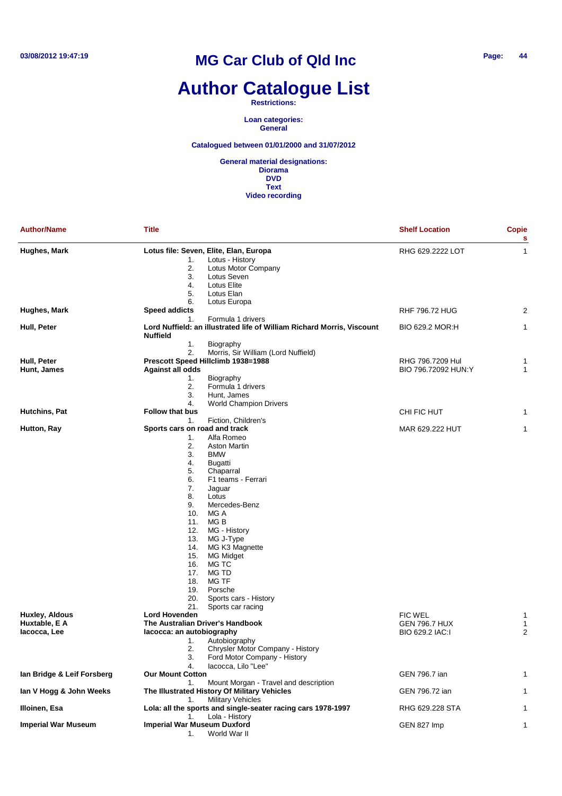# **Author Catalogue List**

**Restrictions:**

**Loan categories: General**

**Catalogued between 01/01/2000 and 31/07/2012**

| <b>Author/Name</b>                              | <b>Title</b>                                                                                                                                                                                                                                                                                                                                                                                                                                                                                              | <b>Shelf Location</b>                                     | Copie<br>s  |
|-------------------------------------------------|-----------------------------------------------------------------------------------------------------------------------------------------------------------------------------------------------------------------------------------------------------------------------------------------------------------------------------------------------------------------------------------------------------------------------------------------------------------------------------------------------------------|-----------------------------------------------------------|-------------|
| Hughes, Mark                                    | Lotus file: Seven, Elite, Elan, Europa<br>Lotus - History<br>1.<br>2.<br>Lotus Motor Company<br>3.<br>Lotus Seven<br>4.<br>Lotus Elite<br>5.<br>Lotus Elan                                                                                                                                                                                                                                                                                                                                                | RHG 629.2222 LOT                                          | 1           |
| Hughes, Mark                                    | 6.<br>Lotus Europa<br><b>Speed addicts</b>                                                                                                                                                                                                                                                                                                                                                                                                                                                                | <b>RHF 796.72 HUG</b>                                     | 2           |
| Hull, Peter                                     | Formula 1 drivers<br>1.<br>Lord Nuffield: an illustrated life of William Richard Morris, Viscount<br><b>Nuffield</b>                                                                                                                                                                                                                                                                                                                                                                                      | BIO 629.2 MOR:H                                           | 1           |
| Hull, Peter<br>Hunt, James                      | 1.<br>Biography<br>2.<br>Morris, Sir William (Lord Nuffield)<br>Prescott Speed Hillclimb 1938=1988<br><b>Against all odds</b><br>1.<br>Biography<br>2.<br>Formula 1 drivers<br>3.<br>Hunt, James                                                                                                                                                                                                                                                                                                          | RHG 796.7209 Hul<br>BIO 796.72092 HUN:Y                   | 1<br>1      |
| Hutchins, Pat                                   | 4.<br><b>World Champion Drivers</b><br><b>Follow that bus</b>                                                                                                                                                                                                                                                                                                                                                                                                                                             | CHI FIC HUT                                               | 1           |
| Hutton, Ray                                     | Fiction, Children's<br>1.<br>Sports cars on road and track<br>Alfa Romeo<br>1.<br>2.<br>Aston Martin<br>3.<br><b>BMW</b><br>4.<br><b>Bugatti</b><br>5.<br>Chaparral<br>6.<br>F1 teams - Ferrari<br>7.<br>Jaguar<br>8.<br>Lotus<br>9.<br>Mercedes-Benz<br>10.<br>MG A<br>MG B<br>11.<br>12.<br>MG - History<br>13.<br>MG J-Type<br>14.<br>MG K3 Magnette<br>15.<br>MG Midget<br>MG TC<br>16.<br>MG TD<br>17.<br>MG TF<br>18.<br>19.<br>Porsche<br>20.<br>Sports cars - History<br>21.<br>Sports car racing | MAR 629.222 HUT                                           | 1           |
| Huxley, Aldous<br>Huxtable, E A<br>lacocca, Lee | <b>Lord Hovenden</b><br>The Australian Driver's Handbook<br>lacocca: an autobiography<br>Autobiography<br>1.<br>2.<br>Chrysler Motor Company - History<br>3.<br>Ford Motor Company - History<br>lacocca, Lilo "Lee"<br>4.                                                                                                                                                                                                                                                                                 | <b>FIC WEL</b><br><b>GEN 796.7 HUX</b><br>BIO 629.2 IAC:I | 1<br>1<br>2 |
| Ian Bridge & Leif Forsberg                      | <b>Our Mount Cotton</b>                                                                                                                                                                                                                                                                                                                                                                                                                                                                                   | GEN 796.7 ian                                             |             |
| lan V Hogg & John Weeks                         | Mount Morgan - Travel and description<br>1.<br>The Illustrated History Of Military Vehicles                                                                                                                                                                                                                                                                                                                                                                                                               | GEN 796.72 ian                                            |             |
| Illoinen, Esa                                   | <b>Military Vehicles</b><br>1.<br>Lola: all the sports and single-seater racing cars 1978-1997                                                                                                                                                                                                                                                                                                                                                                                                            | RHG 629.228 STA                                           |             |
| <b>Imperial War Museum</b>                      | Lola - History<br>1.<br><b>Imperial War Museum Duxford</b><br>World War II<br>1.                                                                                                                                                                                                                                                                                                                                                                                                                          | GEN 827 Imp                                               | 1           |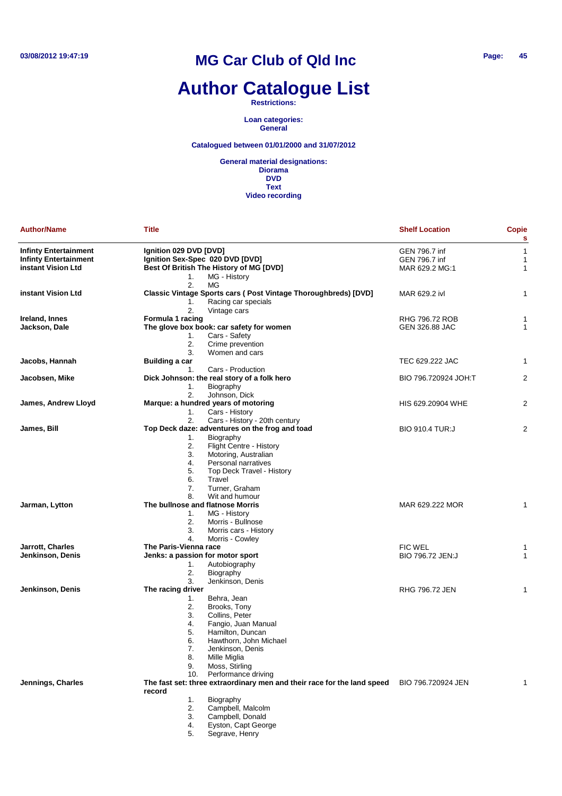### **Author Catalogue List**

**Restrictions:**

**Loan categories: General**

**Catalogued between 01/01/2000 and 31/07/2012**

| <b>Author/Name</b>           | Title                                                                                                    | <b>Shelf Location</b>  | <b>Copie</b><br>s |
|------------------------------|----------------------------------------------------------------------------------------------------------|------------------------|-------------------|
| <b>Infinty Entertainment</b> | Ignition 029 DVD [DVD]                                                                                   | GEN 796.7 inf          | $\mathbf{1}$      |
| <b>Infinty Entertainment</b> | Ignition Sex-Spec 020 DVD [DVD]                                                                          | GEN 796.7 inf          | 1                 |
| instant Vision Ltd           | Best Of British The History of MG [DVD]                                                                  | MAR 629.2 MG:1         | $\mathbf{1}$      |
|                              | MG - History<br>1.<br>2.<br>МG                                                                           |                        |                   |
| instant Vision Ltd           | <b>Classic Vintage Sports cars (Post Vintage Thoroughbreds) [DVD]</b><br>Racing car specials<br>1.<br>2. | MAR 629.2 ivl          | 1                 |
| Ireland, Innes               | Vintage cars<br>Formula 1 racing                                                                         | <b>RHG 796.72 ROB</b>  | 1                 |
| Jackson, Dale                | The glove box book: car safety for women                                                                 | GEN 326.88 JAC         | $\mathbf{1}$      |
|                              | Cars - Safety<br>1.<br>2.<br>Crime prevention                                                            |                        |                   |
|                              | 3.<br>Women and cars                                                                                     |                        |                   |
| Jacobs, Hannah               | Building a car                                                                                           | TEC 629.222 JAC        | $\mathbf{1}$      |
|                              | Cars - Production<br>1.                                                                                  |                        |                   |
| Jacobsen, Mike               | Dick Johnson: the real story of a folk hero<br>Biography<br>1.<br>2.<br>Johnson, Dick                    | BIO 796.720924 JOH:T   | $\overline{2}$    |
| James, Andrew Lloyd          | Marque: a hundred years of motoring                                                                      | HIS 629.20904 WHE      | $\overline{2}$    |
|                              | 1.<br>Cars - History                                                                                     |                        |                   |
|                              | 2.<br>Cars - History - 20th century                                                                      |                        |                   |
| James, Bill                  | Top Deck daze: adventures on the frog and toad                                                           | <b>BIO 910.4 TUR:J</b> | 2                 |
|                              | Biography<br>1.                                                                                          |                        |                   |
|                              | 2.<br>Flight Centre - History                                                                            |                        |                   |
|                              | 3.<br>Motoring, Australian                                                                               |                        |                   |
|                              | 4.<br>Personal narratives                                                                                |                        |                   |
|                              | 5.<br>Top Deck Travel - History<br>6.<br>Travel                                                          |                        |                   |
|                              | 7.<br>Turner, Graham                                                                                     |                        |                   |
|                              | 8.<br>Wit and humour                                                                                     |                        |                   |
| Jarman, Lytton               | The bullnose and flatnose Morris                                                                         | MAR 629.222 MOR        | 1                 |
|                              | 1.<br>MG - History                                                                                       |                        |                   |
|                              | 2.<br>Morris - Bullnose                                                                                  |                        |                   |
|                              | 3.<br>Morris cars - History                                                                              |                        |                   |
|                              | 4.<br>Morris - Cowley                                                                                    |                        |                   |
| Jarrott, Charles             | The Paris-Vienna race                                                                                    | <b>FIC WEL</b>         | 1                 |
| Jenkinson, Denis             | Jenks: a passion for motor sport                                                                         | BIO 796.72 JEN:J       | 1                 |
|                              | Autobiography<br>1.                                                                                      |                        |                   |
|                              | 2.<br>Biography                                                                                          |                        |                   |
|                              | 3.<br>Jenkinson, Denis                                                                                   |                        |                   |
| Jenkinson, Denis             | The racing driver                                                                                        | <b>RHG 796.72 JEN</b>  | 1                 |
|                              | Behra, Jean<br>1.                                                                                        |                        |                   |
|                              | 2.<br>Brooks, Tony                                                                                       |                        |                   |
|                              | 3.<br>Collins, Peter                                                                                     |                        |                   |
|                              | 4.<br>Fangio, Juan Manual                                                                                |                        |                   |
|                              | 5.<br>Hamilton, Duncan                                                                                   |                        |                   |
|                              | 6.<br>Hawthorn, John Michael                                                                             |                        |                   |
|                              | 7.<br>Jenkinson, Denis                                                                                   |                        |                   |
|                              | 8.<br>Mille Miglia<br>Moss, Stirling                                                                     |                        |                   |
|                              | 9.<br>Performance driving<br>10.                                                                         |                        |                   |
| Jennings, Charles            | The fast set: three extraordinary men and their race for the land speed                                  | BIO 796.720924 JEN     | 1                 |
|                              | record                                                                                                   |                        |                   |
|                              | 1.<br>Biography                                                                                          |                        |                   |
|                              | 2.<br>Campbell, Malcolm                                                                                  |                        |                   |
|                              | 3.<br>Campbell, Donald                                                                                   |                        |                   |
|                              | Eyston, Capt George<br>4.                                                                                |                        |                   |
|                              | Segrave, Henry<br>5.                                                                                     |                        |                   |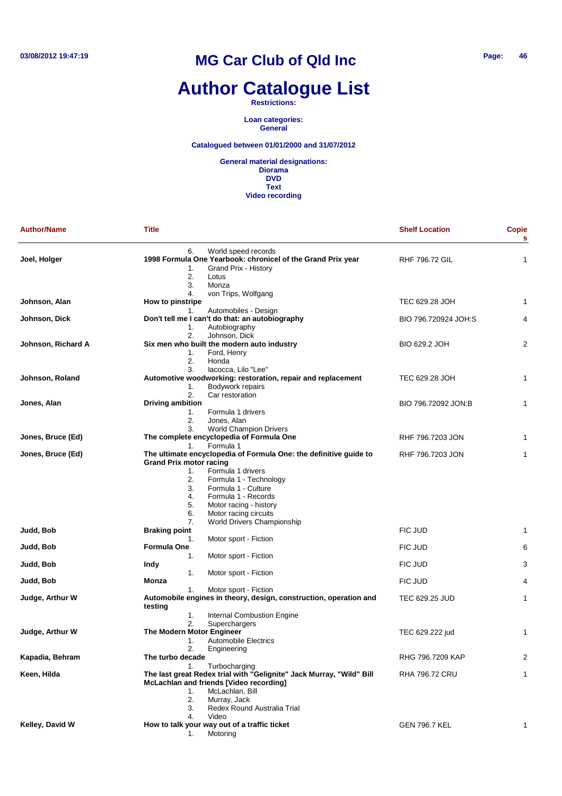# **Author Catalogue List**

**Restrictions:**

**Loan categories: General**

#### **Catalogued between 01/01/2000 and 31/07/2012**

| <b>Author/Name</b> | <b>Title</b>                                                                                                           | <b>Shelf Location</b> | <b>Copie</b><br>$\mathbf{s}$ |
|--------------------|------------------------------------------------------------------------------------------------------------------------|-----------------------|------------------------------|
| Joel, Holger       | 6.<br>World speed records<br>1998 Formula One Yearbook: chronicel of the Grand Prix year<br>Grand Prix - History<br>1. | <b>RHF 796.72 GIL</b> | 1                            |
|                    | 2.<br>Lotus<br>3.<br>Monza                                                                                             |                       |                              |
|                    | von Trips, Wolfgang<br>4.                                                                                              |                       |                              |
| Johnson, Alan      | How to pinstripe                                                                                                       | TEC 629.28 JOH        | 1                            |
|                    | Automobiles - Design<br>1.<br>Don't tell me I can't do that: an autobiography                                          | BIO 796.720924 JOH:S  | 4                            |
| Johnson, Dick      | 1.<br>Autobiography                                                                                                    |                       |                              |
|                    | 2.<br>Johnson, Dick                                                                                                    |                       |                              |
| Johnson, Richard A | Six men who built the modern auto industry                                                                             | BIO 629.2 JOH         | 2                            |
|                    | Ford, Henry<br>1.                                                                                                      |                       |                              |
|                    | 2.<br>Honda                                                                                                            |                       |                              |
|                    | 3.<br>lacocca, Lilo "Lee"                                                                                              |                       |                              |
| Johnson, Roland    | Automotive woodworking: restoration, repair and replacement                                                            | TEC 629.28 JOH        | 1                            |
|                    | Bodywork repairs<br>1.                                                                                                 |                       |                              |
|                    | 2.<br>Car restoration                                                                                                  |                       |                              |
| Jones, Alan        | <b>Driving ambition</b>                                                                                                | BIO 796.72092 JON:B   | 1                            |
|                    | Formula 1 drivers<br>1.                                                                                                |                       |                              |
|                    | 2.<br>Jones, Alan                                                                                                      |                       |                              |
|                    | 3.<br><b>World Champion Drivers</b><br>The complete encyclopedia of Formula One                                        |                       |                              |
| Jones, Bruce (Ed)  | Formula 1<br>1.                                                                                                        | RHF 796.7203 JON      | 1                            |
| Jones, Bruce (Ed)  | The ultimate encyclopedia of Formula One: the definitive guide to                                                      | RHF 796.7203 JON      | $\mathbf{1}$                 |
|                    | <b>Grand Prix motor racing</b>                                                                                         |                       |                              |
|                    | Formula 1 drivers<br>1.                                                                                                |                       |                              |
|                    | 2.<br>Formula 1 - Technology                                                                                           |                       |                              |
|                    | 3.<br>Formula 1 - Culture                                                                                              |                       |                              |
|                    | 4.<br>Formula 1 - Records                                                                                              |                       |                              |
|                    | 5.<br>Motor racing - history                                                                                           |                       |                              |
|                    | Motor racing circuits<br>6.                                                                                            |                       |                              |
|                    | 7.<br>World Drivers Championship                                                                                       |                       |                              |
| Judd, Bob          | <b>Braking point</b>                                                                                                   | FIC JUD               | 1                            |
|                    | 1.<br>Motor sport - Fiction                                                                                            |                       |                              |
| Judd, Bob          | Formula One                                                                                                            | FIC JUD               | 6                            |
|                    | 1.<br>Motor sport - Fiction                                                                                            |                       |                              |
| Judd, Bob          | Indy                                                                                                                   | FIC JUD               | 3                            |
|                    | 1.<br>Motor sport - Fiction                                                                                            |                       |                              |
| Judd, Bob          | Monza                                                                                                                  | FIC JUD               | 4                            |
|                    | 1.<br>Motor sport - Fiction                                                                                            |                       |                              |
| Judge, Arthur W    | Automobile engines in theory, design, construction, operation and                                                      | TEC 629.25 JUD        | 1                            |
|                    | testing                                                                                                                |                       |                              |
|                    | 1.<br>Internal Combustion Engine<br>2.<br>Superchargers                                                                |                       |                              |
| Judge, Arthur W    | The Modern Motor Engineer                                                                                              | TEC 629.222 jud       | 1                            |
|                    | <b>Automobile Electrics</b><br>1.                                                                                      |                       |                              |
|                    | 2.<br>Engineering                                                                                                      |                       |                              |
| Kapadia, Behram    | The turbo decade                                                                                                       | RHG 796.7209 KAP      | 2                            |
|                    | Turbocharging<br>1.                                                                                                    |                       |                              |
| Keen, Hilda        | The last great Redex trial with "Gelignite" Jack Murray, "Wild" Bill<br>McLachlan and friends [Video recording]        | <b>RHA 796.72 CRU</b> | 1                            |
|                    | McLachlan, Bill<br>1.                                                                                                  |                       |                              |
|                    | 2.<br>Murray, Jack                                                                                                     |                       |                              |
|                    | 3.<br>Redex Round Australia Trial                                                                                      |                       |                              |
|                    | 4.<br>Video                                                                                                            |                       |                              |
| Kelley, David W    | How to talk your way out of a traffic ticket                                                                           | GEN 796.7 KEL         | 1                            |
|                    | Motoring<br>1.                                                                                                         |                       |                              |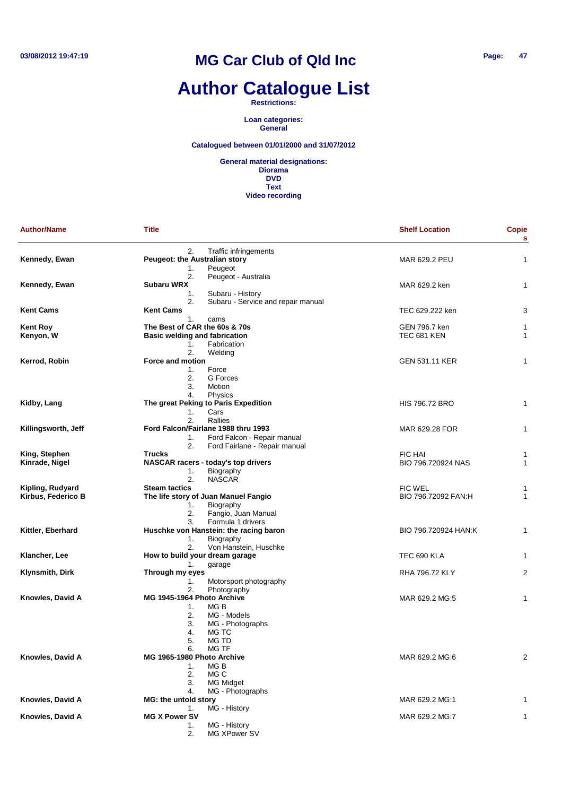## **Author Catalogue List**

**Restrictions:**

**Loan categories: General**

#### **Catalogued between 01/01/2000 and 31/07/2012**

| <b>Author/Name</b>  | <b>Title</b>                             | <b>Shelf Location</b> | <b>Copie</b><br>s |
|---------------------|------------------------------------------|-----------------------|-------------------|
|                     | 2.<br>Traffic infringements              |                       |                   |
| Kennedy, Ewan       | Peugeot: the Australian story            | MAR 629.2 PEU         | 1                 |
|                     | Peugeot<br>1.                            |                       |                   |
|                     | 2.<br>Peugeot - Australia                |                       |                   |
| Kennedy, Ewan       | Subaru WRX                               | MAR 629.2 ken         | 1                 |
|                     | 1.<br>Subaru - History                   |                       |                   |
|                     | Subaru - Service and repair manual<br>2. |                       |                   |
| Kent Cams           | <b>Kent Cams</b>                         | TEC 629.222 ken       | 3                 |
|                     | 1.<br>cams                               |                       |                   |
| Kent Roy            | The Best of CAR the 60s & 70s            | GEN 796.7 ken         | 1                 |
| Kenyon, W           | <b>Basic welding and fabrication</b>     | <b>TEC 681 KEN</b>    | 1                 |
|                     | 1.<br>Fabrication                        |                       |                   |
|                     | 2.<br>Welding                            |                       |                   |
| Kerrod, Robin       | Force and motion                         | GEN 531.11 KER        | 1                 |
|                     | Force<br>1.                              |                       |                   |
|                     | 2.<br>G Forces                           |                       |                   |
|                     | 3.<br>Motion                             |                       |                   |
|                     | 4.<br>Physics                            |                       |                   |
| Kidby, Lang         | The great Peking to Paris Expedition     | <b>HIS 796.72 BRO</b> | 1                 |
|                     | 1.<br>Cars                               |                       |                   |
|                     | 2.<br>Rallies                            |                       |                   |
|                     | Ford Falcon/Fairlane 1988 thru 1993      |                       |                   |
| Killingsworth, Jeff |                                          | MAR 629.28 FOR        | 1                 |
|                     | Ford Falcon - Repair manual<br>1.        |                       |                   |
|                     | 2.<br>Ford Fairlane - Repair manual      |                       |                   |
| King, Stephen       | <b>Trucks</b>                            | <b>FIC HAI</b>        | 1                 |
| Kinrade, Nigel      | NASCAR racers - today's top drivers      | BIO 796.720924 NAS    | 1                 |
|                     | Biography<br>1.                          |                       |                   |
|                     | 2.<br><b>NASCAR</b>                      |                       |                   |
| Kipling, Rudyard    | <b>Steam tactics</b>                     | FIC WEL               | 1                 |
| Kirbus, Federico B  | The life story of Juan Manuel Fangio     | BIO 796.72092 FAN:H   | 1                 |
|                     | Biography<br>1.                          |                       |                   |
|                     | 2.<br>Fangio, Juan Manual                |                       |                   |
|                     | Formula 1 drivers<br>3.                  |                       |                   |
| Kittler, Eberhard   | Huschke von Hanstein: the racing baron   | BIO 796.720924 HAN:K  | 1                 |
|                     | Biography<br>1.                          |                       |                   |
|                     | 2.<br>Von Hanstein, Huschke              |                       |                   |
| Klancher, Lee       | How to build your dream garage           | TEC 690 KLA           | 1                 |
|                     | garage<br>1.                             |                       |                   |
| Klynsmith, Dirk     | Through my eyes                          | RHA 796.72 KLY        | 2                 |
|                     | 1.<br>Motorsport photography             |                       |                   |
|                     | 2.<br>Photography                        |                       |                   |
| Knowles, David A    | MG 1945-1964 Photo Archive               | MAR 629.2 MG:5        | 1                 |
|                     | MG B<br>1.                               |                       |                   |
|                     | 2.<br>MG - Models                        |                       |                   |
|                     | 3.<br>MG - Photographs                   |                       |                   |
|                     | MG TC<br>4.                              |                       |                   |
|                     | 5.<br>MG TD                              |                       |                   |
|                     | 6.<br>MG TF                              |                       |                   |
| Knowles, David A    | MG 1965-1980 Photo Archive               | MAR 629.2 MG:6        | 2                 |
|                     | MG B                                     |                       |                   |
|                     | 1.                                       |                       |                   |
|                     | 2.<br>MG C                               |                       |                   |
|                     | 3.<br><b>MG Midget</b>                   |                       |                   |
|                     | MG - Photographs<br>4.                   |                       |                   |
| Knowles, David A    | MG: the untold story                     | MAR 629.2 MG:1        | 1                 |
|                     | MG - History<br>1.                       |                       |                   |
| Knowles, David A    | <b>MG X Power SV</b>                     | MAR 629.2 MG:7        | 1                 |
|                     | MG - History<br>1.                       |                       |                   |
|                     | 2.<br>MG XPower SV                       |                       |                   |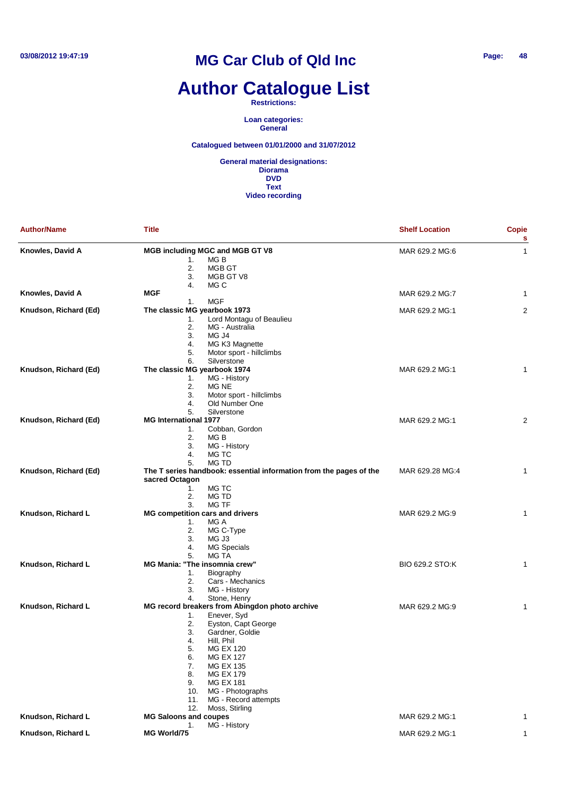# **Author Catalogue List**

**Restrictions:**

**Loan categories: General**

**Catalogued between 01/01/2000 and 31/07/2012**

| <b>Author/Name</b>    | <b>Title</b>                                                                                                                                                                                                                                                                                                                                                | <b>Shelf Location</b> | <b>Copie</b><br>s |
|-----------------------|-------------------------------------------------------------------------------------------------------------------------------------------------------------------------------------------------------------------------------------------------------------------------------------------------------------------------------------------------------------|-----------------------|-------------------|
| Knowles, David A      | <b>MGB including MGC and MGB GT V8</b><br>MG B<br>1.<br>2.<br>MGB GT<br>3.<br>MGB GT V8                                                                                                                                                                                                                                                                     | MAR 629.2 MG:6        | 1                 |
| Knowles, David A      | 4.<br>MG C<br>MGF                                                                                                                                                                                                                                                                                                                                           | MAR 629.2 MG:7        | 1                 |
|                       | <b>MGF</b><br>1.                                                                                                                                                                                                                                                                                                                                            |                       |                   |
| Knudson, Richard (Ed) | The classic MG yearbook 1973<br>Lord Montagu of Beaulieu<br>1.<br>2.<br>MG - Australia<br>3.<br>MG J4<br>4.<br>MG K3 Magnette<br>5.<br>Motor sport - hillclimbs                                                                                                                                                                                             | MAR 629.2 MG:1        | 2                 |
| Knudson, Richard (Ed) | 6.<br>Silverstone<br>The classic MG yearbook 1974<br>MG - History<br>1.<br>2.<br>MG NE<br>3.<br>Motor sport - hillclimbs<br>Old Number One<br>4.<br>5.<br>Silverstone                                                                                                                                                                                       | MAR 629.2 MG:1        | 1                 |
| Knudson, Richard (Ed) | <b>MG International 1977</b><br>Cobban, Gordon<br>1.<br>2.<br>MG B<br>3.<br>MG - History<br>4.<br>MG TC<br><b>MG TD</b><br>5.                                                                                                                                                                                                                               | MAR 629.2 MG:1        | 2                 |
| Knudson, Richard (Ed) | The T series handbook: essential information from the pages of the<br>sacred Octagon<br>MG TC<br>1.<br>2.<br>MG TD<br>3.<br><b>MG TF</b>                                                                                                                                                                                                                    | MAR 629.28 MG:4       | 1                 |
| Knudson, Richard L    | <b>MG competition cars and drivers</b><br>MG A<br>1.<br>2.<br>MG C-Type<br>3.<br>MG J3<br>MG Specials<br>4.<br>MG TA<br>5.                                                                                                                                                                                                                                  | MAR 629.2 MG:9        | 1                 |
| Knudson, Richard L    | <b>MG Mania: "The insomnia crew"</b><br>Biography<br>1.<br>2.<br>Cars - Mechanics<br>3.<br>MG - History<br>4.<br>Stone, Henry                                                                                                                                                                                                                               | BIO 629.2 STO:K       | 1                 |
| Knudson, Richard L    | MG record breakers from Abingdon photo archive<br>Enever, Syd<br>1.<br>Eyston, Capt George<br>2.<br>3.<br>Gardner, Goldie<br>Hill, Phil<br>4.<br>5.<br>MG EX 120<br><b>MG EX 127</b><br>6.<br><b>MG EX 135</b><br>7.<br><b>MG EX 179</b><br>8.<br><b>MG EX 181</b><br>9.<br>MG - Photographs<br>10.<br>MG - Record attempts<br>11.<br>12.<br>Moss, Stirling | MAR 629.2 MG:9        | 1                 |
| Knudson, Richard L    | <b>MG Saloons and coupes</b>                                                                                                                                                                                                                                                                                                                                | MAR 629.2 MG:1        | 1                 |
| Knudson, Richard L    | 1.<br>MG - History<br>MG World/75                                                                                                                                                                                                                                                                                                                           | MAR 629.2 MG:1        | 1                 |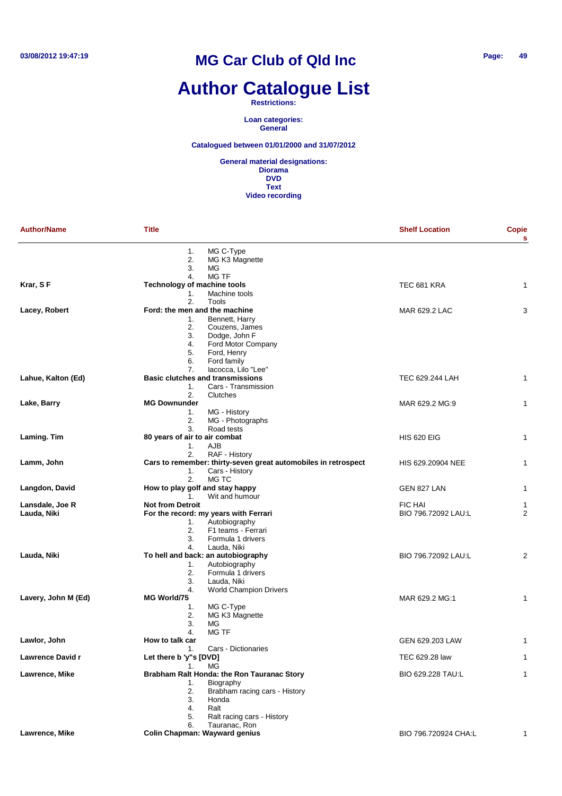# **Author Catalogue List**

**Restrictions:**

**Loan categories: General**

**Catalogued between 01/01/2000 and 31/07/2012**

| <b>Author/Name</b>  | <b>Title</b>                    |                                                                | <b>Shelf Location</b> | <b>Copie</b><br>s |
|---------------------|---------------------------------|----------------------------------------------------------------|-----------------------|-------------------|
|                     | 1.                              | MG C-Type                                                      |                       |                   |
|                     | 2.                              | MG K3 Magnette                                                 |                       |                   |
|                     | 3.                              | MG                                                             |                       |                   |
|                     | 4.                              | MG TF                                                          |                       |                   |
| Krar, SF            | Technology of machine tools     |                                                                | TEC 681 KRA           | 1                 |
|                     | 1.                              | Machine tools                                                  |                       |                   |
|                     | 2.                              | Tools                                                          |                       |                   |
| Lacey, Robert       | Ford: the men and the machine   | Bennett, Harry                                                 | MAR 629.2 LAC         | 3                 |
|                     | 1.<br>2.                        | Couzens, James                                                 |                       |                   |
|                     | 3.                              | Dodge, John F                                                  |                       |                   |
|                     | 4.                              | Ford Motor Company                                             |                       |                   |
|                     | 5.                              | Ford, Henry                                                    |                       |                   |
|                     | 6.                              | Ford family                                                    |                       |                   |
|                     | 7.                              | lacocca, Lilo "Lee"                                            |                       |                   |
| Lahue, Kalton (Ed)  |                                 | <b>Basic clutches and transmissions</b>                        | TEC 629.244 LAH       | 1                 |
|                     | 1.                              | Cars - Transmission                                            |                       |                   |
|                     | 2.                              | Clutches                                                       |                       |                   |
| Lake, Barry         | <b>MG Downunder</b>             |                                                                | MAR 629.2 MG:9        | 1                 |
|                     | 1.                              | MG - History                                                   |                       |                   |
|                     | 2.<br>3.                        | MG - Photographs<br>Road tests                                 |                       |                   |
| Laming. Tim         | 80 years of air to air combat   |                                                                | <b>HIS 620 EIG</b>    | 1                 |
|                     | 1.                              | <b>AJB</b>                                                     |                       |                   |
|                     | 2.                              | RAF - History                                                  |                       |                   |
| Lamm, John          |                                 | Cars to remember: thirty-seven great automobiles in retrospect | HIS 629.20904 NEE     | $\mathbf{1}$      |
|                     | 1.<br>2.                        | Cars - History<br>MG TC                                        |                       |                   |
| Langdon, David      | How to play golf and stay happy |                                                                | GEN 827 LAN           | $\mathbf{1}$      |
|                     | $1_{-}$                         | Wit and humour                                                 |                       |                   |
| Lansdale, Joe R     | <b>Not from Detroit</b>         |                                                                | <b>FIC HAI</b>        | 1                 |
| Lauda, Niki         |                                 | For the record: my years with Ferrari                          | BIO 796.72092 LAU:L   | $\overline{2}$    |
|                     | 1.                              | Autobiography                                                  |                       |                   |
|                     | 2.                              | F1 teams - Ferrari                                             |                       |                   |
|                     | 3.                              | Formula 1 drivers                                              |                       |                   |
|                     | 4.                              | Lauda, Niki                                                    |                       |                   |
| Lauda, Niki         |                                 | To hell and back: an autobiography                             | BIO 796.72092 LAU:L   | 2                 |
|                     | 1.<br>2.                        | Autobiography<br>Formula 1 drivers                             |                       |                   |
|                     | 3.                              | Lauda, Niki                                                    |                       |                   |
|                     | 4.                              | <b>World Champion Drivers</b>                                  |                       |                   |
| Lavery, John M (Ed) | MG World/75                     |                                                                | MAR 629.2 MG:1        | 1                 |
|                     | 1.                              | MG C-Type                                                      |                       |                   |
|                     | 2.                              | MG K3 Magnette                                                 |                       |                   |
|                     | 3.                              | МG                                                             |                       |                   |
|                     | 4.                              | <b>MG TF</b>                                                   |                       |                   |
| Lawlor, John        | How to talk car                 |                                                                | GEN 629.203 LAW       | 1                 |
|                     | 1.                              | Cars - Dictionaries                                            |                       |                   |
| Lawrence David r    | Let there b 'y"s [DVD]          |                                                                | TEC 629.28 law        | 1                 |
|                     | 1.                              | MG                                                             |                       | 1                 |
| Lawrence, Mike      | 1.                              | Brabham Ralt Honda: the Ron Tauranac Story<br>Biography        | BIO 629.228 TAU:L     |                   |
|                     | 2.                              | Brabham racing cars - History                                  |                       |                   |
|                     | 3.                              | Honda                                                          |                       |                   |
|                     | 4.                              | Ralt                                                           |                       |                   |
|                     | 5.                              | Ralt racing cars - History                                     |                       |                   |
|                     | 6.                              | Tauranac, Ron                                                  |                       |                   |
| Lawrence, Mike      |                                 | <b>Colin Chapman: Wayward genius</b>                           | BIO 796.720924 CHA:L  | 1                 |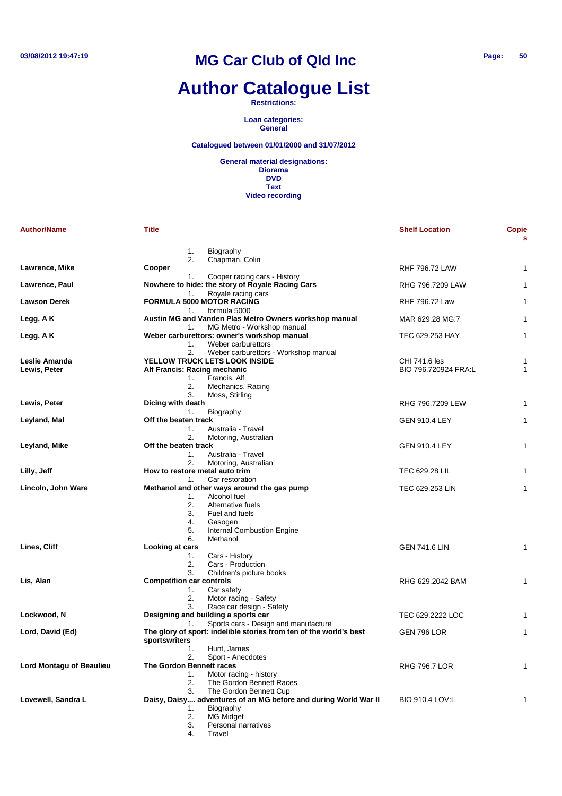# **Author Catalogue List**

**Restrictions:**

**Loan categories: General**

**Catalogued between 01/01/2000 and 31/07/2012**

| <b>Author/Name</b>              | <b>Title</b>                                                                                                                                                                                                                | <b>Shelf Location</b>                 | <b>Copie</b><br>s |
|---------------------------------|-----------------------------------------------------------------------------------------------------------------------------------------------------------------------------------------------------------------------------|---------------------------------------|-------------------|
|                                 | 1.<br>Biography<br>2.<br>Chapman, Colin                                                                                                                                                                                     |                                       |                   |
| Lawrence, Mike                  | Cooper                                                                                                                                                                                                                      | <b>RHF 796.72 LAW</b>                 | 1                 |
| Lawrence, Paul                  | Cooper racing cars - History<br>1.<br>Nowhere to hide: the story of Royale Racing Cars<br>Royale racing cars<br>1.                                                                                                          | RHG 796.7209 LAW                      | 1                 |
| <b>Lawson Derek</b>             | <b>FORMULA 5000 MOTOR RACING</b><br>formula 5000<br>1.                                                                                                                                                                      | <b>RHF 796.72 Law</b>                 | 1                 |
| Legg, A K                       | Austin MG and Vanden Plas Metro Owners workshop manual<br>MG Metro - Workshop manual<br>1.                                                                                                                                  | MAR 629.28 MG:7                       | 1                 |
| Legg, A K                       | Weber carburettors: owner's workshop manual<br>Weber carburettors<br>1.                                                                                                                                                     | TEC 629.253 HAY                       | 1                 |
| Leslie Amanda<br>Lewis, Peter   | 2.<br>Weber carburettors - Workshop manual<br><b>YELLOW TRUCK LETS LOOK INSIDE</b><br>Alf Francis: Racing mechanic<br>Francis, Alf<br>1.<br>2.<br>Mechanics, Racing<br>3.<br>Moss, Stirling                                 | CHI 741.6 les<br>BIO 796.720924 FRA:L | 1<br>1            |
| Lewis, Peter                    | Dicing with death                                                                                                                                                                                                           | RHG 796.7209 LEW                      | 1                 |
| Leyland, Mal                    | Biography<br>1.<br>Off the beaten track<br>1.<br>Australia - Travel                                                                                                                                                         | <b>GEN 910.4 LEY</b>                  | 1                 |
| Leyland, Mike                   | 2.<br>Motoring, Australian<br>Off the beaten track<br>Australia - Travel<br>1.                                                                                                                                              | <b>GEN 910.4 LEY</b>                  | 1                 |
| Lilly, Jeff                     | 2.<br>Motoring, Australian<br>How to restore metal auto trim                                                                                                                                                                | TEC 629.28 LIL                        | 1                 |
| Lincoln, John Ware              | Car restoration<br>1.<br>Methanol and other ways around the gas pump<br>Alcohol fuel<br>1.<br>2.<br>Alternative fuels<br>3.<br>Fuel and fuels<br>4.<br>Gasogen<br>5.<br><b>Internal Combustion Engine</b><br>6.<br>Methanol | TEC 629.253 LIN                       | 1                 |
| Lines, Cliff                    | Looking at cars<br>Cars - History<br>1.<br>2.<br>Cars - Production<br>3.<br>Children's picture books                                                                                                                        | <b>GEN 741.6 LIN</b>                  | 1                 |
| Lis, Alan                       | <b>Competition car controls</b><br>Car safety<br>1.<br>Motor racing - Safety<br>2.<br>Race car design - Safety<br>3.                                                                                                        | RHG 629.2042 BAM                      | 1                 |
| Lockwood, N                     | Designing and building a sports car<br>Sports cars - Design and manufacture                                                                                                                                                 | TEC 629.2222 LOC                      | 1                 |
| Lord, David (Ed)                | 1.<br>The glory of sport: indelible stories from ten of the world's best<br>sportswriters<br>1.                                                                                                                             | <b>GEN 796 LOR</b>                    | 1                 |
| <b>Lord Montagu of Beaulieu</b> | Hunt, James<br>2.<br>Sport - Anecdotes<br>The Gordon Bennett races<br>Motor racing - history<br>1.<br>The Gordon Bennett Races<br>2.                                                                                        | <b>RHG 796.7 LOR</b>                  | 1                 |
| Lovewell, Sandra L              | The Gordon Bennett Cup<br>3.<br>Daisy, Daisy adventures of an MG before and during World War II<br>Biography<br>1.<br><b>MG Midget</b><br>2.<br>3.<br>Personal narratives<br>4.<br>Travel                                   | <b>BIO 910.4 LOV:L</b>                | 1                 |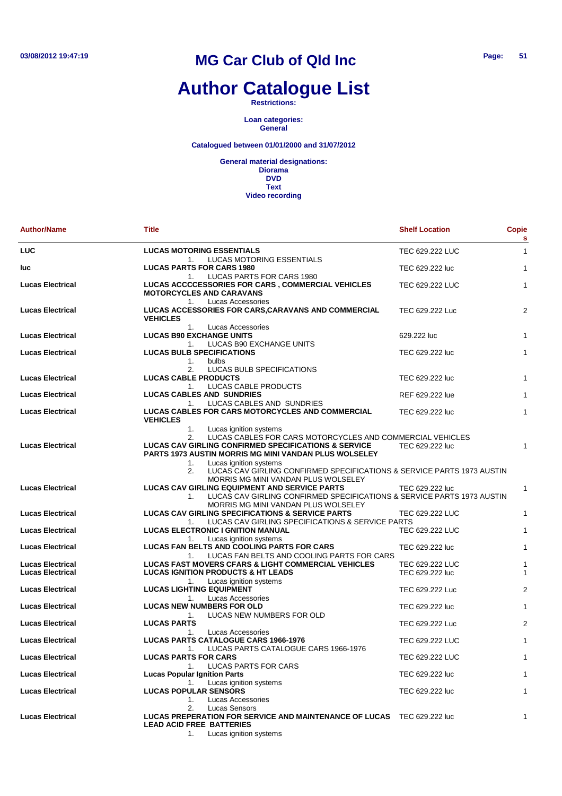### **Author Catalogue List**

**Restrictions:**

**Loan categories: General**

**Catalogued between 01/01/2000 and 31/07/2012**

| <b>Author/Name</b>                                 | <b>Title</b>                                                                                                                                                                                                                                                                                                                                       | <b>Shelf Location</b>              | <b>Copie</b><br>s |
|----------------------------------------------------|----------------------------------------------------------------------------------------------------------------------------------------------------------------------------------------------------------------------------------------------------------------------------------------------------------------------------------------------------|------------------------------------|-------------------|
| <b>LUC</b>                                         | <b>LUCAS MOTORING ESSENTIALS</b><br>1.<br>LUCAS MOTORING ESSENTIALS                                                                                                                                                                                                                                                                                | TEC 629.222 LUC                    | $\mathbf{1}$      |
| luc                                                | <b>LUCAS PARTS FOR CARS 1980</b>                                                                                                                                                                                                                                                                                                                   | TEC 629.222 luc                    | $\mathbf{1}$      |
| <b>Lucas Electrical</b>                            | LUCAS PARTS FOR CARS 1980<br>1.<br>LUCAS ACCCCESSORIES FOR CARS, COMMERCIAL VEHICLES<br><b>MOTORCYCLES AND CARAVANS</b>                                                                                                                                                                                                                            | TEC 629.222 LUC                    | $\mathbf{1}$      |
| <b>Lucas Electrical</b>                            | Lucas Accessories<br>1.<br>LUCAS ACCESSORIES FOR CARS, CARAVANS AND COMMERCIAL<br><b>VEHICLES</b>                                                                                                                                                                                                                                                  | TEC 629.222 Luc                    | $\overline{2}$    |
| <b>Lucas Electrical</b>                            | 1.<br>Lucas Accessories<br><b>LUCAS B90 EXCHANGE UNITS</b><br>LUCAS B90 EXCHANGE UNITS<br>1.                                                                                                                                                                                                                                                       | 629.222 luc                        | $\mathbf{1}$      |
| <b>Lucas Electrical</b>                            | <b>LUCAS BULB SPECIFICATIONS</b><br>1.<br>bulbs                                                                                                                                                                                                                                                                                                    | TEC 629.222 luc                    | $\mathbf{1}$      |
| <b>Lucas Electrical</b>                            | LUCAS BULB SPECIFICATIONS<br>2.<br><b>LUCAS CABLE PRODUCTS</b><br>LUCAS CABLE PRODUCTS<br>1.                                                                                                                                                                                                                                                       | TEC 629.222 luc                    | $\mathbf{1}$      |
| <b>Lucas Electrical</b>                            | <b>LUCAS CABLES AND SUNDRIES</b>                                                                                                                                                                                                                                                                                                                   | REF 629.222 lue                    | $\mathbf{1}$      |
| <b>Lucas Electrical</b>                            | LUCAS CABLES AND SUNDRIES<br>1.<br><b>LUCAS CABLES FOR CARS MOTORCYCLES AND COMMERCIAL</b><br><b>VEHICLES</b>                                                                                                                                                                                                                                      | TEC 629.222 luc                    | $\mathbf{1}$      |
| <b>Lucas Electrical</b>                            | 1.<br>Lucas ignition systems<br>2.<br>LUCAS CABLES FOR CARS MOTORCYCLES AND COMMERCIAL VEHICLES<br><b>LUCAS CAV GIRLING CONFIRMED SPECIFICATIONS &amp; SERVICE</b><br><b>PARTS 1973 AUSTIN MORRIS MG MINI VANDAN PLUS WOLSELEY</b><br>1.<br>Lucas ignition systems<br>LUCAS CAV GIRLING CONFIRMED SPECIFICATIONS & SERVICE PARTS 1973 AUSTIN<br>2. | TEC 629.222 luc                    | 1                 |
| <b>Lucas Electrical</b>                            | MORRIS MG MINI VANDAN PLUS WOLSELEY<br><b>LUCAS CAV GIRLING EQUIPMENT AND SERVICE PARTS</b><br>LUCAS CAV GIRLING CONFIRMED SPECIFICATIONS & SERVICE PARTS 1973 AUSTIN<br>1.                                                                                                                                                                        | TEC 629.222 luc                    | 1                 |
| <b>Lucas Electrical</b>                            | MORRIS MG MINI VANDAN PLUS WOLSELEY<br><b>LUCAS CAV GIRLING SPECIFICATIONS &amp; SERVICE PARTS</b>                                                                                                                                                                                                                                                 | TEC 629.222 LUC                    | $\mathbf{1}$      |
| <b>Lucas Electrical</b>                            | LUCAS CAV GIRLING SPECIFICATIONS & SERVICE PARTS<br>1.<br><b>LUCAS ELECTRONIC I GNITION MANUAL</b>                                                                                                                                                                                                                                                 | TEC 629.222 LUC                    | $\mathbf{1}$      |
| <b>Lucas Electrical</b>                            | Lucas ignition systems<br>1.<br><b>LUCAS FAN BELTS AND COOLING PARTS FOR CARS</b><br>LUCAS FAN BELTS AND COOLING PARTS FOR CARS<br>1.                                                                                                                                                                                                              | TEC 629.222 luc                    | $\mathbf{1}$      |
| <b>Lucas Electrical</b><br><b>Lucas Electrical</b> | <b>LUCAS FAST MOVERS CFARS &amp; LIGHT COMMERCIAL VEHICLES</b><br><b>LUCAS IGNITION PRODUCTS &amp; HT LEADS</b><br>Lucas ignition systems<br>1.                                                                                                                                                                                                    | TEC 629.222 LUC<br>TEC 629.222 luc | 1<br>1            |
| <b>Lucas Electrical</b>                            | <b>LUCAS LIGHTING EQUIPMENT</b><br>Lucas Accessories<br>1.                                                                                                                                                                                                                                                                                         | TEC 629.222 Luc                    | $\overline{2}$    |
| <b>Lucas Electrical</b>                            | <b>LUCAS NEW NUMBERS FOR OLD</b><br>LUCAS NEW NUMBERS FOR OLD<br>1.                                                                                                                                                                                                                                                                                | TEC 629.222 luc                    | 1                 |
| <b>Lucas Electrical</b>                            | <b>LUCAS PARTS</b><br>Lucas Accessories<br>1.                                                                                                                                                                                                                                                                                                      | TEC 629.222 Luc                    | $\overline{2}$    |
| <b>Lucas Electrical</b>                            | <b>LUCAS PARTS CATALOGUE CARS 1966-1976</b><br>LUCAS PARTS CATALOGUE CARS 1966-1976<br>1.                                                                                                                                                                                                                                                          | TEC 629.222 LUC                    | 1                 |
| <b>Lucas Electrical</b>                            | <b>LUCAS PARTS FOR CARS</b><br><b>LUCAS PARTS FOR CARS</b><br>1.                                                                                                                                                                                                                                                                                   | TEC 629.222 LUC                    | 1                 |
| <b>Lucas Electrical</b>                            | <b>Lucas Popular Ignition Parts</b><br>Lucas ignition systems<br>1.                                                                                                                                                                                                                                                                                | TEC 629.222 luc                    | $\mathbf{1}$      |
| <b>Lucas Electrical</b>                            | <b>LUCAS POPULAR SENSORS</b><br>1.<br>Lucas Accessories                                                                                                                                                                                                                                                                                            | TEC 629.222 luc                    | $\mathbf{1}$      |
| <b>Lucas Electrical</b>                            | 2.<br>Lucas Sensors<br><b>LUCAS PREPERATION FOR SERVICE AND MAINTENANCE OF LUCAS</b><br><b>LEAD ACID FREE BATTERIES</b><br>1.<br>Lucas ignition systems                                                                                                                                                                                            | TEC 629.222 luc                    | 1                 |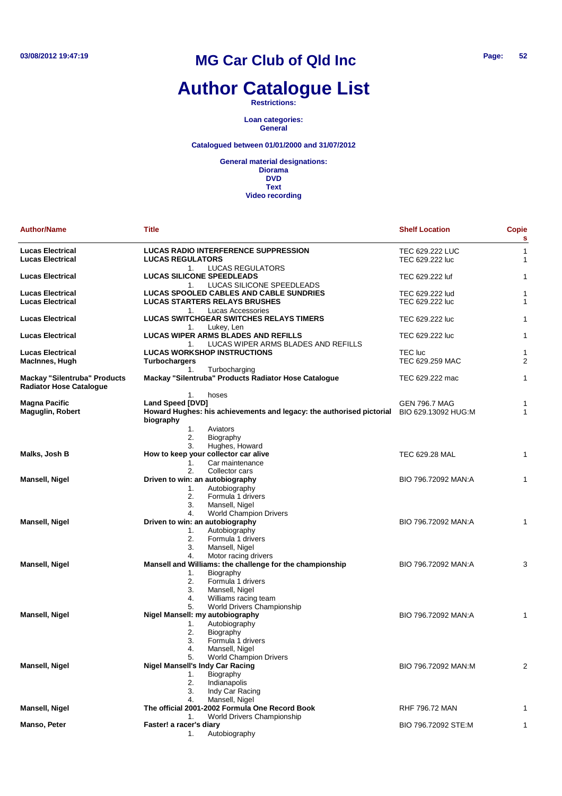### **Author Catalogue List**

**Restrictions:**

**Loan categories: General**

**Catalogued between 01/01/2000 and 31/07/2012**

| <b>Author/Name</b>                                                    | Title                                                                                                                                                                                      | <b>Shelf Location</b>                       | <b>Copie</b><br>s |
|-----------------------------------------------------------------------|--------------------------------------------------------------------------------------------------------------------------------------------------------------------------------------------|---------------------------------------------|-------------------|
| <b>Lucas Electrical</b><br><b>Lucas Electrical</b>                    | <b>LUCAS RADIO INTERFERENCE SUPPRESSION</b><br><b>LUCAS REGULATORS</b><br><b>LUCAS REGULATORS</b><br>1.                                                                                    | TEC 629.222 LUC<br>TEC 629.222 luc          | 1<br>1            |
| <b>Lucas Electrical</b>                                               | <b>LUCAS SILICONE SPEEDLEADS</b><br>LUCAS SILICONE SPEEDLEADS<br>1.                                                                                                                        | TEC 629.222 luf                             | 1                 |
| <b>Lucas Electrical</b><br><b>Lucas Electrical</b>                    | LUCAS SPOOLED CABLES AND CABLE SUNDRIES<br><b>LUCAS STARTERS RELAYS BRUSHES</b><br>Lucas Accessories<br>1.                                                                                 | TEC 629.222 lud<br>TEC 629.222 luc          | 1<br>1            |
| <b>Lucas Electrical</b>                                               | <b>LUCAS SWITCHGEAR SWITCHES RELAYS TIMERS</b><br>Lukey, Len<br>1.                                                                                                                         | TEC 629.222 luc                             | 1                 |
| <b>Lucas Electrical</b>                                               | <b>LUCAS WIPER ARMS BLADES AND REFILLS</b><br>LUCAS WIPER ARMS BLADES AND REFILLS<br>1.                                                                                                    | TEC 629.222 luc                             | 1                 |
| <b>Lucas Electrical</b><br>MacInnes, Hugh                             | <b>LUCAS WORKSHOP INSTRUCTIONS</b><br><b>Turbochargers</b><br>Turbocharging<br>1.                                                                                                          | TEC luc<br>TEC 629.259 MAC                  | 1<br>2            |
| <b>Mackay "Silentruba" Products</b><br><b>Radiator Hose Catalogue</b> | Mackay "Silentruba" Products Radiator Hose Catalogue                                                                                                                                       | TEC 629.222 mac                             | 1                 |
| <b>Magna Pacific</b><br><b>Maguglin, Robert</b>                       | 1.<br>hoses<br>Land Speed [DVD]<br>Howard Hughes: his achievements and legacy: the authorised pictorial<br>biography<br>1.<br>Aviators                                                     | <b>GEN 796.7 MAG</b><br>BIO 629.13092 HUG:M | 1<br>1            |
|                                                                       | 2.<br>Biography<br>Hughes, Howard<br>3.                                                                                                                                                    |                                             |                   |
| Malks, Josh B                                                         | How to keep your collector car alive<br>Car maintenance<br>1.                                                                                                                              | TEC 629.28 MAL                              | 1                 |
| Mansell, Nigel                                                        | 2.<br>Collector cars<br>Driven to win: an autobiography<br>Autobiography<br>1.<br>2.<br>Formula 1 drivers<br>3.<br>Mansell, Nigel                                                          | BIO 796.72092 MAN:A                         | 1                 |
| <b>Mansell, Nigel</b>                                                 | <b>World Champion Drivers</b><br>4.<br>Driven to win: an autobiography<br>Autobiography<br>1.<br>2.<br>Formula 1 drivers<br>3.<br>Mansell, Nigel                                           | BIO 796.72092 MAN:A                         | 1                 |
| Mansell, Nigel                                                        | 4.<br>Motor racing drivers<br>Mansell and Williams: the challenge for the championship<br>Biography<br>1.<br>Formula 1 drivers<br>2.<br>Mansell, Nigel<br>3.<br>Williams racing team<br>4. | BIO 796.72092 MAN:A                         | 3                 |
| <b>Mansell, Nigel</b>                                                 | World Drivers Championship<br>5.<br>Nigel Mansell: my autobiography<br>Autobiography<br>1.<br>2.<br>Biography<br>3.<br>Formula 1 drivers<br>Mansell, Nigel<br>4.                           | BIO 796.72092 MAN:A                         | 1                 |
| Mansell, Nigel                                                        | <b>World Champion Drivers</b><br>5.<br><b>Nigel Mansell's Indy Car Racing</b><br>Biography<br>1.<br>2.<br>Indianapolis<br>3.<br>Indy Car Racing                                            | BIO 796.72092 MAN:M                         | 2                 |
| Mansell, Nigel                                                        | Mansell, Nigel<br>4.<br>The official 2001-2002 Formula One Record Book<br>World Drivers Championship                                                                                       | <b>RHF 796.72 MAN</b>                       |                   |
| Manso, Peter                                                          | 1.<br>Faster! a racer's diary<br>Autobiography<br>1.                                                                                                                                       | BIO 796.72092 STE:M                         | 1                 |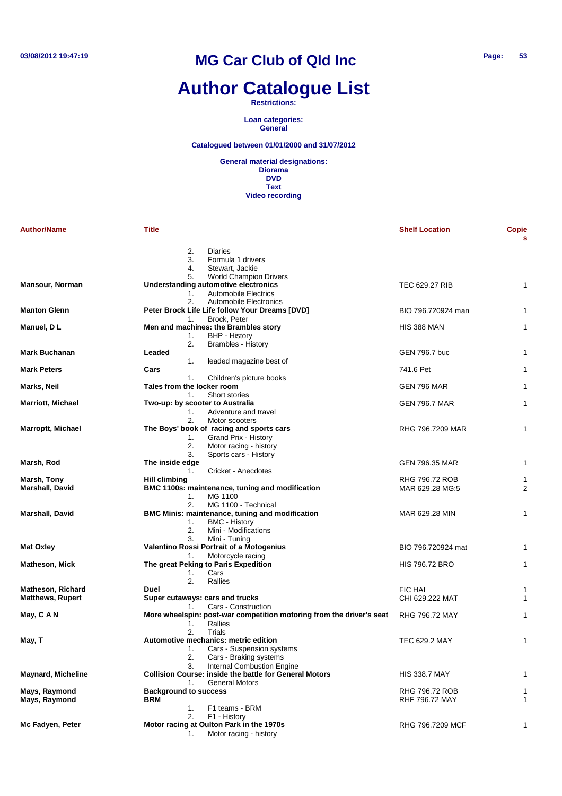### **Author Catalogue List**

#### **Restrictions:**

**Loan categories: General**

#### **Catalogued between 01/01/2000 and 31/07/2012**

| <b>Author/Name</b>                                  | Title                                                                                                                                              | <b>Shelf Location</b>                   | <b>Copie</b><br>s   |
|-----------------------------------------------------|----------------------------------------------------------------------------------------------------------------------------------------------------|-----------------------------------------|---------------------|
|                                                     | 2.<br><b>Diaries</b><br>3.<br>Formula 1 drivers<br>4.<br>Stewart, Jackie                                                                           |                                         |                     |
| <b>Mansour, Norman</b>                              | 5.<br><b>World Champion Drivers</b><br>Understanding automotive electronics<br>Automobile Electrics<br>1.                                          | <b>TEC 629.27 RIB</b>                   | 1                   |
| <b>Manton Glenn</b>                                 | 2.<br>Automobile Electronics<br>Peter Brock Life Life follow Your Dreams [DVD]                                                                     | BIO 796.720924 man                      | 1                   |
| Manuel, D L                                         | Brock, Peter<br>1.<br>Men and machines: the Brambles story<br><b>BHP - History</b><br>1.                                                           | <b>HIS 388 MAN</b>                      | 1                   |
| <b>Mark Buchanan</b>                                | 2.<br>Brambles - History<br>Leaded<br>leaded magazine best of<br>1.                                                                                | GEN 796.7 buc                           | 1                   |
| <b>Mark Peters</b>                                  | Cars<br>1.<br>Children's picture books                                                                                                             | 741.6 Pet                               | 1                   |
| Marks, Neil                                         | Tales from the locker room<br>Short stories<br>1.                                                                                                  | GEN 796 MAR                             | 1                   |
| Marriott, Michael                                   | Two-up: by scooter to Australia<br>1.<br>Adventure and travel                                                                                      | <b>GEN 796.7 MAR</b>                    | 1                   |
| Marroptt, Michael                                   | 2.<br>Motor scooters<br>The Boys' book of racing and sports cars<br>Grand Prix - History<br>1.<br>2.<br>Motor racing - history                     | RHG 796.7209 MAR                        | 1                   |
| Marsh, Rod                                          | 3.<br>Sports cars - History<br>The inside edge                                                                                                     | GEN 796.35 MAR                          | 1                   |
| Marsh, Tony<br><b>Marshall, David</b>               | Cricket - Anecdotes<br>1.<br><b>Hill climbing</b><br>BMC 1100s: maintenance, tuning and modification<br>1.<br>MG 1100                              | RHG 796.72 ROB<br>MAR 629.28 MG:5       | 1<br>$\overline{2}$ |
| Marshall, David                                     | 2.<br>MG 1100 - Technical<br>BMC Minis: maintenance, tuning and modification<br>1.<br><b>BMC - History</b><br>2.<br>Mini - Modifications           | MAR 629.28 MIN                          | 1                   |
| <b>Mat Oxley</b>                                    | 3.<br>Mini - Tuning<br>Valentino Rossi Portrait of a Motogenius<br>Motorcycle racing<br>1.                                                         | BIO 796.720924 mat                      | $\mathbf{1}$        |
| Matheson, Mick                                      | The great Peking to Paris Expedition<br>Cars<br>1.<br>2.<br>Rallies                                                                                | <b>HIS 796.72 BRO</b>                   | $\mathbf{1}$        |
| <b>Matheson, Richard</b><br><b>Matthews, Rupert</b> | Duel<br>Super cutaways: cars and trucks<br>Cars - Construction<br>1.                                                                               | <b>FIC HAI</b><br>CHI 629.222 MAT       | 1<br>$\mathbf{1}$   |
| May, C A N                                          | More wheelspin: post-war competition motoring from the driver's seat<br>Rallies<br>1.<br>2.<br>Trials                                              | RHG 796.72 MAY                          | $\mathbf{1}$        |
| May, T                                              | Automotive mechanics: metric edition<br>1.<br>Cars - Suspension systems<br>2.<br>Cars - Braking systems<br><b>Internal Combustion Engine</b><br>3. | TEC 629.2 MAY                           | 1                   |
| <b>Maynard, Micheline</b>                           | <b>Collision Course: inside the battle for General Motors</b><br><b>General Motors</b><br>1.                                                       | <b>HIS 338.7 MAY</b>                    | 1                   |
| Mays, Raymond<br>Mays, Raymond                      | <b>Background to success</b><br><b>BRM</b><br>1.<br>F1 teams - BRM                                                                                 | RHG 796.72 ROB<br><b>RHF 796.72 MAY</b> | 1<br>1              |
| Mc Fadyen, Peter                                    | 2.<br>F1 - History<br>Motor racing at Oulton Park in the 1970s<br>Motor racing - history<br>1.                                                     | RHG 796.7209 MCF                        | 1                   |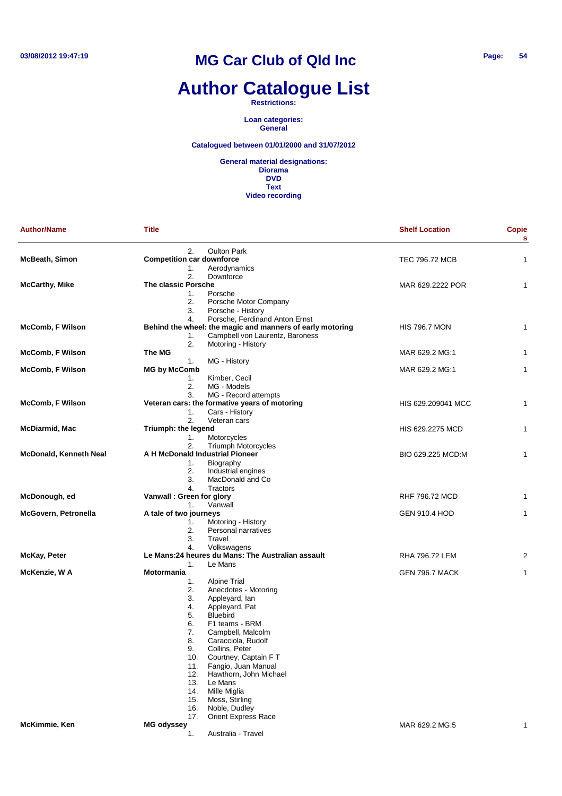# **Author Catalogue List**

**Restrictions:**

**Loan categories: General**

**Catalogued between 01/01/2000 and 31/07/2012**

| <b>Author/Name</b>      | <b>Title</b>                     |                                                                                              | <b>Shelf Location</b> | <b>Copie</b><br>s |
|-------------------------|----------------------------------|----------------------------------------------------------------------------------------------|-----------------------|-------------------|
|                         | 2.                               | <b>Oulton Park</b>                                                                           |                       |                   |
| <b>McBeath, Simon</b>   | <b>Competition car downforce</b> |                                                                                              | TEC 796.72 MCB        | 1                 |
|                         | 1.                               | Aerodynamics                                                                                 |                       |                   |
|                         | 2.                               | Downforce                                                                                    |                       |                   |
| <b>McCarthy, Mike</b>   | The classic Porsche              |                                                                                              | MAR 629.2222 POR      | 1                 |
|                         | 1.                               | Porsche                                                                                      |                       |                   |
|                         | 2.<br>3.                         | Porsche Motor Company                                                                        |                       |                   |
|                         | 4.                               | Porsche - History<br>Porsche, Ferdinand Anton Ernst                                          |                       |                   |
|                         |                                  |                                                                                              | <b>HIS 796.7 MON</b>  | 1                 |
| McComb, F Wilson        | 1.                               | Behind the wheel: the magic and manners of early motoring<br>Campbell von Laurentz, Baroness |                       |                   |
|                         | 2.                               | Motoring - History                                                                           |                       |                   |
| <b>McComb, F Wilson</b> | The MG                           |                                                                                              | MAR 629.2 MG:1        | 1                 |
|                         | 1.                               | MG - History                                                                                 |                       |                   |
| McComb, F Wilson        | <b>MG by McComb</b>              |                                                                                              | MAR 629.2 MG:1        | 1                 |
|                         | 1.                               | Kimber, Cecil                                                                                |                       |                   |
|                         | 2.                               | MG - Models                                                                                  |                       |                   |
|                         | 3.                               | MG - Record attempts                                                                         |                       |                   |
| McComb, F Wilson        |                                  | Veteran cars: the formative years of motoring                                                | HIS 629.209041 MCC    | 1                 |
|                         | 1.                               | Cars - History                                                                               |                       |                   |
|                         | 2.                               | Veteran cars                                                                                 |                       |                   |
| McDiarmid, Mac          | Triumph: the legend              |                                                                                              | HIS 629.2275 MCD      | 1                 |
|                         |                                  |                                                                                              |                       |                   |
|                         | 1.<br>2.                         | Motorcycles<br>Triumph Motorcycles                                                           |                       |                   |
|                         | A H McDonald Industrial Pioneer  |                                                                                              | BIO 629.225 MCD:M     | 1                 |
| McDonald, Kenneth Neal  |                                  | Biography                                                                                    |                       |                   |
|                         | 1.<br>2.                         |                                                                                              |                       |                   |
|                         | 3.                               | Industrial engines<br>MacDonald and Co.                                                      |                       |                   |
|                         |                                  |                                                                                              |                       |                   |
| McDonough, ed           | 4.<br>Vanwall : Green for glory  | Tractors                                                                                     |                       |                   |
|                         |                                  |                                                                                              | RHF 796.72 MCD        | 1                 |
|                         | 1.                               | Vanwall                                                                                      |                       |                   |
| McGovern, Petronella    | A tale of two journeys           |                                                                                              | <b>GEN 910.4 HOD</b>  | 1                 |
|                         | 1.<br>2.                         | Motoring - History<br>Personal narratives                                                    |                       |                   |
|                         | 3.                               | Travel                                                                                       |                       |                   |
|                         | 4.                               |                                                                                              |                       |                   |
|                         |                                  | Volkswagens<br>Le Mans:24 heures du Mans: The Australian assault                             | RHA 796.72 LEM        |                   |
| McKay, Peter            |                                  | Le Mans                                                                                      |                       | 2                 |
|                         | 1.<br>Motormania                 |                                                                                              |                       |                   |
| McKenzie, W A           |                                  |                                                                                              | <b>GEN 796.7 MACK</b> | 1                 |
|                         | 1.                               | <b>Alpine Trial</b>                                                                          |                       |                   |
|                         | 2.<br>3.                         | Anecdotes - Motoring<br>Appleyard, lan                                                       |                       |                   |
|                         | 4.                               |                                                                                              |                       |                   |
|                         | 5.                               | Appleyard, Pat<br><b>Bluebird</b>                                                            |                       |                   |
|                         | 6.                               | F1 teams - BRM                                                                               |                       |                   |
|                         |                                  |                                                                                              |                       |                   |
|                         | 7.<br>8.                         | Campbell, Malcolm                                                                            |                       |                   |
|                         |                                  | Caracciola, Rudolf                                                                           |                       |                   |
|                         | 9.                               | Collins, Peter                                                                               |                       |                   |
|                         | 10.                              | Courtney, Captain FT<br>Fangio, Juan Manual                                                  |                       |                   |
|                         | 11.                              | Hawthorn, John Michael                                                                       |                       |                   |
|                         | 12.                              |                                                                                              |                       |                   |
|                         | 13.                              | Le Mans                                                                                      |                       |                   |
|                         | 14.                              | Mille Miglia                                                                                 |                       |                   |
|                         | 15.                              | Moss, Stirling                                                                               |                       |                   |
|                         | 16.                              | Noble, Dudley                                                                                |                       |                   |
|                         | 17.                              | <b>Orient Express Race</b>                                                                   |                       |                   |
| McKimmie, Ken           | <b>MG odyssey</b>                |                                                                                              | MAR 629.2 MG:5        | 1                 |
|                         | 1.                               | Australia - Travel                                                                           |                       |                   |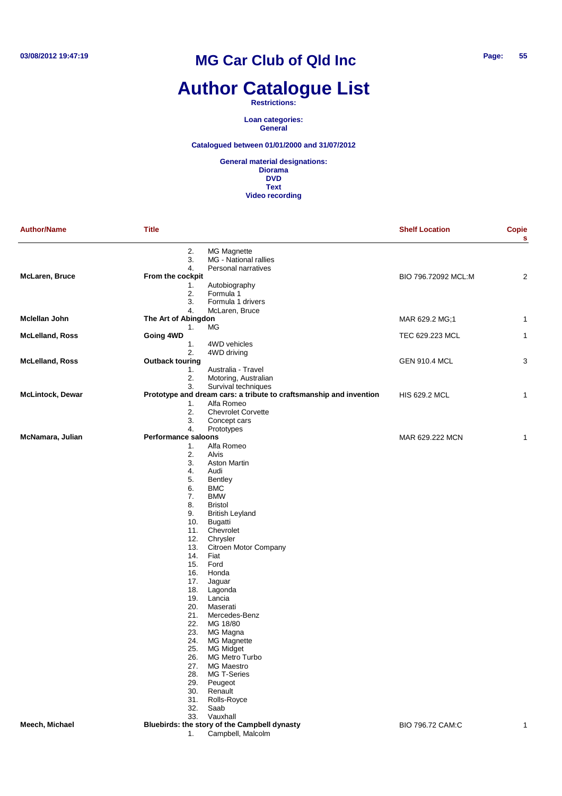# **Author Catalogue List**

#### **Restrictions:**

**Loan categories: General**

### **Catalogued between 01/01/2000 and 31/07/2012**

| <b>Author/Name</b>      | <b>Title</b>                                                            | <b>Shelf Location</b> | <b>Copie</b><br>s |
|-------------------------|-------------------------------------------------------------------------|-----------------------|-------------------|
|                         | 2.<br>MG Magnette<br>3.<br>MG - National rallies                        |                       |                   |
| <b>McLaren, Bruce</b>   | 4.<br>Personal narratives<br>From the cockpit                           | BIO 796.72092 MCL:M   | $\overline{2}$    |
|                         | 1.<br>Autobiography                                                     |                       |                   |
|                         | 2.<br>Formula 1                                                         |                       |                   |
|                         | 3.<br>Formula 1 drivers                                                 |                       |                   |
|                         | 4.<br>McLaren, Bruce                                                    |                       |                   |
| Mclellan John           | The Art of Abingdon                                                     | MAR 629.2 MG;1        | 1                 |
|                         | МG<br>1.                                                                |                       |                   |
| <b>McLelland, Ross</b>  | Going 4WD<br>1.<br>4WD vehicles                                         | TEC 629.223 MCL       | $\mathbf{1}$      |
|                         | 2.<br>4WD driving                                                       |                       |                   |
| <b>McLelland, Ross</b>  | <b>Outback touring</b>                                                  | <b>GEN 910.4 MCL</b>  | 3                 |
|                         | 1.<br>Australia - Travel                                                |                       |                   |
|                         | 2.<br>Motoring, Australian                                              |                       |                   |
|                         | 3.<br>Survival techniques                                               |                       |                   |
| <b>McLintock, Dewar</b> | Prototype and dream cars: a tribute to craftsmanship and invention      | <b>HIS 629.2 MCL</b>  | 1                 |
|                         | Alfa Romeo<br>1.                                                        |                       |                   |
|                         | 2.<br><b>Chevrolet Corvette</b>                                         |                       |                   |
|                         | 3.<br>Concept cars                                                      |                       |                   |
| McNamara, Julian        | 4.<br>Prototypes<br><b>Performance saloons</b>                          | MAR 629.222 MCN       |                   |
|                         | Alfa Romeo<br>1.                                                        |                       | 1                 |
|                         | 2.<br>Alvis                                                             |                       |                   |
|                         | 3.<br><b>Aston Martin</b>                                               |                       |                   |
|                         | 4.<br>Audi                                                              |                       |                   |
|                         | 5.<br>Bentley                                                           |                       |                   |
|                         | 6.<br><b>BMC</b>                                                        |                       |                   |
|                         | 7.<br><b>BMW</b>                                                        |                       |                   |
|                         | 8.<br><b>Bristol</b>                                                    |                       |                   |
|                         | 9.<br><b>British Leyland</b>                                            |                       |                   |
|                         | 10.<br>Bugatti                                                          |                       |                   |
|                         | 11.<br>Chevrolet<br>12.<br>Chrysler                                     |                       |                   |
|                         | 13.<br>Citroen Motor Company                                            |                       |                   |
|                         | 14.<br>Fiat                                                             |                       |                   |
|                         | 15.<br>Ford                                                             |                       |                   |
|                         | 16.<br>Honda                                                            |                       |                   |
|                         | 17.<br>Jaguar                                                           |                       |                   |
|                         | 18.<br>Lagonda                                                          |                       |                   |
|                         | 19.<br>Lancia                                                           |                       |                   |
|                         | 20.<br>Maserati                                                         |                       |                   |
|                         | 21.<br>Mercedes-Benz                                                    |                       |                   |
|                         | 22.<br>MG 18/80<br>23.<br>MG Magna                                      |                       |                   |
|                         | 24.<br><b>MG Magnette</b>                                               |                       |                   |
|                         | 25.<br>MG Midget                                                        |                       |                   |
|                         | 26.<br><b>MG Metro Turbo</b>                                            |                       |                   |
|                         | <b>MG Maestro</b><br>27.                                                |                       |                   |
|                         | 28.<br>MG T-Series                                                      |                       |                   |
|                         | 29.<br>Peugeot                                                          |                       |                   |
|                         | 30.<br>Renault                                                          |                       |                   |
|                         | 31.<br>Rolls-Royce                                                      |                       |                   |
|                         | 32.<br>Saab                                                             |                       |                   |
|                         | Vauxhall<br>33.                                                         | BIO 796.72 CAM:C      |                   |
| Meech, Michael          | Bluebirds: the story of the Campbell dynasty<br>Campbell, Malcolm<br>1. |                       | 1                 |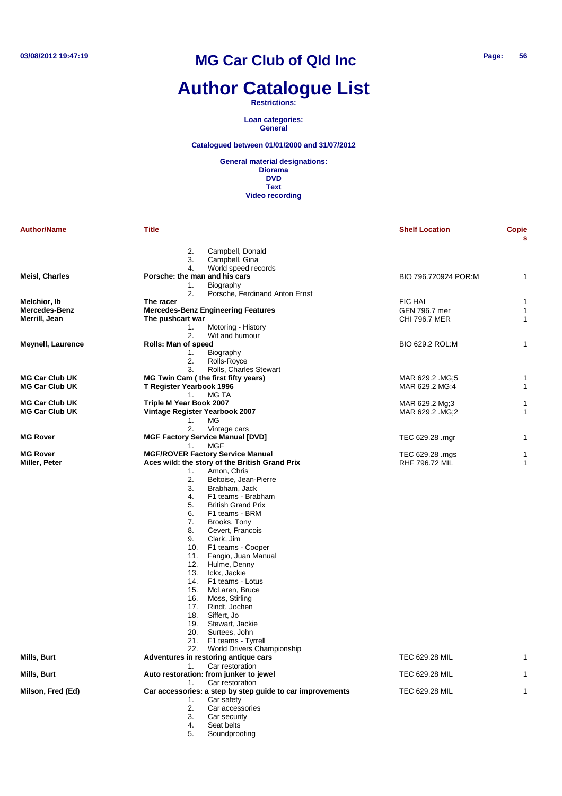## **Author Catalogue List**

**Restrictions:**

**Loan categories: General**

**Catalogued between 01/01/2000 and 31/07/2012**

| <b>Author/Name</b>       | <b>Title</b>                                              | <b>Shelf Location</b> | <b>Copie</b><br>s |
|--------------------------|-----------------------------------------------------------|-----------------------|-------------------|
|                          | Campbell, Donald<br>2.<br>Campbell, Gina<br>3.            |                       |                   |
|                          | World speed records<br>4.                                 |                       |                   |
| <b>Meisl, Charles</b>    | Porsche: the man and his cars                             | BIO 796.720924 POR:M  | 1                 |
|                          | Biography<br>1.<br>2.<br>Porsche, Ferdinand Anton Ernst   |                       |                   |
| Melchior, Ib             | The racer                                                 | <b>FIC HAI</b>        | 1                 |
| Mercedes-Benz            | <b>Mercedes-Benz Engineering Features</b>                 | GEN 796.7 mer         | 1                 |
| Merrill, Jean            | The pushcart war                                          | CHI 796.7 MER         | 1                 |
|                          | 1.<br>Motoring - History                                  |                       |                   |
|                          | 2.<br>Wit and humour                                      |                       |                   |
| <b>Meynell, Laurence</b> | Rolls: Man of speed                                       | BIO 629.2 ROL:M       | 1                 |
|                          | Biography<br>1.                                           |                       |                   |
|                          | 2.<br>Rolls-Royce                                         |                       |                   |
|                          | 3.<br>Rolls, Charles Stewart                              |                       |                   |
| <b>MG Car Club UK</b>    | MG Twin Cam (the first fifty years)                       | MAR 629.2 MG;5        | 1                 |
| <b>MG Car Club UK</b>    | T Register Yearbook 1996                                  | MAR 629.2 MG;4        | 1                 |
|                          | 1.<br>MG TA                                               |                       |                   |
| <b>MG Car Club UK</b>    | Triple M Year Book 2007                                   | MAR 629.2 Mg;3        | 1                 |
| <b>MG Car Club UK</b>    | Vintage Register Yearbook 2007                            | MAR 629.2 MG;2        | 1                 |
|                          | МG<br>1.                                                  |                       |                   |
|                          | 2.<br>Vintage cars                                        |                       |                   |
| <b>MG Rover</b>          | <b>MGF Factory Service Manual [DVD]</b>                   | TEC 629.28 .mgr       | 1                 |
|                          | 1.<br><b>MGF</b>                                          |                       |                   |
| <b>MG Rover</b>          | <b>MGF/ROVER Factory Service Manual</b>                   | TEC 629.28 .mgs       | 1                 |
| Miller, Peter            | Aces wild: the story of the British Grand Prix            | <b>RHF 796.72 MIL</b> | 1                 |
|                          | Amon, Chris<br>1.                                         |                       |                   |
|                          | 2.<br>Beltoise, Jean-Pierre                               |                       |                   |
|                          | 3.<br>Brabham, Jack                                       |                       |                   |
|                          | 4.<br>F1 teams - Brabham                                  |                       |                   |
|                          | 5.<br><b>British Grand Prix</b>                           |                       |                   |
|                          | 6.<br>F1 teams - BRM                                      |                       |                   |
|                          | 7.<br>Brooks, Tony                                        |                       |                   |
|                          | 8.<br>Cevert, Francois                                    |                       |                   |
|                          | 9.<br>Clark, Jim                                          |                       |                   |
|                          | 10.<br>F1 teams - Cooper                                  |                       |                   |
|                          | 11.<br>Fangio, Juan Manual                                |                       |                   |
|                          | 12.<br>Hulme, Denny<br>13.                                |                       |                   |
|                          | Ickx, Jackie<br>14.<br>F1 teams - Lotus                   |                       |                   |
|                          | 15.<br>McLaren, Bruce                                     |                       |                   |
|                          | 16.<br>Moss, Stirling                                     |                       |                   |
|                          | 17.<br>Rindt, Jochen                                      |                       |                   |
|                          | 18.<br>Siffert, Jo                                        |                       |                   |
|                          | 19.<br>Stewart, Jackie                                    |                       |                   |
|                          | 20.<br>Surtees, John                                      |                       |                   |
|                          | 21.<br>F1 teams - Tyrrell                                 |                       |                   |
|                          | World Drivers Championship<br>22.                         |                       |                   |
| Mills, Burt              | Adventures in restoring antique cars                      | TEC 629.28 MIL        | 1                 |
|                          | Car restoration<br>$\mathbf{1}$ .                         |                       |                   |
| Mills, Burt              | Auto restoration: from junker to jewel                    | TEC 629.28 MIL        | 1                 |
|                          | Car restoration<br>1.                                     |                       |                   |
| Milson, Fred (Ed)        | Car accessories: a step by step guide to car improvements | TEC 629.28 MIL        | 1                 |
|                          | Car safety<br>1.                                          |                       |                   |
|                          | 2.<br>Car accessories                                     |                       |                   |
|                          | 3.<br>Car security                                        |                       |                   |
|                          | Seat belts<br>4.                                          |                       |                   |
|                          | Soundproofing<br>5.                                       |                       |                   |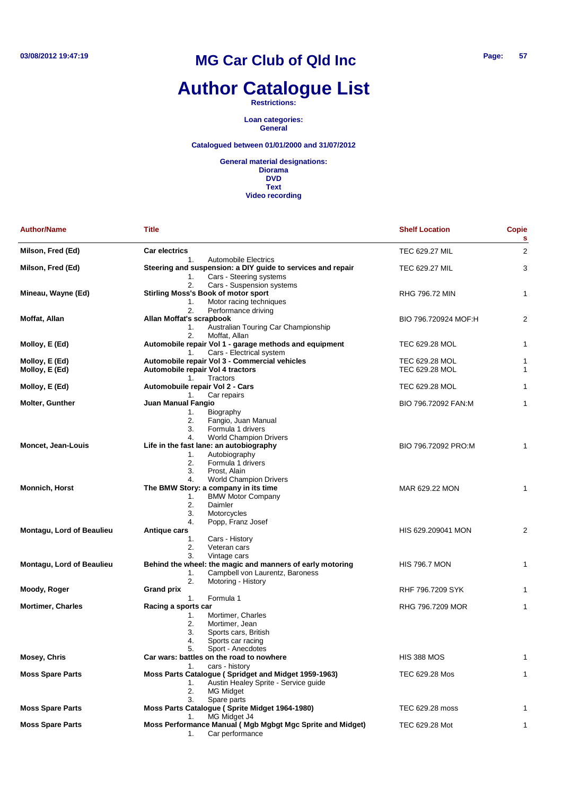## **Author Catalogue List**

**Restrictions:**

**Loan categories: General**

### **Catalogued between 01/01/2000 and 31/07/2012**

| <b>Author/Name</b>               | <b>Title</b>                                                | <b>Shelf Location</b> | <b>Copie</b><br>s |
|----------------------------------|-------------------------------------------------------------|-----------------------|-------------------|
| Milson, Fred (Ed)                | <b>Car electrics</b>                                        | TEC 629.27 MIL        | $\overline{2}$    |
|                                  | <b>Automobile Electrics</b><br>1.                           |                       |                   |
| Milson, Fred (Ed)                | Steering and suspension: a DIY guide to services and repair | <b>TEC 629.27 MIL</b> | 3                 |
|                                  | Cars - Steering systems<br>1.                               |                       |                   |
|                                  | 2.<br>Cars - Suspension systems                             |                       |                   |
| Mineau, Wayne (Ed)               | <b>Stirling Moss's Book of motor sport</b>                  | RHG 796.72 MIN        | 1                 |
|                                  | Motor racing techniques<br>1.                               |                       |                   |
|                                  | 2.<br>Performance driving                                   |                       |                   |
| Moffat, Allan                    | Allan Moffat's scrapbook                                    | BIO 796.720924 MOF:H  | 2                 |
|                                  | Australian Touring Car Championship<br>1.                   |                       |                   |
|                                  | Moffat, Allan<br>2.                                         |                       |                   |
| Molloy, E (Ed)                   | Automobile repair Vol 1 - garage methods and equipment      | TEC 629.28 MOL        | 1                 |
|                                  | Cars - Electrical system<br>1.                              |                       |                   |
| Molloy, E (Ed)                   | Automobile repair Vol 3 - Commercial vehicles               | TEC 629.28 MOL        | 1                 |
| Molloy, E (Ed)                   | Automobile repair Vol 4 tractors                            | TEC 629.28 MOL        | 1                 |
|                                  | 1.<br>Tractors                                              |                       |                   |
| Molloy, E (Ed)                   | Automobuile repair Vol 2 - Cars                             | TEC 629.28 MOL        | 1                 |
|                                  | Car repairs<br>1.                                           |                       |                   |
| <b>Molter, Gunther</b>           | Juan Manual Fangio                                          | BIO 796.72092 FAN:M   | 1                 |
|                                  | 1.<br>Biography                                             |                       |                   |
|                                  |                                                             |                       |                   |
|                                  | 2.<br>Fangio, Juan Manual                                   |                       |                   |
|                                  | Formula 1 drivers<br>3.                                     |                       |                   |
|                                  | <b>World Champion Drivers</b><br>4.                         |                       |                   |
| Moncet, Jean-Louis               | Life in the fast lane: an autobiography                     | BIO 796.72092 PRO:M   | 1                 |
|                                  | Autobiography<br>1.                                         |                       |                   |
|                                  | 2.<br>Formula 1 drivers                                     |                       |                   |
|                                  | Prost, Alain<br>3.                                          |                       |                   |
|                                  | <b>World Champion Drivers</b><br>4.                         |                       |                   |
| <b>Monnich, Horst</b>            | The BMW Story: a company in its time                        | MAR 629.22 MON        | 1                 |
|                                  | <b>BMW Motor Company</b><br>1.                              |                       |                   |
|                                  | Daimler<br>2.                                               |                       |                   |
|                                  | 3.<br>Motorcycles                                           |                       |                   |
|                                  | Popp, Franz Josef<br>4.                                     |                       |                   |
| <b>Montagu, Lord of Beaulieu</b> | Antique cars                                                | HIS 629.209041 MON    | 2                 |
|                                  | 1.<br>Cars - History                                        |                       |                   |
|                                  | 2.<br>Veteran cars                                          |                       |                   |
|                                  | 3.<br>Vintage cars                                          |                       |                   |
| <b>Montagu, Lord of Beaulieu</b> | Behind the wheel: the magic and manners of early motoring   | <b>HIS 796.7 MON</b>  | 1                 |
|                                  | Campbell von Laurentz, Baroness<br>1.                       |                       |                   |
|                                  | 2.<br>Motoring - History                                    |                       |                   |
| Moody, Roger                     | <b>Grand prix</b>                                           | RHF 796.7209 SYK      | 1                 |
|                                  | Formula 1<br>1.                                             |                       |                   |
| <b>Mortimer, Charles</b>         | Racing a sports car                                         | RHG 796.7209 MOR      | 1                 |
|                                  | Mortimer, Charles<br>1.                                     |                       |                   |
|                                  |                                                             |                       |                   |
|                                  | 2.<br>Mortimer, Jean                                        |                       |                   |
|                                  | 3.<br>Sports cars, British                                  |                       |                   |
|                                  | 4.<br>Sports car racing                                     |                       |                   |
|                                  | 5.<br>Sport - Anecdotes                                     |                       |                   |
| Mosey, Chris                     | Car wars: battles on the road to nowhere                    | <b>HIS 388 MOS</b>    | 1                 |
|                                  | cars - history<br>1.                                        |                       |                   |
| <b>Moss Spare Parts</b>          | Moss Parts Catalogue (Spridget and Midget 1959-1963)        | TEC 629.28 Mos        | 1                 |
|                                  | Austin Healey Sprite - Service guide<br>1.                  |                       |                   |
|                                  | 2.<br>MG Midget                                             |                       |                   |
|                                  | 3.<br>Spare parts                                           |                       |                   |
| <b>Moss Spare Parts</b>          | Moss Parts Catalogue (Sprite Midget 1964-1980)              | TEC 629.28 moss       | 1                 |
|                                  | MG Midget J4<br>1.                                          |                       |                   |
| <b>Moss Spare Parts</b>          | Moss Performance Manual (Mgb Mgbgt Mgc Sprite and Midget)   | TEC 629.28 Mot        | 1                 |
|                                  | Car performance<br>1.                                       |                       |                   |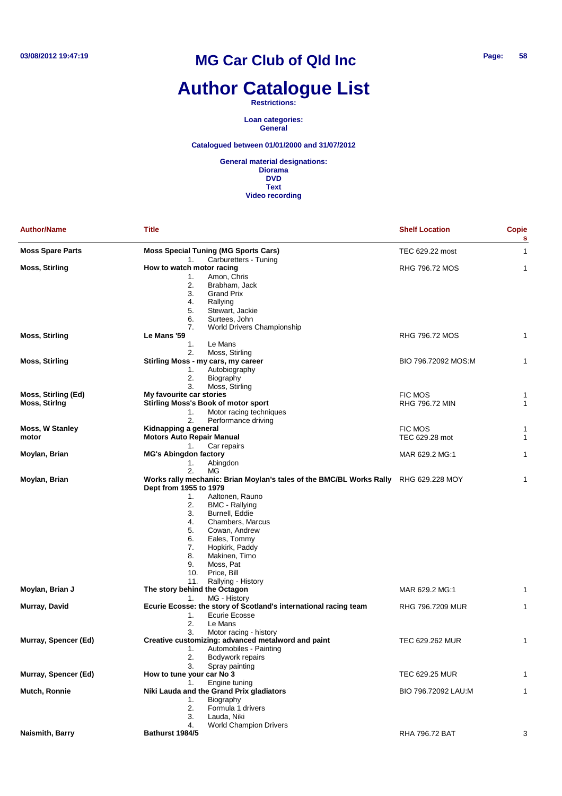## **Author Catalogue List**

**Restrictions:**

**Loan categories: General**

**Catalogued between 01/01/2000 and 31/07/2012**

| <b>Moss Special Tuning (MG Sports Cars)</b><br>TEC 629.22 most<br>1<br>Carburetters - Tuning<br>1.<br><b>Moss, Stirling</b><br>How to watch motor racing<br>RHG 796.72 MOS<br>1<br>Amon, Chris<br>1.<br>2.<br>Brabham, Jack<br>3.<br>Grand Prix<br>4.<br>Rallying<br>5.<br>Stewart, Jackie<br>6.<br>Surtees, John<br>7.<br>World Drivers Championship<br>RHG 796.72 MOS<br><b>Moss, Stirling</b><br>Le Mans '59<br>1<br>1.<br>Le Mans<br>2.<br>Moss, Stirling<br><b>Moss, Stirling</b><br>Stirling Moss - my cars, my career<br>BIO 796.72092 MOS:M<br>1<br>Autobiography<br>1.<br>2.<br>Biography<br>3.<br>Moss, Stirling<br>Moss, Stirling (Ed)<br>My favourite car stories<br><b>FIC MOS</b><br>1<br><b>Moss, Stiring</b><br><b>Stirling Moss's Book of motor sport</b><br>RHG 796.72 MIN<br>1<br>Motor racing techniques<br>1.<br>2.<br>Performance driving<br>Moss, W Stanley<br>Kidnapping a general<br><b>FIC MOS</b><br>1<br><b>Motors Auto Repair Manual</b><br>TEC 629.28 mot<br>motor<br>1<br>Car repairs<br>1.<br>Moylan, Brian<br><b>MG's Abingdon factory</b><br>MAR 629.2 MG:1<br>1<br>Abingdon<br>1.<br>2.<br>МG<br>Moylan, Brian<br>Works rally mechanic: Brian Moylan's tales of the BMC/BL Works Rally RHG 629.228 MOY<br>1<br>Dept from 1955 to 1979<br>1.<br>Aaltonen, Rauno<br>2.<br><b>BMC</b> - Rallying<br>3.<br>Burnell, Eddie<br>Chambers, Marcus<br>4.<br>5.<br>Cowan, Andrew<br>6.<br>Eales, Tommy<br>7.<br>Hopkirk, Paddy<br>8.<br>Makinen, Timo<br>9.<br>Moss, Pat<br>Price, Bill<br>10.<br>11.<br>Rallying - History<br>The story behind the Octagon<br>MAR 629.2 MG:1<br>1<br>MG - History<br>1.<br>Ecurie Ecosse: the story of Scotland's international racing team<br>RHG 796.7209 MUR<br>1<br>1.<br>Ecurie Ecosse<br>2.<br>Le Mans<br>3.<br>Motor racing - history<br>Murray, Spencer (Ed)<br>Creative customizing: advanced metalword and paint<br>TEC 629.262 MUR<br>1<br>1.<br>Automobiles - Painting<br>2.<br>Bodywork repairs<br>3.<br>Spray painting<br>How to tune your car No 3<br>Murray, Spencer (Ed)<br>TEC 629.25 MUR<br>1<br>Engine tuning<br>1.<br>Niki Lauda and the Grand Prix gladiators<br>Mutch, Ronnie<br>BIO 796.72092 LAU:M<br>1<br>Biography<br>1.<br>Formula 1 drivers<br>2.<br>3.<br>Lauda, Niki<br><b>World Champion Drivers</b><br>4.<br>3 | <b>Author/Name</b>      | <b>Title</b>    | <b>Shelf Location</b> | Copie<br>s |
|-----------------------------------------------------------------------------------------------------------------------------------------------------------------------------------------------------------------------------------------------------------------------------------------------------------------------------------------------------------------------------------------------------------------------------------------------------------------------------------------------------------------------------------------------------------------------------------------------------------------------------------------------------------------------------------------------------------------------------------------------------------------------------------------------------------------------------------------------------------------------------------------------------------------------------------------------------------------------------------------------------------------------------------------------------------------------------------------------------------------------------------------------------------------------------------------------------------------------------------------------------------------------------------------------------------------------------------------------------------------------------------------------------------------------------------------------------------------------------------------------------------------------------------------------------------------------------------------------------------------------------------------------------------------------------------------------------------------------------------------------------------------------------------------------------------------------------------------------------------------------------------------------------------------------------------------------------------------------------------------------------------------------------------------------------------------------------------------------------------------------------------------------------------------------------------------------------------------------------------------------------------------------------------------------------------|-------------------------|-----------------|-----------------------|------------|
|                                                                                                                                                                                                                                                                                                                                                                                                                                                                                                                                                                                                                                                                                                                                                                                                                                                                                                                                                                                                                                                                                                                                                                                                                                                                                                                                                                                                                                                                                                                                                                                                                                                                                                                                                                                                                                                                                                                                                                                                                                                                                                                                                                                                                                                                                                           | <b>Moss Spare Parts</b> |                 |                       |            |
|                                                                                                                                                                                                                                                                                                                                                                                                                                                                                                                                                                                                                                                                                                                                                                                                                                                                                                                                                                                                                                                                                                                                                                                                                                                                                                                                                                                                                                                                                                                                                                                                                                                                                                                                                                                                                                                                                                                                                                                                                                                                                                                                                                                                                                                                                                           |                         |                 |                       |            |
|                                                                                                                                                                                                                                                                                                                                                                                                                                                                                                                                                                                                                                                                                                                                                                                                                                                                                                                                                                                                                                                                                                                                                                                                                                                                                                                                                                                                                                                                                                                                                                                                                                                                                                                                                                                                                                                                                                                                                                                                                                                                                                                                                                                                                                                                                                           |                         |                 |                       |            |
|                                                                                                                                                                                                                                                                                                                                                                                                                                                                                                                                                                                                                                                                                                                                                                                                                                                                                                                                                                                                                                                                                                                                                                                                                                                                                                                                                                                                                                                                                                                                                                                                                                                                                                                                                                                                                                                                                                                                                                                                                                                                                                                                                                                                                                                                                                           |                         |                 |                       |            |
|                                                                                                                                                                                                                                                                                                                                                                                                                                                                                                                                                                                                                                                                                                                                                                                                                                                                                                                                                                                                                                                                                                                                                                                                                                                                                                                                                                                                                                                                                                                                                                                                                                                                                                                                                                                                                                                                                                                                                                                                                                                                                                                                                                                                                                                                                                           |                         |                 |                       |            |
|                                                                                                                                                                                                                                                                                                                                                                                                                                                                                                                                                                                                                                                                                                                                                                                                                                                                                                                                                                                                                                                                                                                                                                                                                                                                                                                                                                                                                                                                                                                                                                                                                                                                                                                                                                                                                                                                                                                                                                                                                                                                                                                                                                                                                                                                                                           |                         |                 |                       |            |
|                                                                                                                                                                                                                                                                                                                                                                                                                                                                                                                                                                                                                                                                                                                                                                                                                                                                                                                                                                                                                                                                                                                                                                                                                                                                                                                                                                                                                                                                                                                                                                                                                                                                                                                                                                                                                                                                                                                                                                                                                                                                                                                                                                                                                                                                                                           |                         |                 |                       |            |
|                                                                                                                                                                                                                                                                                                                                                                                                                                                                                                                                                                                                                                                                                                                                                                                                                                                                                                                                                                                                                                                                                                                                                                                                                                                                                                                                                                                                                                                                                                                                                                                                                                                                                                                                                                                                                                                                                                                                                                                                                                                                                                                                                                                                                                                                                                           |                         |                 |                       |            |
|                                                                                                                                                                                                                                                                                                                                                                                                                                                                                                                                                                                                                                                                                                                                                                                                                                                                                                                                                                                                                                                                                                                                                                                                                                                                                                                                                                                                                                                                                                                                                                                                                                                                                                                                                                                                                                                                                                                                                                                                                                                                                                                                                                                                                                                                                                           |                         |                 |                       |            |
|                                                                                                                                                                                                                                                                                                                                                                                                                                                                                                                                                                                                                                                                                                                                                                                                                                                                                                                                                                                                                                                                                                                                                                                                                                                                                                                                                                                                                                                                                                                                                                                                                                                                                                                                                                                                                                                                                                                                                                                                                                                                                                                                                                                                                                                                                                           |                         |                 |                       |            |
|                                                                                                                                                                                                                                                                                                                                                                                                                                                                                                                                                                                                                                                                                                                                                                                                                                                                                                                                                                                                                                                                                                                                                                                                                                                                                                                                                                                                                                                                                                                                                                                                                                                                                                                                                                                                                                                                                                                                                                                                                                                                                                                                                                                                                                                                                                           |                         |                 |                       |            |
|                                                                                                                                                                                                                                                                                                                                                                                                                                                                                                                                                                                                                                                                                                                                                                                                                                                                                                                                                                                                                                                                                                                                                                                                                                                                                                                                                                                                                                                                                                                                                                                                                                                                                                                                                                                                                                                                                                                                                                                                                                                                                                                                                                                                                                                                                                           |                         |                 |                       |            |
|                                                                                                                                                                                                                                                                                                                                                                                                                                                                                                                                                                                                                                                                                                                                                                                                                                                                                                                                                                                                                                                                                                                                                                                                                                                                                                                                                                                                                                                                                                                                                                                                                                                                                                                                                                                                                                                                                                                                                                                                                                                                                                                                                                                                                                                                                                           |                         |                 |                       |            |
|                                                                                                                                                                                                                                                                                                                                                                                                                                                                                                                                                                                                                                                                                                                                                                                                                                                                                                                                                                                                                                                                                                                                                                                                                                                                                                                                                                                                                                                                                                                                                                                                                                                                                                                                                                                                                                                                                                                                                                                                                                                                                                                                                                                                                                                                                                           |                         |                 |                       |            |
|                                                                                                                                                                                                                                                                                                                                                                                                                                                                                                                                                                                                                                                                                                                                                                                                                                                                                                                                                                                                                                                                                                                                                                                                                                                                                                                                                                                                                                                                                                                                                                                                                                                                                                                                                                                                                                                                                                                                                                                                                                                                                                                                                                                                                                                                                                           |                         |                 |                       |            |
|                                                                                                                                                                                                                                                                                                                                                                                                                                                                                                                                                                                                                                                                                                                                                                                                                                                                                                                                                                                                                                                                                                                                                                                                                                                                                                                                                                                                                                                                                                                                                                                                                                                                                                                                                                                                                                                                                                                                                                                                                                                                                                                                                                                                                                                                                                           |                         |                 |                       |            |
|                                                                                                                                                                                                                                                                                                                                                                                                                                                                                                                                                                                                                                                                                                                                                                                                                                                                                                                                                                                                                                                                                                                                                                                                                                                                                                                                                                                                                                                                                                                                                                                                                                                                                                                                                                                                                                                                                                                                                                                                                                                                                                                                                                                                                                                                                                           |                         |                 |                       |            |
|                                                                                                                                                                                                                                                                                                                                                                                                                                                                                                                                                                                                                                                                                                                                                                                                                                                                                                                                                                                                                                                                                                                                                                                                                                                                                                                                                                                                                                                                                                                                                                                                                                                                                                                                                                                                                                                                                                                                                                                                                                                                                                                                                                                                                                                                                                           |                         |                 |                       |            |
|                                                                                                                                                                                                                                                                                                                                                                                                                                                                                                                                                                                                                                                                                                                                                                                                                                                                                                                                                                                                                                                                                                                                                                                                                                                                                                                                                                                                                                                                                                                                                                                                                                                                                                                                                                                                                                                                                                                                                                                                                                                                                                                                                                                                                                                                                                           |                         |                 |                       |            |
|                                                                                                                                                                                                                                                                                                                                                                                                                                                                                                                                                                                                                                                                                                                                                                                                                                                                                                                                                                                                                                                                                                                                                                                                                                                                                                                                                                                                                                                                                                                                                                                                                                                                                                                                                                                                                                                                                                                                                                                                                                                                                                                                                                                                                                                                                                           |                         |                 |                       |            |
|                                                                                                                                                                                                                                                                                                                                                                                                                                                                                                                                                                                                                                                                                                                                                                                                                                                                                                                                                                                                                                                                                                                                                                                                                                                                                                                                                                                                                                                                                                                                                                                                                                                                                                                                                                                                                                                                                                                                                                                                                                                                                                                                                                                                                                                                                                           |                         |                 |                       |            |
|                                                                                                                                                                                                                                                                                                                                                                                                                                                                                                                                                                                                                                                                                                                                                                                                                                                                                                                                                                                                                                                                                                                                                                                                                                                                                                                                                                                                                                                                                                                                                                                                                                                                                                                                                                                                                                                                                                                                                                                                                                                                                                                                                                                                                                                                                                           |                         |                 |                       |            |
|                                                                                                                                                                                                                                                                                                                                                                                                                                                                                                                                                                                                                                                                                                                                                                                                                                                                                                                                                                                                                                                                                                                                                                                                                                                                                                                                                                                                                                                                                                                                                                                                                                                                                                                                                                                                                                                                                                                                                                                                                                                                                                                                                                                                                                                                                                           |                         |                 |                       |            |
|                                                                                                                                                                                                                                                                                                                                                                                                                                                                                                                                                                                                                                                                                                                                                                                                                                                                                                                                                                                                                                                                                                                                                                                                                                                                                                                                                                                                                                                                                                                                                                                                                                                                                                                                                                                                                                                                                                                                                                                                                                                                                                                                                                                                                                                                                                           |                         |                 |                       |            |
|                                                                                                                                                                                                                                                                                                                                                                                                                                                                                                                                                                                                                                                                                                                                                                                                                                                                                                                                                                                                                                                                                                                                                                                                                                                                                                                                                                                                                                                                                                                                                                                                                                                                                                                                                                                                                                                                                                                                                                                                                                                                                                                                                                                                                                                                                                           |                         |                 |                       |            |
|                                                                                                                                                                                                                                                                                                                                                                                                                                                                                                                                                                                                                                                                                                                                                                                                                                                                                                                                                                                                                                                                                                                                                                                                                                                                                                                                                                                                                                                                                                                                                                                                                                                                                                                                                                                                                                                                                                                                                                                                                                                                                                                                                                                                                                                                                                           |                         |                 |                       |            |
|                                                                                                                                                                                                                                                                                                                                                                                                                                                                                                                                                                                                                                                                                                                                                                                                                                                                                                                                                                                                                                                                                                                                                                                                                                                                                                                                                                                                                                                                                                                                                                                                                                                                                                                                                                                                                                                                                                                                                                                                                                                                                                                                                                                                                                                                                                           |                         |                 |                       |            |
|                                                                                                                                                                                                                                                                                                                                                                                                                                                                                                                                                                                                                                                                                                                                                                                                                                                                                                                                                                                                                                                                                                                                                                                                                                                                                                                                                                                                                                                                                                                                                                                                                                                                                                                                                                                                                                                                                                                                                                                                                                                                                                                                                                                                                                                                                                           |                         |                 |                       |            |
|                                                                                                                                                                                                                                                                                                                                                                                                                                                                                                                                                                                                                                                                                                                                                                                                                                                                                                                                                                                                                                                                                                                                                                                                                                                                                                                                                                                                                                                                                                                                                                                                                                                                                                                                                                                                                                                                                                                                                                                                                                                                                                                                                                                                                                                                                                           |                         |                 |                       |            |
|                                                                                                                                                                                                                                                                                                                                                                                                                                                                                                                                                                                                                                                                                                                                                                                                                                                                                                                                                                                                                                                                                                                                                                                                                                                                                                                                                                                                                                                                                                                                                                                                                                                                                                                                                                                                                                                                                                                                                                                                                                                                                                                                                                                                                                                                                                           |                         |                 |                       |            |
|                                                                                                                                                                                                                                                                                                                                                                                                                                                                                                                                                                                                                                                                                                                                                                                                                                                                                                                                                                                                                                                                                                                                                                                                                                                                                                                                                                                                                                                                                                                                                                                                                                                                                                                                                                                                                                                                                                                                                                                                                                                                                                                                                                                                                                                                                                           |                         |                 |                       |            |
|                                                                                                                                                                                                                                                                                                                                                                                                                                                                                                                                                                                                                                                                                                                                                                                                                                                                                                                                                                                                                                                                                                                                                                                                                                                                                                                                                                                                                                                                                                                                                                                                                                                                                                                                                                                                                                                                                                                                                                                                                                                                                                                                                                                                                                                                                                           |                         |                 |                       |            |
|                                                                                                                                                                                                                                                                                                                                                                                                                                                                                                                                                                                                                                                                                                                                                                                                                                                                                                                                                                                                                                                                                                                                                                                                                                                                                                                                                                                                                                                                                                                                                                                                                                                                                                                                                                                                                                                                                                                                                                                                                                                                                                                                                                                                                                                                                                           |                         |                 |                       |            |
|                                                                                                                                                                                                                                                                                                                                                                                                                                                                                                                                                                                                                                                                                                                                                                                                                                                                                                                                                                                                                                                                                                                                                                                                                                                                                                                                                                                                                                                                                                                                                                                                                                                                                                                                                                                                                                                                                                                                                                                                                                                                                                                                                                                                                                                                                                           |                         |                 |                       |            |
|                                                                                                                                                                                                                                                                                                                                                                                                                                                                                                                                                                                                                                                                                                                                                                                                                                                                                                                                                                                                                                                                                                                                                                                                                                                                                                                                                                                                                                                                                                                                                                                                                                                                                                                                                                                                                                                                                                                                                                                                                                                                                                                                                                                                                                                                                                           |                         |                 |                       |            |
|                                                                                                                                                                                                                                                                                                                                                                                                                                                                                                                                                                                                                                                                                                                                                                                                                                                                                                                                                                                                                                                                                                                                                                                                                                                                                                                                                                                                                                                                                                                                                                                                                                                                                                                                                                                                                                                                                                                                                                                                                                                                                                                                                                                                                                                                                                           |                         |                 |                       |            |
|                                                                                                                                                                                                                                                                                                                                                                                                                                                                                                                                                                                                                                                                                                                                                                                                                                                                                                                                                                                                                                                                                                                                                                                                                                                                                                                                                                                                                                                                                                                                                                                                                                                                                                                                                                                                                                                                                                                                                                                                                                                                                                                                                                                                                                                                                                           |                         |                 |                       |            |
|                                                                                                                                                                                                                                                                                                                                                                                                                                                                                                                                                                                                                                                                                                                                                                                                                                                                                                                                                                                                                                                                                                                                                                                                                                                                                                                                                                                                                                                                                                                                                                                                                                                                                                                                                                                                                                                                                                                                                                                                                                                                                                                                                                                                                                                                                                           |                         |                 |                       |            |
|                                                                                                                                                                                                                                                                                                                                                                                                                                                                                                                                                                                                                                                                                                                                                                                                                                                                                                                                                                                                                                                                                                                                                                                                                                                                                                                                                                                                                                                                                                                                                                                                                                                                                                                                                                                                                                                                                                                                                                                                                                                                                                                                                                                                                                                                                                           |                         |                 |                       |            |
|                                                                                                                                                                                                                                                                                                                                                                                                                                                                                                                                                                                                                                                                                                                                                                                                                                                                                                                                                                                                                                                                                                                                                                                                                                                                                                                                                                                                                                                                                                                                                                                                                                                                                                                                                                                                                                                                                                                                                                                                                                                                                                                                                                                                                                                                                                           | Moylan, Brian J         |                 |                       |            |
|                                                                                                                                                                                                                                                                                                                                                                                                                                                                                                                                                                                                                                                                                                                                                                                                                                                                                                                                                                                                                                                                                                                                                                                                                                                                                                                                                                                                                                                                                                                                                                                                                                                                                                                                                                                                                                                                                                                                                                                                                                                                                                                                                                                                                                                                                                           |                         |                 |                       |            |
|                                                                                                                                                                                                                                                                                                                                                                                                                                                                                                                                                                                                                                                                                                                                                                                                                                                                                                                                                                                                                                                                                                                                                                                                                                                                                                                                                                                                                                                                                                                                                                                                                                                                                                                                                                                                                                                                                                                                                                                                                                                                                                                                                                                                                                                                                                           | Murray, David           |                 |                       |            |
|                                                                                                                                                                                                                                                                                                                                                                                                                                                                                                                                                                                                                                                                                                                                                                                                                                                                                                                                                                                                                                                                                                                                                                                                                                                                                                                                                                                                                                                                                                                                                                                                                                                                                                                                                                                                                                                                                                                                                                                                                                                                                                                                                                                                                                                                                                           |                         |                 |                       |            |
|                                                                                                                                                                                                                                                                                                                                                                                                                                                                                                                                                                                                                                                                                                                                                                                                                                                                                                                                                                                                                                                                                                                                                                                                                                                                                                                                                                                                                                                                                                                                                                                                                                                                                                                                                                                                                                                                                                                                                                                                                                                                                                                                                                                                                                                                                                           |                         |                 |                       |            |
|                                                                                                                                                                                                                                                                                                                                                                                                                                                                                                                                                                                                                                                                                                                                                                                                                                                                                                                                                                                                                                                                                                                                                                                                                                                                                                                                                                                                                                                                                                                                                                                                                                                                                                                                                                                                                                                                                                                                                                                                                                                                                                                                                                                                                                                                                                           |                         |                 |                       |            |
|                                                                                                                                                                                                                                                                                                                                                                                                                                                                                                                                                                                                                                                                                                                                                                                                                                                                                                                                                                                                                                                                                                                                                                                                                                                                                                                                                                                                                                                                                                                                                                                                                                                                                                                                                                                                                                                                                                                                                                                                                                                                                                                                                                                                                                                                                                           |                         |                 |                       |            |
|                                                                                                                                                                                                                                                                                                                                                                                                                                                                                                                                                                                                                                                                                                                                                                                                                                                                                                                                                                                                                                                                                                                                                                                                                                                                                                                                                                                                                                                                                                                                                                                                                                                                                                                                                                                                                                                                                                                                                                                                                                                                                                                                                                                                                                                                                                           |                         |                 |                       |            |
|                                                                                                                                                                                                                                                                                                                                                                                                                                                                                                                                                                                                                                                                                                                                                                                                                                                                                                                                                                                                                                                                                                                                                                                                                                                                                                                                                                                                                                                                                                                                                                                                                                                                                                                                                                                                                                                                                                                                                                                                                                                                                                                                                                                                                                                                                                           |                         |                 |                       |            |
|                                                                                                                                                                                                                                                                                                                                                                                                                                                                                                                                                                                                                                                                                                                                                                                                                                                                                                                                                                                                                                                                                                                                                                                                                                                                                                                                                                                                                                                                                                                                                                                                                                                                                                                                                                                                                                                                                                                                                                                                                                                                                                                                                                                                                                                                                                           |                         |                 |                       |            |
|                                                                                                                                                                                                                                                                                                                                                                                                                                                                                                                                                                                                                                                                                                                                                                                                                                                                                                                                                                                                                                                                                                                                                                                                                                                                                                                                                                                                                                                                                                                                                                                                                                                                                                                                                                                                                                                                                                                                                                                                                                                                                                                                                                                                                                                                                                           |                         |                 |                       |            |
|                                                                                                                                                                                                                                                                                                                                                                                                                                                                                                                                                                                                                                                                                                                                                                                                                                                                                                                                                                                                                                                                                                                                                                                                                                                                                                                                                                                                                                                                                                                                                                                                                                                                                                                                                                                                                                                                                                                                                                                                                                                                                                                                                                                                                                                                                                           |                         |                 |                       |            |
|                                                                                                                                                                                                                                                                                                                                                                                                                                                                                                                                                                                                                                                                                                                                                                                                                                                                                                                                                                                                                                                                                                                                                                                                                                                                                                                                                                                                                                                                                                                                                                                                                                                                                                                                                                                                                                                                                                                                                                                                                                                                                                                                                                                                                                                                                                           |                         |                 |                       |            |
|                                                                                                                                                                                                                                                                                                                                                                                                                                                                                                                                                                                                                                                                                                                                                                                                                                                                                                                                                                                                                                                                                                                                                                                                                                                                                                                                                                                                                                                                                                                                                                                                                                                                                                                                                                                                                                                                                                                                                                                                                                                                                                                                                                                                                                                                                                           |                         |                 |                       |            |
|                                                                                                                                                                                                                                                                                                                                                                                                                                                                                                                                                                                                                                                                                                                                                                                                                                                                                                                                                                                                                                                                                                                                                                                                                                                                                                                                                                                                                                                                                                                                                                                                                                                                                                                                                                                                                                                                                                                                                                                                                                                                                                                                                                                                                                                                                                           |                         |                 |                       |            |
|                                                                                                                                                                                                                                                                                                                                                                                                                                                                                                                                                                                                                                                                                                                                                                                                                                                                                                                                                                                                                                                                                                                                                                                                                                                                                                                                                                                                                                                                                                                                                                                                                                                                                                                                                                                                                                                                                                                                                                                                                                                                                                                                                                                                                                                                                                           |                         |                 |                       |            |
|                                                                                                                                                                                                                                                                                                                                                                                                                                                                                                                                                                                                                                                                                                                                                                                                                                                                                                                                                                                                                                                                                                                                                                                                                                                                                                                                                                                                                                                                                                                                                                                                                                                                                                                                                                                                                                                                                                                                                                                                                                                                                                                                                                                                                                                                                                           |                         |                 |                       |            |
|                                                                                                                                                                                                                                                                                                                                                                                                                                                                                                                                                                                                                                                                                                                                                                                                                                                                                                                                                                                                                                                                                                                                                                                                                                                                                                                                                                                                                                                                                                                                                                                                                                                                                                                                                                                                                                                                                                                                                                                                                                                                                                                                                                                                                                                                                                           | Naismith, Barry         | Bathurst 1984/5 | RHA 796.72 BAT        |            |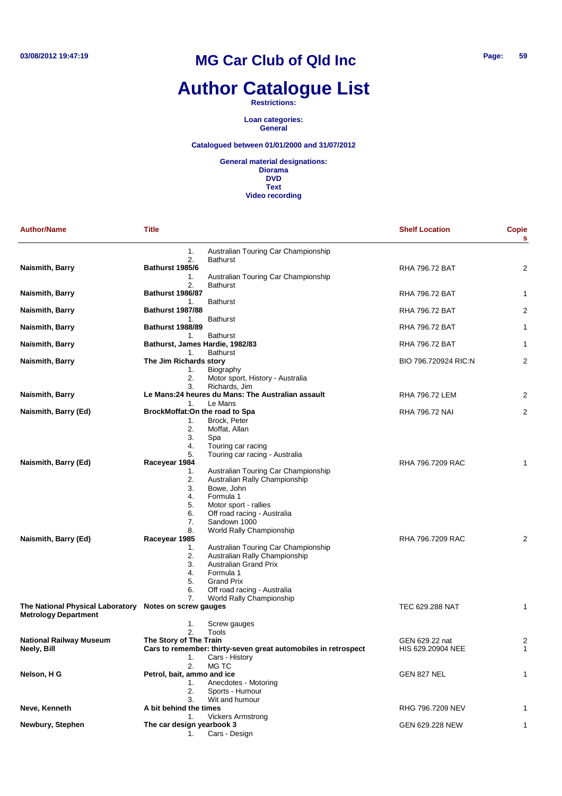# **Author Catalogue List**

**Restrictions:**

**Loan categories: General**

#### **Catalogued between 01/01/2000 and 31/07/2012**

| <b>Author/Name</b>                                                                    | <b>Title</b>                                                                    |                                                                                                                                                                                                                                                                                        | <b>Shelf Location</b> | <b>Copie</b><br>s |
|---------------------------------------------------------------------------------------|---------------------------------------------------------------------------------|----------------------------------------------------------------------------------------------------------------------------------------------------------------------------------------------------------------------------------------------------------------------------------------|-----------------------|-------------------|
|                                                                                       | 1.<br>2.                                                                        | Australian Touring Car Championship<br><b>Bathurst</b>                                                                                                                                                                                                                                 |                       |                   |
| Naismith, Barry                                                                       | <b>Bathurst 1985/6</b><br>1.                                                    | Australian Touring Car Championship                                                                                                                                                                                                                                                    | RHA 796.72 BAT        | 2                 |
| Naismith, Barry                                                                       | 2.<br><b>Bathurst 1986/87</b><br>1.                                             | <b>Bathurst</b><br><b>Bathurst</b>                                                                                                                                                                                                                                                     | <b>RHA 796.72 BAT</b> | 1                 |
| Naismith, Barry                                                                       | <b>Bathurst 1987/88</b><br>1.                                                   | <b>Bathurst</b>                                                                                                                                                                                                                                                                        | <b>RHA 796.72 BAT</b> | $\overline{c}$    |
| Naismith, Barry                                                                       | <b>Bathurst 1988/89</b><br>1.                                                   | <b>Bathurst</b>                                                                                                                                                                                                                                                                        | <b>RHA 796.72 BAT</b> | $\mathbf{1}$      |
| Naismith, Barry                                                                       | Bathurst, James Hardie, 1982/83<br>1.                                           | <b>Bathurst</b>                                                                                                                                                                                                                                                                        | <b>RHA 796.72 BAT</b> | $\mathbf{1}$      |
| Naismith, Barry                                                                       | The Jim Richards story<br>1.<br>2.<br>3.                                        | Biography<br>Motor sport, History - Australia<br>Richards, Jim                                                                                                                                                                                                                         | BIO 796.720924 RIC:N  | $\overline{2}$    |
| Naismith, Barry                                                                       | 1.                                                                              | Le Mans:24 heures du Mans: The Australian assault<br>Le Mans                                                                                                                                                                                                                           | RHA 796.72 LEM        | 2                 |
| Naismith, Barry (Ed)                                                                  | BrockMoffat:On the road to Spa<br>1.<br>2.<br>3.                                | Brock, Peter<br>Moffat, Allan<br>Spa                                                                                                                                                                                                                                                   | <b>RHA 796.72 NAI</b> | $\overline{2}$    |
| Naismith, Barry (Ed)                                                                  | 4.<br>5.<br>Raceyear 1984<br>1.<br>2.<br>3.                                     | Touring car racing<br>Touring car racing - Australia<br>Australian Touring Car Championship<br>Australian Rally Championship<br>Bowe, John                                                                                                                                             | RHA 796.7209 RAC      | 1                 |
| Naismith, Barry (Ed)                                                                  | 4.<br>5.<br>6.<br>7.<br>8.<br>Raceyear 1985<br>1.<br>2.<br>3.<br>4.<br>5.<br>6. | Formula 1<br>Motor sport - rallies<br>Off road racing - Australia<br>Sandown 1000<br>World Rally Championship<br>Australian Touring Car Championship<br>Australian Rally Championship<br><b>Australian Grand Prix</b><br>Formula 1<br><b>Grand Prix</b><br>Off road racing - Australia | RHA 796.7209 RAC      | 2                 |
| The National Physical Laboratory Notes on screw gauges<br><b>Metrology Department</b> | 7.                                                                              | World Rally Championship                                                                                                                                                                                                                                                               | TEC 629.288 NAT       | 1                 |
| <b>National Railway Museum</b>                                                        | 1.<br>2.<br>The Story of The Train                                              | Screw gauges<br>Tools                                                                                                                                                                                                                                                                  | GEN 629.22 nat        | $\overline{2}$    |
| Neely, Bill                                                                           | 1.<br>2.                                                                        | Cars to remember: thirty-seven great automobiles in retrospect<br>Cars - History<br>MG TC                                                                                                                                                                                              | HIS 629.20904 NEE     | $\mathbf{1}$      |
| Nelson, H G                                                                           | Petrol, bait, ammo and ice<br>1.<br>2.<br>3.                                    | Anecdotes - Motoring<br>Sports - Humour<br>Wit and humour                                                                                                                                                                                                                              | GEN 827 NEL           | 1                 |
| Neve, Kenneth                                                                         | A bit behind the times<br>1.                                                    | <b>Vickers Armstrong</b>                                                                                                                                                                                                                                                               | RHG 796.7209 NEV      | 1                 |
| Newbury, Stephen                                                                      | The car design yearbook 3<br>1.                                                 | Cars - Design                                                                                                                                                                                                                                                                          | GEN 629.228 NEW       | 1                 |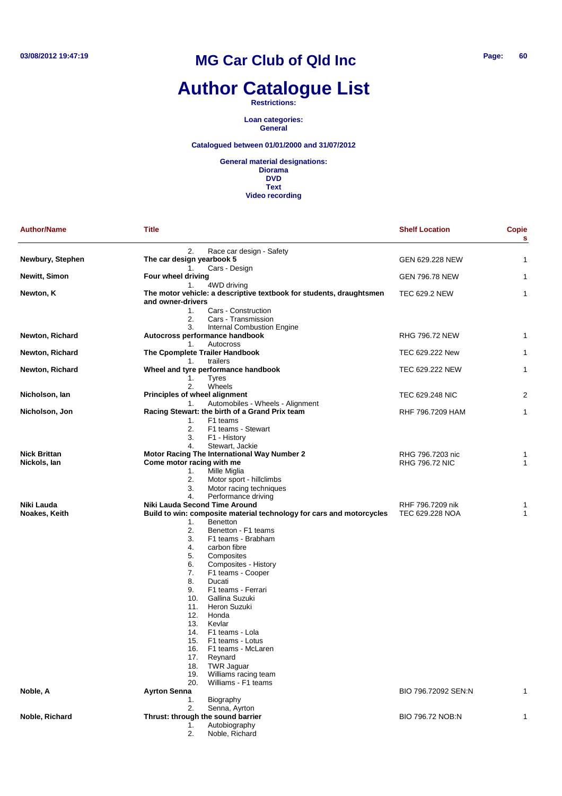# **Author Catalogue List**

**Restrictions:**

**Loan categories: General**

#### **Catalogued between 01/01/2000 and 31/07/2012**

| <b>Author/Name</b>                  | <b>Title</b>                                                                                                                                                                                                                                                                                                                                                                                                                                                                                                                                                                                                                                      | <b>Shelf Location</b>                     | <b>Copie</b><br>S |
|-------------------------------------|---------------------------------------------------------------------------------------------------------------------------------------------------------------------------------------------------------------------------------------------------------------------------------------------------------------------------------------------------------------------------------------------------------------------------------------------------------------------------------------------------------------------------------------------------------------------------------------------------------------------------------------------------|-------------------------------------------|-------------------|
|                                     | 2.<br>Race car design - Safety                                                                                                                                                                                                                                                                                                                                                                                                                                                                                                                                                                                                                    |                                           |                   |
| Newbury, Stephen                    | The car design yearbook 5<br>Cars - Design<br>1.                                                                                                                                                                                                                                                                                                                                                                                                                                                                                                                                                                                                  | GEN 629.228 NEW                           | 1                 |
| <b>Newitt, Simon</b>                | Four wheel driving<br>1.<br>4WD driving                                                                                                                                                                                                                                                                                                                                                                                                                                                                                                                                                                                                           | <b>GEN 796.78 NEW</b>                     | 1                 |
| Newton, K                           | The motor vehicle: a descriptive textbook for students, draughtsmen<br>and owner-drivers<br>1.<br>Cars - Construction<br>Cars - Transmission<br>2.                                                                                                                                                                                                                                                                                                                                                                                                                                                                                                | <b>TEC 629.2 NEW</b>                      | 1                 |
|                                     | 3.<br>Internal Combustion Engine                                                                                                                                                                                                                                                                                                                                                                                                                                                                                                                                                                                                                  |                                           |                   |
| <b>Newton, Richard</b>              | Autocross performance handbook<br>Autocross<br>1.                                                                                                                                                                                                                                                                                                                                                                                                                                                                                                                                                                                                 | <b>RHG 796.72 NEW</b>                     | 1                 |
| Newton, Richard                     | The Cpomplete Trailer Handbook                                                                                                                                                                                                                                                                                                                                                                                                                                                                                                                                                                                                                    | TEC 629.222 New                           | 1                 |
| Newton, Richard                     | trailers<br>1.<br>Wheel and tyre performance handbook<br><b>Tyres</b><br>1.                                                                                                                                                                                                                                                                                                                                                                                                                                                                                                                                                                       | TEC 629.222 NEW                           | 1                 |
| Nicholson, Ian                      | 2.<br>Wheels<br>Principles of wheel alignment                                                                                                                                                                                                                                                                                                                                                                                                                                                                                                                                                                                                     | TEC 629.248 NIC                           | 2                 |
| Nicholson, Jon                      | Automobiles - Wheels - Alignment<br>1.<br>Racing Stewart: the birth of a Grand Prix team<br>F1 teams<br>1.<br>2.<br>F1 teams - Stewart<br>3.<br>F1 - History                                                                                                                                                                                                                                                                                                                                                                                                                                                                                      | RHF 796.7209 HAM                          | 1                 |
| <b>Nick Brittan</b><br>Nickols, lan | Stewart, Jackie<br>4.<br>Motor Racing The International Way Number 2<br>Come motor racing with me<br>Mille Miglia<br>1.<br>2.<br>Motor sport - hillclimbs<br>3.<br>Motor racing techniques                                                                                                                                                                                                                                                                                                                                                                                                                                                        | RHG 796.7203 nic<br><b>RHG 796.72 NIC</b> | 1<br>1            |
| Niki Lauda<br>Noakes, Keith         | Performance driving<br>4.<br>Niki Lauda Second Time Around<br>Build to win: composite material technology for cars and motorcycles<br>1.<br><b>Benetton</b><br>2.<br>Benetton - F1 teams<br>3.<br>F1 teams - Brabham<br>4.<br>carbon fibre<br>5.<br>Composites<br>6.<br>Composites - History<br>7.<br>F1 teams - Cooper<br>8.<br>Ducati<br>9.<br>F1 teams - Ferrari<br>10.<br>Gallina Suzuki<br>11.<br>Heron Suzuki<br>12.<br>Honda<br>13.<br>Kevlar<br>14.<br>F1 teams - Lola<br>15.<br>F1 teams - Lotus<br>F1 teams - McLaren<br>16.<br>17.<br>Reynard<br>18.<br><b>TWR Jaguar</b><br>19.<br>Williams racing team<br>Williams - F1 teams<br>20. | RHF 796.7209 nik<br>TEC 629.228 NOA       | 1<br>1            |
| Noble, A                            | <b>Ayrton Senna</b><br>Biography<br>1.                                                                                                                                                                                                                                                                                                                                                                                                                                                                                                                                                                                                            | BIO 796.72092 SEN:N                       | 1                 |
| Noble, Richard                      | Senna, Ayrton<br>2.<br>Thrust: through the sound barrier<br>Autobiography<br>1.<br>Noble, Richard<br>2.                                                                                                                                                                                                                                                                                                                                                                                                                                                                                                                                           | BIO 796.72 NOB:N                          | 1                 |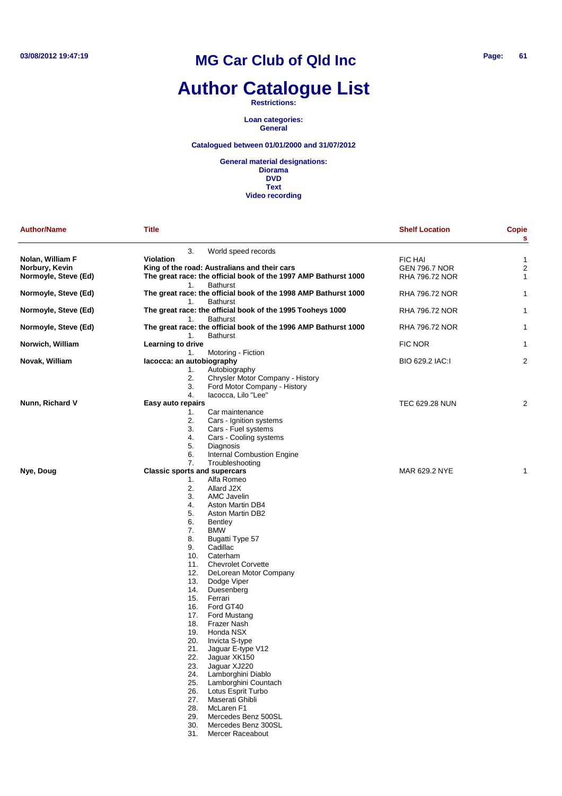### **Author Catalogue List**

**Restrictions:**

**Loan categories: General**

### **Catalogued between 01/01/2000 and 31/07/2012**

| <b>Author/Name</b>   | <b>Title</b>                        |                                                                                    | <b>Shelf Location</b> | <b>Copie</b><br>$\mathbf s$ |
|----------------------|-------------------------------------|------------------------------------------------------------------------------------|-----------------------|-----------------------------|
|                      | 3.                                  | World speed records                                                                |                       |                             |
| Nolan, William F     | <b>Violation</b>                    |                                                                                    | <b>FIC HAI</b>        | 1                           |
| Norbury, Kevin       |                                     | King of the road: Australians and their cars                                       | <b>GEN 796.7 NOR</b>  | $\overline{2}$              |
| Normoyle, Steve (Ed) |                                     | The great race: the official book of the 1997 AMP Bathurst 1000                    | RHA 796.72 NOR        | $\mathbf{1}$                |
|                      | 1.                                  | <b>Bathurst</b>                                                                    |                       |                             |
| Normoyle, Steve (Ed) | 1.                                  | The great race: the official book of the 1998 AMP Bathurst 1000<br><b>Bathurst</b> | RHA 796.72 NOR        | $\mathbf{1}$                |
| Normoyle, Steve (Ed) | 1.                                  | The great race: the official book of the 1995 Tooheys 1000<br><b>Bathurst</b>      | RHA 796.72 NOR        | $\mathbf{1}$                |
| Normoyle, Steve (Ed) |                                     | The great race: the official book of the 1996 AMP Bathurst 1000                    | RHA 796.72 NOR        | 1                           |
| Norwich, William     | 1.<br>Learning to drive             | <b>Bathurst</b>                                                                    | FIC NOR               | $\mathbf{1}$                |
|                      | 1.                                  | Motoring - Fiction                                                                 |                       |                             |
| Novak, William       | lacocca: an autobiography           |                                                                                    | BIO 629.2 IAC:1       | $\overline{2}$              |
|                      | 1.                                  | Autobiography                                                                      |                       |                             |
|                      | 2.                                  | Chrysler Motor Company - History                                                   |                       |                             |
|                      | 3.                                  | Ford Motor Company - History                                                       |                       |                             |
|                      | 4.                                  | lacocca, Lilo "Lee"                                                                |                       |                             |
| Nunn, Richard V      | Easy auto repairs                   |                                                                                    | TEC 629.28 NUN        | $\overline{c}$              |
|                      | 1.                                  | Car maintenance                                                                    |                       |                             |
|                      | 2.                                  | Cars - Ignition systems                                                            |                       |                             |
|                      | 3.                                  | Cars - Fuel systems                                                                |                       |                             |
|                      | 4.                                  | Cars - Cooling systems                                                             |                       |                             |
|                      | 5.                                  | Diagnosis                                                                          |                       |                             |
|                      | 6.                                  | Internal Combustion Engine                                                         |                       |                             |
|                      |                                     |                                                                                    |                       |                             |
|                      | 7.                                  | Troubleshooting                                                                    |                       |                             |
| Nye, Doug            | <b>Classic sports and supercars</b> |                                                                                    | MAR 629.2 NYE         | 1                           |
|                      | 1.                                  | Alfa Romeo                                                                         |                       |                             |
|                      | 2.                                  | Allard J2X                                                                         |                       |                             |
|                      | 3.                                  | AMC Javelin                                                                        |                       |                             |
|                      | 4.                                  | Aston Martin DB4                                                                   |                       |                             |
|                      | 5.                                  | Aston Martin DB2                                                                   |                       |                             |
|                      | 6.                                  | Bentley                                                                            |                       |                             |
|                      | 7.                                  | <b>BMW</b>                                                                         |                       |                             |
|                      | 8.                                  | Bugatti Type 57                                                                    |                       |                             |
|                      | 9.                                  | Cadillac                                                                           |                       |                             |
|                      | 10.                                 | Caterham                                                                           |                       |                             |
|                      | 11.                                 | <b>Chevrolet Corvette</b>                                                          |                       |                             |
|                      | 12.                                 | DeLorean Motor Company                                                             |                       |                             |
|                      | 13.                                 | Dodge Viper                                                                        |                       |                             |
|                      | 14.                                 | Duesenberg                                                                         |                       |                             |
|                      | 15.                                 | Ferrari                                                                            |                       |                             |
|                      | 16.                                 | Ford GT40                                                                          |                       |                             |
|                      | 17.                                 | Ford Mustang                                                                       |                       |                             |
|                      | 18.                                 | <b>Frazer Nash</b>                                                                 |                       |                             |
|                      | 19.                                 | Honda NSX                                                                          |                       |                             |
|                      | 20.                                 | Invicta S-type                                                                     |                       |                             |
|                      |                                     |                                                                                    |                       |                             |
|                      | 21.<br>22.                          | Jaguar E-type V12<br>Jaquar XK150                                                  |                       |                             |
|                      |                                     |                                                                                    |                       |                             |
|                      | 23.                                 | Jaguar XJ220<br>Lamborghini Diablo                                                 |                       |                             |
|                      | 24.                                 | Lamborghini Countach                                                               |                       |                             |
|                      | 25.                                 |                                                                                    |                       |                             |
|                      | 26.                                 | Lotus Esprit Turbo                                                                 |                       |                             |
|                      | 27.                                 | Maserati Ghibli                                                                    |                       |                             |
|                      | 28.                                 | McLaren <sub>F1</sub>                                                              |                       |                             |
|                      | 29.                                 | Mercedes Benz 500SL                                                                |                       |                             |
|                      | 30.                                 | Mercedes Benz 300SL                                                                |                       |                             |
|                      | 31.                                 | <b>Mercer Raceabout</b>                                                            |                       |                             |
|                      |                                     |                                                                                    |                       |                             |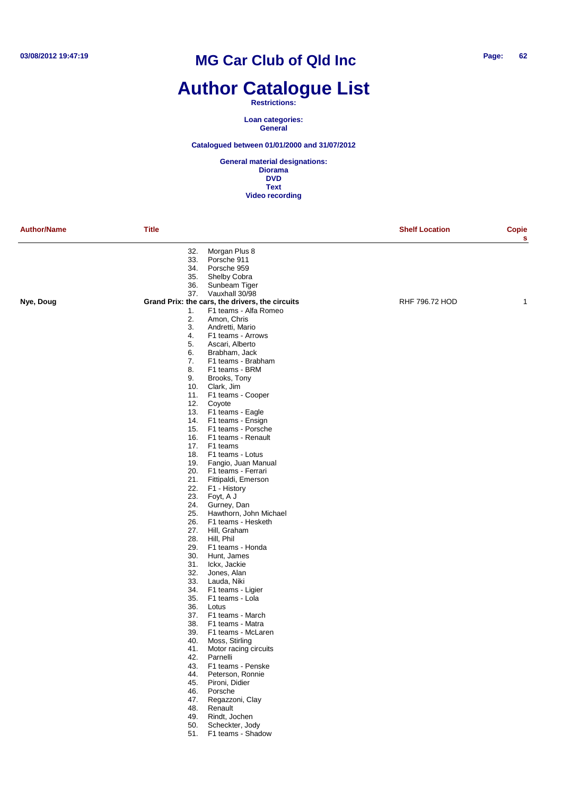### **Author Catalogue List**

#### **Restrictions:**

**Loan categories: General**

### **Catalogued between 01/01/2000 and 31/07/2012**

|           | Title |                                                 | <b>Shelf Location</b> | <b>Copie</b><br>s |
|-----------|-------|-------------------------------------------------|-----------------------|-------------------|
|           | 32.   | Morgan Plus 8                                   |                       |                   |
|           | 33.   | Porsche 911                                     |                       |                   |
|           | 34.   | Porsche 959                                     |                       |                   |
|           | 35.   | Shelby Cobra                                    |                       |                   |
|           | 36.   | Sunbeam Tiger                                   |                       |                   |
|           | 37.   | Vauxhall 30/98                                  |                       |                   |
| Nye, Doug |       | Grand Prix: the cars, the drivers, the circuits | RHF 796.72 HOD        | 1                 |
|           | 1.    | F1 teams - Alfa Romeo                           |                       |                   |
|           | 2.    | Amon, Chris                                     |                       |                   |
|           | 3.    | Andretti, Mario                                 |                       |                   |
|           | 4.    | F1 teams - Arrows                               |                       |                   |
|           | 5.    | Ascari, Alberto                                 |                       |                   |
|           | 6.    | Brabham, Jack                                   |                       |                   |
|           | 7.    | F1 teams - Brabham                              |                       |                   |
|           | 8.    | F1 teams - BRM                                  |                       |                   |
|           | 9.    | Brooks, Tony                                    |                       |                   |
|           | 10.   | Clark, Jim                                      |                       |                   |
|           |       |                                                 |                       |                   |
|           | 11.   | F1 teams - Cooper                               |                       |                   |
|           | 12.   | Coyote                                          |                       |                   |
|           |       | 13. F1 teams - Eagle                            |                       |                   |
|           | 14.   | F1 teams - Ensign                               |                       |                   |
|           |       | 15. F1 teams - Porsche                          |                       |                   |
|           | 16.   | F1 teams - Renault                              |                       |                   |
|           |       | 17. F1 teams                                    |                       |                   |
|           | 18.   | F1 teams - Lotus                                |                       |                   |
|           | 19.   | Fangio, Juan Manual                             |                       |                   |
|           | 20.   | F1 teams - Ferrari                              |                       |                   |
|           | 21.   | Fittipaldi, Emerson                             |                       |                   |
|           | 22.   | F1 - History                                    |                       |                   |
|           | 23.   | Foyt, A J                                       |                       |                   |
|           | 24.   | Gurney, Dan                                     |                       |                   |
|           | 25.   | Hawthorn, John Michael                          |                       |                   |
|           | 26.   | F1 teams - Hesketh                              |                       |                   |
|           | 27.   | Hill, Graham                                    |                       |                   |
|           | 28.   | Hill, Phil                                      |                       |                   |
|           | 29.   | F1 teams - Honda                                |                       |                   |
|           | 30.   | Hunt, James                                     |                       |                   |
|           | 31.   | Ickx, Jackie                                    |                       |                   |
|           | 32.   | Jones, Alan                                     |                       |                   |
|           | 33.   | Lauda, Niki                                     |                       |                   |
|           | 34.   | F1 teams - Ligier                               |                       |                   |
|           | 35.   | F1 teams - Lola                                 |                       |                   |
|           | 36.   | Lotus                                           |                       |                   |
|           | 37.   | F1 teams - March                                |                       |                   |
|           | 38.   | F1 teams - Matra                                |                       |                   |
|           | 39.   | F1 teams - McLaren                              |                       |                   |
|           | 40.   | Moss, Stirling                                  |                       |                   |
|           | 41.   | Motor racing circuits                           |                       |                   |
|           |       | 42. Parnelli                                    |                       |                   |
|           |       | 43. F1 teams - Penske                           |                       |                   |
|           | 44.   | Peterson, Ronnie                                |                       |                   |
|           | 45.   | Pironi, Didier                                  |                       |                   |
|           | 46.   | Porsche                                         |                       |                   |
|           | 47.   | Regazzoni, Clay                                 |                       |                   |
|           | 48.   | Renault                                         |                       |                   |
|           | 49.   | Rindt, Jochen                                   |                       |                   |
|           | 50.   | Scheckter, Jody                                 |                       |                   |
|           |       | 51. F1 teams - Shadow                           |                       |                   |
|           |       |                                                 |                       |                   |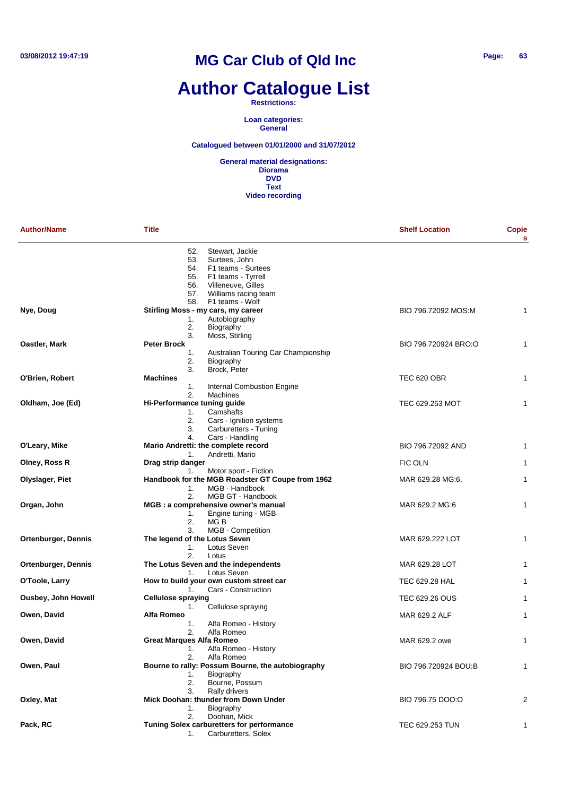# **Author Catalogue List**

#### **Restrictions:**

**Loan categories: General**

### **Catalogued between 01/01/2000 and 31/07/2012**

| <b>Author/Name</b>         | <b>Title</b>                                  |                                                                                                                            | <b>Shelf Location</b> | Copie<br>s     |
|----------------------------|-----------------------------------------------|----------------------------------------------------------------------------------------------------------------------------|-----------------------|----------------|
|                            | 52.<br>53.<br>54.<br>55.<br>56.<br>57.        | Stewart, Jackie<br>Surtees, John<br>F1 teams - Surtees<br>F1 teams - Tyrrell<br>Villeneuve, Gilles<br>Williams racing team |                       |                |
|                            | 58.                                           | F1 teams - Wolf                                                                                                            |                       |                |
| Nye, Doug                  |                                               | Stirling Moss - my cars, my career                                                                                         | BIO 796.72092 MOS:M   | 1              |
|                            | 1.<br>2.<br>3.                                | Autobiography<br>Biography<br>Moss, Stirling                                                                               |                       |                |
| Oastler, Mark              | <b>Peter Brock</b>                            |                                                                                                                            | BIO 796.720924 BRO:O  | 1              |
|                            | 1.<br>2.<br>3.                                | Australian Touring Car Championship<br>Biography<br>Brock, Peter                                                           |                       |                |
| O'Brien, Robert            | <b>Machines</b>                               |                                                                                                                            | TEC 620 OBR           | 1              |
|                            | 1.                                            | Internal Combustion Engine                                                                                                 |                       |                |
| Oldham, Joe (Ed)           | 2.<br>Hi-Performance tuning guide<br>1.<br>2. | <b>Machines</b><br>Camshafts<br>Cars - Ignition systems                                                                    | TEC 629.253 MOT       | 1              |
|                            | 3.                                            | Carburetters - Tuning                                                                                                      |                       |                |
| O'Leary, Mike              | 4.<br>1.                                      | Cars - Handling<br>Mario Andretti: the complete record<br>Andretti, Mario                                                  | BIO 796.72092 AND     | $\mathbf{1}$   |
| Olney, Ross R              | Drag strip danger                             |                                                                                                                            | <b>FIC OLN</b>        | 1              |
|                            | 1.                                            | Motor sport - Fiction                                                                                                      |                       |                |
| Olyslager, Piet            | 1.                                            | Handbook for the MGB Roadster GT Coupe from 1962<br>MGB - Handbook                                                         | MAR 629.28 MG:6.      | $\mathbf{1}$   |
| Organ, John                | 2.                                            | MGB GT - Handbook<br>MGB : a comprehensive owner's manual                                                                  | MAR 629.2 MG:6        | 1              |
|                            | 1.<br>2.<br>3.                                | Engine tuning - MGB<br>MG B<br>MGB - Competition                                                                           |                       |                |
| <b>Ortenburger, Dennis</b> | The legend of the Lotus Seven<br>1.           | Lotus Seven                                                                                                                | MAR 629.222 LOT       | 1              |
| <b>Ortenburger, Dennis</b> | 2.                                            | Lotus<br>The Lotus Seven and the independents                                                                              | MAR 629.28 LOT        | 1              |
|                            | 1.                                            | Lotus Seven                                                                                                                |                       |                |
| O'Toole, Larry             |                                               | How to build your own custom street car                                                                                    | TEC 629.28 HAL        | 1              |
| Ousbey, John Howell        | 1.<br><b>Cellulose spraying</b>               | Cars - Construction                                                                                                        | TEC 629.26 OUS        | 1              |
| Owen, David                | 1.<br>Alfa Romeo                              | Cellulose spraying                                                                                                         | MAR 629.2 ALF         | 1              |
|                            | 1.<br>2.                                      | Alfa Romeo - History<br>Alfa Romeo                                                                                         |                       |                |
| Owen, David                | Great Marques Alfa Romeo<br>1.<br>2.          | Alfa Romeo - History<br>Alfa Romeo                                                                                         | MAR 629.2 owe         | 1              |
| Owen, Paul                 | 1.<br>2.                                      | Bourne to rally: Possum Bourne, the autobiography<br>Biography<br>Bourne, Possum                                           | BIO 796.720924 BOU:B  | 1              |
| Oxley, Mat                 | 3.                                            | Rally drivers<br>Mick Doohan: thunder from Down Under                                                                      | BIO 796.75 DOO:O      | $\overline{2}$ |
|                            | 1.<br>2.                                      | Biography<br>Doohan, Mick                                                                                                  |                       |                |
| Pack, RC                   | 1.                                            | Tuning Solex carburetters for performance<br>Carburetters, Solex                                                           | TEC 629.253 TUN       | $\mathbf{1}$   |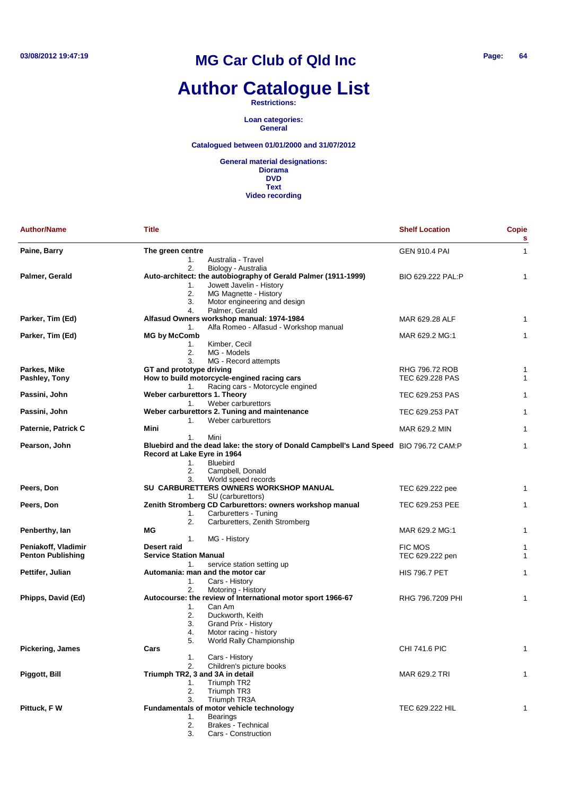## **Author Catalogue List**

**Restrictions:**

**Loan categories: General**

### **Catalogued between 01/01/2000 and 31/07/2012**

| <b>Author/Name</b>       | <b>Title</b>                    |                                                                                        | <b>Shelf Location</b> | <b>Copie</b><br>s |
|--------------------------|---------------------------------|----------------------------------------------------------------------------------------|-----------------------|-------------------|
| Paine, Barry             | The green centre                |                                                                                        | GEN 910.4 PAI         | $\mathbf{1}$      |
|                          | 1.                              | Australia - Travel                                                                     |                       |                   |
|                          | 2.                              | Biology - Australia                                                                    |                       |                   |
| Palmer, Gerald           |                                 | Auto-architect: the autobiography of Gerald Palmer (1911-1999)                         | BIO 629.222 PAL:P     | 1                 |
|                          | 1.                              | Jowett Javelin - History                                                               |                       |                   |
|                          | 2.                              | MG Magnette - History                                                                  |                       |                   |
|                          | 3.                              | Motor engineering and design                                                           |                       |                   |
|                          | 4.                              | Palmer, Gerald                                                                         |                       |                   |
| Parker, Tim (Ed)         |                                 | Alfasud Owners workshop manual: 1974-1984                                              | MAR 629.28 ALF        | 1                 |
|                          | 1.                              | Alfa Romeo - Alfasud - Workshop manual                                                 |                       |                   |
| Parker, Tim (Ed)         | <b>MG by McComb</b>             |                                                                                        | MAR 629.2 MG:1        | 1                 |
|                          | 1.                              | Kimber, Cecil                                                                          |                       |                   |
|                          | 2.                              | MG - Models                                                                            |                       |                   |
|                          | 3.                              | MG - Record attempts                                                                   |                       |                   |
| Parkes, Mike             | GT and prototype driving        |                                                                                        | RHG 796.72 ROB        | 1                 |
| Pashley, Tony            |                                 | How to build motorcycle-engined racing cars                                            | TEC 629.228 PAS       | 1                 |
|                          | 1.                              | Racing cars - Motorcycle engined                                                       |                       |                   |
| Passini, John            | Weber carburettors 1. Theory    |                                                                                        | TEC 629.253 PAS       | 1                 |
|                          | 1.                              | Weber carburettors                                                                     |                       |                   |
| Passini, John            |                                 | Weber carburettors 2. Tuning and maintenance                                           | TEC 629.253 PAT       | 1                 |
|                          | 1.                              | Weber carburettors                                                                     |                       |                   |
| Paternie, Patrick C      | Mini                            |                                                                                        | MAR 629.2 MIN         | 1                 |
|                          | 1.                              | Mini                                                                                   |                       |                   |
| Pearson, John            |                                 | Bluebird and the dead lake: the story of Donald Campbell's Land Speed BIO 796.72 CAM:P |                       | $\mathbf{1}$      |
|                          | Record at Lake Eyre in 1964     |                                                                                        |                       |                   |
|                          | 1.                              | <b>Bluebird</b>                                                                        |                       |                   |
|                          | 2.                              | Campbell, Donald                                                                       |                       |                   |
|                          | 3.                              | World speed records                                                                    |                       |                   |
| Peers, Don               |                                 | SU CARBURETTERS OWNERS WORKSHOP MANUAL                                                 | TEC 629.222 pee       | 1                 |
|                          | 1.                              | SU (carburettors)                                                                      |                       |                   |
| Peers, Don               |                                 | Zenith Stromberg CD Carburettors: owners workshop manual                               | TEC 629.253 PEE       | 1                 |
|                          | 1.                              | Carburetters - Tuning                                                                  |                       |                   |
|                          | 2.                              | Carburetters, Zenith Stromberg                                                         |                       |                   |
| Penberthy, Ian           | МG                              |                                                                                        | MAR 629.2 MG:1        | $\mathbf{1}$      |
|                          | 1.                              | MG - History                                                                           |                       |                   |
| Peniakoff, Vladimir      | Desert raid                     |                                                                                        | <b>FIC MOS</b>        | 1                 |
| <b>Penton Publishing</b> | <b>Service Station Manual</b>   |                                                                                        | TEC 629.222 pen       | $\mathbf{1}$      |
|                          | 1.                              | service station setting up                                                             |                       |                   |
| Pettifer, Julian         |                                 | Automania: man and the motor car                                                       | <b>HIS 796.7 PET</b>  | 1                 |
|                          | 1.                              | Cars - History                                                                         |                       |                   |
|                          | 2.                              | Motoring - History                                                                     |                       |                   |
| Phipps, David (Ed)       |                                 | Autocourse: the review of International motor sport 1966-67                            | RHG 796.7209 PHI      | 1                 |
|                          | 1.                              | Can Am                                                                                 |                       |                   |
|                          | 2.                              | Duckworth, Keith                                                                       |                       |                   |
|                          | 3.                              | Grand Prix - History                                                                   |                       |                   |
|                          | 4.                              | Motor racing - history                                                                 |                       |                   |
|                          | 5.                              | World Rally Championship                                                               |                       |                   |
| <b>Pickering, James</b>  | Cars                            |                                                                                        | <b>CHI 741.6 PIC</b>  | $\mathbf{1}$      |
|                          | 1.                              | Cars - History                                                                         |                       |                   |
|                          | 2.                              | Children's picture books                                                               |                       |                   |
| Piggott, Bill            | Triumph TR2, 3 and 3A in detail |                                                                                        | MAR 629.2 TRI         | 1                 |
|                          | 1.                              | Triumph TR2                                                                            |                       |                   |
|                          | 2.                              | Triumph TR3                                                                            |                       |                   |
|                          | 3.                              | Triumph TR3A                                                                           |                       |                   |
| Pittuck, F W             |                                 | <b>Fundamentals of motor vehicle technology</b>                                        | TEC 629.222 HIL       | 1                 |
|                          | 1.                              | <b>Bearings</b>                                                                        |                       |                   |
|                          | 2.                              | <b>Brakes - Technical</b>                                                              |                       |                   |
|                          | 3.                              | Cars - Construction                                                                    |                       |                   |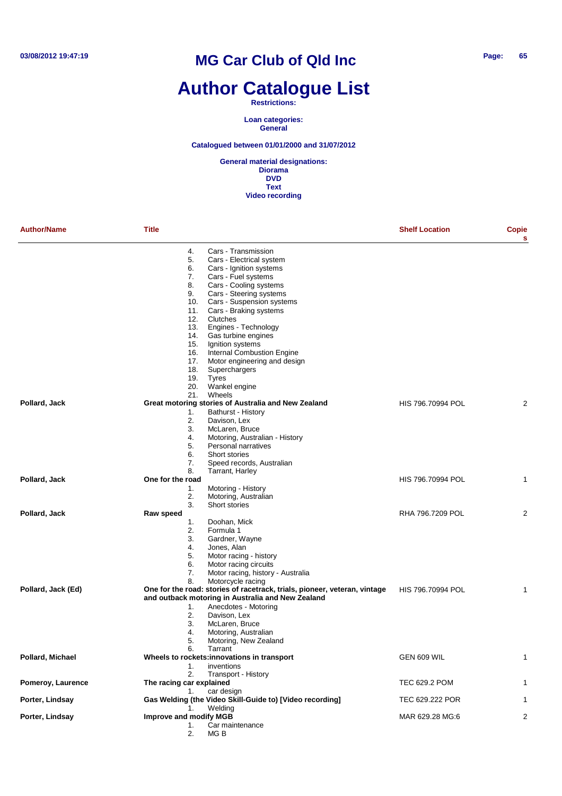### **Author Catalogue List**

#### **Restrictions:**

**Loan categories: General**

### **Catalogued between 01/01/2000 and 31/07/2012**

| <b>Author/Name</b> | <b>Title</b>                                                                 | <b>Shelf Location</b> | Copie<br>s |
|--------------------|------------------------------------------------------------------------------|-----------------------|------------|
|                    | Cars - Transmission<br>4.                                                    |                       |            |
|                    | 5.<br>Cars - Electrical system                                               |                       |            |
|                    | 6.<br>Cars - Ignition systems                                                |                       |            |
|                    | Cars - Fuel systems<br>7.                                                    |                       |            |
|                    | Cars - Cooling systems<br>8.                                                 |                       |            |
|                    | Cars - Steering systems<br>9.                                                |                       |            |
|                    | Cars - Suspension systems<br>10.<br>11.<br>Cars - Braking systems            |                       |            |
|                    | 12.<br>Clutches                                                              |                       |            |
|                    | 13.<br>Engines - Technology                                                  |                       |            |
|                    | 14.<br>Gas turbine engines                                                   |                       |            |
|                    | 15.<br>Ignition systems                                                      |                       |            |
|                    | <b>Internal Combustion Engine</b><br>16.                                     |                       |            |
|                    | 17.<br>Motor engineering and design                                          |                       |            |
|                    | 18.<br>Superchargers                                                         |                       |            |
|                    | 19.<br>Tyres                                                                 |                       |            |
|                    | 20.<br>Wankel engine                                                         |                       |            |
|                    | 21.<br>Wheels                                                                |                       |            |
| Pollard, Jack      | Great motoring stories of Australia and New Zealand                          | HIS 796.70994 POL     | 2          |
|                    | Bathurst - History<br>1.                                                     |                       |            |
|                    | 2.<br>Davison, Lex                                                           |                       |            |
|                    | 3.<br>McLaren, Bruce<br>4.                                                   |                       |            |
|                    | Motoring, Australian - History<br>5.<br>Personal narratives                  |                       |            |
|                    | 6.<br>Short stories                                                          |                       |            |
|                    | 7.<br>Speed records, Australian                                              |                       |            |
|                    | 8.<br>Tarrant, Harley                                                        |                       |            |
| Pollard, Jack      | One for the road                                                             | HIS 796.70994 POL     | 1          |
|                    | Motoring - History<br>1.                                                     |                       |            |
|                    | Motoring, Australian<br>2.                                                   |                       |            |
|                    | 3.<br>Short stories                                                          |                       |            |
| Pollard, Jack      | Raw speed                                                                    | RHA 796.7209 POL      | 2          |
|                    | Doohan, Mick<br>1.                                                           |                       |            |
|                    | 2.<br>Formula 1                                                              |                       |            |
|                    | 3.<br>Gardner, Wayne                                                         |                       |            |
|                    | Jones, Alan<br>4.                                                            |                       |            |
|                    | 5.<br>Motor racing - history                                                 |                       |            |
|                    | 6.<br>Motor racing circuits<br>7.<br>Motor racing, history - Australia       |                       |            |
|                    | 8.<br>Motorcycle racing                                                      |                       |            |
| Pollard, Jack (Ed) | One for the road: stories of racetrack, trials, pioneer, veteran, vintage    | HIS 796.70994 POL     | 1          |
|                    | and outback motoring in Australia and New Zealand                            |                       |            |
|                    | Anecdotes - Motoring<br>1.                                                   |                       |            |
|                    | 2.<br>Davison, Lex                                                           |                       |            |
|                    | 3.<br>McLaren, Bruce                                                         |                       |            |
|                    | 4.<br>Motoring, Australian                                                   |                       |            |
|                    | 5.<br>Motoring, New Zealand                                                  |                       |            |
|                    | 6.<br>larrant                                                                |                       |            |
| Pollard, Michael   | Wheels to rockets:innovations in transport                                   | GEN 609 WIL           | 1          |
|                    | inventions<br>1.                                                             |                       |            |
|                    | 2.<br>Transport - History                                                    |                       |            |
| Pomeroy, Laurence  | The racing car explained                                                     | TEC 629.2 POM         |            |
| Porter, Lindsay    | car design<br>1.<br>Gas Welding (the Video Skill-Guide to) [Video recording] | TEC 629.222 POR       |            |
|                    | Welding<br>1.                                                                |                       |            |
| Porter, Lindsay    | Improve and modify MGB                                                       | MAR 629.28 MG:6       | 2          |
|                    | 1.<br>Car maintenance                                                        |                       |            |
|                    | 2.<br>MG B                                                                   |                       |            |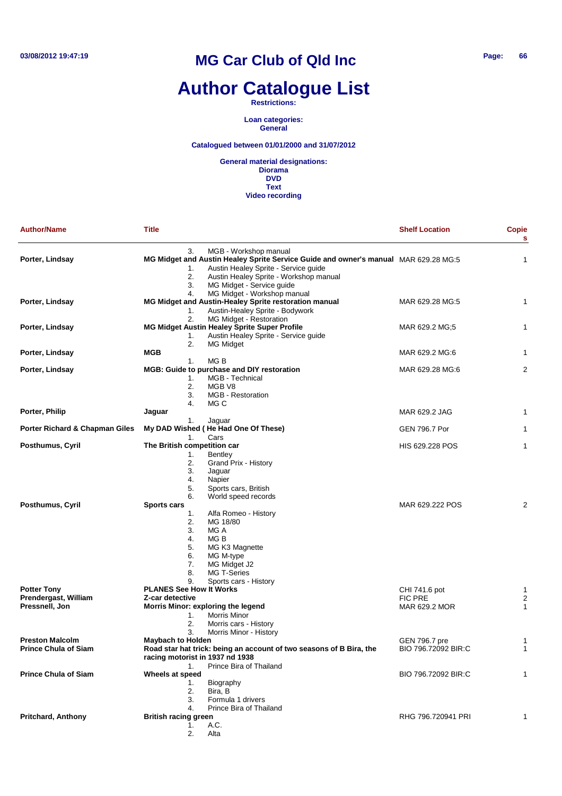### **Author Catalogue List**

**Restrictions:**

**Loan categories: General**

### **Catalogued between 01/01/2000 and 31/07/2012**

| <b>Author/Name</b>             | <b>Title</b>                      |                                                                                                                                                      | <b>Shelf Location</b> | <b>Copie</b><br>$\mathbf{s}$ |
|--------------------------------|-----------------------------------|------------------------------------------------------------------------------------------------------------------------------------------------------|-----------------------|------------------------------|
| Porter, Lindsay                | 3.<br>1.                          | MGB - Workshop manual<br>MG Midget and Austin Healey Sprite Service Guide and owner's manual MAR 629.28 MG:5<br>Austin Healey Sprite - Service guide |                       | 1                            |
|                                | 2.<br>3.<br>4.                    | Austin Healey Sprite - Workshop manual<br>MG Midget - Service guide<br>MG Midget - Workshop manual                                                   |                       |                              |
| Porter, Lindsay                | 1.                                | MG Midget and Austin-Healey Sprite restoration manual<br>Austin-Healey Sprite - Bodywork                                                             | MAR 629.28 MG:5       | $\mathbf{1}$                 |
|                                | 2.                                | MG Midget - Restoration                                                                                                                              |                       |                              |
| Porter, Lindsay                | 1.                                | MG Midget Austin Healey Sprite Super Profile<br>Austin Healey Sprite - Service guide                                                                 | MAR 629.2 MG;5        | 1                            |
| Porter, Lindsay                | 2.<br>MGB                         | MG Midget                                                                                                                                            | MAR 629.2 MG:6        | 1                            |
|                                | 1.                                | MG B                                                                                                                                                 |                       |                              |
| Porter, Lindsay                | 1.<br>2.<br>3.<br>4.              | MGB: Guide to purchase and DIY restoration<br>MGB - Technical<br>MGB V8<br><b>MGB</b> - Restoration<br>MG C                                          | MAR 629.28 MG:6       | $\overline{2}$               |
| Porter, Philip                 | Jaguar                            |                                                                                                                                                      | MAR 629.2 JAG         | 1                            |
| Porter Richard & Chapman Giles | 1.<br>1.                          | Jaguar<br>My DAD Wished (He Had One Of These)<br>Cars                                                                                                | GEN 796.7 Por         | 1                            |
| Posthumus, Cyril               | The British competition car       |                                                                                                                                                      | HIS 629.228 POS       | $\mathbf{1}$                 |
|                                | 1.                                | <b>Bentley</b>                                                                                                                                       |                       |                              |
|                                | 2.                                | Grand Prix - History                                                                                                                                 |                       |                              |
|                                | 3.<br>4.                          | Jaguar<br>Napier                                                                                                                                     |                       |                              |
|                                | 5.                                | Sports cars, British                                                                                                                                 |                       |                              |
|                                | 6.                                | World speed records                                                                                                                                  |                       |                              |
| Posthumus, Cyril               | <b>Sports cars</b>                |                                                                                                                                                      | MAR 629.222 POS       | 2                            |
|                                | 1.<br>2.                          | Alfa Romeo - History<br>MG 18/80                                                                                                                     |                       |                              |
|                                | 3.                                | MG A                                                                                                                                                 |                       |                              |
|                                | 4.                                | MG B                                                                                                                                                 |                       |                              |
|                                | 5.                                | MG K3 Magnette                                                                                                                                       |                       |                              |
|                                | 6.                                | MG M-type                                                                                                                                            |                       |                              |
|                                | 7.<br>8.                          | MG Midget J2<br>MG T-Series                                                                                                                          |                       |                              |
|                                | 9.                                | Sports cars - History                                                                                                                                |                       |                              |
| <b>Potter Tony</b>             | <b>PLANES See How It Works</b>    |                                                                                                                                                      | CHI 741.6 pot         | 1                            |
| Prendergast, William           | Z-car detective                   |                                                                                                                                                      | <b>FIC PRE</b>        | $\overline{2}$               |
| Pressnell, Jon                 |                                   | Morris Minor: exploring the legend                                                                                                                   | MAR 629.2 MOR         | $\mathbf{1}$                 |
|                                | 1.<br>2.                          | <b>Morris Minor</b><br>Morris cars - History                                                                                                         |                       |                              |
|                                | 3.                                | Morris Minor - History                                                                                                                               |                       |                              |
| <b>Preston Malcolm</b>         | <b>Maybach to Holden</b>          |                                                                                                                                                      | GEN 796.7 pre         | $\mathbf{1}$                 |
| <b>Prince Chula of Siam</b>    |                                   | Road star hat trick: being an account of two seasons of B Bira, the                                                                                  | BIO 796.72092 BIR:C   | 1                            |
|                                | racing motorist in 1937 nd 1938   | Prince Bira of Thailand                                                                                                                              |                       |                              |
| <b>Prince Chula of Siam</b>    | 1.<br>Wheels at speed             |                                                                                                                                                      | BIO 796.72092 BIR:C   | 1                            |
|                                | 1.                                | Biography                                                                                                                                            |                       |                              |
|                                | 2.                                | Bira, B                                                                                                                                              |                       |                              |
|                                | 3.                                | Formula 1 drivers                                                                                                                                    |                       |                              |
| <b>Pritchard, Anthony</b>      | 4.<br><b>British racing green</b> | Prince Bira of Thailand                                                                                                                              | RHG 796.720941 PRI    | 1                            |
|                                | 1.                                | A.C.                                                                                                                                                 |                       |                              |
|                                | 2.                                | Alta                                                                                                                                                 |                       |                              |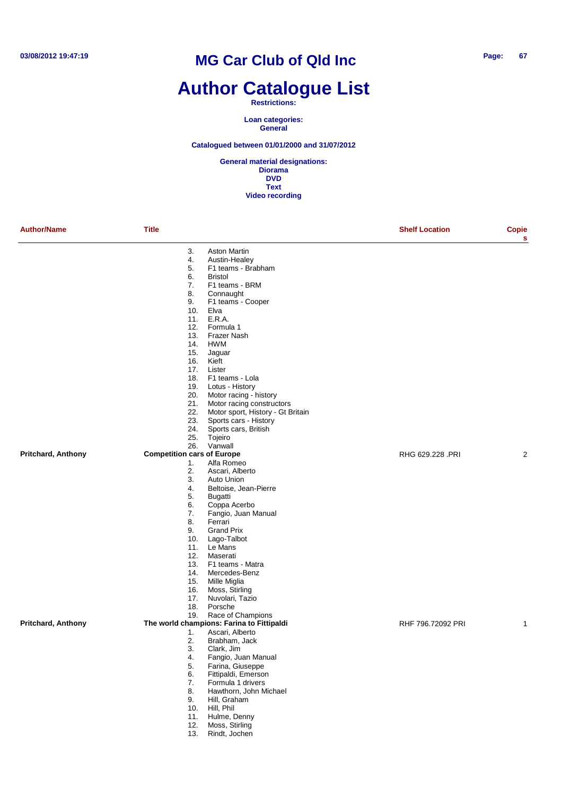### **Author Catalogue List**

#### **Restrictions:**

**Loan categories: General**

#### **Catalogued between 01/01/2000 and 31/07/2012**

| <b>Author/Name</b>        | <b>Title</b>                             |                                           | <b>Shelf Location</b> | Copie<br>s   |
|---------------------------|------------------------------------------|-------------------------------------------|-----------------------|--------------|
|                           | 3.                                       | <b>Aston Martin</b>                       |                       |              |
|                           | 4.                                       | Austin-Healey                             |                       |              |
|                           | 5.                                       | F1 teams - Brabham                        |                       |              |
|                           | 6.                                       | <b>Bristol</b>                            |                       |              |
|                           | 7.                                       | F1 teams - BRM                            |                       |              |
|                           | 8.                                       | Connaught                                 |                       |              |
|                           | 9.                                       | F1 teams - Cooper                         |                       |              |
|                           | 10.                                      | Elva                                      |                       |              |
|                           | 11.                                      | E.R.A.                                    |                       |              |
|                           | 12.                                      | Formula 1                                 |                       |              |
|                           | 13.<br>14.                               | <b>Frazer Nash</b><br><b>HWM</b>          |                       |              |
|                           | 15.                                      | Jaguar                                    |                       |              |
|                           | 16.                                      | Kieft                                     |                       |              |
|                           | 17.                                      | Lister                                    |                       |              |
|                           |                                          | 18. F1 teams - Lola                       |                       |              |
|                           | 19.                                      | Lotus - History                           |                       |              |
|                           |                                          | 20. Motor racing - history                |                       |              |
|                           | 21.                                      | Motor racing constructors                 |                       |              |
|                           | 22.                                      | Motor sport, History - Gt Britain         |                       |              |
|                           | 23.                                      | Sports cars - History                     |                       |              |
|                           | 24.                                      | Sports cars, British                      |                       |              |
|                           | 25.                                      | Tojeiro                                   |                       |              |
| <b>Pritchard, Anthony</b> | 26.<br><b>Competition cars of Europe</b> | Vanwall                                   | RHG 629.228 .PRI      | 2            |
|                           | 1.                                       | Alfa Romeo                                |                       |              |
|                           | 2.                                       | Ascari, Alberto                           |                       |              |
|                           | 3.                                       | Auto Union                                |                       |              |
|                           | 4.                                       | Beltoise, Jean-Pierre                     |                       |              |
|                           | 5.                                       | Bugatti                                   |                       |              |
|                           | 6.                                       | Coppa Acerbo                              |                       |              |
|                           | 7.                                       | Fangio, Juan Manual                       |                       |              |
|                           | 8.                                       | Ferrari                                   |                       |              |
|                           | 9.                                       | <b>Grand Prix</b>                         |                       |              |
|                           | 10.                                      | Lago-Talbot                               |                       |              |
|                           | 11.                                      | Le Mans                                   |                       |              |
|                           | 12.<br>13.                               | Maserati<br>F1 teams - Matra              |                       |              |
|                           | 14.                                      | Mercedes-Benz                             |                       |              |
|                           | 15.                                      | Mille Miglia                              |                       |              |
|                           | 16.                                      | Moss, Stirling                            |                       |              |
|                           | 17.                                      | Nuvolari, Tazio                           |                       |              |
|                           | 18.                                      | Porsche                                   |                       |              |
|                           | 19.                                      | Race of Champions                         |                       |              |
| <b>Pritchard, Anthony</b> |                                          | The world champions: Farina to Fittipaldi | RHF 796.72092 PRI     | $\mathbf{1}$ |
|                           | 1.                                       | Ascari, Alberto                           |                       |              |
|                           | 2.                                       | Brabham, Jack                             |                       |              |
|                           | 3.                                       | Clark, Jim                                |                       |              |
|                           | 4.<br>5.                                 | Fangio, Juan Manual<br>Farina, Giuseppe   |                       |              |
|                           | 6.                                       | Fittipaldi, Emerson                       |                       |              |
|                           | 7.                                       | Formula 1 drivers                         |                       |              |
|                           | 8.                                       | Hawthorn, John Michael                    |                       |              |
|                           | 9.                                       | Hill, Graham                              |                       |              |
|                           | 10.                                      | Hill, Phil                                |                       |              |
|                           | 11.                                      | Hulme, Denny                              |                       |              |
|                           | 12.                                      | Moss, Stirling                            |                       |              |
|                           | 13.                                      | Rindt, Jochen                             |                       |              |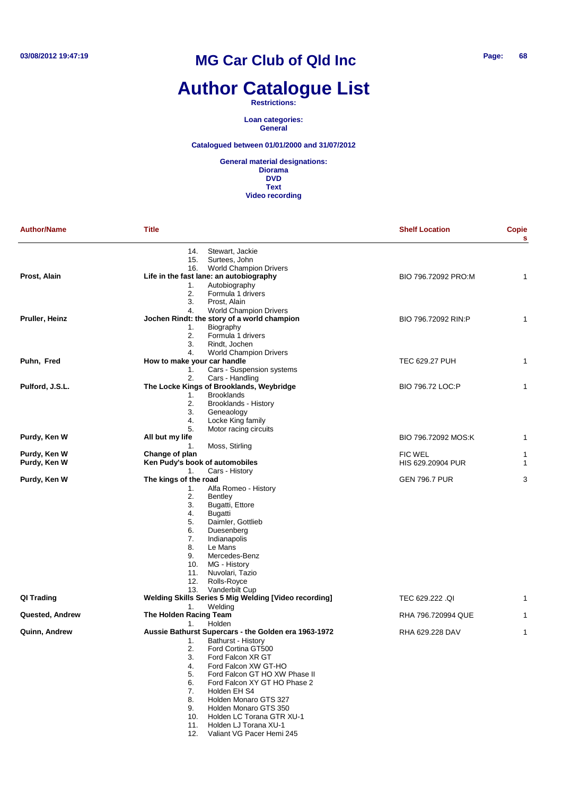# **Author Catalogue List**

#### **Restrictions:**

**Loan categories: General**

#### **Catalogued between 01/01/2000 and 31/07/2012**

**General material designations: Diorama DVD Text Video recording**

| <b>Author/Name</b> | <b>Title</b>                      |                                                               | <b>Shelf Location</b> | Copie<br>s |
|--------------------|-----------------------------------|---------------------------------------------------------------|-----------------------|------------|
|                    | 14.                               | Stewart, Jackie                                               |                       |            |
|                    | 15.                               | Surtees, John                                                 |                       |            |
|                    | 16.                               | <b>World Champion Drivers</b>                                 |                       |            |
| Prost, Alain       |                                   | Life in the fast lane: an autobiography                       | BIO 796.72092 PRO:M   | 1          |
|                    | 1.                                | Autobiography                                                 |                       |            |
|                    | 2.                                | Formula 1 drivers                                             |                       |            |
|                    | 3.                                | Prost, Alain                                                  |                       |            |
|                    | 4.                                | <b>World Champion Drivers</b>                                 |                       |            |
| Pruller, Heinz     |                                   | Jochen Rindt: the story of a world champion                   | BIO 796.72092 RIN:P   | 1          |
|                    | 1.                                | Biography                                                     |                       |            |
|                    | 2.                                | Formula 1 drivers                                             |                       |            |
|                    | 3.                                | Rindt, Jochen                                                 |                       |            |
|                    | 4.<br>How to make your car handle | <b>World Champion Drivers</b>                                 |                       |            |
| Puhn, Fred         |                                   |                                                               | TEC 629.27 PUH        | 1          |
|                    | 1.<br>2.                          | Cars - Suspension systems<br>Cars - Handling                  |                       |            |
| Pulford, J.S.L.    |                                   | The Locke Kings of Brooklands, Weybridge                      | BIO 796.72 LOC:P      | 1          |
|                    | 1.                                | <b>Brooklands</b>                                             |                       |            |
|                    | 2.                                | Brooklands - History                                          |                       |            |
|                    | 3.                                | Geneaology                                                    |                       |            |
|                    | 4.                                | Locke King family                                             |                       |            |
|                    | 5.                                | Motor racing circuits                                         |                       |            |
| Purdy, Ken W       | All but my life                   |                                                               | BIO 796.72092 MOS:K   | 1          |
|                    | 1.                                | Moss, Stirling                                                |                       |            |
| Purdy, Ken W       | Change of plan                    |                                                               | FIC WEL               | 1          |
| Purdy, Ken W       | Ken Pudy's book of automobiles    |                                                               | HIS 629.20904 PUR     | 1          |
|                    | 1.                                | Cars - History                                                |                       |            |
| Purdy, Ken W       | The kings of the road             |                                                               | <b>GEN 796.7 PUR</b>  | 3          |
|                    | 1.                                | Alfa Romeo - History                                          |                       |            |
|                    | 2.                                | Bentley                                                       |                       |            |
|                    | 3.                                | Bugatti, Ettore                                               |                       |            |
|                    | 4.                                | <b>Bugatti</b>                                                |                       |            |
|                    | 5.                                | Daimler, Gottlieb                                             |                       |            |
|                    | 6.                                | Duesenberg                                                    |                       |            |
|                    | 7.                                | Indianapolis                                                  |                       |            |
|                    | 8.                                | Le Mans                                                       |                       |            |
|                    | 9.                                | Mercedes-Benz                                                 |                       |            |
|                    | 10.                               | MG - History                                                  |                       |            |
|                    | 11.                               | Nuvolari, Tazio                                               |                       |            |
|                    | 12.                               | Rolls-Royce                                                   |                       |            |
|                    | 13.                               | Vanderbilt Cup                                                |                       |            |
| QI Trading         |                                   | Welding Skills Series 5 Mig Welding [Video recording]         | TEC 629.222 .QI       | 1          |
|                    | 1.                                | Welding                                                       |                       |            |
| Quested, Andrew    | The Holden Racing Team            |                                                               | RHA 796.720994 QUE    | 1          |
|                    | 1.                                | Holden                                                        |                       |            |
| Quinn, Andrew      |                                   | Aussie Bathurst Supercars - the Golden era 1963-1972          | RHA 629.228 DAV       | 1          |
|                    | 1.                                | Bathurst - History                                            |                       |            |
|                    | 2.                                | Ford Cortina GT500                                            |                       |            |
|                    | 3.                                | Ford Falcon XR GT                                             |                       |            |
|                    | 4.                                | Ford Falcon XW GT-HO                                          |                       |            |
|                    | 5.                                | Ford Falcon GT HO XW Phase II<br>Ford Falcon XY GT HO Phase 2 |                       |            |
|                    | 6.                                | Holden EH S4                                                  |                       |            |
|                    | 7.<br>8.                          | Holden Monaro GTS 327                                         |                       |            |
|                    |                                   |                                                               |                       |            |
|                    | 9.                                | Holden Monaro GTS 350                                         |                       |            |
|                    | 10.                               | Holden LC Torana GTR XU-1<br>Holden LJ Torana XU-1            |                       |            |
|                    | 11.                               |                                                               |                       |            |

12. Valiant VG Pacer Hemi 245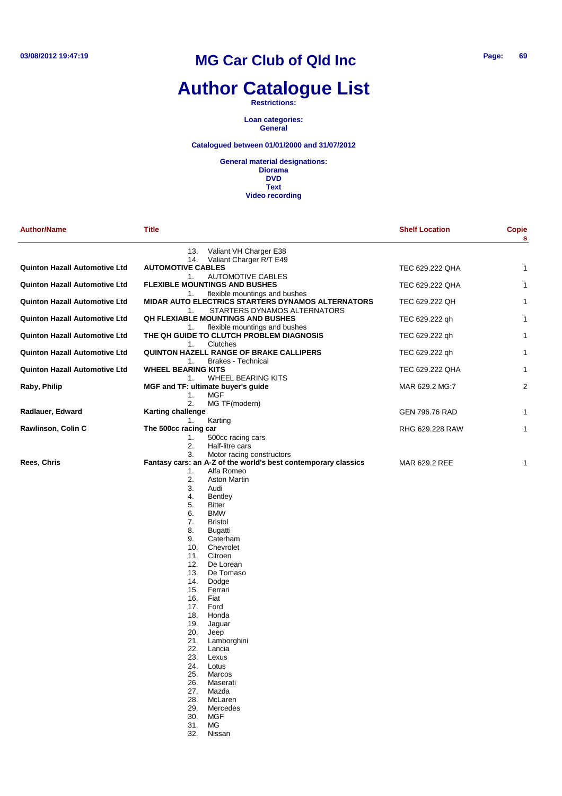### **Author Catalogue List**

**Restrictions:**

**Loan categories: General**

### **Catalogued between 01/01/2000 and 31/07/2012**

| <b>Author/Name</b>                   | Title                           |                                                                                                   | <b>Shelf Location</b> | Copie<br>s     |
|--------------------------------------|---------------------------------|---------------------------------------------------------------------------------------------------|-----------------------|----------------|
|                                      | 13.<br>14.                      | Valiant VH Charger E38<br>Valiant Charger R/T E49                                                 |                       |                |
| <b>Quinton Hazall Automotive Ltd</b> | <b>AUTOMOTIVE CABLES</b>        |                                                                                                   | TEC 629.222 QHA       | 1              |
| <b>Quinton Hazall Automotive Ltd</b> | 1.<br>1.                        | <b>AUTOMOTIVE CABLES</b><br><b>FLEXIBLE MOUNTINGS AND BUSHES</b><br>flexible mountings and bushes | TEC 629.222 QHA       | $\mathbf{1}$   |
| <b>Quinton Hazall Automotive Ltd</b> | 1.                              | MIDAR AUTO ELECTRICS STARTERS DYNAMOS ALTERNATORS<br>STARTERS DYNAMOS ALTERNATORS                 | TEC 629.222 QH        | 1              |
| Quinton Hazall Automotive Ltd        | 1.                              | <b>QH FLEXIABLE MOUNTINGS AND BUSHES</b><br>flexible mountings and bushes                         | TEC 629.222 qh        | $\mathbf{1}$   |
| <b>Quinton Hazall Automotive Ltd</b> | 1.                              | THE QH GUIDE TO CLUTCH PROBLEM DIAGNOSIS<br>Clutches                                              | TEC 629.222 qh        | 1              |
| <b>Quinton Hazall Automotive Ltd</b> | 1.                              | <b>QUINTON HAZELL RANGE OF BRAKE CALLIPERS</b><br><b>Brakes - Technical</b>                       | TEC 629.222 qh        | 1              |
| <b>Quinton Hazall Automotive Ltd</b> | <b>WHEEL BEARING KITS</b><br>1. | WHEEL BEARING KITS                                                                                | TEC 629.222 QHA       | 1              |
| Raby, Philip                         |                                 | MGF and TF: ultimate buyer's guide                                                                | MAR 629.2 MG:7        | $\overline{2}$ |
|                                      | 1.<br>2.                        | <b>MGF</b><br>MG TF(modern)                                                                       |                       |                |
| Radlauer, Edward                     | <b>Karting challenge</b>        |                                                                                                   | GEN 796.76 RAD        | 1              |
| Rawlinson, Colin C                   | 1.<br>The 500cc racing car      | Karting                                                                                           | RHG 629.228 RAW       | 1              |
|                                      | 1.<br>2.                        | 500cc racing cars<br>Half-litre cars                                                              |                       |                |
|                                      | 3.                              | Motor racing constructors                                                                         |                       |                |
| Rees, Chris                          |                                 | Fantasy cars: an A-Z of the world's best contemporary classics                                    | MAR 629.2 REE         | 1              |
|                                      | 1.                              | Alfa Romeo                                                                                        |                       |                |
|                                      | 2.<br>3.                        | <b>Aston Martin</b><br>Audi                                                                       |                       |                |
|                                      | 4.                              | <b>Bentley</b>                                                                                    |                       |                |
|                                      | 5.                              | <b>Bitter</b>                                                                                     |                       |                |
|                                      | 6.                              | <b>BMW</b>                                                                                        |                       |                |
|                                      | 7.                              | <b>Bristol</b>                                                                                    |                       |                |
|                                      | 8.                              | Bugatti                                                                                           |                       |                |
|                                      | 9.<br>10.                       | Caterham<br>Chevrolet                                                                             |                       |                |
|                                      | 11.                             | Citroen                                                                                           |                       |                |
|                                      | 12.                             | De Lorean                                                                                         |                       |                |
|                                      | 13.                             | De Tomaso                                                                                         |                       |                |
|                                      | 14.                             | Dodge                                                                                             |                       |                |
|                                      | 15.<br>16.                      | Ferrari<br>Fiat                                                                                   |                       |                |
|                                      | 17.                             | Ford                                                                                              |                       |                |
|                                      | 18.                             | Honda                                                                                             |                       |                |
|                                      | 19.                             | Jaguar                                                                                            |                       |                |
|                                      | 20.                             | Jeep                                                                                              |                       |                |
|                                      | 21.<br>22.                      | Lamborghini                                                                                       |                       |                |
|                                      | 23.                             | Lancia<br>Lexus                                                                                   |                       |                |
|                                      | 24.                             | Lotus                                                                                             |                       |                |
|                                      | 25.                             | Marcos                                                                                            |                       |                |
|                                      | 26.                             | Maserati                                                                                          |                       |                |
|                                      | 27.<br>28.                      | Mazda<br>McLaren                                                                                  |                       |                |
|                                      | 29.                             | Mercedes                                                                                          |                       |                |
|                                      | 30.                             | <b>MGF</b>                                                                                        |                       |                |
|                                      | 31.                             | MG.                                                                                               |                       |                |
|                                      | 32.                             | Nissan                                                                                            |                       |                |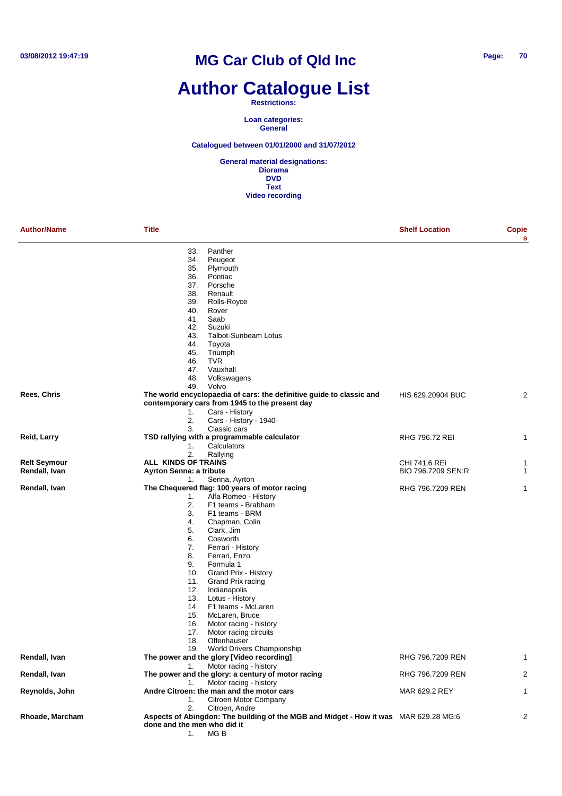### **Author Catalogue List**

**Restrictions:**

**Loan categories: General**

**Catalogued between 01/01/2000 and 31/07/2012**

| <b>Author/Name</b>  | Title                                                                                | <b>Shelf Location</b> | Copie<br>s |
|---------------------|--------------------------------------------------------------------------------------|-----------------------|------------|
|                     | Panther<br>33.                                                                       |                       |            |
|                     | 34.<br>Peugeot                                                                       |                       |            |
|                     | 35.<br>Plymouth                                                                      |                       |            |
|                     | Pontiac<br>36.                                                                       |                       |            |
|                     | Porsche<br>37.                                                                       |                       |            |
|                     | 38.<br>Renault                                                                       |                       |            |
|                     | 39.<br>Rolls-Royce                                                                   |                       |            |
|                     | 40.<br>Rover                                                                         |                       |            |
|                     | 41.<br>Saab                                                                          |                       |            |
|                     | 42.<br>Suzuki                                                                        |                       |            |
|                     | <b>Talbot-Sunbeam Lotus</b><br>43.                                                   |                       |            |
|                     | 44.<br>Toyota                                                                        |                       |            |
|                     | Triumph<br>45.                                                                       |                       |            |
|                     | 46.<br><b>TVR</b>                                                                    |                       |            |
|                     | 47.<br>Vauxhall                                                                      |                       |            |
|                     | 48.<br>Volkswagens                                                                   |                       |            |
|                     | 49.<br>Volvo                                                                         |                       |            |
| Rees, Chris         | The world encyclopaedia of cars: the definitive guide to classic and                 | HIS 629.20904 BUC     | 2          |
|                     | contemporary cars from 1945 to the present day                                       |                       |            |
|                     | 1.<br>Cars - History                                                                 |                       |            |
|                     | 2.<br>Cars - History - 1940-                                                         |                       |            |
|                     | Classic cars<br>3.                                                                   |                       |            |
| Reid, Larry         | TSD rallying with a programmable calculator                                          | <b>RHG 796.72 REI</b> | 1          |
|                     | 1.<br>Calculators                                                                    |                       |            |
|                     | 2.<br>Rallying                                                                       |                       |            |
| <b>Relt Seymour</b> | <b>ALL KINDS OF TRAINS</b>                                                           | CHI 741.6 REi         | 1          |
| Rendall, Ivan       | Ayrton Senna: a tribute                                                              | BIO 796.7209 SEN:R    | 1          |
|                     | 1.<br>Senna, Ayrton                                                                  |                       |            |
| Rendall, Ivan       | The Chequered flag: 100 years of motor racing                                        | RHG 796.7209 REN      | 1          |
|                     | 1.<br>Alfa Romeo - History                                                           |                       |            |
|                     | 2.<br>F1 teams - Brabham                                                             |                       |            |
|                     | 3.<br>F1 teams - BRM                                                                 |                       |            |
|                     | Chapman, Colin<br>4.                                                                 |                       |            |
|                     | 5.<br>Clark, Jim                                                                     |                       |            |
|                     | 6.<br>Cosworth                                                                       |                       |            |
|                     | 7.<br>Ferrari - History                                                              |                       |            |
|                     | 8.<br>Ferrari, Enzo                                                                  |                       |            |
|                     | 9.<br>Formula 1                                                                      |                       |            |
|                     | Grand Prix - History<br>10.                                                          |                       |            |
|                     | 11.<br>Grand Prix racing                                                             |                       |            |
|                     | Indianapolis<br>12.                                                                  |                       |            |
|                     | Lotus - History<br>13.                                                               |                       |            |
|                     | F1 teams - McLaren<br>14.                                                            |                       |            |
|                     | 15.<br>McLaren, Bruce                                                                |                       |            |
|                     | Motor racing - history<br>16.                                                        |                       |            |
|                     | 17.<br>Motor racing circuits                                                         |                       |            |
|                     | 18.<br>Offenhauser                                                                   |                       |            |
|                     | 19. World Drivers Championship                                                       |                       |            |
| Rendall, Ivan       | The power and the glory [Video recording]                                            | RHG 796.7209 REN      | 1          |
|                     | Motor racing - history<br>1.                                                         |                       |            |
| Rendall, Ivan       | The power and the glory: a century of motor racing                                   |                       | 2          |
|                     |                                                                                      | RHG 796.7209 REN      |            |
|                     | Motor racing - history<br>1.                                                         |                       |            |
| Reynolds, John      | Andre Citroen: the man and the motor cars                                            | MAR 629.2 REY         | 1          |
|                     | Citroen Motor Company<br>1.                                                          |                       |            |
|                     | 2.<br>Citroen, Andre                                                                 |                       |            |
| Rhoade, Marcham     | Aspects of Abingdon: The building of the MGB and Midget - How it was MAR 629.28 MG:6 |                       | 2          |
|                     | done and the men who did it                                                          |                       |            |
|                     | MG <sub>B</sub><br>1.                                                                |                       |            |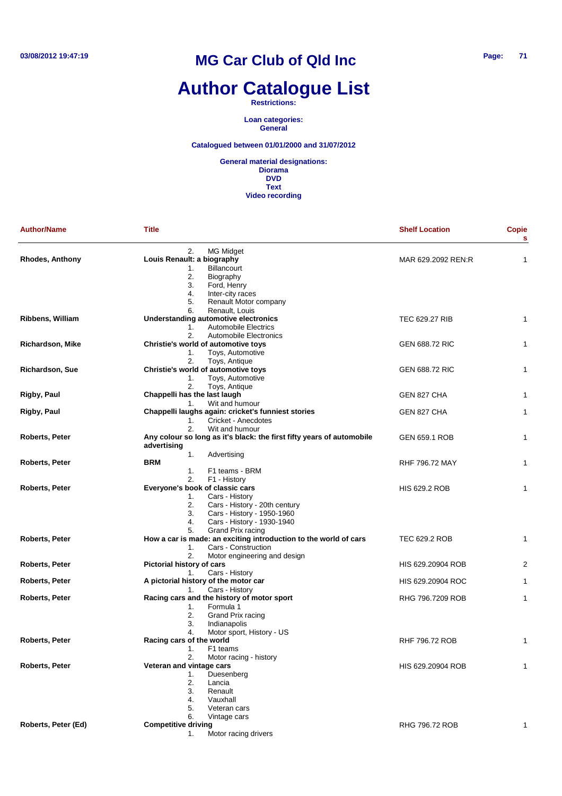# **Author Catalogue List**

**Restrictions:**

**Loan categories: General**

**Catalogued between 01/01/2000 and 31/07/2012**

| <b>Author/Name</b>      | <b>Title</b>                                                                                                                                                                                 | <b>Shelf Location</b> | <b>Copie</b><br>s |
|-------------------------|----------------------------------------------------------------------------------------------------------------------------------------------------------------------------------------------|-----------------------|-------------------|
| <b>Rhodes, Anthony</b>  | 2.<br><b>MG Midget</b><br>Louis Renault: a biography<br>Billancourt<br>1.<br>2.<br>Biography<br>3.<br>Ford, Henry<br>4.<br>Inter-city races<br>5.<br>Renault Motor company                   | MAR 629.2092 REN:R    | 1                 |
| <b>Ribbens, William</b> | 6.<br>Renault, Louis<br>Understanding automotive electronics<br><b>Automobile Electrics</b><br>1.                                                                                            | TEC 629.27 RIB        | 1                 |
| <b>Richardson, Mike</b> | 2.<br>Automobile Electronics<br>Christie's world of automotive toys<br>Toys, Automotive<br>1.                                                                                                | <b>GEN 688.72 RIC</b> | 1                 |
| Richardson, Sue         | 2.<br>Toys, Antique<br>Christie's world of automotive toys<br>Toys, Automotive<br>1.                                                                                                         | <b>GEN 688.72 RIC</b> | 1                 |
| Rigby, Paul             | 2.<br>Toys, Antique<br>Chappelli has the last laugh                                                                                                                                          | GEN 827 CHA           | 1                 |
| Rigby, Paul             | Wit and humour<br>1.<br>Chappelli laughs again: cricket's funniest stories<br>Cricket - Anecdotes<br>1.                                                                                      | GEN 827 CHA           | 1                 |
| Roberts, Peter          | 2.<br>Wit and humour<br>Any colour so long as it's black: the first fifty years of automobile<br>advertising                                                                                 | <b>GEN 659.1 ROB</b>  | 1                 |
| Roberts, Peter          | 1.<br>Advertising<br><b>BRM</b><br>1.<br>F1 teams - BRM                                                                                                                                      | RHF 796.72 MAY        | 1                 |
| Roberts, Peter          | 2.<br>F1 - History<br>Everyone's book of classic cars<br>Cars - History<br>1.<br>2.<br>Cars - History - 20th century<br>3.<br>Cars - History - 1950-1960<br>4.<br>Cars - History - 1930-1940 | HIS 629.2 ROB         | 1                 |
| <b>Roberts, Peter</b>   | Grand Prix racing<br>5.<br>How a car is made: an exciting introduction to the world of cars<br>1.<br>Cars - Construction                                                                     | TEC 629.2 ROB         | 1                 |
| Roberts, Peter          | 2.<br>Motor engineering and design<br>Pictorial history of cars<br>Cars - History<br>1.                                                                                                      | HIS 629.20904 ROB     | $\overline{c}$    |
| Roberts, Peter          | A pictorial history of the motor car<br>Cars - History<br>1.                                                                                                                                 | HIS 629.20904 ROC     | 1                 |
| Roberts, Peter          | Racing cars and the history of motor sport<br>Formula 1<br>1.<br>2.<br>Grand Prix racing<br>3.<br>Indianapolis<br>4.                                                                         | RHG 796.7209 ROB      | 1                 |
| <b>Roberts, Peter</b>   | Motor sport, History - US<br>Racing cars of the world<br>1.<br>F1 teams                                                                                                                      | RHF 796.72 ROB        |                   |
| <b>Roberts, Peter</b>   | 2.<br>Motor racing - history<br>Veteran and vintage cars<br>Duesenberg<br>1.<br>2.<br>Lancia<br>3.<br>Renault<br>4.<br>Vauxhall<br>5.<br>Veteran cars<br>6.<br>Vintage cars                  | HIS 629.20904 ROB     | 1                 |
| Roberts, Peter (Ed)     | <b>Competitive driving</b><br>Motor racing drivers<br>1.                                                                                                                                     | RHG 796.72 ROB        | 1                 |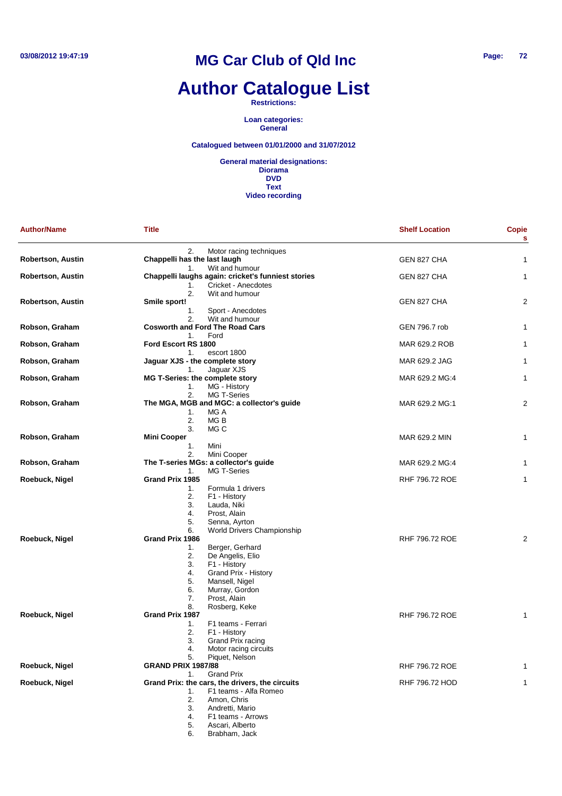# **Author Catalogue List**

**Restrictions:**

**Loan categories: General**

### **Catalogued between 01/01/2000 and 31/07/2012**

| <b>Author/Name</b> | <b>Title</b>                                                                    | <b>Shelf Location</b> | <b>Copie</b><br>s |
|--------------------|---------------------------------------------------------------------------------|-----------------------|-------------------|
|                    | Motor racing techniques<br>2.                                                   |                       |                   |
| Robertson, Austin  | Chappelli has the last laugh                                                    | GEN 827 CHA           | 1                 |
|                    | Wit and humour<br>1.                                                            |                       |                   |
| Robertson, Austin  | Chappelli laughs again: cricket's funniest stories<br>Cricket - Anecdotes<br>1. | GEN 827 CHA           | 1                 |
|                    | 2.<br>Wit and humour                                                            |                       |                   |
| Robertson, Austin  | Smile sport!                                                                    | GEN 827 CHA           | 2                 |
|                    | 1.<br>Sport - Anecdotes                                                         |                       |                   |
|                    | 2.<br>Wit and humour                                                            |                       |                   |
| Robson, Graham     | <b>Cosworth and Ford The Road Cars</b>                                          | GEN 796.7 rob         | 1                 |
|                    | Ford<br>1.                                                                      |                       |                   |
| Robson, Graham     | Ford Escort RS 1800                                                             | MAR 629.2 ROB         | 1                 |
|                    | 1.<br>escort 1800                                                               |                       |                   |
| Robson, Graham     | Jaguar XJS - the complete story<br>Jaguar XJS<br>1.                             | MAR 629.2 JAG         | 1                 |
| Robson, Graham     | MG T-Series: the complete story                                                 | MAR 629.2 MG:4        | 1                 |
|                    | MG - History<br>1.                                                              |                       |                   |
|                    | 2.<br>MG T-Series                                                               |                       |                   |
| Robson, Graham     | The MGA, MGB and MGC: a collector's guide                                       | MAR 629.2 MG:1        | 2                 |
|                    | MG A<br>1.                                                                      |                       |                   |
|                    | 2.<br>MG B                                                                      |                       |                   |
|                    | 3.<br>MG C                                                                      |                       |                   |
| Robson, Graham     | <b>Mini Cooper</b>                                                              | MAR 629.2 MIN         | 1                 |
|                    | 1.<br>Mini                                                                      |                       |                   |
|                    | 2.<br>Mini Cooper<br>The T-series MGs: a collector's guide                      | MAR 629.2 MG:4        |                   |
| Robson, Graham     | <b>MG T-Series</b><br>1.                                                        |                       | 1                 |
| Roebuck, Nigel     | Grand Prix 1985                                                                 | <b>RHF 796.72 ROE</b> | 1                 |
|                    | Formula 1 drivers<br>1.                                                         |                       |                   |
|                    | 2.<br>F1 - History                                                              |                       |                   |
|                    | 3.<br>Lauda, Niki                                                               |                       |                   |
|                    | Prost, Alain<br>4.                                                              |                       |                   |
|                    | 5.<br>Senna, Ayrton                                                             |                       |                   |
|                    | World Drivers Championship<br>6.                                                |                       |                   |
| Roebuck, Nigel     | Grand Prix 1986                                                                 | <b>RHF 796.72 ROE</b> | 2                 |
|                    | Berger, Gerhard<br>1.<br>2.                                                     |                       |                   |
|                    | De Angelis, Elio<br>3.<br>F1 - History                                          |                       |                   |
|                    | Grand Prix - History<br>4.                                                      |                       |                   |
|                    | 5.<br>Mansell, Nigel                                                            |                       |                   |
|                    | 6.<br>Murray, Gordon                                                            |                       |                   |
|                    | Prost, Alain<br>7.                                                              |                       |                   |
|                    | 8.<br>Rosberg, Keke                                                             |                       |                   |
| Roebuck, Nigel     | Grand Prix 1987                                                                 | <b>RHF 796.72 ROE</b> | 1                 |
|                    | 1.<br>F1 teams - Ferrari                                                        |                       |                   |
|                    | 2.<br>F1 - History                                                              |                       |                   |
|                    | 3.<br>Grand Prix racing<br>Motor racing circuits<br>4.                          |                       |                   |
|                    | 5.<br>Piquet, Nelson                                                            |                       |                   |
| Roebuck, Nigel     | <b>GRAND PRIX 1987/88</b>                                                       | <b>RHF 796.72 ROE</b> | 1                 |
|                    | <b>Grand Prix</b><br>1.                                                         |                       |                   |
| Roebuck, Nigel     | Grand Prix: the cars, the drivers, the circuits                                 | RHF 796.72 HOD        | 1                 |
|                    | F1 teams - Alfa Romeo<br>1.                                                     |                       |                   |
|                    | 2.<br>Amon, Chris                                                               |                       |                   |
|                    | 3.<br>Andretti, Mario                                                           |                       |                   |
|                    | 4.<br>F1 teams - Arrows                                                         |                       |                   |
|                    | 5.<br>Ascari, Alberto<br>Brabham, Jack<br>6.                                    |                       |                   |
|                    |                                                                                 |                       |                   |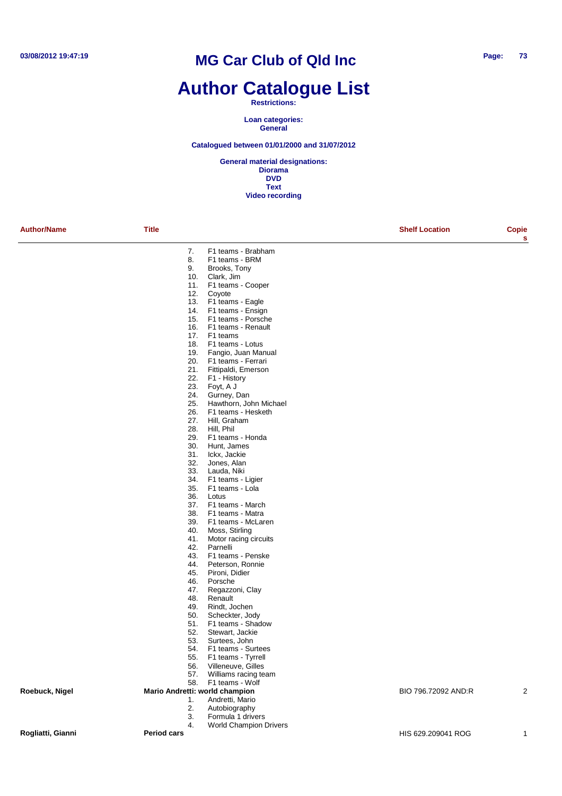## **Author Catalogue List**

#### **Restrictions:**

**Loan categories: General**

#### **Catalogued between 01/01/2000 and 31/07/2012**

| <b>Author/Name</b> | <b>Title</b>       |                                                    | <b>Shelf Location</b> | Copie<br>s     |
|--------------------|--------------------|----------------------------------------------------|-----------------------|----------------|
|                    | 7.                 | F1 teams - Brabham                                 |                       |                |
|                    | 8.                 | F1 teams - BRM                                     |                       |                |
|                    | 9.                 | Brooks, Tony                                       |                       |                |
|                    | 10.<br>11.         | Clark, Jim                                         |                       |                |
|                    | 12.                | F1 teams - Cooper<br>Coyote                        |                       |                |
|                    | 13.                | F1 teams - Eagle                                   |                       |                |
|                    | 14.                | F1 teams - Ensign                                  |                       |                |
|                    | 15.                | F1 teams - Porsche                                 |                       |                |
|                    | 16.                | F1 teams - Renault                                 |                       |                |
|                    | 17.<br>18.         | F1 teams                                           |                       |                |
|                    | 19.                | F1 teams - Lotus<br>Fangio, Juan Manual            |                       |                |
|                    | 20.                | F1 teams - Ferrari                                 |                       |                |
|                    | 21.                | Fittipaldi, Emerson                                |                       |                |
|                    | 22.                | F1 - History                                       |                       |                |
|                    | 23.                | Foyt, A J                                          |                       |                |
|                    | 24.                | Gurney, Dan                                        |                       |                |
|                    | 25.<br>26.         | Hawthorn, John Michael<br>F1 teams - Hesketh       |                       |                |
|                    | 27.                | Hill, Graham                                       |                       |                |
|                    | 28.                | Hill, Phil                                         |                       |                |
|                    | 29.                | F1 teams - Honda                                   |                       |                |
|                    | 30.                | Hunt, James                                        |                       |                |
|                    | 31.                | Ickx, Jackie                                       |                       |                |
|                    | 32.<br>33.         | Jones, Alan<br>Lauda, Niki                         |                       |                |
|                    | 34.                | F1 teams - Ligier                                  |                       |                |
|                    | 35.                | F1 teams - Lola                                    |                       |                |
|                    | 36.                | Lotus                                              |                       |                |
|                    | 37.                | F1 teams - March                                   |                       |                |
|                    | 38.                | F1 teams - Matra                                   |                       |                |
|                    | 39.                | F1 teams - McLaren                                 |                       |                |
|                    | 40.<br>41.         | Moss, Stirling<br>Motor racing circuits            |                       |                |
|                    | 42.                | Parnelli                                           |                       |                |
|                    | 43.                | F1 teams - Penske                                  |                       |                |
|                    | 44.                | Peterson, Ronnie                                   |                       |                |
|                    | 45.                | Pironi, Didier                                     |                       |                |
|                    | 46.                | Porsche                                            |                       |                |
|                    | 47.<br>48.         | Regazzoni, Clay<br>Renault                         |                       |                |
|                    | 49.                | Rindt, Jochen                                      |                       |                |
|                    | 50.                | Scheckter, Jody                                    |                       |                |
|                    | 51.                | F1 teams - Shadow                                  |                       |                |
|                    | 52.                | Stewart, Jackie                                    |                       |                |
|                    | 53.                | Surtees, John                                      |                       |                |
|                    | 54.<br>55.         | F1 teams - Surtees<br>F1 teams - Tyrrell           |                       |                |
|                    | 56.                | Villeneuve, Gilles                                 |                       |                |
|                    | 57.                | Williams racing team                               |                       |                |
|                    | 58.                | F1 teams - Wolf                                    |                       |                |
| Roebuck, Nigel     |                    | Mario Andretti: world champion                     | BIO 796.72092 AND:R   | $\overline{2}$ |
|                    | 1.                 | Andretti, Mario                                    |                       |                |
|                    | 2.                 | Autobiography                                      |                       |                |
|                    | 3.<br>4.           | Formula 1 drivers<br><b>World Champion Drivers</b> |                       |                |
| Rogliatti, Gianni  | <b>Period cars</b> |                                                    | HIS 629.209041 ROG    | $\mathbf{1}$   |
|                    |                    |                                                    |                       |                |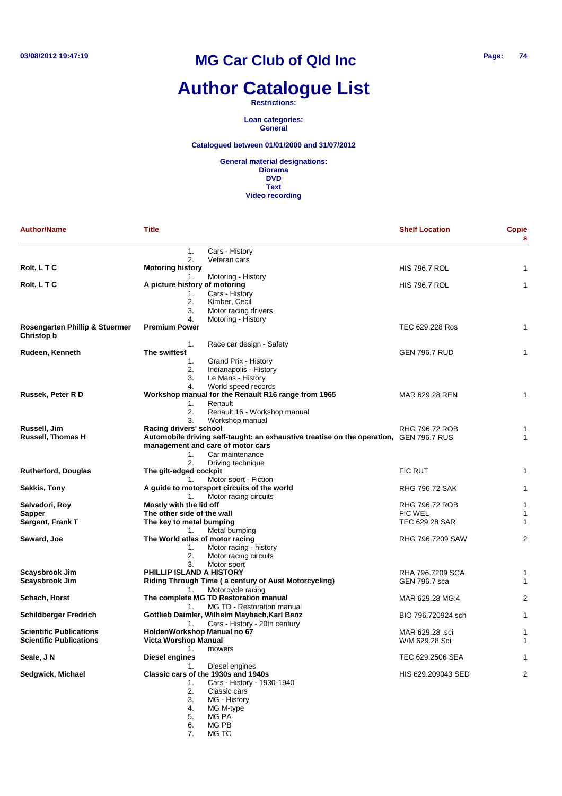# **Author Catalogue List**

**Restrictions:**

**Loan categories: General**

**Catalogued between 01/01/2000 and 31/07/2012**

**General material designations: Diorama DVD Text Video recording**

| <b>Author/Name</b>                           | <b>Title</b>                    |                                                                                        | <b>Shelf Location</b> | Copie<br>s |
|----------------------------------------------|---------------------------------|----------------------------------------------------------------------------------------|-----------------------|------------|
|                                              | 1.                              | Cars - History                                                                         |                       |            |
| Rolt, LTC                                    | 2.<br><b>Motoring history</b>   | Veteran cars                                                                           | <b>HIS 796.7 ROL</b>  | 1          |
|                                              | 1.                              | Motoring - History                                                                     |                       |            |
| Rolt, L T C                                  | A picture history of motoring   |                                                                                        | <b>HIS 796.7 ROL</b>  | 1          |
|                                              | 1.                              | Cars - History                                                                         |                       |            |
|                                              | 2.                              | Kimber, Cecil                                                                          |                       |            |
|                                              | 3.                              | Motor racing drivers                                                                   |                       |            |
|                                              | 4.                              | Motoring - History                                                                     |                       |            |
| Rosengarten Phillip & Stuermer<br>Christop b | <b>Premium Power</b>            |                                                                                        | TEC 629.228 Ros       | 1          |
|                                              | 1.                              | Race car design - Safety                                                               |                       |            |
| Rudeen, Kenneth                              | The swiftest                    |                                                                                        | <b>GEN 796.7 RUD</b>  | 1          |
|                                              | 1.                              | Grand Prix - History                                                                   |                       |            |
|                                              | 2.<br>3.                        | Indianapolis - History<br>Le Mans - History                                            |                       |            |
|                                              | 4.                              | World speed records                                                                    |                       |            |
| Russek, Peter R D                            |                                 | Workshop manual for the Renault R16 range from 1965                                    | MAR 629.28 REN        | 1          |
|                                              | 1.                              | Renault                                                                                |                       |            |
|                                              | 2.                              | Renault 16 - Workshop manual                                                           |                       |            |
|                                              | 3.                              | Workshop manual                                                                        |                       |            |
| Russell, Jim                                 | Racing drivers' school          |                                                                                        | RHG 796.72 ROB        | 1          |
| Russell, Thomas H                            |                                 | Automobile driving self-taught: an exhaustive treatise on the operation, GEN 796.7 RUS |                       | 1          |
|                                              |                                 | management and care of motor cars                                                      |                       |            |
|                                              | 1.                              | Car maintenance                                                                        |                       |            |
|                                              | 2.                              | Driving technique                                                                      |                       |            |
| <b>Rutherford, Douglas</b>                   | The gilt-edged cockpit          |                                                                                        | <b>FIC RUT</b>        | 1          |
|                                              | 1.                              | Motor sport - Fiction                                                                  |                       |            |
| Sakkis, Tony                                 | 1 <sub>1</sub>                  | A guide to motorsport circuits of the world                                            | <b>RHG 796.72 SAK</b> | 1          |
| Salvadori, Roy                               | Mostly with the lid off         | Motor racing circuits                                                                  | RHG 796.72 ROB        | 1          |
| Sapper                                       | The other side of the wall      |                                                                                        | <b>FIC WEL</b>        | 1          |
| Sargent, Frank T                             | The key to metal bumping        |                                                                                        | TEC 629.28 SAR        | 1          |
|                                              | 1.                              | Metal bumping                                                                          |                       |            |
| Saward, Joe                                  | The World atlas of motor racing |                                                                                        | RHG 796.7209 SAW      | 2          |
|                                              | 1.                              | Motor racing - history                                                                 |                       |            |
|                                              | 2.                              | Motor racing circuits                                                                  |                       |            |
|                                              | 3.                              | Motor sport                                                                            |                       |            |
| Scaysbrook Jim                               | PHILLIP ISLAND A HISTORY        |                                                                                        | RHA 796.7209 SCA      | 1          |
| Scaysbrook Jim                               |                                 | Riding Through Time (a century of Aust Motorcycling)                                   | GEN 796.7 sca         | 1          |
|                                              | 1.                              | Motorcycle racing                                                                      |                       |            |
| Schach, Horst                                |                                 | The complete MG TD Restoration manual                                                  | MAR 629.28 MG:4       | 2          |
|                                              | 1.                              | MG TD - Restoration manual<br>Gottlieb Daimler, Wilhelm Maybach, Karl Benz             | BIO 796.720924 sch    | 1          |
| Schildberger Fredrich                        | 1.                              | Cars - History - 20th century                                                          |                       |            |
| <b>Scientific Publications</b>               | HoldenWorkshop Manual no 67     |                                                                                        | MAR 629.28 .sci       | 1          |
| <b>Scientific Publications</b>               | Victa Worshop Manual            |                                                                                        | W/M 629.28 Sci        | 1          |
|                                              | 1.                              | mowers                                                                                 |                       |            |
| Seale, J N                                   | Diesel engines                  |                                                                                        | TEC 629.2506 SEA      | 1          |
|                                              | 1.                              | Diesel engines                                                                         |                       |            |
| Sedgwick, Michael                            |                                 | Classic cars of the 1930s and 1940s                                                    | HIS 629.209043 SED    | 2          |
|                                              | 1.                              | Cars - History - 1930-1940                                                             |                       |            |
|                                              | 2.                              | Classic cars                                                                           |                       |            |
|                                              | 3.                              | MG - History                                                                           |                       |            |
|                                              | 4.                              | MG M-type                                                                              |                       |            |
|                                              | 5.                              | MG PA                                                                                  |                       |            |

6. MG PB

7. MG TC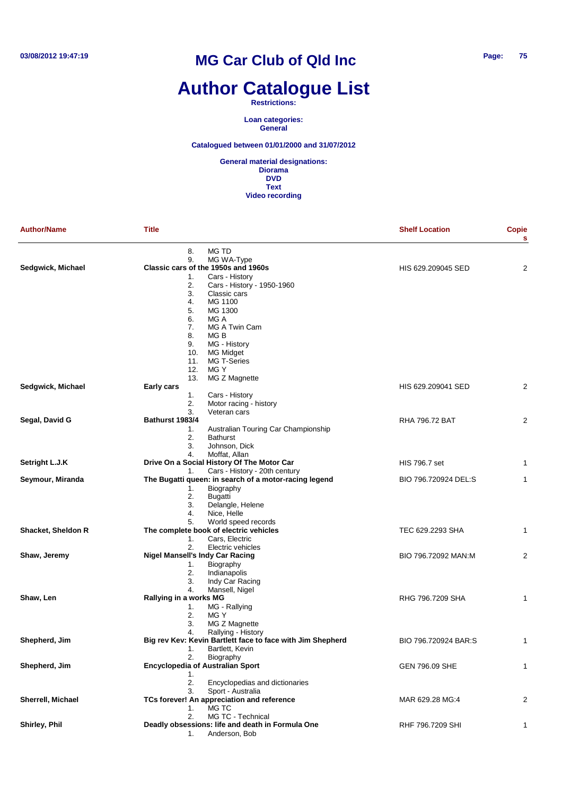# **Author Catalogue List**

**Restrictions:**

**Loan categories: General**

**Catalogued between 01/01/2000 and 31/07/2012**

| <b>Author/Name</b> | Title                                                      | <b>Shelf Location</b> | Copie<br>s     |
|--------------------|------------------------------------------------------------|-----------------------|----------------|
|                    | MG TD<br>8.                                                |                       |                |
|                    | MG WA-Type<br>9.                                           |                       |                |
| Sedgwick, Michael  | Classic cars of the 1950s and 1960s                        | HIS 629.209045 SED    | 2              |
|                    | Cars - History<br>1.                                       |                       |                |
|                    | 2.<br>Cars - History - 1950-1960                           |                       |                |
|                    | 3.<br>Classic cars                                         |                       |                |
|                    | MG 1100<br>4.<br>MG 1300<br>5.                             |                       |                |
|                    | MG A<br>6.                                                 |                       |                |
|                    | MG A Twin Cam<br>7.                                        |                       |                |
|                    | 8.<br>MG B                                                 |                       |                |
|                    | 9.<br>MG - History                                         |                       |                |
|                    | <b>MG Midget</b><br>10.                                    |                       |                |
|                    | MG T-Series<br>11.                                         |                       |                |
|                    | MG Y<br>12.                                                |                       |                |
|                    | MG Z Magnette<br>13.                                       |                       |                |
| Sedgwick, Michael  | Early cars                                                 | HIS 629.209041 SED    | $\overline{2}$ |
|                    | 1.<br>Cars - History                                       |                       |                |
|                    | 2.<br>Motor racing - history                               |                       |                |
| Segal, David G     | 3.<br>Veteran cars<br>Bathurst 1983/4                      | <b>RHA 796.72 BAT</b> | $\overline{2}$ |
|                    | Australian Touring Car Championship<br>1.                  |                       |                |
|                    | 2.<br><b>Bathurst</b>                                      |                       |                |
|                    | 3.<br>Johnson, Dick                                        |                       |                |
|                    | Moffat, Allan<br>4.                                        |                       |                |
| Setright L.J.K     | Drive On a Social History Of The Motor Car                 | HIS 796.7 set         | 1              |
|                    | Cars - History - 20th century<br>1.                        |                       |                |
| Seymour, Miranda   | The Bugatti queen: in search of a motor-racing legend      | BIO 796.720924 DEL:S  | 1              |
|                    | 1.<br>Biography                                            |                       |                |
|                    | 2.<br><b>Bugatti</b>                                       |                       |                |
|                    | 3.<br>Delangle, Helene                                     |                       |                |
|                    | Nice, Helle<br>4.<br>5.<br>World speed records             |                       |                |
| Shacket, Sheldon R | The complete book of electric vehicles                     | TEC 629.2293 SHA      | 1              |
|                    | 1.<br>Cars, Electric                                       |                       |                |
|                    | 2.<br>Electric vehicles                                    |                       |                |
| Shaw, Jeremy       | <b>Nigel Mansell's Indy Car Racing</b>                     | BIO 796.72092 MAN:M   | 2              |
|                    | Biography<br>1.                                            |                       |                |
|                    | 2.<br>Indianapolis                                         |                       |                |
|                    | 3.<br>Indy Car Racing                                      |                       |                |
|                    | 4.<br>Mansell, Nigel                                       |                       |                |
| Shaw, Len          | Rallying in a works MG                                     | RHG 796.7209 SHA      | 1              |
|                    | MG - Rallying<br>1.                                        |                       |                |
|                    | MG Y<br>2.                                                 |                       |                |
|                    | MG Z Magnette<br>3.<br>Rallying - History<br>4.            |                       |                |
| Shepherd, Jim      | Big rev Kev: Kevin Bartlett face to face with Jim Shepherd | BIO 796.720924 BAR:S  |                |
|                    | Bartlett, Kevin<br>1.                                      |                       |                |
|                    | Biography<br>2.                                            |                       |                |
| Shepherd, Jim      | <b>Encyclopedia of Australian Sport</b>                    | GEN 796.09 SHE        | 1              |
|                    | 1.                                                         |                       |                |
|                    | 2.<br>Encyclopedias and dictionaries                       |                       |                |
|                    | Sport - Australia<br>3.                                    |                       |                |
| Sherrell, Michael  | TCs forever! An appreciation and reference                 | MAR 629.28 MG:4       | 2              |
|                    | MG TC<br>1.                                                |                       |                |
|                    | MG TC - Technical<br>2.                                    |                       |                |
| Shirley, Phil      | Deadly obsessions: life and death in Formula One           | RHF 796.7209 SHI      | 1              |
|                    | Anderson, Bob<br>1.                                        |                       |                |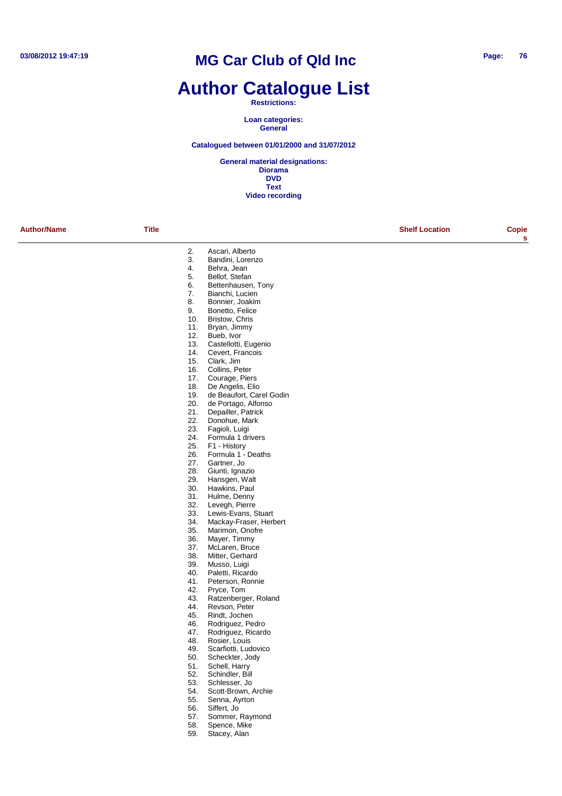# **Author Catalogue List**

#### **Restrictions:**

**Loan categories: General**

#### **Catalogued between 01/01/2000 and 31/07/2012**

**General material designations: Diorama DVD Text Video recording**

**Author/Name Title Shelf Location Copie**

**s**

- 2. Ascari, Alberto 3. Bandini, Lorenzo<br>4. Behra, Jean 4. Behra, Jean<br>5. Bellof. Stefar
- Bellof, Stefan
- 6. Bettenhausen, Tony
- 7. Bianchi, Lucien
- 8. Bonnier, Joakim
- 
- 9. Bonetto, Felice<br>10. Bristow. Chris Bristow, Chris
- 
- 11. Bryan, Jimmy
- 12. Bueb, Ivor
- 13. Castellotti, Eugenio<br>14. Cevert, Francois
- 14. Cevert, Francois<br>15. Clark. Jim
- 15. Clark, Jim<br>16. Collins, Pe
- 16. Collins, Peter<br>17. Courage, Pier
- 17. Courage, Piers<br>18. De Angelis, Elic
- 18. De Angelis, Elio<br>19. de Beaufort, Car
- de Beaufort, Carel Godin
- 20. de Portago, Alfonso<br>21. Depailler. Patrick
- Depailler, Patrick
- 22. Donohue, Mark
- 23. Fagioli, Luigi
- 24. Formula 1 drivers<br>25. F1 History
- F1 History
- 26. Formula 1 Deaths
- 27. Gartner, Jo
- 
- 28. Giunti, Ignazio<br>29. Hansgen, Walt Hansgen, Walt
- 
- 30. Hawkins, Paul<br>31. Hulme, Denny
- 31. Hulme, Denny<br>32. Levenh Pierre
- 32. Levegh, Pierre<br>33. Lewis-Fyans, S
- 33. Lewis-Evans, Stuart<br>34. Mackay-Fraser, Herl
- 34. Mackay-Fraser, Herbert
- 35. Marimon, Onofre<br>36. Mayer, Timmy
- 36. Mayer, Timmy<br>37 McLaren Bruc McLaren, Bruce
- 38. Mitter, Gerhard
- 
- 39. Musso, Luigi<br>40. Paletti, Ricar Paletti, Ricardo
- 
- 41. Peterson, Ronnie<br>42. Prvce. Tom Pryce, Tom
- 43. Ratzenberger, Roland
- 
- 44. Revson, Peter<br>45. Rindt, Jochen
- 45. Rindt, Jochen<br>46. Rodriguez, Pe
- 46. Rodriguez, Pedro<br>47. Rodriguez, Ricard
- 47. Rodriguez, Ricardo<br>48. Rosier, Louis
- 48. Rosier, Louis<br>49. Scarfiotti Luc
- 49. Scarfiotti, Ludovico<br>50. Scheckter, Jody
- 50. Scheckter, Jody<br>51. Schell, Harry
- 51. Schell, Harry<br>52. Schindler, Bi
- 52. Schindler, Bill<br>53. Schlesser Jo
- 53. Schlesser, Jo 54. Scott-Brown, Archie<br>55. Senna, Ayrton
- 55. Senna, Ayrton<br>56. Siffert, Jo
- Siffert, Jo
- 57. Sommer, Raymond
- 58. Spence, Mike
- 59. Stacey, Alan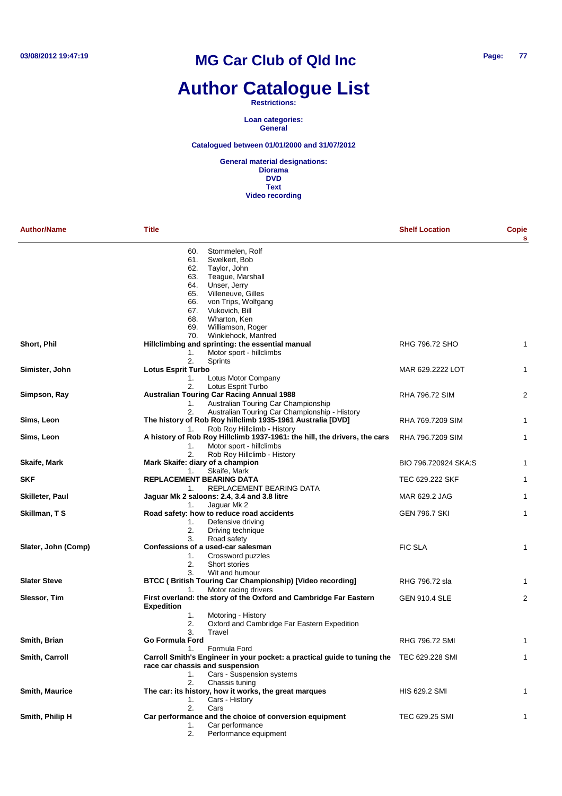# **Author Catalogue List**

#### **Restrictions:**

**Loan categories: General**

#### **Catalogued between 01/01/2000 and 31/07/2012**

| <b>Author/Name</b>    | Title                                                                                                             | <b>Shelf Location</b> | Copie<br>s     |
|-----------------------|-------------------------------------------------------------------------------------------------------------------|-----------------------|----------------|
|                       | Stommelen, Rolf<br>60.                                                                                            |                       |                |
|                       | Swelkert, Bob<br>61.                                                                                              |                       |                |
|                       | 62.<br>Taylor, John                                                                                               |                       |                |
|                       | Teague, Marshall<br>63.                                                                                           |                       |                |
|                       | Unser, Jerry<br>64.                                                                                               |                       |                |
|                       | Villeneuve, Gilles<br>65.                                                                                         |                       |                |
|                       | von Trips, Wolfgang<br>66.                                                                                        |                       |                |
|                       | Vukovich, Bill<br>67.                                                                                             |                       |                |
|                       | Wharton, Ken<br>68.                                                                                               |                       |                |
|                       | 69.<br>Williamson, Roger                                                                                          |                       |                |
|                       | Winklehock, Manfred<br>70.                                                                                        |                       |                |
| Short, Phil           | Hillclimbing and sprinting: the essential manual                                                                  | RHG 796.72 SHO        | 1              |
|                       | Motor sport - hillclimbs<br>1.                                                                                    |                       |                |
|                       | 2.<br>Sprints                                                                                                     |                       |                |
| Simister, John        | <b>Lotus Esprit Turbo</b>                                                                                         | MAR 629.2222 LOT      | 1              |
|                       | Lotus Motor Company<br>1.                                                                                         |                       |                |
|                       | Lotus Esprit Turbo<br>2.                                                                                          | <b>RHA 796.72 SIM</b> | 2              |
| Simpson, Ray          | <b>Australian Touring Car Racing Annual 1988</b>                                                                  |                       |                |
|                       | Australian Touring Car Championship<br>1.                                                                         |                       |                |
|                       | Australian Touring Car Championship - History<br>2.<br>The history of Rob Roy hillclimb 1935-1961 Australia [DVD] |                       |                |
| Sims, Leon            |                                                                                                                   | RHA 769.7209 SIM      | 1              |
|                       | Rob Roy Hillclimb - History<br>1.                                                                                 |                       |                |
| Sims, Leon            | A history of Rob Roy Hillclimb 1937-1961: the hill, the drivers, the cars                                         | RHA 796.7209 SIM      | 1              |
|                       | Motor sport - hillclimbs<br>1.<br>2.                                                                              |                       |                |
|                       | Rob Roy Hillclimb - History<br>Mark Skaife: diary of a champion                                                   | BIO 796.720924 SKA:S  | 1              |
| Skaife, Mark          | Skaife, Mark<br>1.                                                                                                |                       |                |
| SKF                   | REPLACEMENT BEARING DATA                                                                                          | TEC 629.222 SKF       | 1              |
|                       | REPLACEMENT BEARING DATA<br>1.                                                                                    |                       |                |
| Skilleter, Paul       | Jaguar Mk 2 saloons: 2.4, 3.4 and 3.8 litre                                                                       | MAR 629.2 JAG         | 1              |
|                       | Jaguar Mk 2<br>1.                                                                                                 |                       |                |
| Skillman, T S         | Road safety: how to reduce road accidents                                                                         | <b>GEN 796.7 SKI</b>  | 1              |
|                       | Defensive driving<br>1.                                                                                           |                       |                |
|                       | 2.<br>Driving technique                                                                                           |                       |                |
|                       | Road safety<br>3.                                                                                                 |                       |                |
| Slater, John (Comp)   | Confessions of a used-car salesman                                                                                | <b>FIC SLA</b>        | $\mathbf{1}$   |
|                       | Crossword puzzles<br>1.                                                                                           |                       |                |
|                       | 2.<br>Short stories                                                                                               |                       |                |
|                       | 3.<br>Wit and humour                                                                                              |                       |                |
| <b>Slater Steve</b>   | BTCC (British Touring Car Championship) [Video recording]                                                         | RHG 796.72 sla        | 1              |
|                       | Motor racing drivers<br>1.                                                                                        |                       |                |
| Slessor, Tim          | First overland: the story of the Oxford and Cambridge Far Eastern                                                 | <b>GEN 910.4 SLE</b>  | $\overline{2}$ |
|                       | <b>Expedition</b>                                                                                                 |                       |                |
|                       | 1.<br>Motoring - History                                                                                          |                       |                |
|                       | 2.<br>Oxford and Cambridge Far Eastern Expedition                                                                 |                       |                |
|                       | 3.<br>Travel                                                                                                      |                       |                |
| Smith, Brian          | Go Formula Ford                                                                                                   | RHG 796.72 SMI        | 1              |
|                       | Formula Ford<br>1.                                                                                                |                       |                |
| Smith, Carroll        | Carroll Smith's Engineer in your pocket: a practical guide to tuning the TEC 629.228 SMI                          |                       | 1              |
|                       | race car chassis and suspension                                                                                   |                       |                |
|                       | Cars - Suspension systems<br>1.                                                                                   |                       |                |
|                       | 2.<br>Chassis tuning                                                                                              |                       |                |
| <b>Smith, Maurice</b> | The car: its history, how it works, the great marques                                                             | HIS 629.2 SMI         | 1              |
|                       | Cars - History<br>1.                                                                                              |                       |                |
|                       | 2.<br>Cars                                                                                                        |                       |                |
| Smith, Philip H       | Car performance and the choice of conversion equipment                                                            | TEC 629.25 SMI        | 1              |
|                       | Car performance<br>1.                                                                                             |                       |                |
|                       | 2.<br>Performance equipment                                                                                       |                       |                |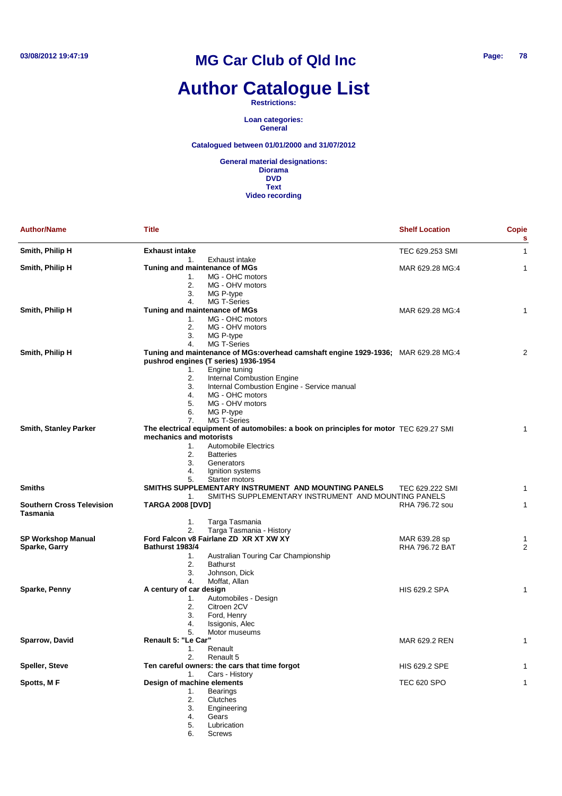# **Author Catalogue List**

**Restrictions:**

**Loan categories: General**

**Catalogued between 01/01/2000 and 31/07/2012**

| <b>Author/Name</b>                           | Title                         |                                                                                        | <b>Shelf Location</b> | <b>Copie</b><br>s |
|----------------------------------------------|-------------------------------|----------------------------------------------------------------------------------------|-----------------------|-------------------|
| Smith, Philip H                              | <b>Exhaust intake</b>         |                                                                                        | TEC 629.253 SMI       | 1                 |
|                                              | 1.                            | Exhaust intake                                                                         |                       |                   |
| Smith, Philip H                              | Tuning and maintenance of MGs |                                                                                        | MAR 629.28 MG:4       | 1                 |
|                                              | 1.                            | MG - OHC motors                                                                        |                       |                   |
|                                              | 2.                            | MG - OHV motors                                                                        |                       |                   |
|                                              | 3.                            | MG P-type                                                                              |                       |                   |
|                                              | 4.                            | <b>MG T-Series</b>                                                                     |                       |                   |
| Smith, Philip H                              | Tuning and maintenance of MGs |                                                                                        | MAR 629.28 MG:4       | 1                 |
|                                              | 1.                            | MG - OHC motors                                                                        |                       |                   |
|                                              | 2.                            | MG - OHV motors                                                                        |                       |                   |
|                                              | 3.                            | MG P-type                                                                              |                       |                   |
|                                              | 4.                            | <b>MG T-Series</b>                                                                     |                       |                   |
| Smith, Philip H                              |                               | Tuning and maintenance of MGs:overhead camshaft engine 1929-1936; MAR 629.28 MG:4      |                       | 2                 |
|                                              |                               | pushrod engines (T series) 1936-1954                                                   |                       |                   |
|                                              | 1.<br>2.                      | Engine tuning<br><b>Internal Combustion Engine</b>                                     |                       |                   |
|                                              | 3.                            | Internal Combustion Engine - Service manual                                            |                       |                   |
|                                              | 4.                            | MG - OHC motors                                                                        |                       |                   |
|                                              | 5.                            | MG - OHV motors                                                                        |                       |                   |
|                                              | 6.                            | MG P-type                                                                              |                       |                   |
|                                              | 7.                            | <b>MG T-Series</b>                                                                     |                       |                   |
| <b>Smith, Stanley Parker</b>                 |                               | The electrical equipment of automobiles: a book on principles for motor TEC 629.27 SMI |                       | 1                 |
|                                              | mechanics and motorists       |                                                                                        |                       |                   |
|                                              | 1.                            | <b>Automobile Electrics</b>                                                            |                       |                   |
|                                              | 2.                            | <b>Batteries</b>                                                                       |                       |                   |
|                                              | 3.                            | Generators                                                                             |                       |                   |
|                                              | 4.                            | Ignition systems                                                                       |                       |                   |
|                                              | 5.                            | Starter motors                                                                         |                       |                   |
| <b>Smiths</b>                                |                               | SMITHS SUPPLEMENTARY INSTRUMENT AND MOUNTING PANELS                                    | TEC 629.222 SMI       | 1                 |
|                                              | 1.                            | SMITHS SUPPLEMENTARY INSTRUMENT AND MOUNTING PANELS                                    |                       |                   |
| <b>Southern Cross Television</b><br>Tasmania | <b>TARGA 2008 [DVD]</b>       |                                                                                        | RHA 796.72 sou        | 1                 |
|                                              | 1.                            | Targa Tasmania                                                                         |                       |                   |
|                                              | 2.                            | Targa Tasmania - History                                                               |                       |                   |
| <b>SP Workshop Manual</b>                    |                               | Ford Falcon v8 Fairlane ZD XR XT XW XY                                                 | MAR 639.28 sp         | 1                 |
| Sparke, Garry                                | Bathurst 1983/4               |                                                                                        | <b>RHA 796.72 BAT</b> | 2                 |
|                                              | 1.                            | Australian Touring Car Championship                                                    |                       |                   |
|                                              | 2.                            | <b>Bathurst</b>                                                                        |                       |                   |
|                                              | 3.                            | Johnson, Dick                                                                          |                       |                   |
|                                              | 4.                            | Moffat, Allan                                                                          |                       |                   |
| Sparke, Penny                                | A century of car design       |                                                                                        | <b>HIS 629.2 SPA</b>  | 1                 |
|                                              | 1.                            | Automobiles - Design                                                                   |                       |                   |
|                                              | 2.                            | Citroen 2CV                                                                            |                       |                   |
|                                              | 3.                            | Ford, Henry                                                                            |                       |                   |
|                                              | 4.                            | Issigonis, Alec                                                                        |                       |                   |
|                                              | 5.                            | Motor museums                                                                          |                       |                   |
| Sparrow, David                               | Renault 5: "Le Car"           |                                                                                        | MAR 629.2 REN         | 1                 |
|                                              | 1.<br>2.                      | Renault<br>Renault 5                                                                   |                       |                   |
| <b>Speller, Steve</b>                        |                               | Ten careful owners: the cars that time forgot                                          | <b>HIS 629.2 SPE</b>  | 1                 |
|                                              | 1.                            | Cars - History                                                                         |                       |                   |
| Spotts, M F                                  | Design of machine elements    |                                                                                        | <b>TEC 620 SPO</b>    | 1                 |
|                                              | 1.                            | <b>Bearings</b>                                                                        |                       |                   |
|                                              | 2.                            | Clutches                                                                               |                       |                   |
|                                              | 3.                            | Engineering                                                                            |                       |                   |
|                                              | 4.                            | Gears                                                                                  |                       |                   |
|                                              | 5.                            | Lubrication                                                                            |                       |                   |
|                                              | 6.                            | <b>Screws</b>                                                                          |                       |                   |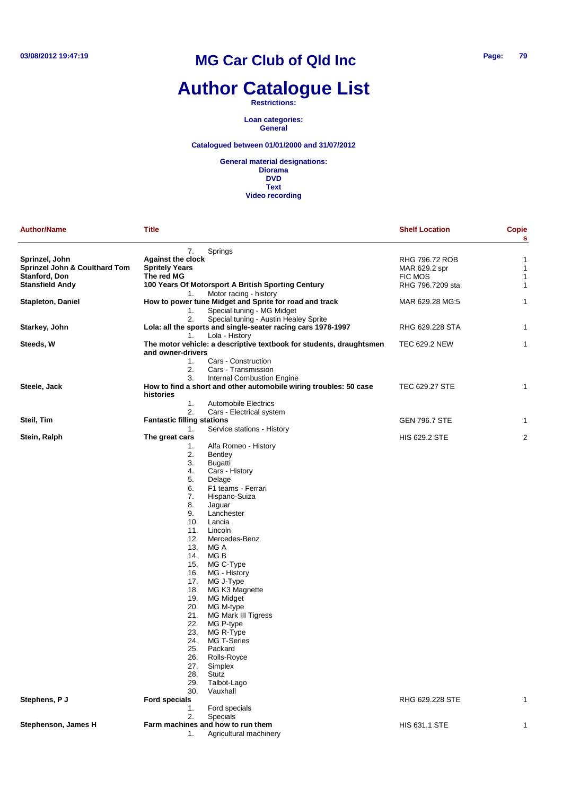# **Author Catalogue List**

**Restrictions:**

**Loan categories: General**

#### **Catalogued between 01/01/2000 and 31/07/2012**

| <b>Author/Name</b>                       | <b>Title</b>                      |                                                                     | <b>Shelf Location</b> | <b>Copie</b><br>s |
|------------------------------------------|-----------------------------------|---------------------------------------------------------------------|-----------------------|-------------------|
|                                          | 7.                                | Springs                                                             |                       |                   |
| Sprinzel, John                           | <b>Against the clock</b>          |                                                                     | RHG 796.72 ROB        | $\mathbf{1}$      |
| <b>Sprinzel John &amp; Coulthard Tom</b> | <b>Spritely Years</b>             |                                                                     | MAR 629.2 spr         | $\mathbf{1}$      |
| Stanford, Don                            | The red MG                        |                                                                     | <b>FIC MOS</b>        | $\mathbf{1}$      |
|                                          |                                   |                                                                     |                       |                   |
| <b>Stansfield Andy</b>                   |                                   | 100 Years Of Motorsport A British Sporting Century                  | RHG 796.7209 sta      | $\mathbf{1}$      |
|                                          | 1.                                | Motor racing - history                                              |                       |                   |
| Stapleton, Daniel                        |                                   | How to power tune Midget and Sprite for road and track              | MAR 629.28 MG:5       | $\mathbf{1}$      |
|                                          | 1.                                | Special tuning - MG Midget                                          |                       |                   |
|                                          | 2.                                | Special tuning - Austin Healey Sprite                               |                       |                   |
| Starkey, John                            |                                   | Lola: all the sports and single-seater racing cars 1978-1997        | RHG 629.228 STA       | 1                 |
|                                          | 1.                                | Lola - History                                                      |                       |                   |
| Steeds, W                                | and owner-drivers                 | The motor vehicle: a descriptive textbook for students, draughtsmen | TEC 629.2 NEW         | $\mathbf{1}$      |
|                                          | 1.                                | Cars - Construction                                                 |                       |                   |
|                                          | 2.                                | Cars - Transmission                                                 |                       |                   |
|                                          | 3.                                | <b>Internal Combustion Engine</b>                                   |                       |                   |
| Steele, Jack                             |                                   | How to find a short and other automobile wiring troubles: 50 case   | TEC 629.27 STE        | 1                 |
|                                          | histories                         |                                                                     |                       |                   |
|                                          | 1.                                | <b>Automobile Electrics</b>                                         |                       |                   |
|                                          | 2.                                | Cars - Electrical system                                            |                       |                   |
| Steil, Tim                               | <b>Fantastic filling stations</b> |                                                                     | <b>GEN 796.7 STE</b>  | 1                 |
|                                          |                                   | Service stations - History                                          |                       |                   |
|                                          | 1.                                |                                                                     |                       |                   |
| Stein, Ralph                             | The great cars                    |                                                                     | <b>HIS 629.2 STE</b>  | $\overline{2}$    |
|                                          | 1.                                | Alfa Romeo - History                                                |                       |                   |
|                                          | 2.                                | Bentley                                                             |                       |                   |
|                                          | 3.                                | Bugatti                                                             |                       |                   |
|                                          | 4.                                | Cars - History                                                      |                       |                   |
|                                          | 5.                                | Delage                                                              |                       |                   |
|                                          | 6.                                | F1 teams - Ferrari                                                  |                       |                   |
|                                          | 7.                                | Hispano-Suiza                                                       |                       |                   |
|                                          | 8.                                | Jaguar                                                              |                       |                   |
|                                          | 9.                                | Lanchester                                                          |                       |                   |
|                                          | 10.                               | Lancia                                                              |                       |                   |
|                                          | 11.                               | Lincoln                                                             |                       |                   |
|                                          | 12.                               | Mercedes-Benz                                                       |                       |                   |
|                                          | 13.                               | MG A                                                                |                       |                   |
|                                          | 14.                               | MG B                                                                |                       |                   |
|                                          | 15.                               | MG C-Type                                                           |                       |                   |
|                                          | 16.                               | MG - History                                                        |                       |                   |
|                                          | 17.                               | MG J-Type                                                           |                       |                   |
|                                          | 18.                               | MG K3 Magnette                                                      |                       |                   |
|                                          | 19.                               | MG Midget                                                           |                       |                   |
|                                          |                                   |                                                                     |                       |                   |
|                                          | 20.                               | MG M-type                                                           |                       |                   |
|                                          | 21.                               | MG Mark III Tigress                                                 |                       |                   |
|                                          | 22.                               | MG P-type                                                           |                       |                   |
|                                          | 23.                               | MG R-Type                                                           |                       |                   |
|                                          | 24.                               | <b>MG T-Series</b>                                                  |                       |                   |
|                                          | 25.                               | Packard                                                             |                       |                   |
|                                          | 26.                               | Rolls-Royce                                                         |                       |                   |
|                                          | 27.                               | Simplex                                                             |                       |                   |
|                                          | 28.                               | Stutz                                                               |                       |                   |
|                                          | 29.                               | Talbot-Lago                                                         |                       |                   |
|                                          | 30.                               | Vauxhall                                                            |                       |                   |
| Stephens, P J                            | <b>Ford specials</b>              |                                                                     | RHG 629.228 STE       | 1                 |
|                                          | 1.                                | Ford specials                                                       |                       |                   |
|                                          | 2.                                | <b>Specials</b>                                                     |                       |                   |
| Stephenson, James H                      |                                   | Farm machines and how to run them                                   | <b>HIS 631.1 STE</b>  | 1                 |
|                                          | 1.                                | Agricultural machinery                                              |                       |                   |
|                                          |                                   |                                                                     |                       |                   |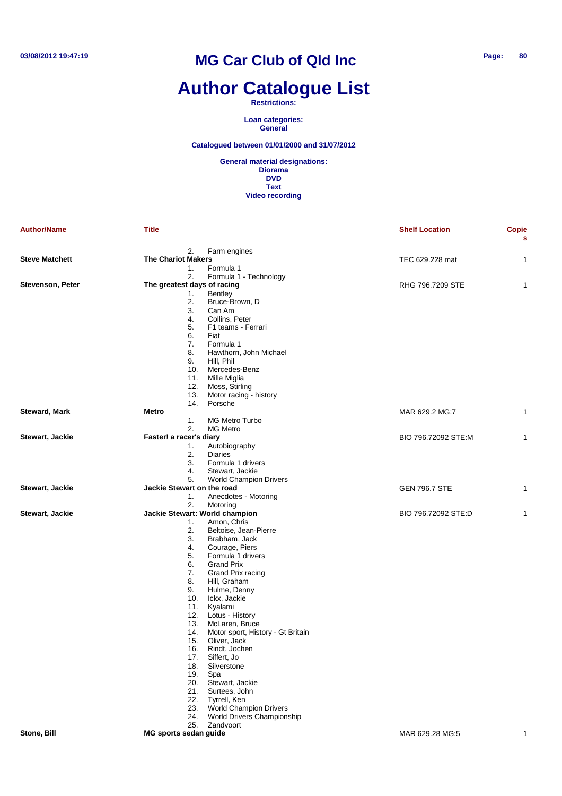# **Author Catalogue List**

**Restrictions:**

**Loan categories: General**

**Catalogued between 01/01/2000 and 31/07/2012**

| <b>Author/Name</b>    | <b>Title</b>                         |                                   | <b>Shelf Location</b> | Copie<br>s   |
|-----------------------|--------------------------------------|-----------------------------------|-----------------------|--------------|
|                       | 2.                                   | Farm engines                      |                       |              |
| <b>Steve Matchett</b> | <b>The Chariot Makers</b>            |                                   | TEC 629.228 mat       | 1            |
|                       | 1.                                   | Formula 1                         |                       |              |
|                       | 2.                                   | Formula 1 - Technology            |                       |              |
| Stevenson, Peter      | The greatest days of racing          |                                   | RHG 796.7209 STE      | 1            |
|                       | 1.                                   | <b>Bentley</b>                    |                       |              |
|                       | 2.                                   | Bruce-Brown, D                    |                       |              |
|                       | 3.                                   | Can Am                            |                       |              |
|                       | 4.                                   | Collins, Peter                    |                       |              |
|                       | 5.                                   | F1 teams - Ferrari                |                       |              |
|                       | 6.                                   | Fiat                              |                       |              |
|                       | 7.                                   | Formula 1                         |                       |              |
|                       | 8.                                   | Hawthorn, John Michael            |                       |              |
|                       | 9.                                   | Hill, Phil                        |                       |              |
|                       | 10.                                  | Mercedes-Benz                     |                       |              |
|                       | 11.                                  | Mille Miglia                      |                       |              |
|                       | 12.                                  | Moss, Stirling                    |                       |              |
|                       | 13.                                  | Motor racing - history            |                       |              |
|                       | 14.                                  | Porsche                           |                       |              |
| <b>Steward, Mark</b>  | Metro                                |                                   | MAR 629.2 MG:7        | 1            |
|                       | 1.                                   | MG Metro Turbo                    |                       |              |
|                       | 2.                                   | <b>MG Metro</b>                   |                       |              |
| Stewart, Jackie       | Faster! a racer's diary              |                                   | BIO 796.72092 STE:M   | 1            |
|                       | 1.                                   | Autobiography                     |                       |              |
|                       | 2.                                   | <b>Diaries</b>                    |                       |              |
|                       | 3.                                   | Formula 1 drivers                 |                       |              |
|                       | 4.                                   | Stewart, Jackie                   |                       |              |
|                       | 5.                                   | <b>World Champion Drivers</b>     |                       |              |
| Stewart, Jackie       | Jackie Stewart on the road           |                                   | <b>GEN 796.7 STE</b>  | 1            |
|                       | 1.                                   | Anecdotes - Motoring              |                       |              |
|                       | 2.                                   | Motoring                          |                       |              |
| Stewart, Jackie       | Jackie Stewart: World champion<br>1. | Amon, Chris                       | BIO 796.72092 STE:D   | 1            |
|                       | 2.                                   | Beltoise, Jean-Pierre             |                       |              |
|                       | 3.                                   | Brabham, Jack                     |                       |              |
|                       | 4.                                   | Courage, Piers                    |                       |              |
|                       | 5.                                   | Formula 1 drivers                 |                       |              |
|                       | 6.                                   | <b>Grand Prix</b>                 |                       |              |
|                       | 7.                                   | Grand Prix racing                 |                       |              |
|                       | 8.                                   | Hill, Graham                      |                       |              |
|                       | 9.                                   | Hulme, Denny                      |                       |              |
|                       | 10.                                  | Ickx, Jackie                      |                       |              |
|                       | 11.                                  | Kyalami                           |                       |              |
|                       | 12.                                  | Lotus - History                   |                       |              |
|                       | 13.                                  | McLaren, Bruce                    |                       |              |
|                       | 14.                                  | Motor sport, History - Gt Britain |                       |              |
|                       | 15.                                  | Oliver, Jack                      |                       |              |
|                       | 16.                                  | Rindt, Jochen                     |                       |              |
|                       | 17.                                  | Siffert, Jo                       |                       |              |
|                       | 18.                                  | Silverstone                       |                       |              |
|                       | 19.                                  | Spa                               |                       |              |
|                       | 20.                                  | Stewart, Jackie                   |                       |              |
|                       | 21.                                  | Surtees, John                     |                       |              |
|                       | 22.                                  | Tyrrell, Ken                      |                       |              |
|                       | 23.                                  | <b>World Champion Drivers</b>     |                       |              |
|                       | 24.                                  | <b>World Drivers Championship</b> |                       |              |
|                       |                                      | 25. Zandvoort                     |                       |              |
| Stone, Bill           | MG sports sedan guide                |                                   | MAR 629.28 MG:5       | $\mathbf{1}$ |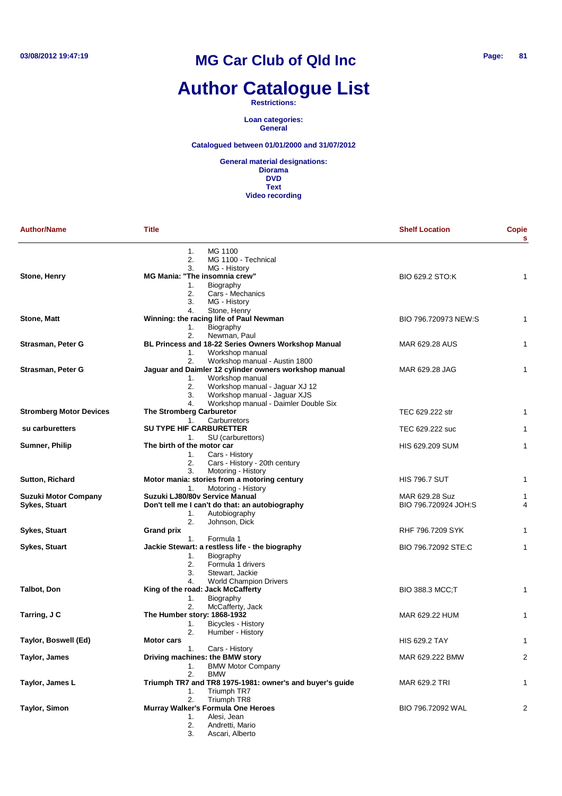# **Author Catalogue List**

**Restrictions:**

**Loan categories: General**

**Catalogued between 01/01/2000 and 31/07/2012**

| <b>Author/Name</b>                                  | <b>Title</b>                                                                                                                                                                                        | <b>Shelf Location</b>                  | Copie<br>s   |
|-----------------------------------------------------|-----------------------------------------------------------------------------------------------------------------------------------------------------------------------------------------------------|----------------------------------------|--------------|
| Stone, Henry                                        | MG 1100<br>1.<br>2.<br>MG 1100 - Technical<br>3.<br>MG - History<br><b>MG Mania: "The insomnia crew"</b><br>1.<br>Biography<br>2.<br>Cars - Mechanics<br>3.<br>MG - History                         | BIO 629.2 STO:K                        | 1            |
| <b>Stone, Matt</b>                                  | 4.<br>Stone, Henry<br>Winning: the racing life of Paul Newman<br>1.<br>Biography                                                                                                                    | BIO 796.720973 NEW:S                   | $\mathbf{1}$ |
| Strasman, Peter G                                   | 2.<br>Newman, Paul<br>BL Princess and 18-22 Series Owners Workshop Manual<br>Workshop manual<br>1.                                                                                                  | MAR 629.28 AUS                         | 1            |
| Strasman, Peter G                                   | 2.<br>Workshop manual - Austin 1800<br>Jaguar and Daimler 12 cylinder owners workshop manual<br>Workshop manual<br>1.<br>2.<br>Workshop manual - Jaguar XJ 12<br>Workshop manual - Jaguar XJS<br>3. | MAR 629.28 JAG                         | 1            |
| <b>Stromberg Motor Devices</b>                      | Workshop manual - Daimler Double Six<br>4.<br>The Stromberg Carburetor<br>Carburretors<br>1.                                                                                                        | TEC 629.222 str                        | $\mathbf{1}$ |
| su carburetters                                     | <b>SU TYPE HIF CARBURETTER</b>                                                                                                                                                                      | TEC 629.222 suc                        | $\mathbf{1}$ |
| Sumner, Philip                                      | SU (carburettors)<br>1.<br>The birth of the motor car<br>Cars - History<br>1.<br>2.<br>Cars - History - 20th century                                                                                | HIS 629.209 SUM                        | $\mathbf{1}$ |
| <b>Sutton, Richard</b>                              | 3.<br>Motoring - History<br>Motor mania: stories from a motoring century<br>Motoring - History                                                                                                      | <b>HIS 796.7 SUT</b>                   | 1            |
| <b>Suzuki Motor Company</b><br><b>Sykes, Stuart</b> | 1.<br>Suzuki LJ80/80v Service Manual<br>Don't tell me I can't do that: an autobiography<br>Autobiography<br>1.                                                                                      | MAR 629.28 Suz<br>BIO 796.720924 JOH:S | 1<br>4       |
| Sykes, Stuart                                       | 2.<br>Johnson, Dick<br><b>Grand prix</b><br>Formula 1<br>1.                                                                                                                                         | RHF 796.7209 SYK                       | $\mathbf{1}$ |
| Sykes, Stuart                                       | Jackie Stewart: a restless life - the biography<br>1.<br>Biography<br>2.<br>Formula 1 drivers<br>3.<br>Stewart, Jackie                                                                              | BIO 796.72092 STE:C                    | $\mathbf{1}$ |
| <b>Talbot, Don</b>                                  | 4.<br><b>World Champion Drivers</b><br>King of the road: Jack McCafferty<br>Biography<br>1.                                                                                                         | <b>BIO 388.3 MCC;T</b>                 | 1            |
| Tarring, J C                                        | 2.<br>McCafferty, Jack<br>The Humber story: 1868-1932<br>Bicycles - History<br>1.                                                                                                                   | MAR 629.22 HUM                         | 1            |
| Taylor, Boswell (Ed)                                | 2.<br>Humber - History<br><b>Motor cars</b>                                                                                                                                                         | <b>HIS 629.2 TAY</b>                   | 1            |
| Taylor, James                                       | Cars - History<br>1.<br>Driving machines: the BMW story<br><b>BMW Motor Company</b><br>1.                                                                                                           | MAR 629.222 BMW                        | 2            |
| Taylor, James L                                     | 2.<br><b>BMW</b><br>Triumph TR7 and TR8 1975-1981: owner's and buyer's guide<br>Triumph TR7<br>1.                                                                                                   | MAR 629.2 TRI                          | 1            |
| <b>Taylor, Simon</b>                                | 2.<br>Triumph TR8<br>Murray Walker's Formula One Heroes<br>Alesi, Jean<br>1.<br>2.<br>Andretti, Mario<br>3.<br>Ascari, Alberto                                                                      | BIO 796.72092 WAL                      | 2            |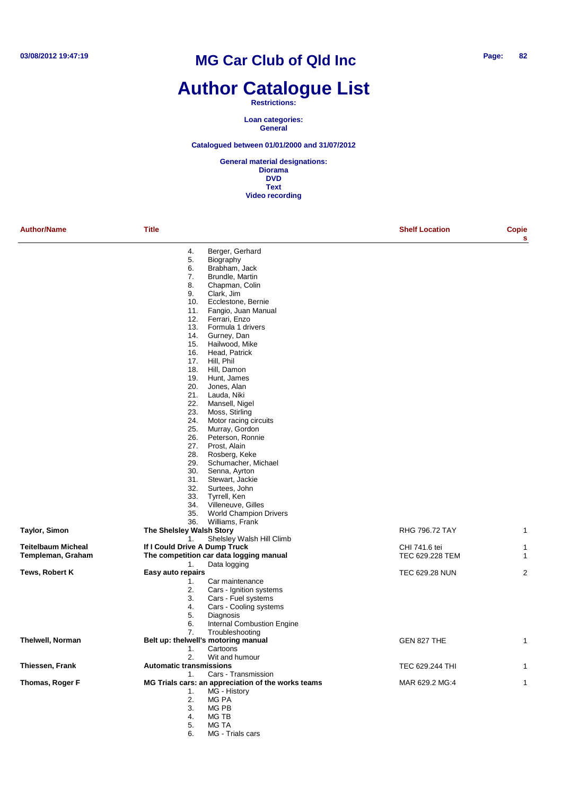## **Author Catalogue List**

#### **Restrictions:**

**Loan categories: General**

#### **Catalogued between 01/01/2000 and 31/07/2012**

**General material designations: Diorama DVD Text Video recording**

| <b>Author/Name</b>        | <b>Title</b>                              |                                                    | <b>Shelf Location</b> | Copie<br>s     |
|---------------------------|-------------------------------------------|----------------------------------------------------|-----------------------|----------------|
|                           | 4.                                        | Berger, Gerhard                                    |                       |                |
|                           | 5.                                        | Biography                                          |                       |                |
|                           | 6.                                        | Brabham, Jack                                      |                       |                |
|                           | 7.                                        | Brundle, Martin                                    |                       |                |
|                           | 8.                                        | Chapman, Colin                                     |                       |                |
|                           | 9.                                        | Clark, Jim                                         |                       |                |
|                           | 10.                                       | Ecclestone, Bernie                                 |                       |                |
|                           | 11.                                       | Fangio, Juan Manual                                |                       |                |
|                           | 12.                                       | Ferrari, Enzo                                      |                       |                |
|                           | 13.                                       | Formula 1 drivers                                  |                       |                |
|                           | 14.<br>15.                                | Gurney, Dan                                        |                       |                |
|                           | 16.                                       | Hailwood, Mike<br>Head, Patrick                    |                       |                |
|                           | 17.                                       | Hill, Phil                                         |                       |                |
|                           | 18.                                       | Hill, Damon                                        |                       |                |
|                           | 19.                                       | Hunt, James                                        |                       |                |
|                           | 20.                                       | Jones, Alan                                        |                       |                |
|                           | 21.                                       | Lauda, Niki                                        |                       |                |
|                           | 22.                                       | Mansell, Nigel                                     |                       |                |
|                           | 23.                                       | Moss, Stirling                                     |                       |                |
|                           | 24.                                       | Motor racing circuits                              |                       |                |
|                           | 25.                                       | Murray, Gordon                                     |                       |                |
|                           | 26.                                       | Peterson, Ronnie                                   |                       |                |
|                           | 27.                                       | Prost, Alain                                       |                       |                |
|                           | 28.                                       | Rosberg, Keke                                      |                       |                |
|                           | 29.                                       | Schumacher, Michael                                |                       |                |
|                           | 30.                                       | Senna, Ayrton                                      |                       |                |
|                           | 31.                                       | Stewart, Jackie                                    |                       |                |
|                           | 32.                                       | Surtees, John                                      |                       |                |
|                           | 33.<br>34.                                | Tyrrell, Ken<br>Villeneuve, Gilles                 |                       |                |
|                           | 35.                                       | <b>World Champion Drivers</b>                      |                       |                |
|                           | 36.                                       | Williams, Frank                                    |                       |                |
| Taylor, Simon             | The Shelsley Walsh Story                  |                                                    | RHG 796.72 TAY        | 1              |
|                           | 1.                                        | Shelsley Walsh Hill Climb                          |                       |                |
| <b>Teitelbaum Micheal</b> | If I Could Drive A Dump Truck             |                                                    | CHI 741.6 tei         | 1              |
| Templeman, Graham         |                                           | The competition car data logging manual            | TEC 629.228 TEM       | 1              |
|                           | 1.                                        | Data logging                                       |                       |                |
| Tews, Robert K            | Easy auto repairs                         |                                                    | <b>TEC 629.28 NUN</b> | $\overline{2}$ |
|                           | 1.                                        | Car maintenance                                    |                       |                |
|                           | 2.                                        | Cars - Ignition systems                            |                       |                |
|                           | 3.                                        | Cars - Fuel systems                                |                       |                |
|                           | 4.                                        | Cars - Cooling systems                             |                       |                |
|                           | 5.                                        | Diagnosis                                          |                       |                |
|                           | 6.                                        | Internal Combustion Engine                         |                       |                |
| <b>Thelwell, Norman</b>   | 7.<br>Belt up: thelwell's motoring manual | Troubleshooting                                    | GEN 827 THE           |                |
|                           |                                           |                                                    |                       | 1              |
|                           | 1.<br>2.                                  | Cartoons<br>Wit and humour                         |                       |                |
| Thiessen, Frank           | <b>Automatic transmissions</b>            |                                                    | TEC 629.244 THI       | 1              |
|                           | 1.                                        | Cars - Transmission                                |                       |                |
| Thomas, Roger F           |                                           | MG Trials cars: an appreciation of the works teams | MAR 629.2 MG:4        | 1              |
|                           | 1.                                        | MG - History                                       |                       |                |
|                           | 2.                                        | MG PA                                              |                       |                |
|                           | 3.                                        | MG PB                                              |                       |                |
|                           | 4.                                        | MG TB                                              |                       |                |
|                           | 5.                                        | MG TA                                              |                       |                |

6. MG - Trials cars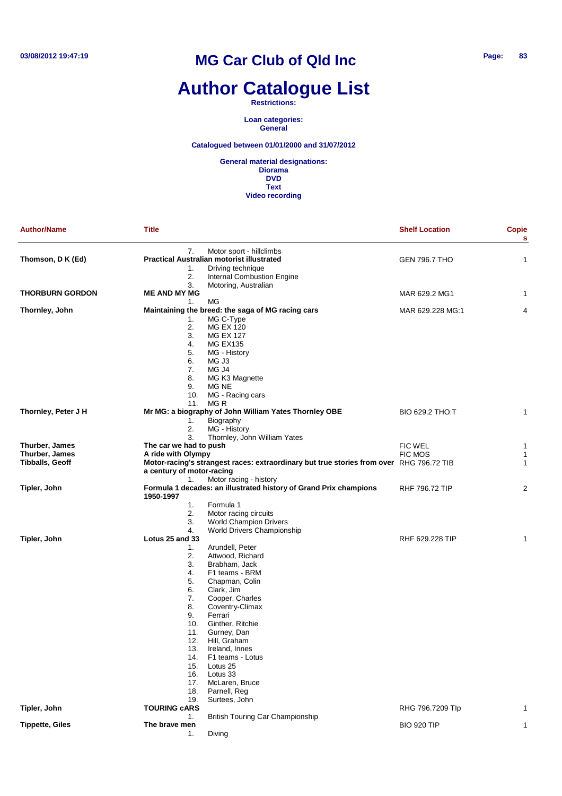# **Author Catalogue List**

**Restrictions:**

**Loan categories: General**

#### **Catalogued between 01/01/2000 and 31/07/2012**

| <b>Author/Name</b>                                         | <b>Title</b>                                                                                                                                     |                                                                                                                                                                                                                                                                                                                                                                           | <b>Shelf Location</b>            | Copie<br>s  |
|------------------------------------------------------------|--------------------------------------------------------------------------------------------------------------------------------------------------|---------------------------------------------------------------------------------------------------------------------------------------------------------------------------------------------------------------------------------------------------------------------------------------------------------------------------------------------------------------------------|----------------------------------|-------------|
| Thomson, D K (Ed)                                          | 7.<br>1.<br>2.                                                                                                                                   | Motor sport - hillclimbs<br><b>Practical Australian motorist illustrated</b><br>Driving technique<br>Internal Combustion Engine                                                                                                                                                                                                                                           | <b>GEN 796.7 THO</b>             | 1           |
| <b>THORBURN GORDON</b>                                     | 3.<br><b>ME AND MY MG</b>                                                                                                                        | Motoring, Australian                                                                                                                                                                                                                                                                                                                                                      | MAR 629.2 MG1                    | 1           |
|                                                            | 1.                                                                                                                                               | МG                                                                                                                                                                                                                                                                                                                                                                        |                                  |             |
| Thornley, John                                             | 1.<br>2.<br>3.<br>4.<br>5.<br>6.<br>7.<br>8.<br>9.<br>10.                                                                                        | Maintaining the breed: the saga of MG racing cars<br>MG C-Type<br><b>MG EX 120</b><br><b>MG EX 127</b><br><b>MG EX135</b><br>MG - History<br>MG J3<br>MG J4<br>MG K3 Magnette<br>MG NE<br>MG - Racing cars                                                                                                                                                                | MAR 629.228 MG:1                 | 4           |
| Thornley, Peter J H                                        | 11.<br>1.<br>2.                                                                                                                                  | MG R<br>Mr MG: a biography of John William Yates Thornley OBE<br>Biography<br>MG - History                                                                                                                                                                                                                                                                                | BIO 629.2 THO:T                  | 1           |
| Thurber, James<br>Thurber, James<br><b>Tibballs, Geoff</b> | 3.<br>The car we had to push<br>A ride with Olympy<br>a century of motor-racing                                                                  | Thornley, John William Yates<br>Motor-racing's strangest races: extraordinary but true stories from over RHG 796.72 TIB                                                                                                                                                                                                                                                   | <b>FIC WEL</b><br><b>FIC MOS</b> | 1<br>1<br>1 |
| Tipler, John                                               | 1.<br>1950-1997<br>1.<br>2.                                                                                                                      | Motor racing - history<br>Formula 1 decades: an illustrated history of Grand Prix champions<br>Formula 1<br>Motor racing circuits                                                                                                                                                                                                                                         | <b>RHF 796.72 TIP</b>            | 2           |
| Tipler, John                                               | 3.<br>4.<br>Lotus 25 and 33<br>1.<br>2.<br>3.<br>4.<br>5.<br>6.<br>7.<br>8.<br>9.<br>10.<br>11.<br>12.<br>13.<br>14.<br>15.<br>16.<br>17.<br>18. | <b>World Champion Drivers</b><br>World Drivers Championship<br>Arundell, Peter<br>Attwood, Richard<br>Brabham, Jack<br>F1 teams - BRM<br>Chapman, Colin<br>Clark, Jim<br>Cooper, Charles<br>Coventry-Climax<br>Ferrari<br>Ginther, Ritchie<br>Gurney, Dan<br>Hill, Graham<br>Ireland, Innes<br>F1 teams - Lotus<br>Lotus 25<br>Lotus 33<br>McLaren, Bruce<br>Parnell, Reg | RHF 629.228 TIP                  | 1           |
| Tipler, John                                               | 19.<br><b>TOURING CARS</b>                                                                                                                       | Surtees, John                                                                                                                                                                                                                                                                                                                                                             | RHG 796.7209 Tlp                 |             |
| <b>Tippette, Giles</b>                                     | 1.<br>The brave men<br>1.                                                                                                                        | <b>British Touring Car Championship</b><br>Diving                                                                                                                                                                                                                                                                                                                         | <b>BIO 920 TIP</b>               |             |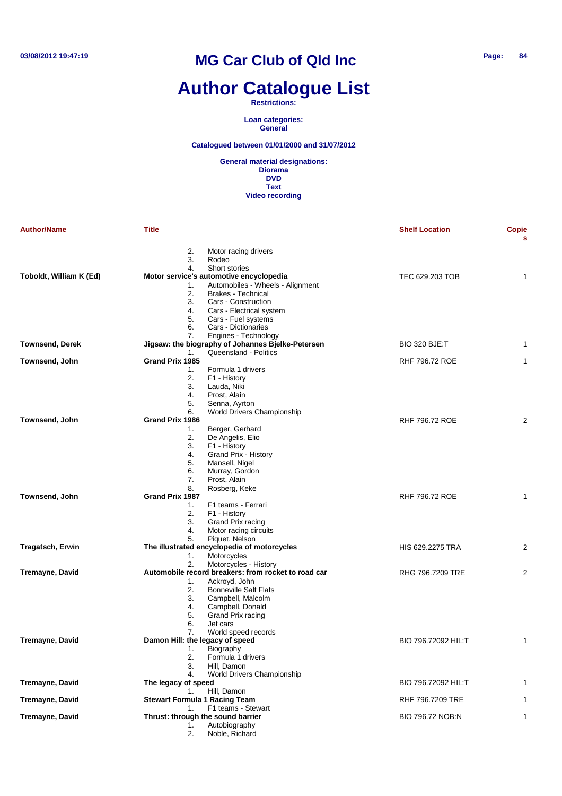# **Author Catalogue List**

**Restrictions:**

**Loan categories: General**

**Catalogued between 01/01/2000 and 31/07/2012**

| <b>Author/Name</b>      | <b>Title</b>              |                                                                             | <b>Shelf Location</b>   | <b>Copie</b><br>s |
|-------------------------|---------------------------|-----------------------------------------------------------------------------|-------------------------|-------------------|
|                         | 2.<br>3.                  | Motor racing drivers<br>Rodeo                                               |                         |                   |
|                         | 4.                        | Short stories                                                               |                         |                   |
| Toboldt, William K (Ed) |                           | Motor service's automotive encyclopedia<br>Automobiles - Wheels - Alignment | TEC 629.203 TOB         | 1                 |
|                         | 1.<br>2.                  | <b>Brakes - Technical</b>                                                   |                         |                   |
|                         | 3.                        | Cars - Construction                                                         |                         |                   |
|                         | 4.                        | Cars - Electrical system                                                    |                         |                   |
|                         | 5.                        | Cars - Fuel systems                                                         |                         |                   |
|                         | 6.                        | Cars - Dictionaries                                                         |                         |                   |
|                         | 7.                        | Engines - Technology                                                        |                         |                   |
| <b>Townsend, Derek</b>  |                           | Jigsaw: the biography of Johannes Bjelke-Petersen                           | <b>BIO 320 BJE:T</b>    | 1                 |
|                         | 1.                        | Queensland - Politics                                                       |                         |                   |
| Townsend, John          | Grand Prix 1985           |                                                                             | RHF 796.72 ROE          | 1                 |
|                         | 1.                        | Formula 1 drivers                                                           |                         |                   |
|                         | 2.<br>3.                  | F1 - History                                                                |                         |                   |
|                         | 4.                        | Lauda, Niki<br>Prost, Alain                                                 |                         |                   |
|                         | 5.                        | Senna, Ayrton                                                               |                         |                   |
|                         | 6.                        | World Drivers Championship                                                  |                         |                   |
| Townsend, John          | Grand Prix 1986           |                                                                             | <b>RHF 796.72 ROE</b>   | 2                 |
|                         | 1.                        | Berger, Gerhard                                                             |                         |                   |
|                         | 2.                        | De Angelis, Elio                                                            |                         |                   |
|                         | 3.                        | F1 - History                                                                |                         |                   |
|                         | 4.                        | Grand Prix - History                                                        |                         |                   |
|                         | 5.                        | Mansell, Nigel                                                              |                         |                   |
|                         | 6.                        | Murray, Gordon                                                              |                         |                   |
|                         | 7.<br>8.                  | Prost, Alain<br>Rosberg, Keke                                               |                         |                   |
| Townsend, John          | Grand Prix 1987           |                                                                             | RHF 796.72 ROE          | 1                 |
|                         | 1.                        | F1 teams - Ferrari                                                          |                         |                   |
|                         | 2.                        | F1 - History                                                                |                         |                   |
|                         | 3.                        | Grand Prix racing                                                           |                         |                   |
|                         | 4.                        | Motor racing circuits                                                       |                         |                   |
|                         | 5.                        | Piquet, Nelson                                                              |                         |                   |
| <b>Tragatsch, Erwin</b> |                           | The illustrated encyclopedia of motorcycles                                 | <b>HIS 629.2275 TRA</b> | 2                 |
|                         | 1.                        | Motorcycles                                                                 |                         |                   |
|                         | 2.                        | Motorcycles - History                                                       |                         |                   |
| <b>Tremayne, David</b>  |                           | Automobile record breakers: from rocket to road car                         | RHG 796.7209 TRE        | 2                 |
|                         | 1.<br>2.                  | Ackroyd, John<br><b>Bonneville Salt Flats</b>                               |                         |                   |
|                         | 3.                        | Campbell, Malcolm                                                           |                         |                   |
|                         | 4.                        | Campbell, Donald                                                            |                         |                   |
|                         | 5.                        | Grand Prix racing                                                           |                         |                   |
|                         | 6.                        | Jet cars                                                                    |                         |                   |
|                         | 7.                        | World speed records                                                         |                         |                   |
| <b>Tremayne, David</b>  |                           | Damon Hill: the legacy of speed                                             | BIO 796.72092 HIL:T     | 1                 |
|                         | 1.                        | Biography                                                                   |                         |                   |
|                         | 2.                        | Formula 1 drivers                                                           |                         |                   |
|                         | 3.                        | Hill, Damon                                                                 |                         |                   |
|                         | 4.                        | World Drivers Championship                                                  |                         |                   |
| <b>Tremayne, David</b>  | The legacy of speed<br>1. | Hill, Damon                                                                 | BIO 796.72092 HIL:T     | 1                 |
| <b>Tremayne, David</b>  |                           | <b>Stewart Formula 1 Racing Team</b>                                        | RHF 796.7209 TRE        | 1                 |
|                         | 1.                        | F1 teams - Stewart                                                          |                         |                   |
| <b>Tremayne, David</b>  |                           | Thrust: through the sound barrier                                           | BIO 796.72 NOB:N        | 1                 |
|                         | 1.                        | Autobiography                                                               |                         |                   |
|                         | 2.                        | Noble, Richard                                                              |                         |                   |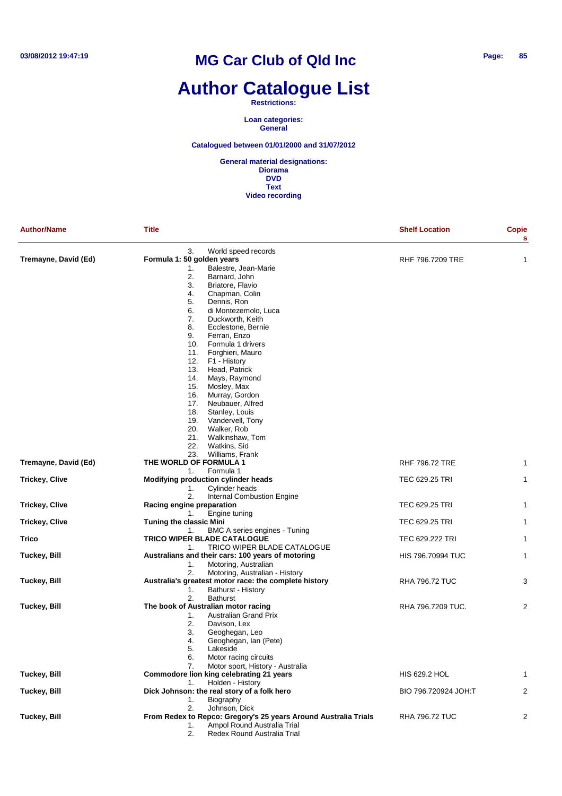# **Author Catalogue List**

**Restrictions:**

**Loan categories: General**

**Catalogued between 01/01/2000 and 31/07/2012**

| <b>Author/Name</b>    | <b>Title</b>                                                                                                                                                                                                                                                                                                                                                                                                                                                                                                                                                                     | <b>Shelf Location</b>    | Copie<br>s     |
|-----------------------|----------------------------------------------------------------------------------------------------------------------------------------------------------------------------------------------------------------------------------------------------------------------------------------------------------------------------------------------------------------------------------------------------------------------------------------------------------------------------------------------------------------------------------------------------------------------------------|--------------------------|----------------|
| Tremayne, David (Ed)  | 3.<br>World speed records<br>Formula 1: 50 golden years<br>Balestre, Jean-Marie<br>1.<br>2.<br>Barnard, John<br>3.<br>Briatore, Flavio<br>4.<br>Chapman, Colin<br>5.<br>Dennis, Ron<br>6.<br>di Montezemolo, Luca<br>7.<br>Duckworth, Keith<br>8.<br>Ecclestone, Bernie<br>9.<br>Ferrari, Enzo<br>10.<br>Formula 1 drivers<br>11.<br>Forghieri, Mauro<br>12.<br>F1 - History<br>13.<br>Head, Patrick<br>14.<br>Mays, Raymond<br>15.<br>Mosley, Max<br>16.<br>Murray, Gordon<br>Neubauer, Alfred<br>17.<br>18.<br>Stanley, Louis<br>Vandervell, Tony<br>19.<br>20.<br>Walker, Rob | RHF 796.7209 TRE         | 1              |
|                       | 21.<br>Walkinshaw, Tom                                                                                                                                                                                                                                                                                                                                                                                                                                                                                                                                                           |                          |                |
|                       | 22.<br>Watkins, Sid<br>23.<br>Williams, Frank                                                                                                                                                                                                                                                                                                                                                                                                                                                                                                                                    |                          |                |
| Tremayne, David (Ed)  | THE WORLD OF FORMULA 1<br>Formula 1                                                                                                                                                                                                                                                                                                                                                                                                                                                                                                                                              | <b>RHF 796.72 TRE</b>    | 1              |
| <b>Trickey, Clive</b> | 1.<br>Modifying production cylinder heads                                                                                                                                                                                                                                                                                                                                                                                                                                                                                                                                        | TEC 629.25 TRI           | $\mathbf{1}$   |
|                       | Cylinder heads<br>1.                                                                                                                                                                                                                                                                                                                                                                                                                                                                                                                                                             |                          |                |
| <b>Trickey, Clive</b> | 2.<br>Internal Combustion Engine<br>Racing engine preparation                                                                                                                                                                                                                                                                                                                                                                                                                                                                                                                    | TEC 629.25 TRI           | 1              |
|                       | Engine tuning<br>1.                                                                                                                                                                                                                                                                                                                                                                                                                                                                                                                                                              |                          |                |
| <b>Trickey, Clive</b> | <b>Tuning the classic Mini</b><br>BMC A series engines - Tuning<br>1.                                                                                                                                                                                                                                                                                                                                                                                                                                                                                                            | <b>TEC 629.25 TRI</b>    | $\mathbf{1}$   |
| Trico                 | <b>TRICO WIPER BLADE CATALOGUE</b>                                                                                                                                                                                                                                                                                                                                                                                                                                                                                                                                               | TEC 629.222 TRI          | $\mathbf{1}$   |
|                       | TRICO WIPER BLADE CATALOGUE<br>1.                                                                                                                                                                                                                                                                                                                                                                                                                                                                                                                                                |                          |                |
| <b>Tuckey, Bill</b>   | Australians and their cars: 100 years of motoring<br>1.<br>Motoring, Australian                                                                                                                                                                                                                                                                                                                                                                                                                                                                                                  | <b>HIS 796.70994 TUC</b> | 1              |
|                       | 2.<br>Motoring, Australian - History                                                                                                                                                                                                                                                                                                                                                                                                                                                                                                                                             |                          |                |
| <b>Tuckey, Bill</b>   | Australia's greatest motor race: the complete history                                                                                                                                                                                                                                                                                                                                                                                                                                                                                                                            | <b>RHA 796.72 TUC</b>    | 3              |
|                       | Bathurst - History<br>1.<br>2.<br><b>Bathurst</b>                                                                                                                                                                                                                                                                                                                                                                                                                                                                                                                                |                          |                |
| <b>Tuckey, Bill</b>   | The book of Australian motor racing<br><b>Australian Grand Prix</b><br>1.<br>2.<br>Davison, Lex<br>3.<br>Geoghegan, Leo<br>Geoghegan, Ian (Pete)<br>4.<br>5.<br>Lakeside<br>6.<br>Motor racing circuits                                                                                                                                                                                                                                                                                                                                                                          | RHA 796.7209 TUC.        | 2              |
| Tuckey, Bill          | Motor sport, History - Australia<br>7.<br>Commodore lion king celebrating 21 years                                                                                                                                                                                                                                                                                                                                                                                                                                                                                               | HIS 629.2 HOL            | 1              |
|                       | Holden - History<br>1.                                                                                                                                                                                                                                                                                                                                                                                                                                                                                                                                                           |                          |                |
| Tuckey, Bill          | Dick Johnson: the real story of a folk hero<br>Biography<br>1.                                                                                                                                                                                                                                                                                                                                                                                                                                                                                                                   | BIO 796.720924 JOH:T     | $\overline{2}$ |
|                       | Johnson, Dick<br>2.                                                                                                                                                                                                                                                                                                                                                                                                                                                                                                                                                              |                          |                |
| <b>Tuckey, Bill</b>   | From Redex to Repco: Gregory's 25 years Around Australia Trials<br>Ampol Round Australia Trial<br>1.<br>Redex Round Australia Trial<br>2.                                                                                                                                                                                                                                                                                                                                                                                                                                        | <b>RHA 796.72 TUC</b>    | 2              |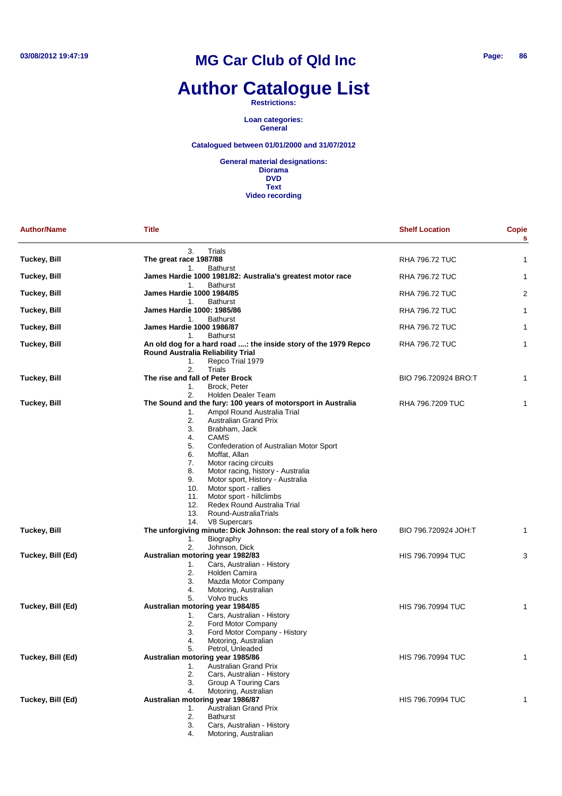# **Author Catalogue List**

**Restrictions:**

**Loan categories: General**

#### **Catalogued between 01/01/2000 and 31/07/2012**

| <b>Author/Name</b>  | <b>Title</b>                                                                                                                         | <b>Shelf Location</b>    | <b>Copie</b><br>s |
|---------------------|--------------------------------------------------------------------------------------------------------------------------------------|--------------------------|-------------------|
|                     | 3.<br>Trials                                                                                                                         |                          |                   |
| <b>Tuckey, Bill</b> | The great race 1987/88                                                                                                               | <b>RHA 796.72 TUC</b>    | 1                 |
| Tuckey, Bill        | <b>Bathurst</b><br>1.<br>James Hardie 1000 1981/82: Australia's greatest motor race<br><b>Bathurst</b><br>1.                         | <b>RHA 796.72 TUC</b>    | 1                 |
| <b>Tuckey, Bill</b> | <b>James Hardie 1000 1984/85</b><br><b>Bathurst</b><br>1.                                                                            | <b>RHA 796.72 TUC</b>    | 2                 |
| Tuckey, Bill        | <b>James Hardie 1000: 1985/86</b><br><b>Bathurst</b><br>1.                                                                           | <b>RHA 796.72 TUC</b>    | 1                 |
| Tuckey, Bill        | <b>James Hardie 1000 1986/87</b><br><b>Bathurst</b><br>1.                                                                            | <b>RHA 796.72 TUC</b>    | 1                 |
| Tuckey, Bill        | An old dog for a hard road : the inside story of the 1979 Repco<br>Round Australia Reliability Trial<br>1.<br>Repco Trial 1979       | <b>RHA 796.72 TUC</b>    | 1                 |
|                     | 2.<br>Trials                                                                                                                         |                          |                   |
| <b>Tuckey, Bill</b> | The rise and fall of Peter Brock<br>Brock, Peter<br>1.                                                                               | BIO 796.720924 BRO:T     | 1                 |
| <b>Tuckey, Bill</b> | 2.<br><b>Holden Dealer Team</b><br>The Sound and the fury: 100 years of motorsport in Australia<br>Ampol Round Australia Trial<br>1. | RHA 796.7209 TUC         | 1                 |
|                     | 2.<br><b>Australian Grand Prix</b><br>3.<br>Brabham, Jack<br><b>CAMS</b><br>4.<br>5.<br>Confederation of Australian Motor Sport      |                          |                   |
|                     | 6.<br>Moffat, Allan<br>7.<br>Motor racing circuits                                                                                   |                          |                   |
|                     | 8.<br>Motor racing, history - Australia<br>9.<br>Motor sport, History - Australia                                                    |                          |                   |
|                     | Motor sport - rallies<br>10.<br>Motor sport - hillclimbs<br>11.                                                                      |                          |                   |
|                     | 12.<br>Redex Round Australia Trial                                                                                                   |                          |                   |
|                     | 13.<br>Round-AustraliaTrials<br>14.<br>V8 Supercars                                                                                  |                          |                   |
| <b>Tuckey, Bill</b> | The unforgiving minute: Dick Johnson: the real story of a folk hero                                                                  | BIO 796.720924 JOH:T     | 1                 |
|                     | Biography<br>1.                                                                                                                      |                          |                   |
|                     | 2.<br>Johnson, Dick                                                                                                                  |                          |                   |
| Tuckey, Bill (Ed)   | Australian motoring year 1982/83                                                                                                     | <b>HIS 796.70994 TUC</b> | 3                 |
|                     | Cars, Australian - History<br>1.                                                                                                     |                          |                   |
|                     | 2.<br>Holden Camira                                                                                                                  |                          |                   |
|                     | 3.<br>Mazda Motor Company                                                                                                            |                          |                   |
|                     | 4.<br>Motoring, Australian                                                                                                           |                          |                   |
|                     | Volvo trucks<br>5.                                                                                                                   |                          |                   |
| Tuckey, Bill (Ed)   | Australian motoring year 1984/85                                                                                                     | <b>HIS 796.70994 TUC</b> | 1                 |
|                     | Cars, Australian - History<br>1.                                                                                                     |                          |                   |
|                     | 2.<br>Ford Motor Company                                                                                                             |                          |                   |
|                     | 3.<br>Ford Motor Company - History                                                                                                   |                          |                   |
|                     | 4.<br>Motoring, Australian                                                                                                           |                          |                   |
|                     | 5.<br>Petrol, Unleaded                                                                                                               |                          |                   |
| Tuckey, Bill (Ed)   | Australian motoring year 1985/86                                                                                                     | <b>HIS 796.70994 TUC</b> | 1                 |
|                     | <b>Australian Grand Prix</b><br>1.                                                                                                   |                          |                   |
|                     | 2.<br>Cars, Australian - History                                                                                                     |                          |                   |
|                     | 3.<br>Group A Touring Cars                                                                                                           |                          |                   |
|                     | Motoring, Australian<br>4.                                                                                                           |                          |                   |
| Tuckey, Bill (Ed)   | Australian motoring year 1986/87                                                                                                     | <b>HIS 796.70994 TUC</b> |                   |
|                     | <b>Australian Grand Prix</b><br>1.                                                                                                   |                          |                   |
|                     | <b>Bathurst</b><br>2.                                                                                                                |                          |                   |
|                     | Cars, Australian - History<br>3.                                                                                                     |                          |                   |
|                     | Motoring, Australian<br>4.                                                                                                           |                          |                   |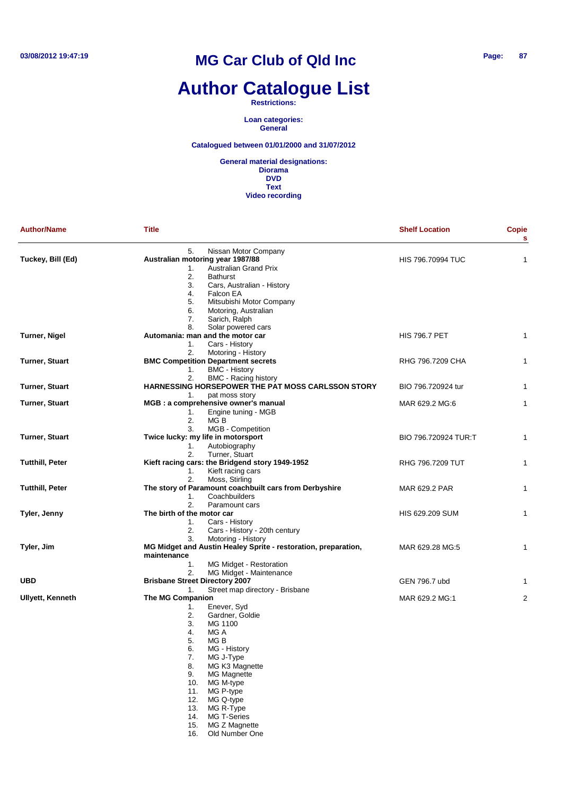# **Author Catalogue List**

**Restrictions:**

**Loan categories: General**

**Catalogued between 01/01/2000 and 31/07/2012**

**General material designations: Diorama DVD Text Video recording**

| <b>Author/Name</b>      | <b>Title</b>                                                                  | <b>Shelf Location</b>    | <b>Copie</b><br>s |
|-------------------------|-------------------------------------------------------------------------------|--------------------------|-------------------|
| Tuckey, Bill (Ed)       | 5.<br>Nissan Motor Company<br>Australian motoring year 1987/88                | <b>HIS 796.70994 TUC</b> | 1                 |
|                         | <b>Australian Grand Prix</b><br>1.                                            |                          |                   |
|                         | 2.<br><b>Bathurst</b>                                                         |                          |                   |
|                         | 3.<br>Cars, Australian - History                                              |                          |                   |
|                         | 4.<br>Falcon EA                                                               |                          |                   |
|                         | 5.<br>Mitsubishi Motor Company                                                |                          |                   |
|                         | 6.<br>Motoring, Australian<br>7.<br>Sarich, Ralph                             |                          |                   |
|                         | Solar powered cars<br>8.                                                      |                          |                   |
| Turner, Nigel           | Automania: man and the motor car                                              | <b>HIS 796.7 PET</b>     | 1                 |
|                         | Cars - History<br>1.                                                          |                          |                   |
|                         | 2.<br>Motoring - History                                                      |                          |                   |
| Turner, Stuart          | <b>BMC Competition Department secrets</b>                                     | RHG 796.7209 CHA         | 1                 |
|                         | <b>BMC - History</b><br>1.                                                    |                          |                   |
|                         | 2.<br><b>BMC</b> - Racing history                                             |                          |                   |
| Turner, Stuart          | HARNESSING HORSEPOWER THE PAT MOSS CARLSSON STORY                             | BIO 796.720924 tur       | $\mathbf 1$       |
|                         | 1.<br>pat moss story                                                          |                          |                   |
| Turner, Stuart          | MGB : a comprehensive owner's manual                                          | MAR 629.2 MG:6           | 1                 |
|                         | 1.<br>Engine tuning - MGB<br>2.<br>MG B                                       |                          |                   |
|                         | 3.<br>MGB - Competition                                                       |                          |                   |
| Turner, Stuart          | Twice lucky: my life in motorsport                                            | BIO 796.720924 TUR:T     | 1                 |
|                         | 1.<br>Autobiography                                                           |                          |                   |
|                         | 2.<br>Turner, Stuart                                                          |                          |                   |
| <b>Tutthill, Peter</b>  | Kieft racing cars: the Bridgend story 1949-1952                               | RHG 796.7209 TUT         | 1                 |
|                         | 1.<br>Kieft racing cars                                                       |                          |                   |
|                         | 2.<br>Moss, Stirling                                                          |                          |                   |
| Tutthill, Peter         | The story of Paramount coachbuilt cars from Derbyshire                        | MAR 629.2 PAR            | 1                 |
|                         | Coachbuilders<br>1.                                                           |                          |                   |
|                         | 2.<br>Paramount cars                                                          |                          |                   |
| Tyler, Jenny            | The birth of the motor car<br>Cars - History<br>1.                            | HIS 629.209 SUM          | 1                 |
|                         | 2.<br>Cars - History - 20th century                                           |                          |                   |
|                         | 3.<br>Motoring - History                                                      |                          |                   |
| Tyler, Jim              | MG Midget and Austin Healey Sprite - restoration, preparation,<br>maintenance | MAR 629.28 MG:5          | 1                 |
|                         | 1.<br>MG Midget - Restoration                                                 |                          |                   |
|                         | MG Midget - Maintenance<br>2.                                                 |                          |                   |
| <b>UBD</b>              | <b>Brisbane Street Directory 2007</b>                                         | GEN 796.7 ubd            | 1                 |
|                         | Street map directory - Brisbane<br>1.                                         |                          |                   |
| <b>Ullyett, Kenneth</b> | <b>The MG Companion</b>                                                       | MAR 629.2 MG:1           | 2                 |
|                         | Enever, Syd<br>1.<br>Gardner, Goldie                                          |                          |                   |
|                         | 2.<br>3.<br>MG 1100                                                           |                          |                   |
|                         | 4.<br>MG A                                                                    |                          |                   |
|                         | 5.<br>MG B                                                                    |                          |                   |
|                         | 6.<br>MG - History                                                            |                          |                   |
|                         | 7.<br>MG J-Type                                                               |                          |                   |
|                         | 8.<br>MG K3 Magnette                                                          |                          |                   |
|                         | 9.<br><b>MG Magnette</b>                                                      |                          |                   |
|                         | MG M-type<br>10.                                                              |                          |                   |
|                         | MG P-type<br>11.                                                              |                          |                   |
|                         | 12.<br>MG Q-type                                                              |                          |                   |
|                         | MG R-Type<br>13.                                                              |                          |                   |
|                         | <b>MG T-Series</b><br>14.<br>15.<br>MG Z Magnette                             |                          |                   |
|                         |                                                                               |                          |                   |

16. Old Number One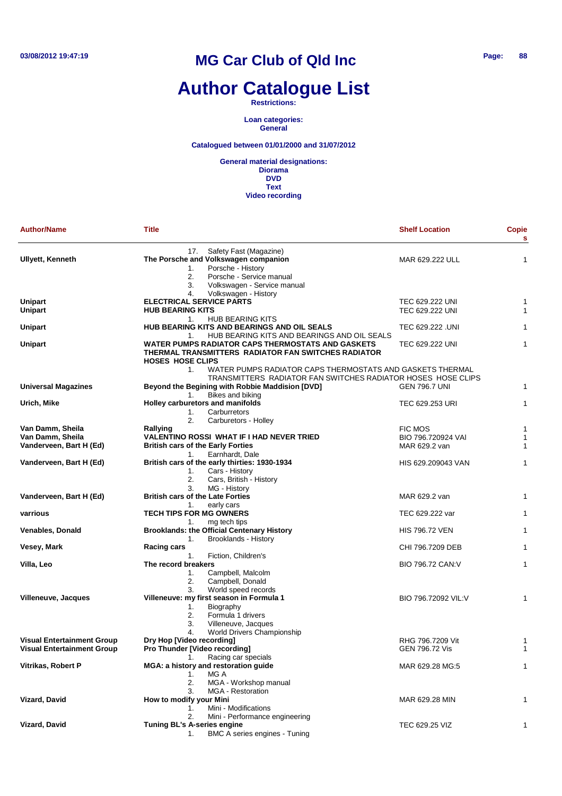# **Author Catalogue List**

**Restrictions:**

**Loan categories: General**

**Catalogued between 01/01/2000 and 31/07/2012**

| <b>Author/Name</b>                | <b>Title</b>                                                                                                                                                         | <b>Shelf Location</b> | <b>Copie</b><br>s |
|-----------------------------------|----------------------------------------------------------------------------------------------------------------------------------------------------------------------|-----------------------|-------------------|
| <b>Ullyett, Kenneth</b>           | 17. Safety Fast (Magazine)<br>The Porsche and Volkswagen companion<br>Porsche - History<br>1.<br>2.<br>Porsche - Service manual<br>3.<br>Volkswagen - Service manual | MAR 629.222 ULL       | 1                 |
| <b>Unipart</b>                    | Volkswagen - History<br>4.<br><b>ELECTRICAL SERVICE PARTS</b>                                                                                                        | TEC 629.222 UNI       | 1                 |
| <b>Unipart</b>                    | <b>HUB BEARING KITS</b>                                                                                                                                              | TEC 629.222 UNI       | 1                 |
| <b>Unipart</b>                    | <b>HUB BEARING KITS</b><br>1.<br>HUB BEARING KITS AND BEARINGS AND OIL SEALS<br>HUB BEARING KITS AND BEARINGS AND OIL SEALS<br>1.                                    | TEC 629.222 .UNI      | 1                 |
| <b>Unipart</b>                    | WATER PUMPS RADIATOR CAPS THERMOSTATS AND GASKETS<br>THERMAL TRANSMITTERS RADIATOR FAN SWITCHES RADIATOR<br><b>HOSES HOSE CLIPS</b>                                  | TEC 629.222 UNI       | 1                 |
|                                   | WATER PUMPS RADIATOR CAPS THERMOSTATS AND GASKETS THERMAL<br>1.                                                                                                      |                       |                   |
| Universal Magazines               | TRANSMITTERS RADIATOR FAN SWITCHES RADIATOR HOSES HOSE CLIPS<br>Beyond the Begining with Robbie Maddision [DVD]<br>Bikes and biking<br>1.                            | <b>GEN 796.7 UNI</b>  | 1                 |
| Urich, Mike                       | Holley carburetors and manifolds<br>1.<br>Carburretors                                                                                                               | TEC 629.253 URI       | 1                 |
| Van Damm, Sheila                  | 2.<br>Carburetors - Holley<br>Rallying                                                                                                                               | FIC MOS               | 1                 |
| Van Damm, Sheila                  | VALENTINO ROSSI WHAT IF I HAD NEVER TRIED                                                                                                                            | BIO 796.720924 VAI    | 1                 |
| Vanderveen, Bart H (Ed)           | <b>British cars of the Early Forties</b>                                                                                                                             | MAR 629.2 van         | 1                 |
|                                   | Earnhardt, Dale<br>1.                                                                                                                                                |                       |                   |
| Vanderveen, Bart H (Ed)           | British cars of the early thirties: 1930-1934                                                                                                                        | HIS 629.209043 VAN    | 1                 |
|                                   | Cars - History<br>1.<br>2.<br>Cars, British - History<br>3.<br>MG - History                                                                                          |                       |                   |
| Vanderveen, Bart H (Ed)           | <b>British cars of the Late Forties</b>                                                                                                                              | MAR 629.2 van         | 1                 |
| varrious                          | 1.<br>early cars<br><b>TECH TIPS FOR MG OWNERS</b>                                                                                                                   | TEC 629.222 var       | 1                 |
| <b>Venables, Donald</b>           | 1.<br>mg tech tips<br><b>Brooklands: the Official Centenary History</b>                                                                                              | <b>HIS 796.72 VEN</b> | 1                 |
|                                   | 1.<br>Brooklands - History                                                                                                                                           |                       |                   |
| Vesey, Mark                       | <b>Racing cars</b>                                                                                                                                                   | CHI 796.7209 DEB      | 1                 |
| Villa, Leo                        | 1 <sub>1</sub><br>Fiction, Children's<br>The record breakers                                                                                                         | BIO 796.72 CAN: V     | 1                 |
|                                   | Campbell, Malcolm<br>1.                                                                                                                                              |                       |                   |
|                                   | 2.<br>Campbell, Donald                                                                                                                                               |                       |                   |
|                                   | World speed records<br>3.                                                                                                                                            |                       |                   |
| Villeneuve, Jacques               | Villeneuve: my first season in Formula 1                                                                                                                             | BIO 796.72092 VIL:V   | 1                 |
|                                   | 1.<br>Biography<br>2.<br>Formula 1 drivers                                                                                                                           |                       |                   |
|                                   | 3.<br>Villeneuve, Jacques                                                                                                                                            |                       |                   |
|                                   | 4.<br>World Drivers Championship                                                                                                                                     |                       |                   |
| <b>Visual Entertainment Group</b> | Dry Hop [Video recording]                                                                                                                                            | RHG 796.7209 Vit      | 1                 |
| <b>Visual Entertainment Group</b> | <b>Pro Thunder [Video recording]</b>                                                                                                                                 | <b>GEN 796.72 Vis</b> | 1                 |
|                                   | Racing car specials<br>1.                                                                                                                                            |                       |                   |
| Vitrikas, Robert P                | MGA: a history and restoration guide                                                                                                                                 | MAR 629.28 MG:5       | 1                 |
|                                   | MG A<br>1.                                                                                                                                                           |                       |                   |
|                                   | 2.<br>MGA - Workshop manual                                                                                                                                          |                       |                   |
|                                   | 3.<br><b>MGA</b> - Restoration                                                                                                                                       |                       |                   |
| <b>Vizard, David</b>              | How to modify your Mini                                                                                                                                              | MAR 629.28 MIN        | 1                 |
|                                   | Mini - Modifications<br>1.<br>2.                                                                                                                                     |                       |                   |
| Vizard, David                     | Mini - Performance engineering<br><b>Tuning BL's A-series engine</b>                                                                                                 | TEC 629.25 VIZ        | 1                 |
|                                   | BMC A series engines - Tuning<br>1.                                                                                                                                  |                       |                   |
|                                   |                                                                                                                                                                      |                       |                   |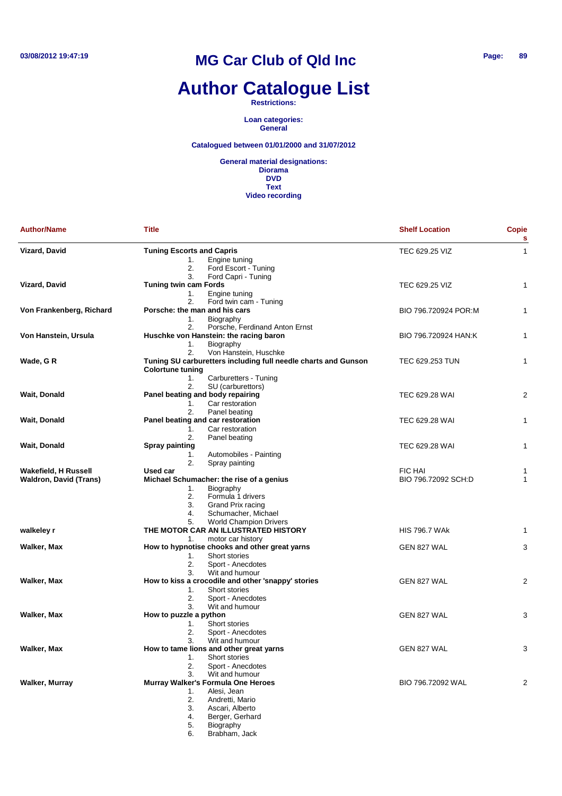# **Author Catalogue List**

**Restrictions:**

**Loan categories: General**

#### **Catalogued between 01/01/2000 and 31/07/2012**

| <b>Author/Name</b>                                           | <b>Title</b>                                                                                                                                                                                         | <b>Shelf Location</b>                 | <b>Copie</b><br>s |
|--------------------------------------------------------------|------------------------------------------------------------------------------------------------------------------------------------------------------------------------------------------------------|---------------------------------------|-------------------|
| Vizard, David                                                | <b>Tuning Escorts and Capris</b><br>1.<br>Engine tuning<br>2.<br>Ford Escort - Tuning                                                                                                                | TEC 629.25 VIZ                        | $\mathbf{1}$      |
| <b>Vizard, David</b>                                         | 3.<br>Ford Capri - Tuning<br><b>Tuning twin cam Fords</b><br>1.<br>Engine tuning<br>2.<br>Ford twin cam - Tuning                                                                                     | TEC 629.25 VIZ                        | 1                 |
| Von Frankenberg, Richard                                     | Porsche: the man and his cars<br>1.<br>Biography<br>Porsche, Ferdinand Anton Ernst<br>2.                                                                                                             | BIO 796.720924 POR:M                  | $\mathbf 1$       |
| Von Hanstein, Ursula                                         | Huschke von Hanstein: the racing baron<br>1.<br>Biography<br>2.<br>Von Hanstein, Huschke                                                                                                             | BIO 796.720924 HAN:K                  | 1                 |
| Wade, G R                                                    | Tuning SU carburetters including full needle charts and Gunson<br><b>Colortune tuning</b><br>Carburetters - Tuning<br>1.                                                                             | TEC 629.253 TUN                       | 1                 |
| Wait, Donald                                                 | 2.<br>SU (carburettors)<br>Panel beating and body repairing<br>Car restoration<br>1.<br>2.<br>Panel beating                                                                                          | TEC 629.28 WAI                        | 2                 |
| Wait, Donald                                                 | Panel beating and car restoration<br>Car restoration<br>1.<br>2.<br>Panel beating                                                                                                                    | <b>TEC 629.28 WAI</b>                 | $\mathbf{1}$      |
| Wait, Donald                                                 | <b>Spray painting</b><br>Automobiles - Painting<br>1.<br>2.<br>Spray painting                                                                                                                        | TEC 629.28 WAI                        | 1                 |
| <b>Wakefield, H Russell</b><br><b>Waldron, David (Trans)</b> | Used car<br>Michael Schumacher: the rise of a genius<br>Biography<br>1.<br>2.<br>Formula 1 drivers<br>3.<br>Grand Prix racing<br>4.<br>Schumacher, Michael<br><b>World Champion Drivers</b><br>5.    | <b>FIC HAI</b><br>BIO 796.72092 SCH:D | 1<br>1            |
| walkeley r                                                   | THE MOTOR CAR AN ILLUSTRATED HISTORY<br>motor car history<br>1.                                                                                                                                      | <b>HIS 796.7 WAK</b>                  | 1                 |
| Walker, Max                                                  | How to hypnotise chooks and other great yarns<br>Short stories<br>1.<br>2.<br>Sport - Anecdotes<br>Wit and humour<br>3.                                                                              | GEN 827 WAL                           | 3                 |
| Walker, Max                                                  | How to kiss a crocodile and other 'snappy' stories<br>Short stories<br>1.<br>2.<br>Sport - Anecdotes<br>3.<br>Wit and humour                                                                         | GEN 827 WAL                           | 2                 |
| Walker, Max                                                  | How to puzzle a python<br>Short stories<br>1.<br>2.<br>Sport - Anecdotes<br>3.<br>Wit and humour                                                                                                     | GEN 827 WAL                           | 3                 |
| Walker, Max                                                  | How to tame lions and other great yarns<br>1.<br>Short stories<br>2.<br>Sport - Anecdotes                                                                                                            | GEN 827 WAL                           | 3                 |
| Walker, Murray                                               | Wit and humour<br>3.<br>Murray Walker's Formula One Heroes<br>Alesi, Jean<br>1.<br>2.<br>Andretti, Mario<br>Ascari, Alberto<br>3.<br>Berger, Gerhard<br>4.<br>Biography<br>5.<br>Brabham, Jack<br>6. | BIO 796.72092 WAL                     | 2                 |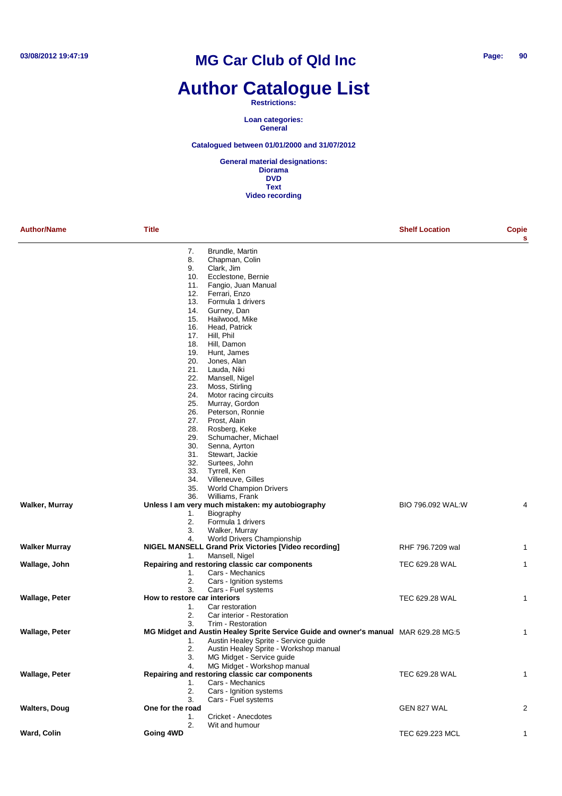## **Author Catalogue List**

#### **Restrictions:**

**Loan categories: General**

#### **Catalogued between 01/01/2000 and 31/07/2012**

| <b>Author/Name</b>    | <b>Title</b>                 |                                                                                                           | <b>Shelf Location</b> | Copie<br>s     |
|-----------------------|------------------------------|-----------------------------------------------------------------------------------------------------------|-----------------------|----------------|
|                       | 7.                           | Brundle, Martin                                                                                           |                       |                |
|                       | 8.                           | Chapman, Colin                                                                                            |                       |                |
|                       | 9.                           | Clark, Jim                                                                                                |                       |                |
|                       | 10.                          | Ecclestone, Bernie                                                                                        |                       |                |
|                       | 11.                          | Fangio, Juan Manual                                                                                       |                       |                |
|                       | 12.                          | Ferrari, Enzo                                                                                             |                       |                |
|                       | 13.<br>14.                   | Formula 1 drivers<br>Gurney, Dan                                                                          |                       |                |
|                       | 15.                          | Hailwood, Mike                                                                                            |                       |                |
|                       | 16.                          | Head, Patrick                                                                                             |                       |                |
|                       | 17.                          | Hill, Phil                                                                                                |                       |                |
|                       | 18.                          | Hill, Damon                                                                                               |                       |                |
|                       | 19.                          | Hunt, James                                                                                               |                       |                |
|                       | 20.                          | Jones, Alan                                                                                               |                       |                |
|                       | 21.                          | Lauda, Niki                                                                                               |                       |                |
|                       | 22.                          | Mansell, Nigel                                                                                            |                       |                |
|                       | 23.                          | Moss, Stirling                                                                                            |                       |                |
|                       | 24.                          | Motor racing circuits                                                                                     |                       |                |
|                       | 25.                          | Murray, Gordon                                                                                            |                       |                |
|                       | 26.<br>27.                   | Peterson, Ronnie<br>Prost, Alain                                                                          |                       |                |
|                       | 28.                          | Rosberg, Keke                                                                                             |                       |                |
|                       | 29.                          | Schumacher, Michael                                                                                       |                       |                |
|                       | 30.                          | Senna, Ayrton                                                                                             |                       |                |
|                       | 31.                          | Stewart, Jackie                                                                                           |                       |                |
|                       | 32.                          | Surtees, John                                                                                             |                       |                |
|                       | 33.                          | Tyrrell, Ken                                                                                              |                       |                |
|                       | 34.                          | Villeneuve, Gilles                                                                                        |                       |                |
|                       | 35.                          | <b>World Champion Drivers</b>                                                                             |                       |                |
|                       | 36.                          | Williams, Frank                                                                                           |                       |                |
| Walker, Murray        |                              | Unless I am very much mistaken: my autobiography                                                          | BIO 796.092 WAL:W     | 4              |
|                       | 1.                           | Biography                                                                                                 |                       |                |
|                       | 2.<br>3.                     | Formula 1 drivers<br>Walker, Murray                                                                       |                       |                |
|                       | 4.                           | World Drivers Championship                                                                                |                       |                |
| <b>Walker Murray</b>  |                              | <b>NIGEL MANSELL Grand Prix Victories [Video recording]</b>                                               | RHF 796.7209 wal      | 1              |
|                       | 1.                           | Mansell, Nigel                                                                                            |                       |                |
| Wallage, John         |                              | Repairing and restoring classic car components                                                            | TEC 629.28 WAL        | 1              |
|                       | 1.                           | Cars - Mechanics                                                                                          |                       |                |
|                       | 2.                           | Cars - Ignition systems                                                                                   |                       |                |
|                       | 3.                           | Cars - Fuel systems                                                                                       |                       |                |
| <b>Wallage, Peter</b> | How to restore car interiors |                                                                                                           | TEC 629.28 WAL        | 1              |
|                       | 1.                           | Car restoration                                                                                           |                       |                |
|                       | 2.<br>3.                     | Car interior - Restoration                                                                                |                       |                |
| <b>Wallage, Peter</b> |                              | Trim - Restoration<br>MG Midget and Austin Healey Sprite Service Guide and owner's manual MAR 629.28 MG:5 |                       | 1              |
|                       | 1.                           | Austin Healey Sprite - Service guide                                                                      |                       |                |
|                       | 2.                           | Austin Healey Sprite - Workshop manual                                                                    |                       |                |
|                       | 3.                           | MG Midget - Service guide                                                                                 |                       |                |
|                       | 4.                           | MG Midget - Workshop manual                                                                               |                       |                |
| Wallage, Peter        |                              | Repairing and restoring classic car components                                                            | TEC 629.28 WAL        |                |
|                       | 1.                           | Cars - Mechanics                                                                                          |                       |                |
|                       | 2.                           | Cars - Ignition systems                                                                                   |                       |                |
|                       | 3.                           | Cars - Fuel systems                                                                                       |                       |                |
| <b>Walters, Doug</b>  | One for the road             |                                                                                                           | GEN 827 WAL           | $\overline{2}$ |
|                       | 1.                           | Cricket - Anecdotes                                                                                       |                       |                |
| Ward, Colin           | 2.                           | Wit and humour                                                                                            |                       |                |
|                       | Going 4WD                    |                                                                                                           | TEC 629.223 MCL       |                |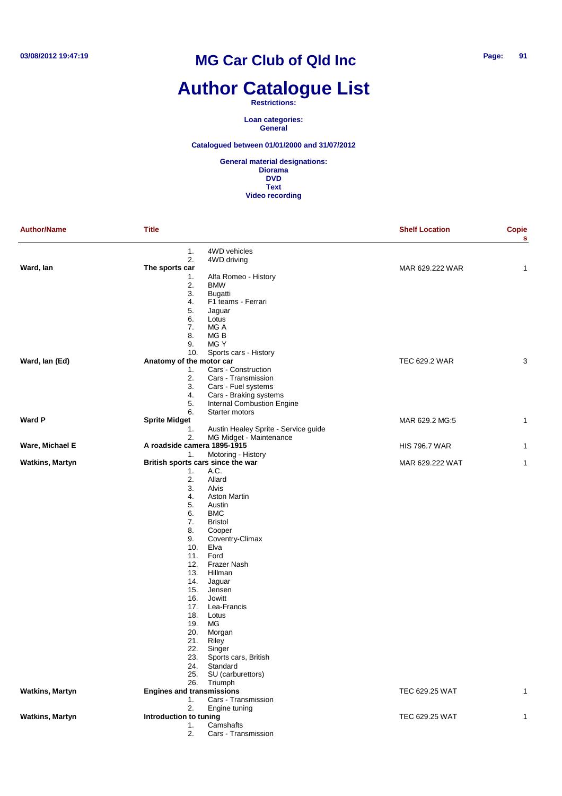# **Author Catalogue List**

#### **Restrictions:**

**Loan categories: General**

#### **Catalogued between 01/01/2000 and 31/07/2012**

| <b>Author/Name</b>     | <b>Title</b>                      |                                                      | <b>Shelf Location</b> | <b>Copie</b><br>s |
|------------------------|-----------------------------------|------------------------------------------------------|-----------------------|-------------------|
|                        | 1.<br>2.                          | 4WD vehicles<br>4WD driving                          |                       |                   |
| Ward, lan              | The sports car                    |                                                      | MAR 629.222 WAR       | 1                 |
|                        | 1.                                | Alfa Romeo - History                                 |                       |                   |
|                        | 2.<br>3.                          | <b>BMW</b><br>Bugatti                                |                       |                   |
|                        | 4.                                | F1 teams - Ferrari                                   |                       |                   |
|                        | 5.                                | Jaguar                                               |                       |                   |
|                        | 6.                                | Lotus                                                |                       |                   |
|                        | 7.                                | MG A                                                 |                       |                   |
|                        | 8.                                | MG B                                                 |                       |                   |
|                        | 9.                                | MG Y                                                 |                       |                   |
|                        | 10.                               | Sports cars - History                                |                       |                   |
| Ward, Ian (Ed)         | Anatomy of the motor car          |                                                      | TEC 629.2 WAR         | 3                 |
|                        | 1.                                | Cars - Construction                                  |                       |                   |
|                        | 2.                                | Cars - Transmission                                  |                       |                   |
|                        | 3.                                | Cars - Fuel systems                                  |                       |                   |
|                        | 4.<br>5.                          | Cars - Braking systems<br>Internal Combustion Engine |                       |                   |
|                        | 6.                                | Starter motors                                       |                       |                   |
| <b>Ward P</b>          | <b>Sprite Midget</b>              |                                                      | MAR 629.2 MG:5        | 1                 |
|                        | 1.                                | Austin Healey Sprite - Service guide                 |                       |                   |
|                        | 2.                                | MG Midget - Maintenance                              |                       |                   |
| Ware, Michael E        | A roadside camera 1895-1915       |                                                      | <b>HIS 796.7 WAR</b>  | 1                 |
|                        | 1.                                | Motoring - History                                   |                       |                   |
| <b>Watkins, Martyn</b> | British sports cars since the war |                                                      | MAR 629.222 WAT       | 1                 |
|                        | 1.                                | A.C.                                                 |                       |                   |
|                        | 2.                                | Allard                                               |                       |                   |
|                        | 3.                                | Alvis                                                |                       |                   |
|                        | 4.                                | <b>Aston Martin</b>                                  |                       |                   |
|                        | 5.<br>6.                          | Austin<br><b>BMC</b>                                 |                       |                   |
|                        | 7.                                | <b>Bristol</b>                                       |                       |                   |
|                        | 8.                                | Cooper                                               |                       |                   |
|                        | 9.                                | Coventry-Climax                                      |                       |                   |
|                        | 10.                               | Elva                                                 |                       |                   |
|                        | 11.                               | Ford                                                 |                       |                   |
|                        | 12.                               | Frazer Nash                                          |                       |                   |
|                        | 13.                               | Hillman                                              |                       |                   |
|                        | 14.                               | Jaguar                                               |                       |                   |
|                        | 15.                               | Jensen                                               |                       |                   |
|                        | 16.                               | Jowitt                                               |                       |                   |
|                        | 17.<br>18.                        | Lea-Francis<br>Lotus                                 |                       |                   |
|                        | 19.                               | MG                                                   |                       |                   |
|                        | 20.                               | Morgan                                               |                       |                   |
|                        | 21.                               | Riley                                                |                       |                   |
|                        | 22.                               | Singer                                               |                       |                   |
|                        | 23.                               | Sports cars, British                                 |                       |                   |
|                        | 24.                               | Standard                                             |                       |                   |
|                        | 25.                               | SU (carburettors)                                    |                       |                   |
|                        |                                   | 26. Triumph                                          |                       |                   |
| <b>Watkins, Martyn</b> | <b>Engines and transmissions</b>  |                                                      | TEC 629.25 WAT        | 1                 |
|                        | 1.                                | Cars - Transmission                                  |                       |                   |
|                        | 2.                                | Engine tuning                                        |                       |                   |
| <b>Watkins, Martyn</b> | Introduction to tuning<br>1.      | Camshafts                                            | TEC 629.25 WAT        | 1                 |
|                        | 2.                                | Cars - Transmission                                  |                       |                   |
|                        |                                   |                                                      |                       |                   |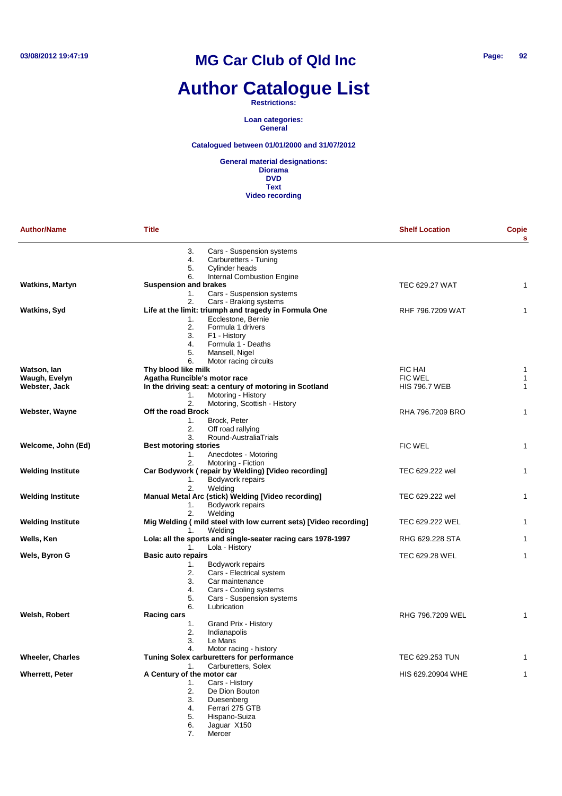# **Author Catalogue List**

#### **Restrictions:**

**Loan categories: General**

#### **Catalogued between 01/01/2000 and 31/07/2012**

**General material designations: Diorama DVD Text Video recording**

| <b>Author/Name</b>       | <b>Title</b>                                                                           | <b>Shelf Location</b> | Copie<br>s   |
|--------------------------|----------------------------------------------------------------------------------------|-----------------------|--------------|
|                          | Cars - Suspension systems<br>3.<br>Carburetters - Tuning<br>4.<br>Cylinder heads<br>5. |                       |              |
|                          | <b>Internal Combustion Engine</b><br>6.                                                |                       |              |
| <b>Watkins, Martyn</b>   | <b>Suspension and brakes</b>                                                           | <b>TEC 629.27 WAT</b> | 1            |
|                          | Cars - Suspension systems<br>1.<br>2.<br>Cars - Braking systems                        |                       |              |
| <b>Watkins, Syd</b>      | Life at the limit: triumph and tragedy in Formula One                                  | RHF 796.7209 WAT      | 1            |
|                          | Ecclestone, Bernie<br>1.                                                               |                       |              |
|                          | 2.<br>Formula 1 drivers                                                                |                       |              |
|                          | 3.<br>F1 - History                                                                     |                       |              |
|                          | 4.<br>Formula 1 - Deaths<br>5.<br>Mansell, Nigel                                       |                       |              |
|                          | 6.<br>Motor racing circuits                                                            |                       |              |
| Watson, Ian              | Thy blood like milk                                                                    | FIC HAI               | 1            |
| Waugh, Evelyn            | Agatha Runcible's motor race                                                           | <b>FIC WEL</b>        | $\mathbf{1}$ |
| Webster, Jack            | In the driving seat: a century of motoring in Scotland                                 | <b>HIS 796.7 WEB</b>  | $\mathbf{1}$ |
|                          | Motoring - History<br>1.<br>Motoring, Scottish - History<br>2.                         |                       |              |
| Webster, Wayne           | Off the road Brock                                                                     | RHA 796.7209 BRO      | 1            |
|                          | Brock, Peter<br>1.                                                                     |                       |              |
|                          | Off road rallying<br>2.                                                                |                       |              |
|                          | Round-AustraliaTrials<br>3.                                                            |                       |              |
| Welcome, John (Ed)       | <b>Best motoring stories</b>                                                           | FIC WEL               | $\mathbf{1}$ |
|                          | Anecdotes - Motoring<br>1.<br>Motoring - Fiction<br>2.                                 |                       |              |
| <b>Welding Institute</b> | Car Bodywork (repair by Welding) [Video recording]                                     | TEC 629.222 wel       | 1            |
|                          | Bodywork repairs<br>1.                                                                 |                       |              |
|                          | Weldina<br>2.                                                                          |                       |              |
| <b>Welding Institute</b> | Manual Metal Arc (stick) Welding [Video recording]                                     | TEC 629.222 wel       | 1            |
|                          | Bodywork repairs<br>1.<br>2.<br>Welding                                                |                       |              |
| <b>Welding Institute</b> | Mig Welding (mild steel with low current sets) [Video recording]                       | TEC 629.222 WEL       | 1            |
|                          | Welding<br>1.                                                                          |                       |              |
| Wells, Ken               | Lola: all the sports and single-seater racing cars 1978-1997                           | RHG 629.228 STA       | 1            |
|                          | Lola - History<br>1.                                                                   |                       |              |
| Wels, Byron G            | <b>Basic auto repairs</b><br>Bodywork repairs<br>1.                                    | TEC 629.28 WEL        | 1            |
|                          | Cars - Electrical system<br>2.                                                         |                       |              |
|                          | 3.<br>Car maintenance                                                                  |                       |              |
|                          | 4.<br>Cars - Cooling systems                                                           |                       |              |
|                          | 5.<br>Cars - Suspension systems                                                        |                       |              |
| Welsh, Robert            | 6.<br>Lubrication<br><b>Racing cars</b>                                                | RHG 796.7209 WEL      | 1            |
|                          | Grand Prix - History<br>1.                                                             |                       |              |
|                          | 2.<br>Indianapolis                                                                     |                       |              |
|                          | 3.<br>Le Mans                                                                          |                       |              |
|                          | Motor racing - history<br>4.                                                           |                       |              |
| <b>Wheeler, Charles</b>  | Tuning Solex carburetters for performance<br>Carburetters, Solex<br>1.                 | TEC 629.253 TUN       | 1            |
| <b>Wherrett, Peter</b>   | A Century of the motor car                                                             | HIS 629.20904 WHE     | 1            |
|                          | Cars - History<br>1.                                                                   |                       |              |
|                          | 2.<br>De Dion Bouton                                                                   |                       |              |
|                          | 3.<br>Duesenberg                                                                       |                       |              |
|                          | Ferrari 275 GTB<br>4.<br>Hispano-Suiza                                                 |                       |              |
|                          | 5.<br>Jaguar X150<br>6.                                                                |                       |              |

7. Mercer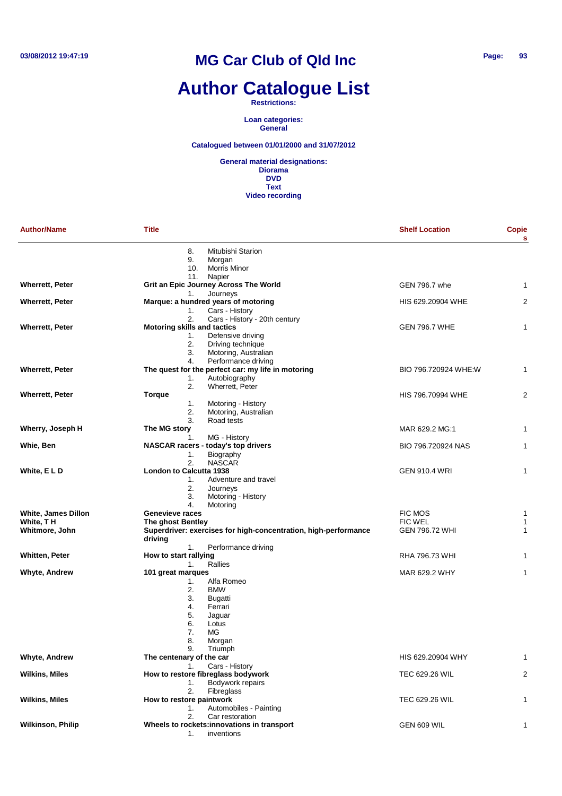# **Author Catalogue List**

#### **Restrictions:**

**Loan categories: General**

#### **Catalogued between 01/01/2000 and 31/07/2012**

| <b>Author/Name</b>                | <b>Title</b>                                                              | <b>Shelf Location</b>            | <b>Copie</b><br>s |
|-----------------------------------|---------------------------------------------------------------------------|----------------------------------|-------------------|
|                                   | 8.<br>Mitubishi Starion<br>9.<br>Morgan                                   |                                  |                   |
|                                   | 10.<br><b>Morris Minor</b>                                                |                                  |                   |
| <b>Wherrett, Peter</b>            | 11.<br>Napier<br>Grit an Epic Journey Across The World                    | GEN 796.7 whe                    | 1                 |
|                                   | Journeys<br>1.                                                            |                                  |                   |
| <b>Wherrett, Peter</b>            | Marque: a hundred years of motoring                                       | HIS 629.20904 WHE                | $\overline{2}$    |
|                                   | 1.<br>Cars - History                                                      |                                  |                   |
|                                   | 2.<br>Cars - History - 20th century<br><b>Motoring skills and tactics</b> |                                  | 1                 |
| <b>Wherrett, Peter</b>            | Defensive driving<br>1.                                                   | <b>GEN 796.7 WHE</b>             |                   |
|                                   | 2.<br>Driving technique                                                   |                                  |                   |
|                                   | 3.<br>Motoring, Australian                                                |                                  |                   |
|                                   | Performance driving<br>4.                                                 |                                  |                   |
| <b>Wherrett, Peter</b>            | The quest for the perfect car: my life in motoring                        | BIO 796.720924 WHE:W             | 1                 |
|                                   | Autobiography<br>1.<br>2.<br>Wherrett, Peter                              |                                  |                   |
| <b>Wherrett, Peter</b>            | <b>Torque</b>                                                             | HIS 796.70994 WHE                | $\overline{2}$    |
|                                   | 1.<br>Motoring - History                                                  |                                  |                   |
|                                   | 2.<br>Motoring, Australian                                                |                                  |                   |
|                                   | 3.<br>Road tests                                                          |                                  |                   |
| Wherry, Joseph H                  | The MG story                                                              | MAR 629.2 MG:1                   | 1                 |
|                                   | MG - History<br>1.                                                        |                                  |                   |
| Whie, Ben                         | NASCAR racers - today's top drivers<br>Biography<br>1.                    | BIO 796.720924 NAS               | 1                 |
|                                   | 2.<br><b>NASCAR</b>                                                       |                                  |                   |
| White, ELD                        | <b>London to Calcutta 1938</b>                                            | <b>GEN 910.4 WRI</b>             | 1                 |
|                                   | Adventure and travel<br>1.                                                |                                  |                   |
|                                   | 2.<br>Journeys                                                            |                                  |                   |
|                                   | 3.<br>Motoring - History                                                  |                                  |                   |
|                                   | 4.<br>Motoring                                                            |                                  |                   |
| White, James Dillon<br>White, T H | Genevieve races<br>The ghost Bentley                                      | <b>FIC MOS</b><br><b>FIC WEL</b> | 1<br>1            |
| Whitmore, John                    | Superdriver: exercises for high-concentration, high-performance           | <b>GEN 796.72 WHI</b>            | $\mathbf{1}$      |
|                                   | driving                                                                   |                                  |                   |
|                                   | Performance driving<br>1.                                                 |                                  |                   |
| Whitten, Peter                    | How to start rallying                                                     | RHA 796.73 WHI                   | 1                 |
|                                   | Rallies<br>1.                                                             |                                  |                   |
| Whyte, Andrew                     | 101 great marques                                                         | MAR 629.2 WHY                    | 1                 |
|                                   | Alfa Romeo<br>1.<br>2.<br><b>BMW</b>                                      |                                  |                   |
|                                   | 3.<br><b>Bugatti</b>                                                      |                                  |                   |
|                                   | 4.<br>Ferrari                                                             |                                  |                   |
|                                   | 5.<br>Jaguar                                                              |                                  |                   |
|                                   | 6.<br>Lotus                                                               |                                  |                   |
|                                   | 7.<br>МG                                                                  |                                  |                   |
|                                   | 8.<br>Morgan                                                              |                                  |                   |
| <b>Whyte, Andrew</b>              | 9.<br>Triumph<br>The centenary of the car                                 | HIS 629.20904 WHY                | 1                 |
|                                   | Cars - History<br>1.                                                      |                                  |                   |
| <b>Wilkins, Miles</b>             | How to restore fibreglass bodywork                                        | TEC 629.26 WIL                   | 2                 |
|                                   | Bodywork repairs<br>1.                                                    |                                  |                   |
|                                   | 2.<br><b>Fibreglass</b>                                                   |                                  |                   |
| <b>Wilkins, Miles</b>             | How to restore paintwork                                                  | <b>TEC 629.26 WIL</b>            | 1                 |
|                                   | Automobiles - Painting<br>1.<br>2.<br>Car restoration                     |                                  |                   |
| <b>Wilkinson, Philip</b>          | Wheels to rockets: innovations in transport                               | GEN 609 WIL                      | 1                 |
|                                   | inventions<br>1.                                                          |                                  |                   |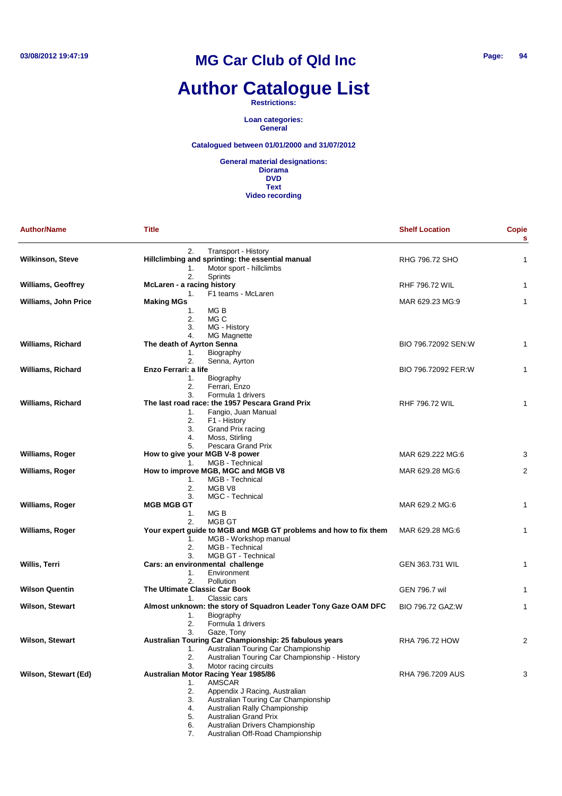# **Author Catalogue List**

**Restrictions:**

**Loan categories: General**

#### **Catalogued between 01/01/2000 and 31/07/2012**

**General material designations: Diorama DVD Text Video recording**

| <b>Author/Name</b>          | <b>Title</b>                                                                  | <b>Shelf Location</b> | <b>Copie</b><br>s |
|-----------------------------|-------------------------------------------------------------------------------|-----------------------|-------------------|
| <b>Wilkinson, Steve</b>     | 2.<br>Transport - History<br>Hillclimbing and sprinting: the essential manual | RHG 796.72 SHO        | 1                 |
|                             | Motor sport - hillclimbs<br>1.<br>2.<br>Sprints                               |                       |                   |
| <b>Williams, Geoffrey</b>   | McLaren - a racing history<br>F1 teams - McLaren<br>1.                        | <b>RHF 796.72 WIL</b> | 1                 |
| <b>Williams, John Price</b> | <b>Making MGs</b>                                                             | MAR 629.23 MG:9       | 1                 |
|                             | 1.<br>MG B                                                                    |                       |                   |
|                             | 2.<br>MG C                                                                    |                       |                   |
|                             | 3.<br>MG - History                                                            |                       |                   |
| <b>Williams, Richard</b>    | 4.<br>MG Magnette<br>The death of Ayrton Senna                                | BIO 796.72092 SEN:W   | 1                 |
|                             | Biography<br>1.                                                               |                       |                   |
|                             | 2.<br>Senna, Ayrton                                                           |                       |                   |
| <b>Williams, Richard</b>    | Enzo Ferrari: a life                                                          | BIO 796.72092 FER:W   | 1                 |
|                             | Biography<br>1.                                                               |                       |                   |
|                             | 2.<br>Ferrari, Enzo                                                           |                       |                   |
|                             | 3.<br>Formula 1 drivers                                                       |                       |                   |
| <b>Williams, Richard</b>    | The last road race: the 1957 Pescara Grand Prix                               | <b>RHF 796.72 WIL</b> | 1                 |
|                             | Fangio, Juan Manual<br>1.<br>2.<br>F1 - History                               |                       |                   |
|                             | 3.<br>Grand Prix racing                                                       |                       |                   |
|                             | 4.<br>Moss, Stirling                                                          |                       |                   |
|                             | 5.<br>Pescara Grand Prix                                                      |                       |                   |
| <b>Williams, Roger</b>      | How to give your MGB V-8 power                                                | MAR 629.222 MG:6      | 3                 |
|                             | MGB - Technical<br>1.                                                         |                       |                   |
| Williams, Roger             | How to improve MGB, MGC and MGB V8                                            | MAR 629.28 MG:6       | 2                 |
|                             | MGB - Technical<br>1.                                                         |                       |                   |
|                             | 2.<br>MGB V8                                                                  |                       |                   |
|                             | MGC - Technical<br>3.                                                         |                       |                   |
| <b>Williams, Roger</b>      | <b>MGB MGB GT</b><br>1.<br>MG B                                               | MAR 629.2 MG:6        | 1                 |
|                             | MGB GT<br>2.                                                                  |                       |                   |
| Williams, Roger             | Your expert guide to MGB and MGB GT problems and how to fix them              | MAR 629.28 MG:6       | 1                 |
|                             | MGB - Workshop manual<br>1.                                                   |                       |                   |
|                             | 2.<br>MGB - Technical                                                         |                       |                   |
|                             | MGB GT - Technical<br>3.                                                      |                       |                   |
| Willis, Terri               | Cars: an environmental challenge                                              | GEN 363.731 WIL       | 1                 |
|                             | Environment<br>1.                                                             |                       |                   |
|                             | 2.<br>Pollution                                                               |                       |                   |
| <b>Wilson Quentin</b>       | The Ultimate Classic Car Book<br>Classic cars<br>1.                           | <b>GEN 796.7 wil</b>  | 1                 |
| <b>Wilson, Stewart</b>      | Almost unknown: the story of Squadron Leader Tony Gaze OAM DFC                | BIO 796.72 GAZ:W      | 1                 |
|                             | Biography<br>1.                                                               |                       |                   |
|                             | 2.<br>Formula 1 drivers                                                       |                       |                   |
|                             | 3.<br>Gaze, Tony                                                              |                       |                   |
| <b>Wilson, Stewart</b>      | Australian Touring Car Championship: 25 fabulous years                        | RHA 796.72 HOW        | 2                 |
|                             | Australian Touring Car Championship<br>1.                                     |                       |                   |
|                             | 2.<br>Australian Touring Car Championship - History                           |                       |                   |
| Wilson, Stewart (Ed)        | 3.<br>Motor racing circuits                                                   | RHA 796.7209 AUS      | 3                 |
|                             | Australian Motor Racing Year 1985/86<br><b>AMSCAR</b><br>1.                   |                       |                   |
|                             | 2.<br>Appendix J Racing, Australian                                           |                       |                   |
|                             | 3.<br>Australian Touring Car Championship                                     |                       |                   |
|                             | Australian Rally Championship<br>4.                                           |                       |                   |
|                             | 5.<br><b>Australian Grand Prix</b>                                            |                       |                   |
|                             | Australian Drivers Championship<br>6.                                         |                       |                   |

7. Australian Off-Road Championship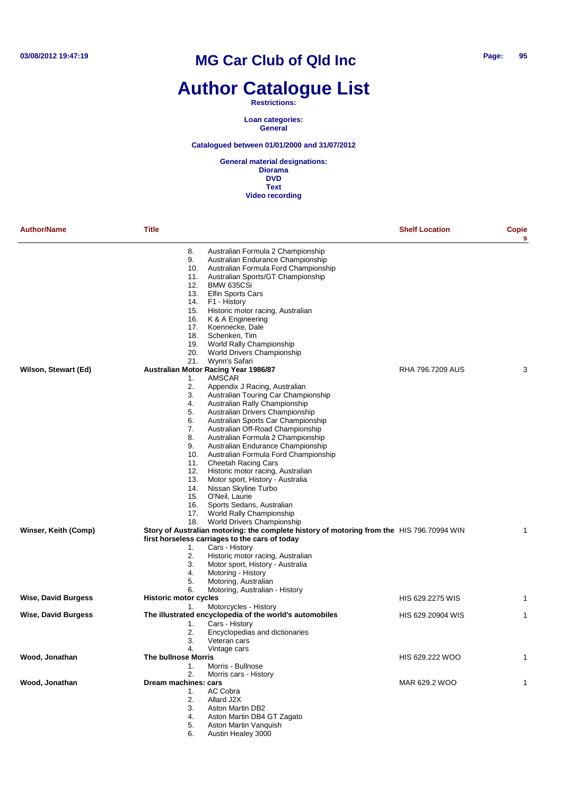# **Author Catalogue List**

#### **Restrictions:**

**Loan categories: General**

#### **Catalogued between 01/01/2000 and 31/07/2012**

**General material designations: Diorama DVD Text Video recording**

| <b>Author/Name</b>         | <b>Title</b>                                   |                                                                                           | <b>Shelf Location</b> | Copie<br>s |
|----------------------------|------------------------------------------------|-------------------------------------------------------------------------------------------|-----------------------|------------|
|                            | 8.                                             | Australian Formula 2 Championship                                                         |                       |            |
|                            | 9.                                             | Australian Endurance Championship                                                         |                       |            |
|                            | 10.                                            | Australian Formula Ford Championship                                                      |                       |            |
|                            | 11.                                            | Australian Sports/GT Championship                                                         |                       |            |
|                            | 12.                                            | <b>BMW 635CSi</b><br>Elfin Sports Cars                                                    |                       |            |
|                            | 13.<br>14.                                     | F1 - History                                                                              |                       |            |
|                            | 15.                                            | Historic motor racing, Australian                                                         |                       |            |
|                            | 16.                                            | K & A Engineering                                                                         |                       |            |
|                            | 17.                                            | Koennecke, Dale                                                                           |                       |            |
|                            | 18.                                            | Schenken, Tim                                                                             |                       |            |
|                            | 19.                                            | World Rally Championship                                                                  |                       |            |
|                            | 20.                                            | World Drivers Championship                                                                |                       |            |
|                            | 21.                                            | Wynn's Safari                                                                             |                       |            |
| Wilson, Stewart (Ed)       | Australian Motor Racing Year 1986/87           |                                                                                           | RHA 796.7209 AUS      | 3          |
|                            | 1.                                             | <b>AMSCAR</b>                                                                             |                       |            |
|                            | 2.                                             | Appendix J Racing, Australian                                                             |                       |            |
|                            | 3.                                             | Australian Touring Car Championship                                                       |                       |            |
|                            | 4.                                             | Australian Rally Championship                                                             |                       |            |
|                            | 5.                                             | Australian Drivers Championship                                                           |                       |            |
|                            | 6.                                             | Australian Sports Car Championship                                                        |                       |            |
|                            | 7.                                             | Australian Off-Road Championship                                                          |                       |            |
|                            | 8.                                             | Australian Formula 2 Championship                                                         |                       |            |
|                            | 9.                                             | Australian Endurance Championship                                                         |                       |            |
|                            | 10.                                            | Australian Formula Ford Championship                                                      |                       |            |
|                            | 11.                                            | <b>Cheetah Racing Cars</b>                                                                |                       |            |
|                            | 12.                                            | Historic motor racing, Australian                                                         |                       |            |
|                            | 13.                                            | Motor sport, History - Australia                                                          |                       |            |
|                            | 14.                                            | Nissan Skyline Turbo                                                                      |                       |            |
|                            | 15.                                            | O'Neil, Laurie                                                                            |                       |            |
|                            | 16.                                            | Sports Sedans, Australian                                                                 |                       |            |
|                            | 17.                                            | World Rally Championship                                                                  |                       |            |
|                            | 18.                                            | World Drivers Championship                                                                |                       |            |
| Winser, Keith (Comp)       |                                                | Story of Australian motoring: the complete history of motoring from the HIS 796.70994 WIN |                       |            |
|                            | first horseless carriages to the cars of today |                                                                                           |                       |            |
|                            | 1.                                             | Cars - History                                                                            |                       |            |
|                            | 2.                                             | Historic motor racing, Australian                                                         |                       |            |
|                            | 3.                                             | Motor sport, History - Australia                                                          |                       |            |
|                            | 4.                                             | Motoring - History                                                                        |                       |            |
|                            | 5.                                             | Motoring, Australian<br>Motoring, Australian - History                                    |                       |            |
| <b>Wise, David Burgess</b> | 6.<br><b>Historic motor cycles</b>             |                                                                                           | HIS 629.2275 WIS      | 1          |
|                            | 1.                                             | Motorcycles - History                                                                     |                       |            |
| Wise, David Burgess        |                                                | The illustrated encyclopedia of the world's automobiles                                   | HIS 629.20904 WIS     | 1          |
|                            | 1.                                             | Cars - History                                                                            |                       |            |
|                            | 2.                                             | Encyclopedias and dictionaries                                                            |                       |            |
|                            | 3.                                             | Veteran cars                                                                              |                       |            |
|                            |                                                | Vintage cars                                                                              |                       |            |
| Wood, Jonathan             | The bullnose Morris                            |                                                                                           | HIS 629.222 WOO       | 1          |
|                            | 1.                                             | Morris - Bullnose                                                                         |                       |            |
|                            | 2.                                             | Morris cars - History                                                                     |                       |            |
| Wood, Jonathan             | Dream machines: cars                           |                                                                                           | MAR 629.2 WOO         | 1          |
|                            | 1.                                             | AC Cobra                                                                                  |                       |            |
|                            | 2.                                             | Allard J2X                                                                                |                       |            |
|                            | 3.                                             | Aston Martin DB2                                                                          |                       |            |
|                            | 4.                                             | Aston Martin DB4 GT Zagato                                                                |                       |            |
|                            | 5.                                             | Aston Martin Vanquish                                                                     |                       |            |

6. Austin Healey 3000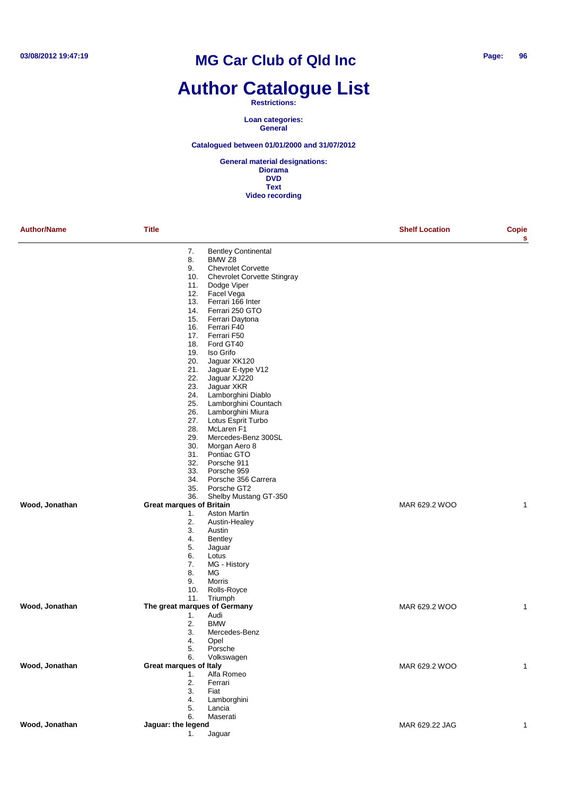# **Author Catalogue List**

#### **Restrictions:**

**Loan categories: General**

#### **Catalogued between 01/01/2000 and 31/07/2012**

| <b>Author/Name</b> | <b>Title</b>                    |                                    | <b>Shelf Location</b> | <b>Copie</b><br>s |
|--------------------|---------------------------------|------------------------------------|-----------------------|-------------------|
|                    | 7.                              | <b>Bentley Continental</b>         |                       |                   |
|                    | 8.                              | BMW <sub>Z8</sub>                  |                       |                   |
|                    | 9.                              | <b>Chevrolet Corvette</b>          |                       |                   |
|                    | 10.                             | <b>Chevrolet Corvette Stingray</b> |                       |                   |
|                    | 11.                             | Dodge Viper                        |                       |                   |
|                    | 12.                             | Facel Vega                         |                       |                   |
|                    | 13.                             | Ferrari 166 Inter                  |                       |                   |
|                    | 14.<br>15.                      | Ferrari 250 GTO                    |                       |                   |
|                    | 16.                             | Ferrari Daytona<br>Ferrari F40     |                       |                   |
|                    | 17.                             | Ferrari F50                        |                       |                   |
|                    | 18.                             | Ford GT40                          |                       |                   |
|                    | 19.                             | Iso Grifo                          |                       |                   |
|                    | 20.                             | Jaguar XK120                       |                       |                   |
|                    | 21.                             | Jaguar E-type V12                  |                       |                   |
|                    | 22.                             | Jaguar XJ220                       |                       |                   |
|                    | 23.                             | Jaguar XKR                         |                       |                   |
|                    | 24.                             | Lamborghini Diablo                 |                       |                   |
|                    | 25.                             | Lamborghini Countach               |                       |                   |
|                    | 26.                             | Lamborghini Miura                  |                       |                   |
|                    | 27.                             | Lotus Esprit Turbo                 |                       |                   |
|                    | 28.                             | McLaren <sub>F1</sub>              |                       |                   |
|                    | 29.<br>30.                      | Mercedes-Benz 300SL                |                       |                   |
|                    | 31.                             | Morgan Aero 8<br>Pontiac GTO       |                       |                   |
|                    | 32.                             | Porsche 911                        |                       |                   |
|                    | 33.                             | Porsche 959                        |                       |                   |
|                    | 34.                             | Porsche 356 Carrera                |                       |                   |
|                    | 35.                             | Porsche GT2                        |                       |                   |
|                    | 36.                             | Shelby Mustang GT-350              |                       |                   |
| Wood, Jonathan     | <b>Great marques of Britain</b> |                                    | MAR 629.2 WOO         | 1                 |
|                    | 1.                              | <b>Aston Martin</b>                |                       |                   |
|                    | 2.                              | Austin-Healey                      |                       |                   |
|                    | 3.                              | Austin                             |                       |                   |
|                    | 4.                              | <b>Bentley</b>                     |                       |                   |
|                    | 5.                              | Jaguar                             |                       |                   |
|                    | 6.                              | Lotus                              |                       |                   |
|                    | 7.                              | MG - History                       |                       |                   |
|                    | 8.<br>9.                        | MG<br>Morris                       |                       |                   |
|                    | 10.                             | Rolls-Royce                        |                       |                   |
|                    | 11.                             | Triumph                            |                       |                   |
| Wood, Jonathan     | The great marques of Germany    |                                    | MAR 629.2 WOO         | 1                 |
|                    | 1.                              | Audi                               |                       |                   |
|                    | 2.                              | <b>BMW</b>                         |                       |                   |
|                    | 3.                              | Mercedes-Benz                      |                       |                   |
|                    | 4.                              | Opel                               |                       |                   |
|                    | 5.                              | Porsche                            |                       |                   |
|                    | 6.                              | Volkswagen                         |                       |                   |
| Wood, Jonathan     | Great marques of Italy          |                                    | MAR 629.2 WOO         | 1                 |
|                    | 1.                              | Alfa Romeo                         |                       |                   |
|                    | 2.                              | Ferrari                            |                       |                   |
|                    | 3.                              | Fiat                               |                       |                   |
|                    | 4.                              | Lamborghini                        |                       |                   |
|                    | 5.                              | Lancia                             |                       |                   |
| Wood, Jonathan     | 6.<br>Jaguar: the legend        | Maserati                           | MAR 629.22 JAG        | $\mathbf{1}$      |
|                    | 1.                              | Jaguar                             |                       |                   |
|                    |                                 |                                    |                       |                   |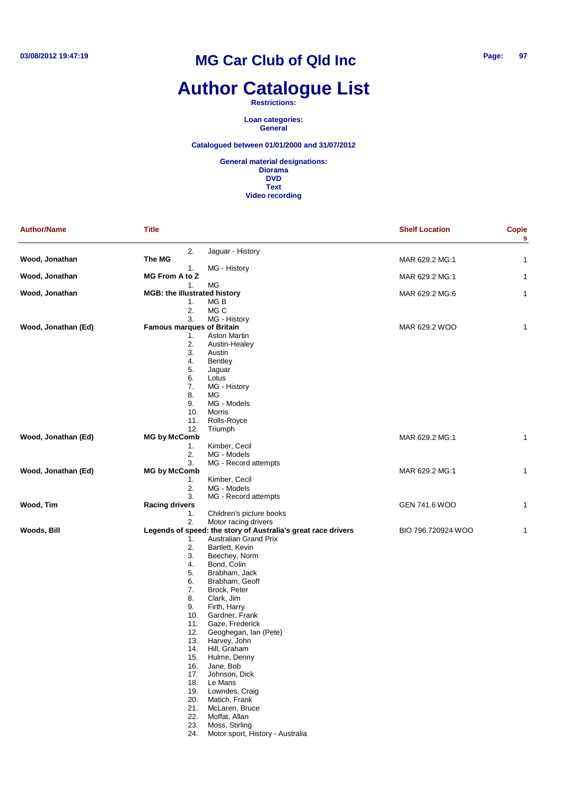# **Author Catalogue List**

**Restrictions:**

**Loan categories: General**

#### **Catalogued between 01/01/2000 and 31/07/2012**

| <b>Author/Name</b>  | <b>Title</b>                        |                                                                                               | <b>Shelf Location</b> | <b>Copie</b><br>s |
|---------------------|-------------------------------------|-----------------------------------------------------------------------------------------------|-----------------------|-------------------|
|                     | 2.                                  | Jaguar - History                                                                              |                       |                   |
| Wood, Jonathan      | The MG                              |                                                                                               | MAR 629.2 MG:1        | 1                 |
|                     | 1.<br><b>MG From A to Z</b>         | MG - History                                                                                  |                       |                   |
| Wood, Jonathan      | 1.                                  | МG                                                                                            | MAR 629.2 MG:1        | 1                 |
| Wood, Jonathan      | <b>MGB: the illustrated history</b> |                                                                                               | MAR 629.2 MG:6        | 1                 |
|                     | 1.                                  | MG B                                                                                          |                       |                   |
|                     | 2.                                  | MG C                                                                                          |                       |                   |
|                     | 3.                                  | MG - History                                                                                  |                       |                   |
| Wood, Jonathan (Ed) | <b>Famous marques of Britain</b>    | <b>Aston Martin</b>                                                                           | MAR 629.2 WOO         | 1                 |
|                     | 1.<br>2.                            | Austin-Healey                                                                                 |                       |                   |
|                     | 3.                                  | Austin                                                                                        |                       |                   |
|                     | 4.                                  | <b>Bentley</b>                                                                                |                       |                   |
|                     | 5.                                  | Jaguar                                                                                        |                       |                   |
|                     | 6.                                  | Lotus                                                                                         |                       |                   |
|                     | 7.                                  | MG - History                                                                                  |                       |                   |
|                     | 8.<br>9.                            | MG<br>MG - Models                                                                             |                       |                   |
|                     | 10.                                 | Morris                                                                                        |                       |                   |
|                     | 11.                                 | Rolls-Royce                                                                                   |                       |                   |
|                     | 12.                                 | Triumph                                                                                       |                       |                   |
| Wood, Jonathan (Ed) | <b>MG by McComb</b>                 |                                                                                               | MAR 629.2 MG:1        | 1                 |
|                     | 1.                                  | Kimber, Cecil                                                                                 |                       |                   |
|                     | 2.                                  | MG - Models                                                                                   |                       |                   |
|                     | 3.                                  | MG - Record attempts                                                                          |                       |                   |
| Wood, Jonathan (Ed) | <b>MG by McComb</b><br>1.           | Kimber, Cecil                                                                                 | MAR 629.2 MG:1        | 1                 |
|                     | 2.                                  | MG - Models                                                                                   |                       |                   |
|                     | 3.                                  | MG - Record attempts                                                                          |                       |                   |
| Wood, Tim           | <b>Racing drivers</b>               |                                                                                               | GEN 741.6 WOO         | 1                 |
|                     | 1.                                  | Children's picture books                                                                      |                       |                   |
|                     | 2.                                  | Motor racing drivers                                                                          |                       |                   |
| Woods, Bill         |                                     | Legends of speed: the story of Australia's great race drivers<br><b>Australian Grand Prix</b> | BIO 796.720924 WOO    | 1                 |
|                     | 1.<br>2.                            | Bartlett, Kevin                                                                               |                       |                   |
|                     | 3.                                  | Beechey, Norm                                                                                 |                       |                   |
|                     | 4.                                  | Bond, Colin                                                                                   |                       |                   |
|                     | 5.                                  | Brabham, Jack                                                                                 |                       |                   |
|                     | 6.                                  | Brabham, Geoff                                                                                |                       |                   |
|                     | 7.                                  | Brock, Peter                                                                                  |                       |                   |
|                     | 8.                                  | Clark, Jim                                                                                    |                       |                   |
|                     | 9.                                  | Firth, Harry                                                                                  |                       |                   |
|                     | 10.<br>11.                          | Gardner, Frank<br>Gaze, Frederick                                                             |                       |                   |
|                     | 12.                                 | Geoghegan, Ian (Pete)                                                                         |                       |                   |
|                     | 13.                                 | Harvey, John                                                                                  |                       |                   |
|                     | 14.                                 | Hill, Graham                                                                                  |                       |                   |
|                     | 15.                                 | Hulme, Denny                                                                                  |                       |                   |
|                     | 16.                                 | Jane, Bob                                                                                     |                       |                   |
|                     | 17.                                 | Johnson, Dick                                                                                 |                       |                   |
|                     | 18.                                 | Le Mans                                                                                       |                       |                   |
|                     | 19.                                 | Lowndes, Craig<br>Matich, Frank                                                               |                       |                   |
|                     | 20.<br>21.                          | McLaren, Bruce                                                                                |                       |                   |
|                     | 22.                                 | Moffat, Allan                                                                                 |                       |                   |
|                     | 23.                                 | Moss, Stirling                                                                                |                       |                   |
|                     | 24.                                 | Motor sport, History - Australia                                                              |                       |                   |